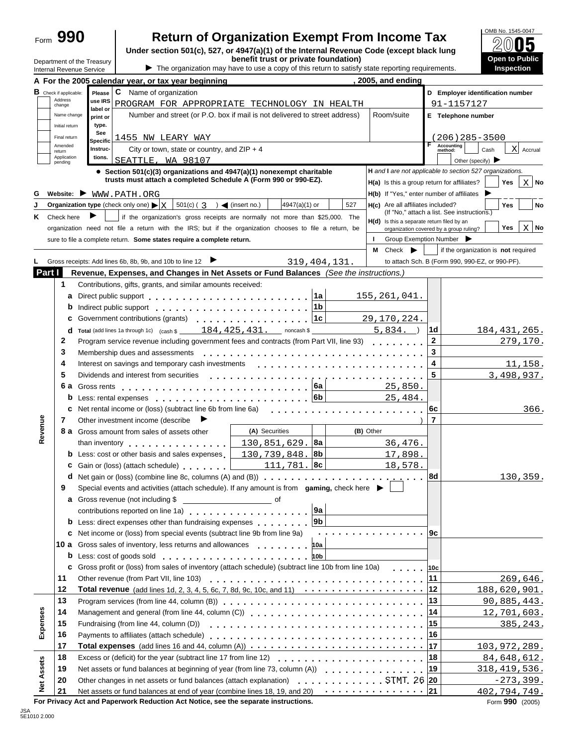| ⊦orm | ۲О |
|------|----|
|      |    |

Department of the Treasury Internal Revenue Service

# **Return of Organization Exempt From Income Tax**

**Under section 501(c), 527, or 4947(a)(1) of the Internal Revenue Code (except black lung benefit trust or private foundation)**

IThe organization may have to use a copy of this return to satisfy state reporting requirements.



|                   |                                                    | A For the 2005 calendar year, or tax year beginning                                                                                                                                                                                  | 2005, and ending                             |                                                                    |
|-------------------|----------------------------------------------------|--------------------------------------------------------------------------------------------------------------------------------------------------------------------------------------------------------------------------------------|----------------------------------------------|--------------------------------------------------------------------|
|                   | <b>B</b> Check if applicable:<br>Address<br>change | C<br>Name of organization<br>Please<br>use IRS<br>PROGRAM FOR APPROPRIATE TECHNOLOGY IN HEALTH                                                                                                                                       |                                              | D Employer identification number<br>91-1157127                     |
|                   | Name change<br>Initial return                      | label or<br>Number and street (or P.O. box if mail is not delivered to street address)<br>print or<br>type.                                                                                                                          | Room/suite                                   | E Telephone number                                                 |
|                   | Final return                                       | See<br>1455 NW LEARY WAY                                                                                                                                                                                                             |                                              | 206) 285-3500                                                      |
|                   | Amended                                            | <b>Specific</b><br>City or town, state or country, and $ZIP + 4$<br><b>Instruc-</b>                                                                                                                                                  |                                              | <b>Accounting</b><br> X                                            |
|                   | return<br>Application                              | tions.<br>SEATTLE, WA 98107                                                                                                                                                                                                          |                                              | Cash<br>Accrual<br>method:<br>Other (specify) $\triangleright$     |
|                   | pending                                            | • Section 501(c)(3) organizations and 4947(a)(1) nonexempt charitable                                                                                                                                                                |                                              | H and I are not applicable to section 527 organizations.           |
|                   |                                                    | trusts must attach a completed Schedule A (Form 990 or 990-EZ).                                                                                                                                                                      |                                              | $X \mid N$ o<br>H(a) Is this a group return for affiliates?<br>Yes |
| G                 |                                                    | Website: WWW.PATH.ORG                                                                                                                                                                                                                |                                              | H(b) If "Yes," enter number of affiliates                          |
|                   |                                                    | <b>Organization type</b> (check only one) $\blacktriangleright$ $\mid$ X<br>$501(c) (3)$ (insert no.)<br>4947(a)(1) or                                                                                                               | 527<br>H(c) Are all affiliates included?     | No<br>Yes                                                          |
| Κ                 | Check here                                         | if the organization's gross receipts are normally not more than \$25,000. The                                                                                                                                                        |                                              | (If "No," attach a list. See instructions.)                        |
|                   |                                                    | organization need not file a return with the IRS; but if the organization chooses to file a return, be                                                                                                                               | $H(d)$ is this a separate return filed by an | $X$ No<br>Yes<br>organization covered by a group ruling?           |
|                   |                                                    | sure to file a complete return. Some states require a complete return.                                                                                                                                                               |                                              | Group Exemption Number                                             |
|                   |                                                    |                                                                                                                                                                                                                                      | М<br>Check                                   | if the organization is not required                                |
|                   |                                                    | 319, 404, 131.<br>Gross receipts: Add lines 6b, 8b, 9b, and 10b to line 12                                                                                                                                                           |                                              | to attach Sch. B (Form 990, 990-EZ, or 990-PF).                    |
| Part I            |                                                    | Revenue, Expenses, and Changes in Net Assets or Fund Balances (See the instructions.)                                                                                                                                                |                                              |                                                                    |
|                   | 1                                                  | Contributions, gifts, grants, and similar amounts received:                                                                                                                                                                          |                                              |                                                                    |
|                   | a                                                  | ∣1a                                                                                                                                                                                                                                  | 155, 261, 041.                               |                                                                    |
|                   | b                                                  | 1b<br>Indirect public support entering to the set of the set of the set of the set of the set of the set of the set of the set of the set of the set of the set of the set of the set of the set of the set of the set of the set of |                                              |                                                                    |
|                   | c                                                  | 1c<br>Government contributions (grants)<br>. <b>.</b> .                                                                                                                                                                              | 29, 170, 224.                                |                                                                    |
|                   | d                                                  | Total (add lines 1a through 1c) (cash \$ 184, 425, 431. noncash \$                                                                                                                                                                   | 5,834.                                       | 184, 431, 265.<br>∣1d                                              |
|                   | 2                                                  | Program service revenue including government fees and contracts (from Part VII, line 93)                                                                                                                                             |                                              | $\mathbf{2}$<br>279,170.                                           |
|                   | 3                                                  | Membership dues and assessments                                                                                                                                                                                                      |                                              | 3                                                                  |
|                   | 4                                                  | Interest on savings and temporary cash investments                                                                                                                                                                                   |                                              | 4<br>11, 158.                                                      |
|                   | 5                                                  | Dividends and interest from securities                                                                                                                                                                                               |                                              | 5<br>3,498,937.                                                    |
|                   |                                                    | . <i>.</i> .<br> 6a                                                                                                                                                                                                                  | 25,850.                                      |                                                                    |
|                   |                                                    | 6b                                                                                                                                                                                                                                   | 25,484.                                      |                                                                    |
|                   | c                                                  | Net rental income or (loss) (subtract line 6b from line 6a)                                                                                                                                                                          |                                              | 366.<br> 6c                                                        |
|                   | 7                                                  | Other investment income (describe<br>▸                                                                                                                                                                                               |                                              | $\overline{7}$                                                     |
| Revenue           |                                                    | (A) Securities<br><b>8 a</b> Gross amount from sales of assets other                                                                                                                                                                 | (B) Other                                    |                                                                    |
|                   |                                                    | ∣8a<br>130,851,629.<br>than inventory experience and than inventory                                                                                                                                                                  | 36,476.                                      |                                                                    |
|                   |                                                    | <b>b</b> Less: cost or other basis and sales expenses<br>130,739,848.8b                                                                                                                                                              | 17,898.                                      |                                                                    |
|                   | c                                                  | $111,781.$ 8c<br>Gain or (loss) (attach schedule) [1996]                                                                                                                                                                             | 18,578.                                      |                                                                    |
|                   |                                                    | <b>d</b> Net gain or (loss) (combine line 8c, columns (A) and (B))                                                                                                                                                                   |                                              | 8d<br><u>130,359.</u>                                              |
|                   | 9                                                  | Special events and activities (attach schedule). If any amount is from gaming, check here $\blacktriangleright$                                                                                                                      |                                              |                                                                    |
|                   |                                                    |                                                                                                                                                                                                                                      |                                              |                                                                    |
|                   |                                                    | 9a<br>contributions reported on line 1a) contributions are protected on line 1a)                                                                                                                                                     |                                              |                                                                    |
|                   |                                                    | 9b <br><b>b</b> Less: direct expenses other than fundraising expenses                                                                                                                                                                |                                              |                                                                    |
|                   |                                                    | <b>c</b> Net income or (loss) from special events (subtract line 9b from line 9a)                                                                                                                                                    | . 9c                                         |                                                                    |
|                   |                                                    | 10 a Gross sales of inventory, less returns and allowances<br>10a                                                                                                                                                                    |                                              |                                                                    |
|                   | b                                                  | Less: cost of goods sold enterprise to the cost of goods sold<br>10 <sub>b</sub>                                                                                                                                                     |                                              |                                                                    |
|                   | c                                                  | Gross profit or (loss) from sales of inventory (attach schedule) (subtract line 10b from line 10a)                                                                                                                                   | and a state                                  | 10c                                                                |
|                   | 11                                                 |                                                                                                                                                                                                                                      |                                              | 269,646.<br>11                                                     |
|                   | 12                                                 |                                                                                                                                                                                                                                      |                                              | 188,620,901.                                                       |
|                   | 13                                                 |                                                                                                                                                                                                                                      |                                              | 13<br>90,885,443.                                                  |
|                   | 14                                                 |                                                                                                                                                                                                                                      |                                              | 12,701,603.<br> 14                                                 |
| Expenses          | 15                                                 | Fundraising (from line 44, column (D))                                                                                                                                                                                               |                                              | 15<br>385, 243.                                                    |
|                   | 16                                                 |                                                                                                                                                                                                                                      |                                              | 16                                                                 |
|                   | 17                                                 |                                                                                                                                                                                                                                      |                                              | 103, 972, 289.                                                     |
|                   | 18                                                 |                                                                                                                                                                                                                                      |                                              | 84,648,612.<br> 18                                                 |
|                   | 19                                                 | Net assets or fund balances at beginning of year (from line 73, column (A))                                                                                                                                                          |                                              | 318, 419, 536.<br> 19                                              |
| <b>Net Assets</b> | 20                                                 |                                                                                                                                                                                                                                      |                                              | $-273, 399.$                                                       |
|                   | 21                                                 |                                                                                                                                                                                                                                      |                                              | 402, 794, 749.                                                     |

**For Privacy Act and Paperwork Reduction Act Notice, see the separate instructions. The Separate instructions of the separate instructions. The Separate instructions.**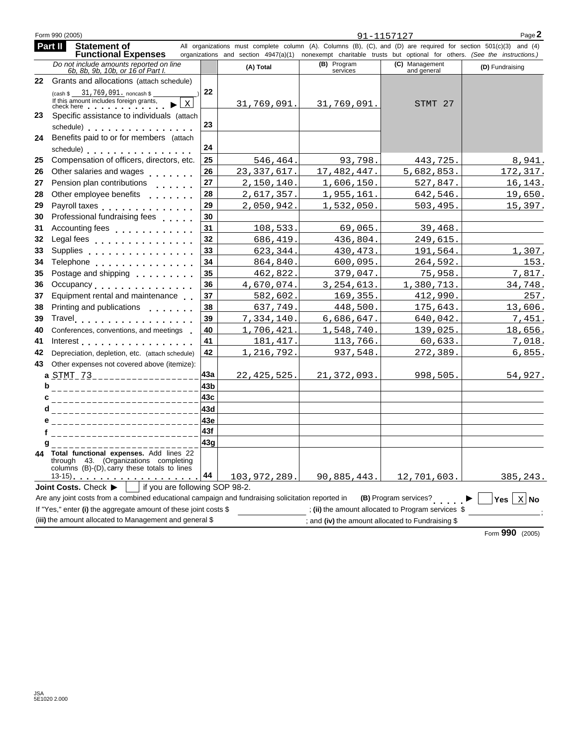|    | Form 990 (2005)                                                                                                                                                                                                                |     |               |                         | 91-1157127                                                                                                                                                                                                                            | Page 2          |
|----|--------------------------------------------------------------------------------------------------------------------------------------------------------------------------------------------------------------------------------|-----|---------------|-------------------------|---------------------------------------------------------------------------------------------------------------------------------------------------------------------------------------------------------------------------------------|-----------------|
|    | Part II<br><b>Statement of</b><br><b>Functional Expenses</b>                                                                                                                                                                   |     |               |                         | All organizations must complete column (A). Columns (B), (C), and (D) are required for section 501(c)(3) and (4)<br>organizations and section 4947(a)(1) nonexempt charitable trusts but optional for others. (See the instructions.) |                 |
|    | Do not include amounts reported on line<br>6b, 8b, 9b, 10b, or 16 of Part I.                                                                                                                                                   |     | (A) Total     | (B) Program<br>services | (C) Management<br>and general                                                                                                                                                                                                         | (D) Fundraising |
| 22 | Grants and allocations (attach schedule)                                                                                                                                                                                       |     |               |                         |                                                                                                                                                                                                                                       |                 |
|    | $(\cosh \$ 31, 769, 091, \text{noncash \$ }$<br>If this amount includes foreign grants,<br>X<br>check here with the check here                                                                                                 | 22  | 31,769,091.   | 31,769,091.             | STMT 27                                                                                                                                                                                                                               |                 |
| 23 | Specific assistance to individuals (attach                                                                                                                                                                                     |     |               |                         |                                                                                                                                                                                                                                       |                 |
|    | schedule) expansion and the set of the set of the set of the set of the set of the set of the set of the set of the set of the set of the set of the set of the set of the set of the set of the set of the set of the set of  | 23  |               |                         |                                                                                                                                                                                                                                       |                 |
| 24 | Benefits paid to or for members (attach                                                                                                                                                                                        |     |               |                         |                                                                                                                                                                                                                                       |                 |
|    | schedule) expansion and the set of the set of the set of the set of the set of the set of the set of the set of the set of the set of the set of the set of the set of the set of the set of the set of the set of the set of  | 24  |               |                         |                                                                                                                                                                                                                                       |                 |
| 25 | Compensation of officers, directors, etc.                                                                                                                                                                                      | 25  | 546,464.      | 93,798.                 | 443,725.                                                                                                                                                                                                                              | 8,941.          |
| 26 | Other salaries and wages                                                                                                                                                                                                       | 26  | 23, 337, 617. | 17,482,447.             | 5,682,853.                                                                                                                                                                                                                            | 172, 317.       |
| 27 | Pension plan contributions<br>$\mathbf{a} \cdot \mathbf{a} \cdot \mathbf{a} \cdot \mathbf{a} \cdot \mathbf{a} \cdot \mathbf{a}$                                                                                                | 27  | 2,150,140.    | 1,606,150.              | 527,847.                                                                                                                                                                                                                              | 16,143.         |
| 28 | Other employee benefits <b>COLLEGE CONTEXT</b>                                                                                                                                                                                 | 28  | 2,617,357.    | 1,955,161.              | 642,546.                                                                                                                                                                                                                              | 19,650.         |
| 29 | Payroll taxes                                                                                                                                                                                                                  | 29  | 2,050,942.    | 1,532,050.              | 503,495.                                                                                                                                                                                                                              | 15,397.         |
| 30 | Professional fundraising fees                                                                                                                                                                                                  | 30  |               |                         |                                                                                                                                                                                                                                       |                 |
| 31 | Accounting fees                                                                                                                                                                                                                | 31  | 108,533.      | 69,065.                 | 39,468.                                                                                                                                                                                                                               |                 |
| 32 | Legal fees                                                                                                                                                                                                                     | 32  | 686,419.      | 436,804.                | 249,615.                                                                                                                                                                                                                              |                 |
| 33 | Supplies                                                                                                                                                                                                                       | 33  | 623,344.      | 430, 473.               | 191,564.                                                                                                                                                                                                                              | 1,307.          |
| 34 | Telephone experience and the set of the set of the set of the set of the set of the set of the set of the set of the set of the set of the set of the set of the set of the set of the set of the set of the set of the set of | 34  | 864,840.      | 600,095.                | 264,592.                                                                                                                                                                                                                              | 153.            |
| 35 | Postage and shipping <b>container and shipping</b>                                                                                                                                                                             | 35  | 462,822.      | 379,047.                | 75,958.                                                                                                                                                                                                                               | 7,817.          |
| 36 | Occupancy                                                                                                                                                                                                                      | 36  | 4,670,074.    | 3, 254, 613.            | 1,380,713.                                                                                                                                                                                                                            | 34,748.         |
| 37 | Equipment rental and maintenance                                                                                                                                                                                               | 37  | 582,602.      | 169,355.                | 412,990.                                                                                                                                                                                                                              | 257.            |
| 38 | Printing and publications <b>Printing</b>                                                                                                                                                                                      | 38  | 637,749       | 448,500.                | 175,643.                                                                                                                                                                                                                              | 13,606.         |
| 39 | Travel.                                                                                                                                                                                                                        | 39  | 7,334,140.    | 6,686,647.              | 640,042.                                                                                                                                                                                                                              | 7,451.          |
| 40 | Conferences, conventions, and meetings                                                                                                                                                                                         | 40  | 1,706,421     | 1,548,740.              | 139,025.                                                                                                                                                                                                                              | 18,656.         |
| 41 | Interest                                                                                                                                                                                                                       | 41  | 181, 417.     | 113,766.                | 60,633.                                                                                                                                                                                                                               | 7,018.          |
| 42 | Depreciation, depletion, etc. (attach schedule)                                                                                                                                                                                | 42  | 1,216,792     | 937,548.                | 272,389.                                                                                                                                                                                                                              | 6,855.          |
| 43 | Other expenses not covered above (itemize):                                                                                                                                                                                    |     |               |                         |                                                                                                                                                                                                                                       |                 |
|    | a STMT 73 __________________                                                                                                                                                                                                   | 43a | 22, 425, 525. | 21, 372, 093.           | 998,505.                                                                                                                                                                                                                              | 54,927.         |
| b  | _________________________                                                                                                                                                                                                      | 43b |               |                         |                                                                                                                                                                                                                                       |                 |
| c  | __________________________                                                                                                                                                                                                     | 43c |               |                         |                                                                                                                                                                                                                                       |                 |
| d  | _________________________                                                                                                                                                                                                      | 43d |               |                         |                                                                                                                                                                                                                                       |                 |
|    | ------------------------                                                                                                                                                                                                       | 43e |               |                         |                                                                                                                                                                                                                                       |                 |
|    | f ______________________                                                                                                                                                                                                       | 43f |               |                         |                                                                                                                                                                                                                                       |                 |
|    | $9$ _ _ _ _ _ _ _ _ _ _ _ _ _ _                                                                                                                                                                                                | 43g |               |                         |                                                                                                                                                                                                                                       |                 |
|    | Total functional expenses. Add lines 22<br>through 43. (Organizations completing<br>columns (B)-(D), carry these totals to lines                                                                                               |     |               |                         |                                                                                                                                                                                                                                       |                 |
|    | 13-15). <u>.</u>                                                                                                                                                                                                               | 44  | 103,972,289.  | 90,885,443.             | 12,701,603.                                                                                                                                                                                                                           | 385,243.        |
|    | if you are following SOP 98-2.<br>Joint Costs. Check $\blacktriangleright$<br>Are any joint costs from a combined educational campaign and fundraising solicitation reported in                                                |     |               |                         | (B) Program services?                                                                                                                                                                                                                 | X No<br>Yes $ $ |
|    | If "Yes," enter (i) the aggregate amount of these joint costs \$                                                                                                                                                               |     |               |                         | ; (ii) the amount allocated to Program services \$                                                                                                                                                                                    |                 |
|    | (iii) the amount allocated to Management and general \$                                                                                                                                                                        |     |               |                         | ; and (iv) the amount allocated to Fundraising \$                                                                                                                                                                                     |                 |

Form **990** (2005)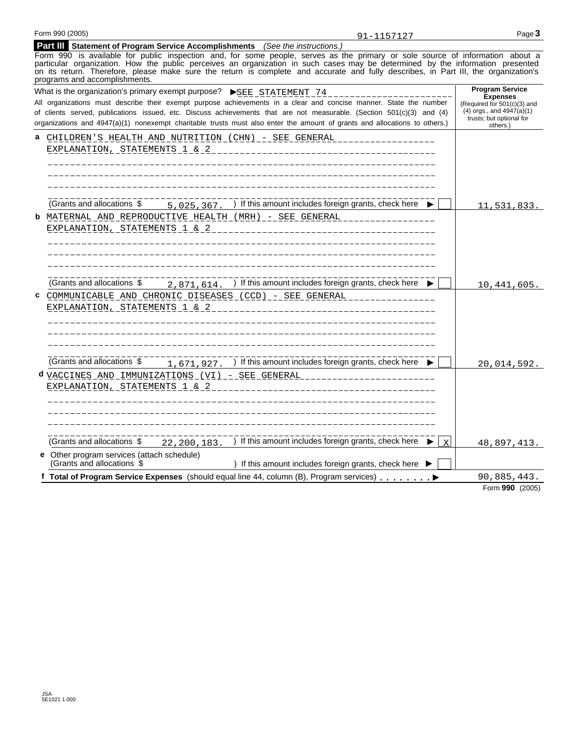| <b>Part III</b> Statement of Program Service Accomplishments (See the instructions.)                                              |
|-----------------------------------------------------------------------------------------------------------------------------------|
| Form 990 is available for public inspection and, for some people, serves as the primary or sole source of information about a     |
| particular organization. How the public perceives an organization in such cases may be determined by the information presented    |
| on its return. Therefore, please make sure the return is complete and accurate and fully describes in Part III the organization's |

|   | on its return. Therefore, please make sure the return is complete and accurate and fully describes, in Part III, the organization's<br>programs and accomplishments.                                                                                                                                                                                                                                                                              |   |                                                                                                                                                   |
|---|---------------------------------------------------------------------------------------------------------------------------------------------------------------------------------------------------------------------------------------------------------------------------------------------------------------------------------------------------------------------------------------------------------------------------------------------------|---|---------------------------------------------------------------------------------------------------------------------------------------------------|
|   | What is the organization's primary exempt purpose?<br>SEE STATEMENT 74<br>All organizations must describe their exempt purpose achievements in a clear and concise manner. State the number<br>of clients served, publications issued, etc. Discuss achievements that are not measurable. (Section 501(c)(3) and (4)<br>organizations and 4947(a)(1) nonexempt charitable trusts must also enter the amount of grants and allocations to others.) |   | <b>Program Service</b><br><b>Expenses</b><br>(Required for 501(c)(3) and<br>$(4)$ orgs., and $4947(a)(1)$<br>trusts; but optional for<br>others.) |
| a | <u> CHILDREN'S HEALTH AND NUTRITION (CHN) - SEE GENERAL ________________</u><br>EXPLANATION, STATEMENTS 1 & 2<br>----------------------------------                                                                                                                                                                                                                                                                                               |   |                                                                                                                                                   |
| b | (Grants and allocations \$<br>) If this amount includes foreign grants, check here $\blacktriangleright$<br>5,025,367.<br>MATERNAL AND REPRODUCTIVE HEALTH (MRH) _ _ SEE GENERAL _______________<br>EXPLANATION, STATEMENTS 1 & 2<br>_________________________________                                                                                                                                                                            |   | 11,531,833.                                                                                                                                       |
| C | (Grants and allocations \$<br>) If this amount includes foreign grants, check here ▶<br>2,871,614.<br>COMMUNICABLE AND CHRONIC DISEASES (CCD) - SEE GENERAL ______________<br>EXPLANATION, STATEMENTS 1 & 2<br>________________________________                                                                                                                                                                                                   |   | 10,441,605.                                                                                                                                       |
|   | (Grants and allocations \$<br>) If this amount includes foreign grants, check here ▶<br>1,671,927.<br>d VACCINES AND IMMUNIZATIONS (VI) __ SEE GENERAL ________________________<br>EXPLANATION, STATEMENTS 1 & 2<br>_________________________________                                                                                                                                                                                             |   | 20,014,592.                                                                                                                                       |
|   | ) If this amount includes foreign grants, check here<br>(Grants and allocations \$<br>22, 200, 183.<br>e Other program services (attach schedule)<br>(Grants and allocations \$<br>) If this amount includes foreign grants, check here ▶                                                                                                                                                                                                         | X | 48, 897, 413.                                                                                                                                     |
|   | f Total of Program Service Expenses (should equal line 44, column (B), Program services)                                                                                                                                                                                                                                                                                                                                                          |   | 90,885,443.                                                                                                                                       |
|   |                                                                                                                                                                                                                                                                                                                                                                                                                                                   |   | Form 990 (2005)                                                                                                                                   |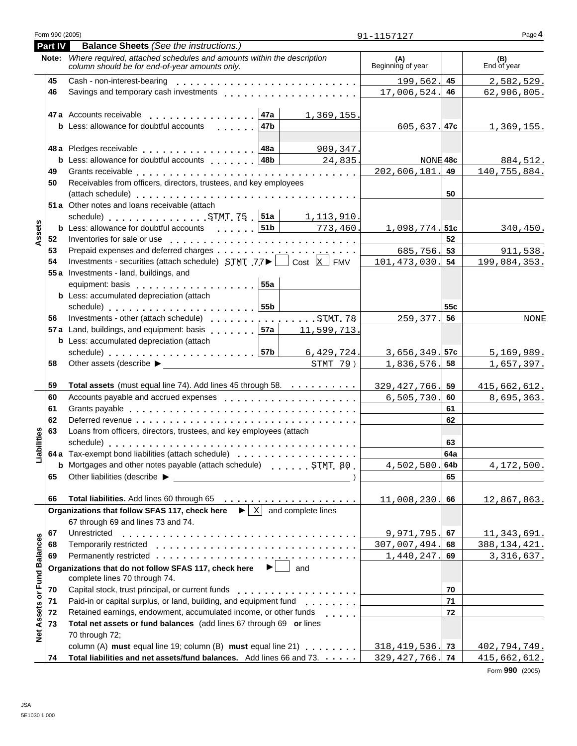|                   | Part IV | <b>Balance Sheets</b> (See the instructions.)                                                                                                                                                                                  |                          |     |                     |
|-------------------|---------|--------------------------------------------------------------------------------------------------------------------------------------------------------------------------------------------------------------------------------|--------------------------|-----|---------------------|
|                   |         | Note: Where required, attached schedules and amounts within the description<br>column should be for end-of-year amounts only.                                                                                                  | (A)<br>Beginning of year |     | (B)<br>End of year  |
|                   | 45      |                                                                                                                                                                                                                                | 199,562.                 | 45  | 2,582,529.          |
|                   | 46      |                                                                                                                                                                                                                                | 17,006,524.              | 46  | 62,906,805.         |
|                   |         | 47a Accounts receivable<br>∣47a<br>1,369,155.                                                                                                                                                                                  |                          |     |                     |
|                   |         | 47b<br><b>b</b> Less: allowance for doubtful accounts<br>$\mathbf{L}$ and $\mathbf{L}$ and $\mathbf{L}$                                                                                                                        | $605, 637.$ 47c          |     | 1,369,155.          |
|                   |         | 909,347.                                                                                                                                                                                                                       |                          |     |                     |
|                   |         | <b>b</b> Less: allowance for doubtful accounts 188  <br>24,835                                                                                                                                                                 | NONE 48c                 |     | 884,512.            |
|                   | 49      |                                                                                                                                                                                                                                | 202,606,181.             | 49  | <u>140,755,884.</u> |
|                   | 50      | Receivables from officers, directors, trustees, and key employees                                                                                                                                                              |                          |     |                     |
|                   |         |                                                                                                                                                                                                                                |                          | 50  |                     |
|                   |         | 51 a Other notes and loans receivable (attach<br>schedule) STMT 75 $ 51a $ 1, 113, 910.                                                                                                                                        |                          |     |                     |
|                   |         | <b>b</b> Less: allowance for doubtful accounts  51b   773, 460.                                                                                                                                                                | $1,098,774.$ 51c         |     | 340,450.            |
| Assets            | 52      | Inventories for sale or use enterpreteral resources in the sale or use of the series of the series of the series of the series of the series of the series of the series of the series of the series of the series of the seri |                          | 52  |                     |
|                   | 53      |                                                                                                                                                                                                                                | 685,756.                 | 53  | 911,538.            |
|                   | 54      | Investments - securities (attach schedule) $STMT$ 77 $\blacktriangleright$ $\Box$ Cost $\boxed{\text{X}}$ FMV                                                                                                                  | 101, 473, 030.           | 54  | 199,084,353.        |
|                   |         | 55 a Investments - land, buildings, and                                                                                                                                                                                        |                          |     |                     |
|                   |         | 55a<br>equipment: basis enterprise and a series and a series and a series and a series and a series and a series and                                                                                                           |                          |     |                     |
|                   |         | <b>b</b> Less: accumulated depreciation (attach                                                                                                                                                                                |                          |     |                     |
|                   |         | schedule) 55b                                                                                                                                                                                                                  |                          | 55c |                     |
|                   | 56      | Investments - other (attach schedule) STMT. 78                                                                                                                                                                                 | $259, 377.$ 56           |     | <b>NONE</b>         |
|                   |         | 57a Land, buildings, and equipment: basis [157a]<br>11,599 <u>,713</u>                                                                                                                                                         |                          |     |                     |
|                   |         | <b>b</b> Less: accumulated depreciation (attach                                                                                                                                                                                |                          |     |                     |
|                   |         | $6,429,724$ .                                                                                                                                                                                                                  | 3,656,349.               | 57c | 5,169,989.          |
|                   | 58      |                                                                                                                                                                                                                                | 1,836,576.               | 58  | <u>1,657,397.</u>   |
|                   | 59      | Total assets (must equal line 74). Add lines 45 through 58.                                                                                                                                                                    | 329, 427, 766.           | 59  | 415,662,612.        |
|                   | 60      | Accounts payable and accrued expenses entitled and accrued expenses                                                                                                                                                            | 6, 505, 730.             | 60  | 8,695,363.          |
|                   | 61      |                                                                                                                                                                                                                                |                          | 61  |                     |
|                   | 62      |                                                                                                                                                                                                                                |                          | 62  |                     |
|                   | 63      | Loans from officers, directors, trustees, and key employees (attach                                                                                                                                                            |                          |     |                     |
| abilities         |         |                                                                                                                                                                                                                                |                          | 63  |                     |
|                   |         | 64 a Tax-exempt bond liabilities (attach schedule)                                                                                                                                                                             |                          | 64a |                     |
|                   |         | <b>b</b> Mortgages and other notes payable (attach schedule)<br>STMT 80                                                                                                                                                        | $4,502,500.$ 64b         |     | 4,172,500.          |
|                   | 65      | Other liabilities (describe ▶<br><u> 1989 - Andrea Andrew Maria (h. 1989).</u>                                                                                                                                                 |                          | 65  |                     |
|                   | 66      |                                                                                                                                                                                                                                | 11,008,230.              | 66  | 12,867,863.         |
|                   |         | Organizations that follow SFAS 117, check here $\ \cdot\ $ x and complete lines                                                                                                                                                |                          |     |                     |
|                   |         | 67 through 69 and lines 73 and 74.                                                                                                                                                                                             |                          |     |                     |
|                   | 67      | Unrestricted                                                                                                                                                                                                                   | 9,971,795.               | 67  | 11,343,691.         |
|                   | 68      | Temporarily restricted                                                                                                                                                                                                         | 307,007,494.             | 68  | 388, 134, 421.      |
|                   | 69      |                                                                                                                                                                                                                                | 1,440,247.               | 69  | 3, 316, 637.        |
| or Fund Balances  |         | $\blacktriangleright$<br>Organizations that do not follow SFAS 117, check here<br>and<br>complete lines 70 through 74.                                                                                                         |                          |     |                     |
|                   | 70      | Capital stock, trust principal, or current funds<br>.                                                                                                                                                                          |                          | 70  |                     |
|                   | 71      | Paid-in or capital surplus, or land, building, and equipment fund                                                                                                                                                              |                          | 71  |                     |
|                   | 72      | Retained earnings, endowment, accumulated income, or other funds<br>$\mathbf{r}$ . The set of $\mathbf{r}$                                                                                                                     |                          | 72  |                     |
| <b>Net Assets</b> | 73      | Total net assets or fund balances (add lines 67 through 69 or lines<br>70 through 72;                                                                                                                                          |                          |     |                     |
|                   |         | column (A) must equal line 19; column (B) must equal line 21)                                                                                                                                                                  | 318, 419, 536.           | 73  | 402,794,749.        |
|                   | 74      | Total liabilities and net assets/fund balances. Add lines 66 and 73.                                                                                                                                                           | 329, 427, 766.           | 74  | 415,662,612.        |

Form **990** (2005)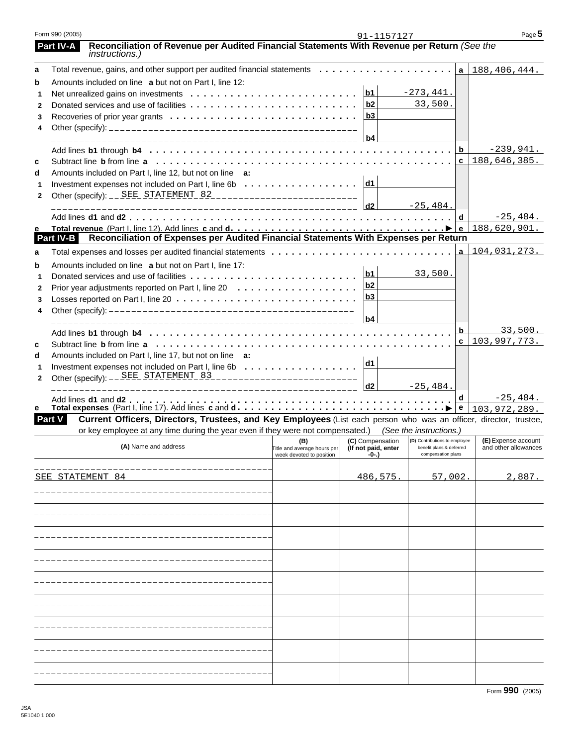| Form 990 (2005) |                                                                                                                       |                                    | 91-1157127                              |                                                           |              | Page 5                                      |
|-----------------|-----------------------------------------------------------------------------------------------------------------------|------------------------------------|-----------------------------------------|-----------------------------------------------------------|--------------|---------------------------------------------|
| Part IV-A       | Reconciliation of Revenue per Audited Financial Statements With Revenue per Return (See the<br><i>instructions.</i> ) |                                    |                                         |                                                           |              |                                             |
| a               |                                                                                                                       |                                    |                                         |                                                           |              | a   188, 406, 444.                          |
| b               | Amounts included on line a but not on Part I, line 12:                                                                |                                    |                                         |                                                           |              |                                             |
| 1               |                                                                                                                       |                                    | b1                                      | $-273, 441.$                                              |              |                                             |
| $\mathbf{2}$    |                                                                                                                       |                                    | b2                                      | 33,500.                                                   |              |                                             |
| 3               |                                                                                                                       |                                    | b3                                      |                                                           |              |                                             |
| 4               |                                                                                                                       |                                    |                                         |                                                           |              |                                             |
|                 |                                                                                                                       |                                    | b4                                      |                                                           |              |                                             |
|                 |                                                                                                                       |                                    |                                         |                                                           | b            | $-239,941.$                                 |
| c               |                                                                                                                       |                                    |                                         |                                                           | $\mathbf{c}$ | 188,646,385.                                |
| d               | Amounts included on Part I, line 12, but not on line a:                                                               |                                    |                                         |                                                           |              |                                             |
| 1               | Investment expenses not included on Part I, line 6b $\ldots \ldots \ldots \ldots \ldots$                              |                                    |                                         |                                                           |              |                                             |
| $\mathbf{2}$    |                                                                                                                       |                                    |                                         |                                                           |              |                                             |
|                 |                                                                                                                       |                                    |                                         | $-25, 484.$                                               |              |                                             |
|                 |                                                                                                                       |                                    |                                         |                                                           |              | $-25,484.$                                  |
| е<br>Part IV-B  |                                                                                                                       |                                    |                                         |                                                           |              |                                             |
|                 |                                                                                                                       |                                    |                                         |                                                           |              |                                             |
| a               | Total expenses and losses per audited financial statements                                                            |                                    |                                         |                                                           | $\mathbf{a}$ | 104,031,273.                                |
| b               | Amounts included on line a but not on Part I, line 17:                                                                |                                    | b1                                      |                                                           |              |                                             |
| 1               |                                                                                                                       |                                    | b <sub>2</sub>                          | 33,500.                                                   |              |                                             |
| $\mathbf{2}$    |                                                                                                                       |                                    | b <sub>3</sub>                          |                                                           |              |                                             |
| 3               |                                                                                                                       |                                    |                                         |                                                           |              |                                             |
| 4               |                                                                                                                       |                                    | b4                                      |                                                           |              |                                             |
|                 |                                                                                                                       |                                    |                                         |                                                           | b            | 33,500.                                     |
|                 |                                                                                                                       |                                    |                                         |                                                           |              | c   103, 997, 773.                          |
| C               |                                                                                                                       |                                    |                                         |                                                           |              |                                             |
| d               | Amounts included on Part I, line 17, but not on line a:                                                               |                                    | d1                                      |                                                           |              |                                             |
| 1               |                                                                                                                       |                                    |                                         |                                                           |              |                                             |
| 2               |                                                                                                                       |                                    | d2                                      | $-25,484.$                                                |              |                                             |
|                 |                                                                                                                       |                                    |                                         |                                                           | d            | $-25,484.$                                  |
| е               |                                                                                                                       |                                    |                                         |                                                           |              | 103,972,289.                                |
| Part V          | Current Officers, Directors, Trustees, and Key Employees (List each person who was an officer, director, trustee,     |                                    |                                         |                                                           |              |                                             |
|                 | or key employee at any time during the year even if they were not compensated.) (See the instructions.)               |                                    |                                         |                                                           |              |                                             |
|                 | (A) Name and address                                                                                                  | (B)<br>Title and average hours per | (C) Compensation<br>(If not paid, enter | (D) Contributions to employee<br>benefit plans & deferred |              | (E) Expense account<br>and other allowances |
|                 |                                                                                                                       | week devoted to position           | -0-.)                                   | compensation plans                                        |              |                                             |
|                 |                                                                                                                       |                                    |                                         |                                                           |              |                                             |
|                 | SEE STATEMENT 84                                                                                                      |                                    | 486,575.                                | 57,002.                                                   |              | 2,887.                                      |
|                 |                                                                                                                       |                                    |                                         |                                                           |              |                                             |
|                 |                                                                                                                       |                                    |                                         |                                                           |              |                                             |
|                 |                                                                                                                       |                                    |                                         |                                                           |              |                                             |
|                 |                                                                                                                       |                                    |                                         |                                                           |              |                                             |
|                 |                                                                                                                       |                                    |                                         |                                                           |              |                                             |
|                 |                                                                                                                       |                                    |                                         |                                                           |              |                                             |
|                 |                                                                                                                       |                                    |                                         |                                                           |              |                                             |
|                 |                                                                                                                       |                                    |                                         |                                                           |              |                                             |
|                 |                                                                                                                       |                                    |                                         |                                                           |              |                                             |
|                 |                                                                                                                       |                                    |                                         |                                                           |              |                                             |
|                 |                                                                                                                       |                                    |                                         |                                                           |              |                                             |
|                 |                                                                                                                       |                                    |                                         |                                                           |              |                                             |
|                 |                                                                                                                       |                                    |                                         |                                                           |              |                                             |
|                 |                                                                                                                       |                                    |                                         |                                                           |              |                                             |
|                 |                                                                                                                       |                                    |                                         |                                                           |              |                                             |
|                 |                                                                                                                       |                                    |                                         |                                                           |              |                                             |
|                 |                                                                                                                       |                                    |                                         |                                                           |              |                                             |
|                 |                                                                                                                       |                                    |                                         |                                                           |              |                                             |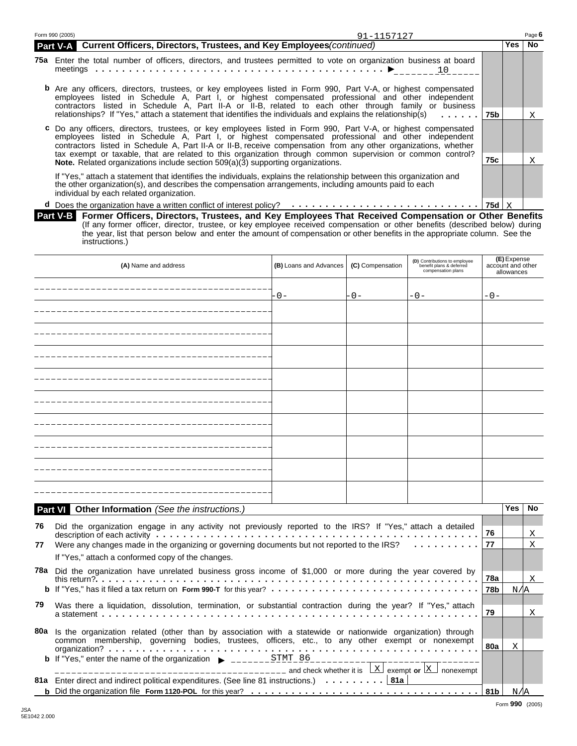| Form 990 (2005)<br>91-1157127                                                                                                                                                                                                                                                                                                                 |     |       | Page 6 |
|-----------------------------------------------------------------------------------------------------------------------------------------------------------------------------------------------------------------------------------------------------------------------------------------------------------------------------------------------|-----|-------|--------|
| Current Officers, Directors, Trustees, and Key Employees (continued)<br><b>Part V-A</b>                                                                                                                                                                                                                                                       |     | Yes l | No.    |
| 75a Enter the total number of officers, directors, and trustees permitted to vote on organization business at board<br>10                                                                                                                                                                                                                     |     |       |        |
| <b>b</b> Are any officers, directors, trustees, or key employees listed in Form 990, Part V-A, or highest compensated<br>employees listed in Schedule A, Part I, or highest compensated professional and other independent<br>contractors listed in Schedule A, Part II-A or II-B, related to each other through family or business           |     |       |        |
| relationships? If "Yes," attach a statement that identifies the individuals and explains the relationship(s)                                                                                                                                                                                                                                  |     |       | X      |
| 75b <br>c Do any officers, directors, trustees, or key employees listed in Form 990, Part V-A, or highest compensated<br>employees listed in Schedule A, Part I, or highest compensated professional and other independent<br>contractors listed in Schedule A, Part II-A or II-B, receive compensation from any other organizations, whether |     |       |        |
| tax exempt or taxable, that are related to this organization through common supervision or common control?<br><b>Note.</b> Related organizations include section 509(a)(3) supporting organizations.                                                                                                                                          | 75c |       | Χ      |
| If "Yes," attach a statement that identifies the individuals, explains the relationship between this organization and<br>the other organization(s), and describes the compensation arrangements, including amounts paid to each<br>individual by each related organization.                                                                   |     |       |        |
| <b>d</b> Does the organization have a written conflict of interest policy? $\cdots \cdots \cdots \cdots \cdots \cdots \cdots \cdots \cdots \cdots$   75d   X                                                                                                                                                                                  |     |       |        |

| Part V-B Former Officers, Directors, Trustees, and Key Employees That Received Compensation or Other Benefits               |
|-----------------------------------------------------------------------------------------------------------------------------|
| (If any former officer, director, trustee, or key employee received compensation or other benefits (described below) during |
| the year, list that person below and enter the amount of compensation or other benefits in the appropriate column. See the  |
| instructions.)                                                                                                              |

|    | (A) Name and address                                                                                                                                                                                                              | (B) Loans and Advances | (C) Compensation | (D) Contributions to employee<br>benefit plans & deferred<br>compensation plans |     | (E) Expense<br>account and other<br>allowances |           |
|----|-----------------------------------------------------------------------------------------------------------------------------------------------------------------------------------------------------------------------------------|------------------------|------------------|---------------------------------------------------------------------------------|-----|------------------------------------------------|-----------|
|    |                                                                                                                                                                                                                                   | - 0 –                  | $-0-$            | $-0-$                                                                           | -0- |                                                |           |
|    |                                                                                                                                                                                                                                   |                        |                  |                                                                                 |     |                                                |           |
|    |                                                                                                                                                                                                                                   |                        |                  |                                                                                 |     |                                                |           |
|    |                                                                                                                                                                                                                                   |                        |                  |                                                                                 |     |                                                |           |
|    |                                                                                                                                                                                                                                   |                        |                  |                                                                                 |     |                                                |           |
|    | __________________________________                                                                                                                                                                                                |                        |                  |                                                                                 |     |                                                |           |
|    |                                                                                                                                                                                                                                   |                        |                  |                                                                                 |     |                                                |           |
|    |                                                                                                                                                                                                                                   |                        |                  |                                                                                 |     |                                                |           |
|    |                                                                                                                                                                                                                                   |                        |                  |                                                                                 |     |                                                |           |
|    |                                                                                                                                                                                                                                   |                        |                  |                                                                                 |     |                                                |           |
|    | Part VI Other Information (See the instructions.)                                                                                                                                                                                 |                        |                  |                                                                                 |     | <b>Yes</b>                                     | <b>No</b> |
| 76 | Did the organization engage in any activity not previously reported to the IRS? If "Yes," attach a detailed                                                                                                                       |                        |                  |                                                                                 | 76  |                                                | Χ         |
| 77 | Were any changes made in the organizing or governing documents but not reported to the IRS?                                                                                                                                       |                        |                  | and a series and a series                                                       | 77  |                                                | X         |
|    | If "Yes," attach a conformed copy of the changes.                                                                                                                                                                                 |                        |                  |                                                                                 |     |                                                |           |
|    | 78a Did the organization have unrelated business gross income of \$1,000 or more during the year covered by<br>this return?                                                                                                       |                        |                  |                                                                                 | 78a |                                                | X         |
|    | b If "Yes," has it filed a tax return on Form 990-T for this year?                                                                                                                                                                |                        |                  |                                                                                 | 78b | N/IA                                           |           |
| 79 | Was there a liquidation, dissolution, termination, or substantial contraction during the year? If "Yes," attach<br>a statement and the state of the state of the state of the state of the state of the state of the state of the |                        |                  |                                                                                 | 79  |                                                | X         |
|    | 80a Is the organization related (other than by association with a statewide or nationwide organization) through                                                                                                                   |                        |                  |                                                                                 |     |                                                |           |

| 80a Is the organization related (other than by association with a statewide or nationwide organization) through |     |       |  |
|-----------------------------------------------------------------------------------------------------------------|-----|-------|--|
| common membership, governing bodies, trustees, officers, etc., to any other exempt or nonexempt                 | 80a |       |  |
| $\frac{1}{2}$ exempt or $\frac{1}{2}$ nonexempt                                                                 |     |       |  |
| 81a Enter direct and indirect political expenditures. (See line 81 instructions.)  81a                          |     |       |  |
|                                                                                                                 |     | N / A |  |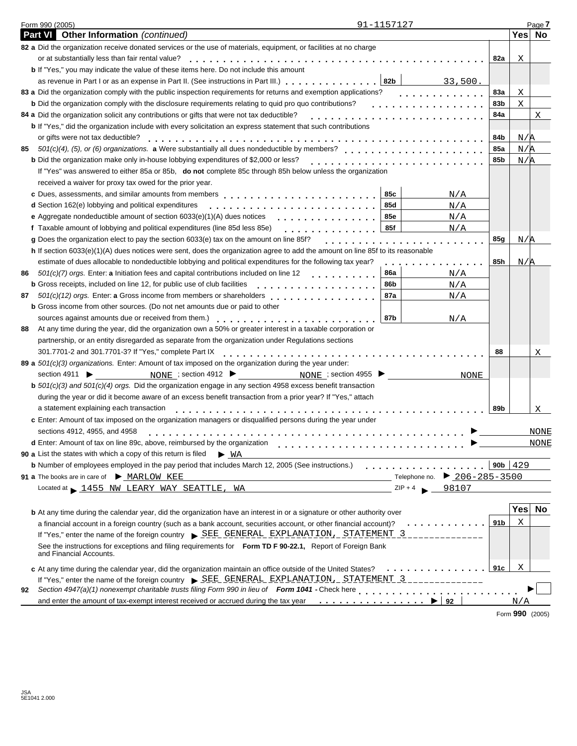| Form 990 (2005)                                                                                                                                                                                                                                                                                                                                          | 91-1157127               |                                     |      |             | Page 7      |
|----------------------------------------------------------------------------------------------------------------------------------------------------------------------------------------------------------------------------------------------------------------------------------------------------------------------------------------------------------|--------------------------|-------------------------------------|------|-------------|-------------|
| <b>Part VI</b> Other Information (continued)                                                                                                                                                                                                                                                                                                             |                          |                                     |      | Yes No      |             |
| 82 a Did the organization receive donated services or the use of materials, equipment, or facilities at no charge                                                                                                                                                                                                                                        |                          |                                     |      |             |             |
| or at substantially less than fair rental value?                                                                                                                                                                                                                                                                                                         |                          |                                     | 82a  | X           |             |
| <b>b</b> If "Yes," you may indicate the value of these items here. Do not include this amount                                                                                                                                                                                                                                                            |                          |                                     |      |             |             |
|                                                                                                                                                                                                                                                                                                                                                          |                          | 33,500.                             |      |             |             |
| 83 a Did the organization comply with the public inspection requirements for returns and exemption applications?                                                                                                                                                                                                                                         |                          |                                     | 83a  | X           |             |
| <b>b</b> Did the organization comply with the disclosure requirements relating to quid pro quo contributions?                                                                                                                                                                                                                                            |                          |                                     | 83b  | X           |             |
| 84 a Did the organization solicit any contributions or gifts that were not tax deductible?                                                                                                                                                                                                                                                               |                          |                                     | 84a  |             | Χ           |
| <b>b</b> If "Yes," did the organization include with every solicitation an express statement that such contributions                                                                                                                                                                                                                                     |                          |                                     |      |             |             |
| or gifts were not tax deductible?                                                                                                                                                                                                                                                                                                                        |                          |                                     | 84b  | N/R         |             |
| 501(c)(4), (5), or (6) organizations. a Were substantially all dues nondeductible by members?<br>85                                                                                                                                                                                                                                                      |                          |                                     | 85a  | N/R         |             |
| <b>b</b> Did the organization make only in-house lobbying expenditures of \$2,000 or less?                                                                                                                                                                                                                                                               |                          |                                     | 85b  | N/R         |             |
| If "Yes" was answered to either 85a or 85b, do not complete 85c through 85h below unless the organization                                                                                                                                                                                                                                                |                          |                                     |      |             |             |
| received a waiver for proxy tax owed for the prior year.                                                                                                                                                                                                                                                                                                 |                          |                                     |      |             |             |
|                                                                                                                                                                                                                                                                                                                                                          | 85c                      | N/A                                 |      |             |             |
| d Section 162(e) lobbying and political expenditures                                                                                                                                                                                                                                                                                                     | 85d                      | N/A                                 |      |             |             |
| <b>e</b> Aggregate nondeductible amount of section $6033(e)(1)(A)$ dues notices                                                                                                                                                                                                                                                                          | <b>85e</b><br><u>.</u>   | N/A                                 |      |             |             |
| f Taxable amount of lobbying and political expenditures (line 85d less 85e)                                                                                                                                                                                                                                                                              | 85f                      | N/A                                 |      |             |             |
| g Does the organization elect to pay the section 6033(e) tax on the amount on line 85f?                                                                                                                                                                                                                                                                  |                          | .                                   | 85g  | N/A         |             |
| h If section 6033(e)(1)(A) dues notices were sent, does the organization agree to add the amount on line 85f to its reasonable                                                                                                                                                                                                                           |                          |                                     |      |             |             |
| estimate of dues allocable to nondeductible lobbying and political expenditures for the following tax year?                                                                                                                                                                                                                                              |                          | .                                   | 85h  | N/A         |             |
| 501(c)(7) orgs. Enter: a Initiation fees and capital contributions included on line 12<br>86                                                                                                                                                                                                                                                             | <b>86a</b><br>. <b>.</b> | N/A                                 |      |             |             |
| <b>b</b> Gross receipts, included on line 12, for public use of club facilities                                                                                                                                                                                                                                                                          | 86b<br>.                 | N/A                                 |      |             |             |
| 501(c)(12) orgs. Enter: a Gross income from members or shareholders<br>87                                                                                                                                                                                                                                                                                | 87a                      | N/A                                 |      |             |             |
| <b>b</b> Gross income from other sources. (Do not net amounts due or paid to other                                                                                                                                                                                                                                                                       |                          |                                     |      |             |             |
|                                                                                                                                                                                                                                                                                                                                                          | 87b                      | N/A                                 |      |             |             |
| At any time during the year, did the organization own a 50% or greater interest in a taxable corporation or<br>88                                                                                                                                                                                                                                        |                          |                                     |      |             |             |
| partnership, or an entity disregarded as separate from the organization under Regulations sections                                                                                                                                                                                                                                                       |                          |                                     |      |             |             |
| 301.7701-2 and 301.7701-3? If "Yes," complete Part IX                                                                                                                                                                                                                                                                                                    |                          |                                     | 88   |             | Χ           |
| 89 a $501(c)(3)$ organizations. Enter: Amount of tax imposed on the organization during the year under:                                                                                                                                                                                                                                                  |                          |                                     |      |             |             |
| NONE ; section 4912 $\blacktriangleright$<br>section 4911 $\blacktriangleright$                                                                                                                                                                                                                                                                          | NONE ; section 4955      | NONE                                |      |             |             |
| <b>b</b> $501(c)(3)$ and $501(c)(4)$ orgs. Did the organization engage in any section 4958 excess benefit transaction                                                                                                                                                                                                                                    |                          |                                     |      |             |             |
| during the year or did it become aware of an excess benefit transaction from a prior year? If "Yes," attach                                                                                                                                                                                                                                              |                          |                                     |      |             |             |
| a statement explaining each transaction                                                                                                                                                                                                                                                                                                                  |                          |                                     | 89b  |             | Χ           |
| c Enter: Amount of tax imposed on the organization managers or disqualified persons during the year under                                                                                                                                                                                                                                                |                          |                                     |      |             |             |
| sections 4912, 4955, and 4958                                                                                                                                                                                                                                                                                                                            |                          |                                     |      |             | NONE        |
| d Enter: Amount of tax on line 89c, above, reimbursed by the organization                                                                                                                                                                                                                                                                                |                          |                                     |      |             | <b>NONE</b> |
| 90 a List the states with which a copy of this return is filed<br>$\blacktriangleright$ WA                                                                                                                                                                                                                                                               |                          |                                     |      |             |             |
| b Number of employees employed in the pay period that includes March 12, 2005 (See instructions.)                                                                                                                                                                                                                                                        |                          |                                     |      | 90b $ 429$  |             |
| 91 a The books are in care of MARLOW KEE                                                                                                                                                                                                                                                                                                                 |                          | $206 - 285 - 3500$<br>Telephone no. |      |             |             |
| Located at 1455 NW LEARY WAY SEATTLE, WA                                                                                                                                                                                                                                                                                                                 | $ZIP + 4$                | 98107                               |      |             |             |
|                                                                                                                                                                                                                                                                                                                                                          |                          |                                     |      |             |             |
| <b>b</b> At any time during the calendar year, did the organization have an interest in or a signature or other authority over                                                                                                                                                                                                                           |                          |                                     |      | Yes         | No          |
| a financial account in a foreign country (such as a bank account, securities account, or other financial account)?                                                                                                                                                                                                                                       |                          | .                                   | 91 b | $\mathbf x$ |             |
| If "Yes," enter the name of the foreign country > SEE_GENERAL_EXPLANATION, STATEMENT 3                                                                                                                                                                                                                                                                   |                          |                                     |      |             |             |
| See the instructions for exceptions and filing requirements for Form TD F 90-22.1, Report of Foreign Bank                                                                                                                                                                                                                                                |                          |                                     |      |             |             |
| and Financial Accounts.                                                                                                                                                                                                                                                                                                                                  |                          |                                     |      |             |             |
|                                                                                                                                                                                                                                                                                                                                                          |                          |                                     | 91c  | X           |             |
| c At any time during the calendar year, did the organization maintain an office outside of the United States?<br>If "Yes," enter the name of the foreign country $\triangleright$ SEE GENERAL EXPLANATION, STATEMENT 3                                                                                                                                   |                          | .                                   |      |             |             |
|                                                                                                                                                                                                                                                                                                                                                          |                          |                                     |      |             |             |
|                                                                                                                                                                                                                                                                                                                                                          |                          |                                     |      |             |             |
| Section 4947(a)(1) nonexempt charitable trusts filing Form 990 in lieu of Form 1041 - Check here entitled as a manner of the state of the state of the state of the state of the state of the state of the state of the state<br>92<br>and enter the amount of tax-exempt interest received or accrued during the tax year $\ldots \ldots \ldots \ldots$ |                          | 92                                  |      | N/A         |             |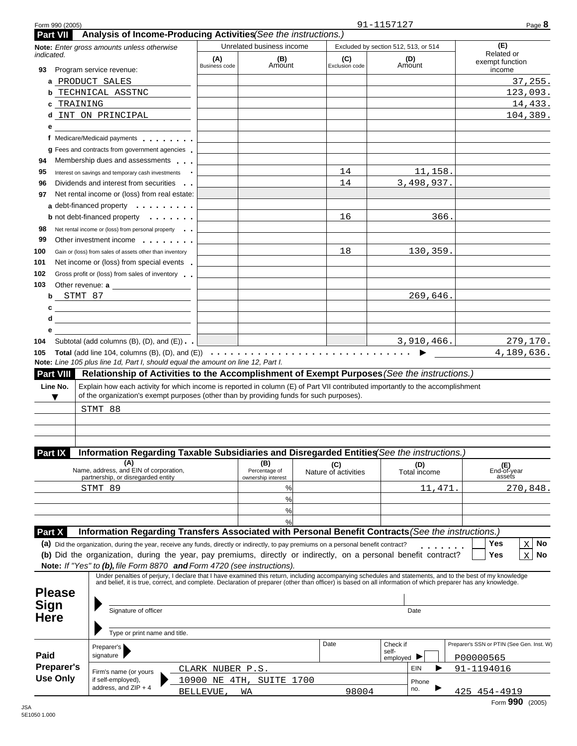| Form 990 (2005)   |                                                                                                                                                                                                                                                                                                                                      |                             |                                                                                 |                             | 91-1157127                                            | Page 8                                    |
|-------------------|--------------------------------------------------------------------------------------------------------------------------------------------------------------------------------------------------------------------------------------------------------------------------------------------------------------------------------------|-----------------------------|---------------------------------------------------------------------------------|-----------------------------|-------------------------------------------------------|-------------------------------------------|
| <b>Part VII</b>   | Analysis of Income-Producing Activities (See the instructions.)                                                                                                                                                                                                                                                                      |                             | Unrelated business income                                                       |                             |                                                       | (E)                                       |
| <i>indicated.</i> | Note: Enter gross amounts unless otherwise                                                                                                                                                                                                                                                                                           | (A)<br><b>Business code</b> | (B)<br>Amount                                                                   | (C)<br>Exclusion code       | Excluded by section 512, 513, or 514<br>(D)<br>Amount | Related or<br>exempt function             |
| 93                | Program service revenue:<br>a PRODUCT SALES                                                                                                                                                                                                                                                                                          |                             |                                                                                 |                             |                                                       | income<br>37,255.                         |
| b                 | TECHNICAL ASSTNC                                                                                                                                                                                                                                                                                                                     |                             |                                                                                 |                             |                                                       | 123,093.                                  |
| TRAINING<br>c     |                                                                                                                                                                                                                                                                                                                                      |                             |                                                                                 |                             |                                                       | 14,433.                                   |
|                   | d INT ON PRINCIPAL                                                                                                                                                                                                                                                                                                                   |                             |                                                                                 |                             |                                                       | 104,389.                                  |
| е                 | f Medicare/Medicaid payments                                                                                                                                                                                                                                                                                                         |                             |                                                                                 |                             |                                                       |                                           |
|                   | g Fees and contracts from government agencies                                                                                                                                                                                                                                                                                        |                             |                                                                                 |                             |                                                       |                                           |
|                   | Membership dues and assessments                                                                                                                                                                                                                                                                                                      |                             |                                                                                 |                             |                                                       |                                           |
|                   | Interest on savings and temporary cash investments                                                                                                                                                                                                                                                                                   |                             |                                                                                 | 14                          | 11,158.                                               |                                           |
|                   | Dividends and interest from securities                                                                                                                                                                                                                                                                                               |                             |                                                                                 | 14                          | 3,498,937.                                            |                                           |
|                   | Net rental income or (loss) from real estate:                                                                                                                                                                                                                                                                                        |                             |                                                                                 |                             |                                                       |                                           |
|                   | a debt-financed property                                                                                                                                                                                                                                                                                                             |                             |                                                                                 |                             |                                                       |                                           |
|                   | <b>b</b> not debt-financed property <b>contains the set of the set of the set of the set of the set of the set of the set of the set of the set of the set of the set of the set of the set of the set of the set of the set of the s</b>                                                                                            |                             |                                                                                 | 16                          | 366.                                                  |                                           |
|                   | Net rental income or (loss) from personal property                                                                                                                                                                                                                                                                                   |                             |                                                                                 |                             |                                                       |                                           |
|                   | Other investment income                                                                                                                                                                                                                                                                                                              |                             |                                                                                 |                             |                                                       |                                           |
|                   | Gain or (loss) from sales of assets other than inventory                                                                                                                                                                                                                                                                             |                             |                                                                                 | 18                          | 130,359.                                              |                                           |
|                   | Net income or (loss) from special events.                                                                                                                                                                                                                                                                                            |                             |                                                                                 |                             |                                                       |                                           |
|                   | Gross profit or (loss) from sales of inventory                                                                                                                                                                                                                                                                                       |                             |                                                                                 |                             |                                                       |                                           |
|                   | <b>b</b> ST <u>MT 87</u>                                                                                                                                                                                                                                                                                                             |                             |                                                                                 |                             | 269,646.                                              |                                           |
| С                 |                                                                                                                                                                                                                                                                                                                                      |                             |                                                                                 |                             |                                                       |                                           |
| d                 |                                                                                                                                                                                                                                                                                                                                      |                             |                                                                                 |                             |                                                       |                                           |
| е                 |                                                                                                                                                                                                                                                                                                                                      |                             |                                                                                 |                             |                                                       |                                           |
|                   | Subtotal (add columns $(B)$ , $(D)$ , and $(E)$ )                                                                                                                                                                                                                                                                                    |                             | the contract of the contract of the contract of the contract of the contract of |                             | 3,910,466.                                            | 279,170.                                  |
|                   | Total (add line 104, columns (B), (D), and (E)) $\cdots$ $\cdots$ $\cdots$ $\cdots$ $\cdots$ $\cdots$ $\cdots$ $\cdots$ $\cdots$ $\cdots$ $\cdots$                                                                                                                                                                                   |                             |                                                                                 |                             |                                                       | 4,189,636.                                |
| ▼                 | of the organization's exempt purposes (other than by providing funds for such purposes).<br>STMT 88                                                                                                                                                                                                                                  |                             |                                                                                 |                             |                                                       |                                           |
|                   |                                                                                                                                                                                                                                                                                                                                      |                             |                                                                                 |                             |                                                       |                                           |
| <b>Part IX</b>    | Information Regarding Taxable Subsidiaries and Disregarded Entities (See the instructions.<br>(A)                                                                                                                                                                                                                                    |                             |                                                                                 |                             |                                                       |                                           |
|                   | Name, address, and EIN of corporation,                                                                                                                                                                                                                                                                                               |                             | (B)<br>Percentage of                                                            | (C)<br>Nature of activities | (D)<br>Total income                                   | (E)<br>End-of-year                        |
|                   | partnership, or disregarded entity<br>STMT 89                                                                                                                                                                                                                                                                                        |                             | ownership interest<br>%                                                         |                             | 11,471.                                               | assets<br>270,848.                        |
|                   |                                                                                                                                                                                                                                                                                                                                      |                             | %                                                                               |                             |                                                       |                                           |
|                   |                                                                                                                                                                                                                                                                                                                                      |                             | %                                                                               |                             |                                                       |                                           |
|                   |                                                                                                                                                                                                                                                                                                                                      |                             | $\frac{0}{c}$                                                                   |                             |                                                       |                                           |
| Part X            | Information Regarding Transfers Associated with Personal Benefit Contracts (See the instructions.)                                                                                                                                                                                                                                   |                             |                                                                                 |                             |                                                       |                                           |
|                   | (a) Did the organization, during the year, receive any funds, directly or indirectly, to pay premiums on a personal benefit contract?<br>(b) Did the organization, during the year, pay premiums, directly or indirectly, on a personal benefit contract?<br>Note: If "Yes" to (b), file Form 8870 and Form 4720 (see instructions). |                             |                                                                                 |                             |                                                       | Yes<br>No<br>X<br>Yes<br>X<br>No          |
| <b>Please</b>     | Under penalties of perjury, I declare that I have examined this return, including accompanying schedules and statements, and to the best of my knowledge<br>and belief, it is true, correct, and complete. Declaration of preparer (other than officer) is based on all information of which preparer has any knowledge.             |                             |                                                                                 |                             |                                                       |                                           |
| Sign              |                                                                                                                                                                                                                                                                                                                                      |                             |                                                                                 |                             |                                                       |                                           |
| Here              | Signature of officer                                                                                                                                                                                                                                                                                                                 |                             |                                                                                 |                             | Date                                                  |                                           |
|                   |                                                                                                                                                                                                                                                                                                                                      |                             |                                                                                 |                             |                                                       |                                           |
|                   | Type or print name and title.                                                                                                                                                                                                                                                                                                        |                             |                                                                                 |                             |                                                       |                                           |
|                   | Preparer's                                                                                                                                                                                                                                                                                                                           |                             |                                                                                 | Date                        | Check if<br>self-                                     | Preparer's SSN or PTIN (See Gen. Inst. W) |
| Paid              | signature                                                                                                                                                                                                                                                                                                                            |                             |                                                                                 |                             | employed $\blacksquare$                               | P00000565                                 |
| <b>Preparer's</b> | Firm's name (or yours                                                                                                                                                                                                                                                                                                                | CLARK NUBER P.S.            |                                                                                 |                             | EIN                                                   | 91-1194016                                |
| <b>Use Only</b>   | if self-employed),<br>address, and ZIP + 4                                                                                                                                                                                                                                                                                           |                             | 10900 NE 4TH, SUITE 1700                                                        |                             | Phone                                                 |                                           |
|                   |                                                                                                                                                                                                                                                                                                                                      | BELLEVUE,                   | WA                                                                              | 98004                       | no.                                                   | 425 454-4919                              |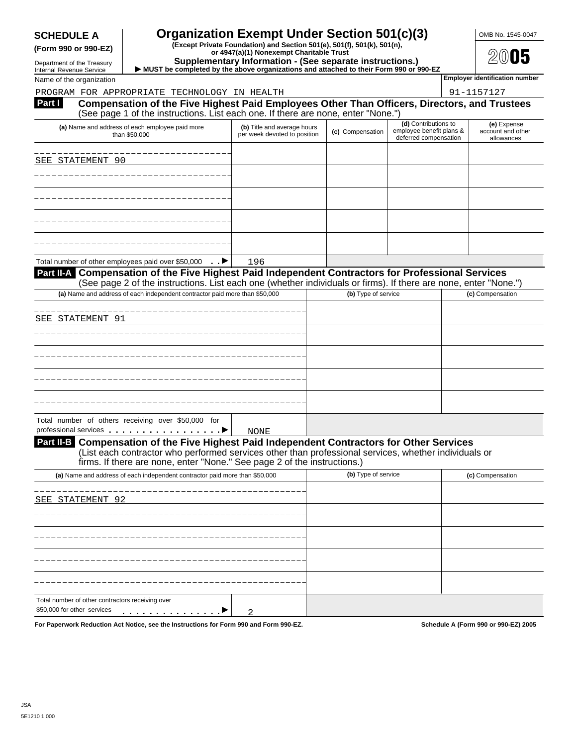### **SCHEDULE A Organization Exempt Under Section 501(c)(3)** OMB No. 1545-0047

(Form 990 or 990-EZ)<br>
For 4947(a)(1) Nonexempt Charitable Trust<br>
Department of the Treasury Supplementary Information - (See separate instructions.)

**Department of the Treasury IMUST be completed by the above organizations and attached to their Form 990 or 990-EZ <br>Internal Revenue Service ▶ MUST be completed by the above organizations and attached to their Form 990** 

| <b>THUSHIM INSTRUCTOR OCTTO</b> |  |                          |  |
|---------------------------------|--|--------------------------|--|
|                                 |  | Name of the organization |  |

|  | PROGRAM FOR APPROPRIATE TECHNOLOGY IN HEAL |  |
|--|--------------------------------------------|--|

| PROGRAM FOR APPROPRIATE TECHNOLOGY IN HEALTH                                                                                                                                                                                                                                    |                                                             |                     |                                                                           | 91-1157127                                     |
|---------------------------------------------------------------------------------------------------------------------------------------------------------------------------------------------------------------------------------------------------------------------------------|-------------------------------------------------------------|---------------------|---------------------------------------------------------------------------|------------------------------------------------|
| Compensation of the Five Highest Paid Employees Other Than Officers, Directors, and Trustees<br>Part I<br>(See page 1 of the instructions. List each one. If there are none, enter "None.")                                                                                     |                                                             |                     |                                                                           |                                                |
| (a) Name and address of each employee paid more<br>than \$50,000                                                                                                                                                                                                                | (b) Title and average hours<br>per week devoted to position | (c) Compensation    | (d) Contributions to<br>employee benefit plans &<br>deferred compensation | (e) Expense<br>account and other<br>allowances |
| SEE STATEMENT 90                                                                                                                                                                                                                                                                |                                                             |                     |                                                                           |                                                |
|                                                                                                                                                                                                                                                                                 |                                                             |                     |                                                                           |                                                |
|                                                                                                                                                                                                                                                                                 |                                                             |                     |                                                                           |                                                |
|                                                                                                                                                                                                                                                                                 |                                                             |                     |                                                                           |                                                |
|                                                                                                                                                                                                                                                                                 |                                                             |                     |                                                                           |                                                |
|                                                                                                                                                                                                                                                                                 |                                                             |                     |                                                                           |                                                |
| Total number of other employees paid over \$50,000 ►                                                                                                                                                                                                                            | 196                                                         |                     |                                                                           |                                                |
| Part II-A Compensation of the Five Highest Paid Independent Contractors for Professional Services<br>(See page 2 of the instructions. List each one (whether individuals or firms). If there are none, enter "None.")                                                           |                                                             |                     |                                                                           |                                                |
| (a) Name and address of each independent contractor paid more than \$50,000                                                                                                                                                                                                     |                                                             | (b) Type of service |                                                                           | (c) Compensation                               |
| SEE STATEMENT 91                                                                                                                                                                                                                                                                |                                                             |                     |                                                                           |                                                |
|                                                                                                                                                                                                                                                                                 |                                                             |                     |                                                                           |                                                |
|                                                                                                                                                                                                                                                                                 |                                                             |                     |                                                                           |                                                |
|                                                                                                                                                                                                                                                                                 |                                                             |                     |                                                                           |                                                |
|                                                                                                                                                                                                                                                                                 |                                                             |                     |                                                                           |                                                |
|                                                                                                                                                                                                                                                                                 |                                                             |                     |                                                                           |                                                |
| Total number of others receiving over \$50,000 for<br>professional services experience of the services                                                                                                                                                                          | <b>NONE</b>                                                 |                     |                                                                           |                                                |
| Part II-B Compensation of the Five Highest Paid Independent Contractors for Other Services<br>(List each contractor who performed services other than professional services, whether individuals or<br>firms. If there are none, enter "None." See page 2 of the instructions.) |                                                             |                     |                                                                           |                                                |
| (a) Name and address of each independent contractor paid more than \$50,000                                                                                                                                                                                                     |                                                             | (b) Type of service |                                                                           | (c) Compensation                               |
| SEE STATEMENT 92                                                                                                                                                                                                                                                                |                                                             |                     |                                                                           |                                                |
|                                                                                                                                                                                                                                                                                 |                                                             |                     |                                                                           |                                                |
|                                                                                                                                                                                                                                                                                 |                                                             |                     |                                                                           |                                                |
|                                                                                                                                                                                                                                                                                 |                                                             |                     |                                                                           |                                                |
|                                                                                                                                                                                                                                                                                 |                                                             |                     |                                                                           |                                                |
|                                                                                                                                                                                                                                                                                 |                                                             |                     |                                                                           |                                                |
| Total number of other contractors receiving over<br>\$50,000 for other services                                                                                                                                                                                                 |                                                             |                     |                                                                           |                                                |
| For Paperwork Reduction Act Notice, see the Instructions for Form 990 and Form 990-EZ.                                                                                                                                                                                          | 2                                                           |                     |                                                                           | Schedule A (Form 990 or 990-EZ) 2005           |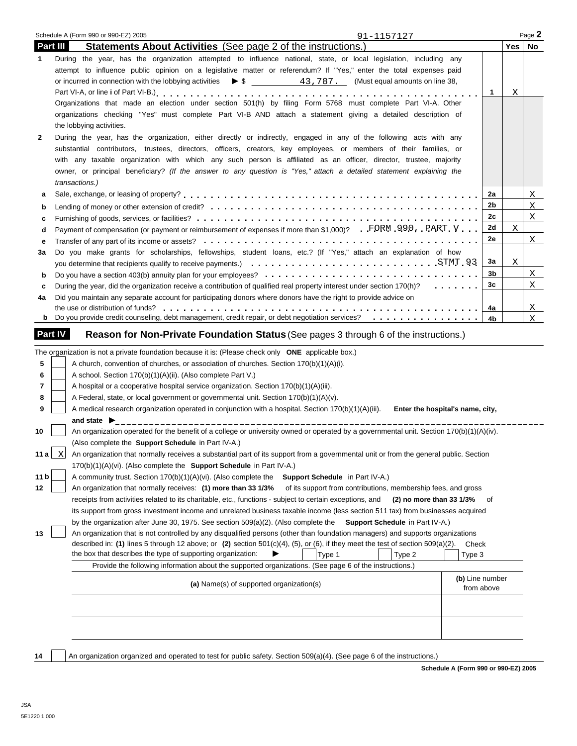|          |                | Schedule A (Form 990 or 990-EZ) 2005<br>91-1157127                                                                                                                                                                                                                                                                                                                                                                                                                                                       |                 |            | Page 2 |
|----------|----------------|----------------------------------------------------------------------------------------------------------------------------------------------------------------------------------------------------------------------------------------------------------------------------------------------------------------------------------------------------------------------------------------------------------------------------------------------------------------------------------------------------------|-----------------|------------|--------|
| Part III |                | <b>Statements About Activities</b> (See page 2 of the instructions.)                                                                                                                                                                                                                                                                                                                                                                                                                                     |                 | $Yes \mid$ | No     |
| 1        |                | During the year, has the organization attempted to influence national, state, or local legislation, including any<br>attempt to influence public opinion on a legislative matter or referendum? If "Yes," enter the total expenses paid                                                                                                                                                                                                                                                                  | 1               | Χ          |        |
|          |                | Organizations that made an election under section 501(h) by filing Form 5768 must complete Part VI-A. Other                                                                                                                                                                                                                                                                                                                                                                                              |                 |            |        |
|          |                | organizations checking "Yes" must complete Part VI-B AND attach a statement giving a detailed description of<br>the lobbying activities.                                                                                                                                                                                                                                                                                                                                                                 |                 |            |        |
| 2        |                | During the year, has the organization, either directly or indirectly, engaged in any of the following acts with any<br>substantial contributors, trustees, directors, officers, creators, key employees, or members of their families, or<br>with any taxable organization with which any such person is affiliated as an officer, director, trustee, majority<br>owner, or principal beneficiary? (If the answer to any question is "Yes," attach a detailed statement explaining the<br>transactions.) |                 |            |        |
| а        |                |                                                                                                                                                                                                                                                                                                                                                                                                                                                                                                          | 2a              |            | X      |
| b        |                |                                                                                                                                                                                                                                                                                                                                                                                                                                                                                                          | 2b              |            | X      |
| c        |                |                                                                                                                                                                                                                                                                                                                                                                                                                                                                                                          | 2c              |            | X      |
| d        |                | Payment of compensation (or payment or reimbursement of expenses if more than \$1,000)? FORM 990, PART V                                                                                                                                                                                                                                                                                                                                                                                                 | 2d              | Χ          |        |
| е        |                |                                                                                                                                                                                                                                                                                                                                                                                                                                                                                                          | 2e              |            | X      |
| За       |                | Do you make grants for scholarships, fellowships, student loans, etc.? (If "Yes," attach an explanation of how                                                                                                                                                                                                                                                                                                                                                                                           | За              | Χ          |        |
| b        |                |                                                                                                                                                                                                                                                                                                                                                                                                                                                                                                          | 3b              |            | X      |
| c        |                | During the year, did the organization receive a contribution of qualified real property interest under section 170(h)?                                                                                                                                                                                                                                                                                                                                                                                   | 3c              |            | X      |
| 4a       |                | Did you maintain any separate account for participating donors where donors have the right to provide advice on                                                                                                                                                                                                                                                                                                                                                                                          |                 |            |        |
|          |                | the use or distribution of funds?                                                                                                                                                                                                                                                                                                                                                                                                                                                                        | 4a              |            | X      |
|          |                | <b>b</b> Do you provide credit counseling, debt management, credit repair, or debt negotiation services?                                                                                                                                                                                                                                                                                                                                                                                                 | 4b              |            | X      |
|          | <b>Part IV</b> | <b>Reason for Non-Private Foundation Status (See pages 3 through 6 of the instructions.)</b>                                                                                                                                                                                                                                                                                                                                                                                                             |                 |            |        |
|          |                | The organization is not a private foundation because it is: (Please check only ONE applicable box.)                                                                                                                                                                                                                                                                                                                                                                                                      |                 |            |        |
| 5        |                | A church, convention of churches, or association of churches. Section 170(b)(1)(A)(i).                                                                                                                                                                                                                                                                                                                                                                                                                   |                 |            |        |
| 6        |                | A school. Section 170(b)(1)(A)(ii). (Also complete Part V.)                                                                                                                                                                                                                                                                                                                                                                                                                                              |                 |            |        |
| 7        |                | A hospital or a cooperative hospital service organization. Section 170(b)(1)(A)(iii).                                                                                                                                                                                                                                                                                                                                                                                                                    |                 |            |        |
| 8        |                | A Federal, state, or local government or governmental unit. Section 170(b)(1)(A)(v).                                                                                                                                                                                                                                                                                                                                                                                                                     |                 |            |        |
| 9        |                | A medical research organization operated in conjunction with a hospital. Section 170(b)(1)(A)(iii).<br>Enter the hospital's name, city,                                                                                                                                                                                                                                                                                                                                                                  |                 |            |        |
|          |                | and state $\blacktriangleright$                                                                                                                                                                                                                                                                                                                                                                                                                                                                          |                 |            |        |
| 10       |                | An organization operated for the benefit of a college or university owned or operated by a governmental unit. Section 170(b)(1)(A)(iv).<br>(Also complete the Support Schedule in Part IV-A.)                                                                                                                                                                                                                                                                                                            |                 |            |        |
|          |                | 11 a $\lfloor x \rfloor$ An organization that normally receives a substantial part of its support from a governmental unit or from the general public. Section<br>170(b)(1)(A)(vi). (Also complete the Support Schedule in Part IV-A.)                                                                                                                                                                                                                                                                   |                 |            |        |
| 11 b     |                | A community trust. Section 170(b)(1)(A)(vi). (Also complete the<br>Support Schedule in Part IV-A.)                                                                                                                                                                                                                                                                                                                                                                                                       |                 |            |        |
| 12       |                | An organization that normally receives: (1) more than 33 1/3%<br>of its support from contributions, membership fees, and gross                                                                                                                                                                                                                                                                                                                                                                           |                 |            |        |
|          |                | receipts from activities related to its charitable, etc., functions - subject to certain exceptions, and<br>(2) no more than 33 1/3%                                                                                                                                                                                                                                                                                                                                                                     | of              |            |        |
|          |                | its support from gross investment income and unrelated business taxable income (less section 511 tax) from businesses acquired                                                                                                                                                                                                                                                                                                                                                                           |                 |            |        |
|          |                | by the organization after June 30, 1975. See section 509(a)(2). (Also complete the Support Schedule in Part IV-A.)                                                                                                                                                                                                                                                                                                                                                                                       |                 |            |        |
| 13       |                | An organization that is not controlled by any disqualified persons (other than foundation managers) and supports organizations                                                                                                                                                                                                                                                                                                                                                                           |                 |            |        |
|          |                | described in: (1) lines 5 through 12 above; or (2) section $501(c)(4)$ , (5), or (6), if they meet the test of section $509(a)(2)$ .<br>the box that describes the type of supporting organization:<br>Type 1<br>Type 2<br>Type 3                                                                                                                                                                                                                                                                        | Check           |            |        |
|          |                | Provide the following information about the supported organizations. (See page 6 of the instructions.)                                                                                                                                                                                                                                                                                                                                                                                                   |                 |            |        |
|          |                |                                                                                                                                                                                                                                                                                                                                                                                                                                                                                                          | (b) Line number |            |        |
|          |                | (a) Name(s) of supported organization(s)                                                                                                                                                                                                                                                                                                                                                                                                                                                                 | from above      |            |        |
|          |                |                                                                                                                                                                                                                                                                                                                                                                                                                                                                                                          |                 |            |        |
|          |                |                                                                                                                                                                                                                                                                                                                                                                                                                                                                                                          |                 |            |        |
|          |                |                                                                                                                                                                                                                                                                                                                                                                                                                                                                                                          |                 |            |        |
|          |                |                                                                                                                                                                                                                                                                                                                                                                                                                                                                                                          |                 |            |        |
|          |                |                                                                                                                                                                                                                                                                                                                                                                                                                                                                                                          |                 |            |        |

14 An organization organized and operated to test for public safety. Section 509(a)(4). (See page 6 of the instructions.)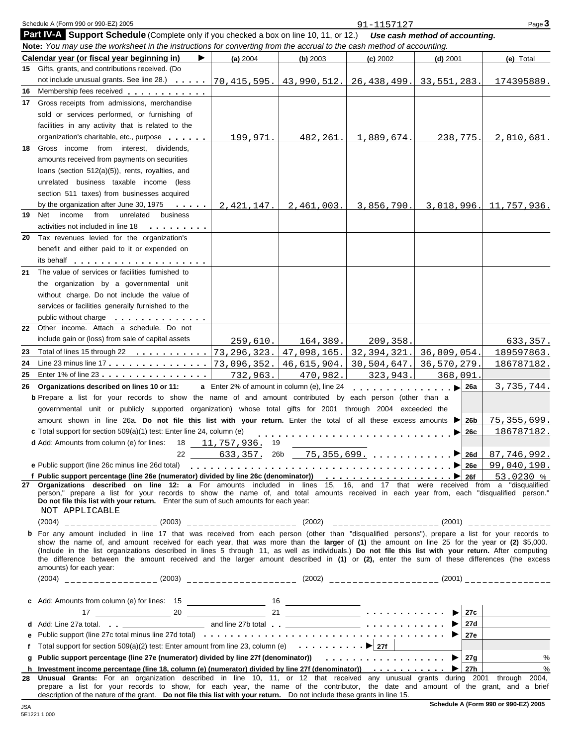|    | Schedule A (Form 990 or 990-EZ) 2005                                                                                                                                                                                                                                                                                                                                                                                                             |                                                    |             | 91-1157127    |                                | Page 3                        |
|----|--------------------------------------------------------------------------------------------------------------------------------------------------------------------------------------------------------------------------------------------------------------------------------------------------------------------------------------------------------------------------------------------------------------------------------------------------|----------------------------------------------------|-------------|---------------|--------------------------------|-------------------------------|
|    | Part IV-A Support Schedule (Complete only if you checked a box on line 10, 11, or 12.)<br>Note: You may use the worksheet in the instructions for converting from the accrual to the cash method of accounting.                                                                                                                                                                                                                                  |                                                    |             |               | Use cash method of accounting. |                               |
|    | Calendar year (or fiscal year beginning in)<br>▶                                                                                                                                                                                                                                                                                                                                                                                                 | (a) 2004                                           | (b) 2003    | (c) 2002      | $(d)$ 2001                     | (e) Total                     |
|    | 15 Gifts, grants, and contributions received. (Do                                                                                                                                                                                                                                                                                                                                                                                                |                                                    |             |               |                                |                               |
|    | not include unusual grants. See line 28.) ________   70, 415, 595.   43, 990, 512.   26, 438, 499.                                                                                                                                                                                                                                                                                                                                               |                                                    |             |               | 33,551,283.                    | 174395889.                    |
| 16 | Membership fees received                                                                                                                                                                                                                                                                                                                                                                                                                         |                                                    |             |               |                                |                               |
|    | 17 Gross receipts from admissions, merchandise                                                                                                                                                                                                                                                                                                                                                                                                   |                                                    |             |               |                                |                               |
|    | sold or services performed, or furnishing of                                                                                                                                                                                                                                                                                                                                                                                                     |                                                    |             |               |                                |                               |
|    | facilities in any activity that is related to the                                                                                                                                                                                                                                                                                                                                                                                                |                                                    |             |               |                                |                               |
|    | organization's charitable, etc., purpose                                                                                                                                                                                                                                                                                                                                                                                                         | 199,971.                                           | 482,261.    | 1,889,674.    | 238,775.                       | 2,810,681.                    |
|    | 18 Gross income from interest, dividends,                                                                                                                                                                                                                                                                                                                                                                                                        |                                                    |             |               |                                |                               |
|    | amounts received from payments on securities                                                                                                                                                                                                                                                                                                                                                                                                     |                                                    |             |               |                                |                               |
|    | loans (section $512(a)(5)$ ), rents, royalties, and                                                                                                                                                                                                                                                                                                                                                                                              |                                                    |             |               |                                |                               |
|    | unrelated business taxable income (less                                                                                                                                                                                                                                                                                                                                                                                                          |                                                    |             |               |                                |                               |
|    | section 511 taxes) from businesses acquired                                                                                                                                                                                                                                                                                                                                                                                                      |                                                    |             |               |                                |                               |
|    | by the organization after June 30, 1975<br>$\mathbf{r}$ , $\mathbf{r}$ , $\mathbf{r}$ , $\mathbf{r}$ , $\mathbf{r}$                                                                                                                                                                                                                                                                                                                              | 2,421,147.                                         | 2,461,003.  | 3,856,790.    |                                | <u>3,018,996. 11,757,936.</u> |
| 19 | Net<br>income<br>from<br>unrelated<br>business                                                                                                                                                                                                                                                                                                                                                                                                   |                                                    |             |               |                                |                               |
|    | activities not included in line 18<br>a construction of the con-                                                                                                                                                                                                                                                                                                                                                                                 |                                                    |             |               |                                |                               |
| 20 | Tax revenues levied for the organization's                                                                                                                                                                                                                                                                                                                                                                                                       |                                                    |             |               |                                |                               |
|    | benefit and either paid to it or expended on                                                                                                                                                                                                                                                                                                                                                                                                     |                                                    |             |               |                                |                               |
|    |                                                                                                                                                                                                                                                                                                                                                                                                                                                  |                                                    |             |               |                                |                               |
| 21 | The value of services or facilities furnished to                                                                                                                                                                                                                                                                                                                                                                                                 |                                                    |             |               |                                |                               |
|    | the organization by a governmental unit                                                                                                                                                                                                                                                                                                                                                                                                          |                                                    |             |               |                                |                               |
|    | without charge. Do not include the value of                                                                                                                                                                                                                                                                                                                                                                                                      |                                                    |             |               |                                |                               |
|    | services or facilities generally furnished to the                                                                                                                                                                                                                                                                                                                                                                                                |                                                    |             |               |                                |                               |
|    | public without charge                                                                                                                                                                                                                                                                                                                                                                                                                            |                                                    |             |               |                                |                               |
| 22 | .<br>Other income. Attach a schedule. Do not                                                                                                                                                                                                                                                                                                                                                                                                     |                                                    |             |               |                                |                               |
|    | include gain or (loss) from sale of capital assets                                                                                                                                                                                                                                                                                                                                                                                               |                                                    |             |               |                                |                               |
|    |                                                                                                                                                                                                                                                                                                                                                                                                                                                  | 259,610.                                           | 164,389.    | 209,358.      |                                | 633,357.                      |
|    | Total of lines 15 through 22 73, 296, 323.                                                                                                                                                                                                                                                                                                                                                                                                       |                                                    | 47,098,165. | 32, 394, 321. | 36,809,054.                    | 189597863.                    |
|    |                                                                                                                                                                                                                                                                                                                                                                                                                                                  | 73,096,352.                                        | 46,615,904. | 30,504,647.   | 36,570,279.                    | 186787182.                    |
| 25 | Enter 1% of line 23                                                                                                                                                                                                                                                                                                                                                                                                                              | 732,963.                                           | 470,982.    | 323,943.      | 368,091                        |                               |
| 26 | Organizations described on lines 10 or 11:                                                                                                                                                                                                                                                                                                                                                                                                       | <b>a</b> Enter 2% of amount in column (e), line 24 |             | <u>.</u>      | 26a<br>$\rightarrow$           | 3,735,744.                    |
|    | <b>b</b> Prepare a list for your records to show the name of and amount contributed by each person (other than a                                                                                                                                                                                                                                                                                                                                 |                                                    |             |               |                                |                               |
|    | governmental unit or publicly supported organization) whose total gifts for 2001 through 2004 exceeded the                                                                                                                                                                                                                                                                                                                                       |                                                    |             |               |                                |                               |
|    | amount shown in line 26a. Do not file this list with your return. Enter the total of all these excess amounts                                                                                                                                                                                                                                                                                                                                    |                                                    |             |               | 26b                            | 75, 355, 699.                 |
|    | c Total support for section 509(a)(1) test: Enter line 24, column (e)                                                                                                                                                                                                                                                                                                                                                                            |                                                    |             |               | 26c<br>▶                       | 186787182.                    |
|    | d Add: Amounts from column (e) for lines: 18 11, 757, 936. 19                                                                                                                                                                                                                                                                                                                                                                                    |                                                    |             |               |                                |                               |
|    |                                                                                                                                                                                                                                                                                                                                                                                                                                                  |                                                    |             |               |                                |                               |
|    | e Public support (line 26c minus line 26d total)                                                                                                                                                                                                                                                                                                                                                                                                 |                                                    |             |               |                                | 99,040,190.                   |
|    | Organizations described on line 12: a For amounts included in lines 15, 16, and 17 that were received from a "disqualified                                                                                                                                                                                                                                                                                                                       |                                                    |             |               |                                | 53.0230 %                     |
| 27 | person," prepare a list for your records to show the name of, and total amounts received in each year from, each "disqualified person."<br>Do not file this list with your return. Enter the sum of such amounts for each year:<br>NOT APPLICABLE                                                                                                                                                                                                |                                                    |             |               |                                |                               |
|    |                                                                                                                                                                                                                                                                                                                                                                                                                                                  |                                                    |             |               |                                |                               |
|    | b For any amount included in line 17 that was received from each person (other than "disqualified persons"), prepare a list for your records to                                                                                                                                                                                                                                                                                                  |                                                    |             |               |                                |                               |
|    | show the name of, and amount received for each year, that was more than the larger of (1) the amount on line 25 for the year or (2) \$5,000.<br>(Include in the list organizations described in lines 5 through 11, as well as individuals.) Do not file this list with your return. After computing<br>the difference between the amount received and the larger amount described in (1) or (2), enter the sum of these differences (the excess |                                                    |             |               |                                |                               |
|    | amounts) for each year:                                                                                                                                                                                                                                                                                                                                                                                                                          |                                                    |             |               |                                |                               |
|    |                                                                                                                                                                                                                                                                                                                                                                                                                                                  |                                                    |             |               |                                |                               |
|    |                                                                                                                                                                                                                                                                                                                                                                                                                                                  |                                                    |             |               |                                |                               |
|    |                                                                                                                                                                                                                                                                                                                                                                                                                                                  |                                                    |             |               |                                |                               |
| d  |                                                                                                                                                                                                                                                                                                                                                                                                                                                  |                                                    |             |               | 27d                            |                               |
| е  |                                                                                                                                                                                                                                                                                                                                                                                                                                                  |                                                    |             |               | 27e l                          |                               |
| f  | Total support for section 509(a)(2) test: Enter amount from line 23, column (e) $\bullet \bullet \bullet \bullet \bullet \bullet$ 27f                                                                                                                                                                                                                                                                                                            |                                                    |             |               |                                |                               |
| g  | Public support percentage (line 27e (numerator) divided by line 27f (denominator) $\ldots \ldots \ldots \ldots \ldots$                                                                                                                                                                                                                                                                                                                           |                                                    |             |               |                                | $\%$                          |
|    | h Investment income percentage (line 18, column (e) (numerator) divided by line 27f (denominator)) $\dots \dots \dots$                                                                                                                                                                                                                                                                                                                           |                                                    |             |               |                                | $\%$                          |
| 28 | Unusual Grants: For an organization described in line 10, 11, or 12 that received any unusual grants during 2001 through 2004,<br>prepare a list for your records to show, for each year, the name of the contributor, the date and amount of the grant, and a brief                                                                                                                                                                             |                                                    |             |               |                                |                               |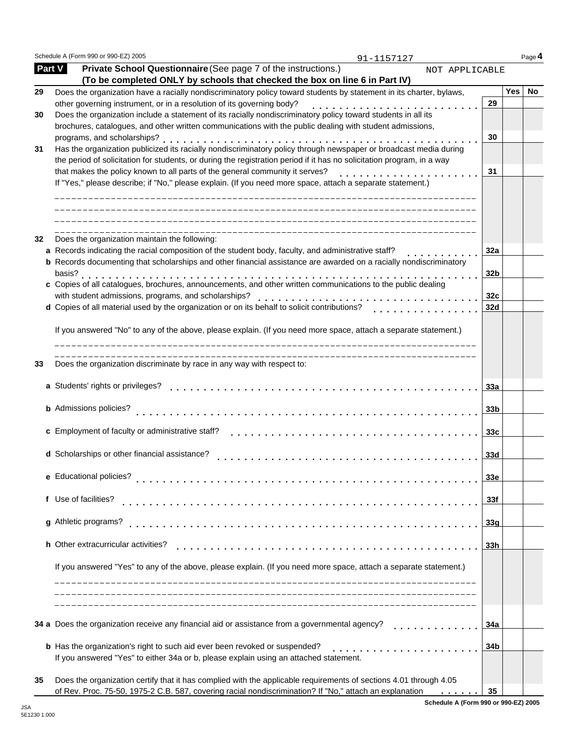Schedule A (Form 990 or 990-EZ) 2005 **Page 4** Page 1

91-1157127

| <b>Part V</b> | Private School Questionnaire (See page 7 of the instructions.)<br>NOT APPLICABLE<br>(To be completed ONLY by schools that checked the box on line 6 in Part IV) |                 |     |    |
|---------------|-----------------------------------------------------------------------------------------------------------------------------------------------------------------|-----------------|-----|----|
| 29            | Does the organization have a racially nondiscriminatory policy toward students by statement in its charter, bylaws,                                             |                 | Yes | No |
|               | other governing instrument, or in a resolution of its governing body?                                                                                           | 29              |     |    |
| 30            | Does the organization include a statement of its racially nondiscriminatory policy toward students in all its                                                   |                 |     |    |
|               | brochures, catalogues, and other written communications with the public dealing with student admissions,                                                        |                 |     |    |
|               | programs, and scholarships?                                                                                                                                     | 30              |     |    |
| 31            | Has the organization publicized its racially nondiscriminatory policy through newspaper or broadcast media during                                               |                 |     |    |
|               | the period of solicitation for students, or during the registration period if it has no solicitation program, in a way                                          |                 |     |    |
|               | that makes the policy known to all parts of the general community it serves?                                                                                    | 31              |     |    |
|               | If "Yes," please describe; if "No," please explain. (If you need more space, attach a separate statement.)                                                      |                 |     |    |
| 32            | Does the organization maintain the following:                                                                                                                   |                 |     |    |
|               | a Records indicating the racial composition of the student body, faculty, and administrative staff?                                                             | 32a             |     |    |
|               | <b>b</b> Records documenting that scholarships and other financial assistance are awarded on a racially nondiscriminatory                                       |                 |     |    |
|               | basis?                                                                                                                                                          | 32 <sub>b</sub> |     |    |
|               | c Copies of all catalogues, brochures, announcements, and other written communications to the public dealing                                                    |                 |     |    |
|               | with student admissions, programs, and scholarships?                                                                                                            | 32c             |     |    |
|               | d Copies of all material used by the organization or on its behalf to solicit contributions?                                                                    | 32d             |     |    |
|               |                                                                                                                                                                 |                 |     |    |
|               | If you answered "No" to any of the above, please explain. (If you need more space, attach a separate statement.)                                                |                 |     |    |
| 33            | -----------------------------<br>Does the organization discriminate by race in any way with respect to:                                                         |                 |     |    |
|               | a Students' rights or privileges?                                                                                                                               | 33a             |     |    |
|               | <b>b</b> Admissions policies?                                                                                                                                   | 33 <sub>b</sub> |     |    |
|               |                                                                                                                                                                 |                 |     |    |
|               | c Employment of faculty or administrative staff?                                                                                                                | 33 <sub>c</sub> |     |    |
|               |                                                                                                                                                                 |                 |     |    |
|               | d Scholarships or other financial assistance?                                                                                                                   | 33 <sub>d</sub> |     |    |
|               |                                                                                                                                                                 |                 |     |    |
|               | e Educational policies?                                                                                                                                         | 33e             |     |    |
|               | f Use of facilities?                                                                                                                                            | 33f             |     |    |
|               | de la característica de la característica                                                                                                                       |                 |     |    |
|               | g Athletic programs?                                                                                                                                            | 33g             |     |    |
|               |                                                                                                                                                                 |                 |     |    |
|               | h Other extracurricular activities?<br>.                                                                                                                        | 33h             |     |    |
|               |                                                                                                                                                                 |                 |     |    |
|               | If you answered "Yes" to any of the above, please explain. (If you need more space, attach a separate statement.)                                               |                 |     |    |
|               |                                                                                                                                                                 |                 |     |    |
|               | 34 a Does the organization receive any financial aid or assistance from a governmental agency?                                                                  | 34a             |     |    |
|               | <b>b</b> Has the organization's right to such aid ever been revoked or suspended?                                                                               | 34b             |     |    |
|               | If you answered "Yes" to either 34a or b, please explain using an attached statement.                                                                           |                 |     |    |
| 35            | Does the organization certify that it has complied with the applicable requirements of sections 4.01 through 4.05                                               |                 |     |    |
|               | of Rev. Proc. 75-50, 1975-2 C.B. 587, covering racial nondiscrimination? If "No," attach an explanation                                                         | 35              |     |    |

**Schedule A (Form 990 or 990-EZ) 2005**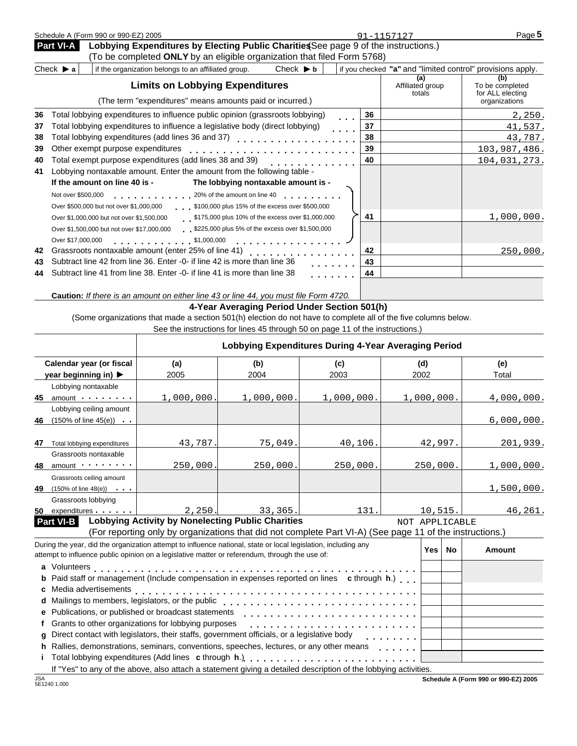|    | Schedule A (Form 990 or 990-EZ) 2005                                                                             |    | 91-1157127                        | Page 5                                                     |
|----|------------------------------------------------------------------------------------------------------------------|----|-----------------------------------|------------------------------------------------------------|
|    | Lobbying Expenditures by Electing Public Charities See page 9 of the instructions.)<br><b>Part VI-A</b>          |    |                                   |                                                            |
|    | (To be completed ONLY by an eligible organization that filed Form 5768)                                          |    |                                   |                                                            |
|    | Check $\triangleright$ a<br>Check $\blacktriangleright$ b<br>if the organization belongs to an affiliated group. |    |                                   | if you checked "a" and "limited control" provisions apply. |
|    | <b>Limits on Lobbying Expenditures</b>                                                                           |    | (a)<br>Affiliated group<br>totals | (b)<br>To be completed<br>for ALL electing                 |
|    | (The term "expenditures" means amounts paid or incurred.)                                                        |    |                                   | organizations                                              |
| 36 | Total lobbying expenditures to influence public opinion (grassroots lobbying)<br>$\mathbf{r}$ and $\mathbf{r}$   | 36 |                                   | 2,250.                                                     |
| 37 | Total lobbying expenditures to influence a legislative body (direct lobbying)<br>.                               | 37 |                                   | 41,537.                                                    |
| 38 |                                                                                                                  | 38 |                                   | 43,787.                                                    |
| 39 | Other exempt purpose expenditures                                                                                | 39 |                                   | 103,987,486.                                               |
| 40 | Total exempt purpose expenditures (add lines 38 and 39)                                                          | 40 |                                   | 104,031,273.                                               |
| 41 | Lobbying nontaxable amount. Enter the amount from the following table -                                          |    |                                   |                                                            |
|    | The lobbying nontaxable amount is -<br>If the amount on line 40 is -                                             |    |                                   |                                                            |
|    | Not over \$500,000                                                                                               |    |                                   |                                                            |
|    | \$100,000 plus 15% of the excess over \$500,000<br>Over \$500,000 but not over \$1,000,000                       |    |                                   |                                                            |
|    | \$175,000 plus 10% of the excess over \$1,000,000<br>Over \$1,000,000 but not over \$1,500,000                   | 41 |                                   | 1,000,000.                                                 |
|    | \$225,000 plus 5% of the excess over \$1,500,000<br>Over \$1,500,000 but not over \$17,000,000                   |    |                                   |                                                            |
|    | Over \$17,000,000<br>\$1,000,000<br>.                                                                            |    |                                   |                                                            |
| 42 | Grassroots nontaxable amount (enter 25% of line 41)<br><u>.</u>                                                  | 42 |                                   | 250,000.                                                   |
| 43 | Subtract line 42 from line 36. Enter -0- if line 42 is more than line 36                                         | 43 |                                   |                                                            |
| 44 | Subtract line 41 from line 38. Enter -0- if line 41 is more than line 38                                         | 44 |                                   |                                                            |
|    |                                                                                                                  |    |                                   |                                                            |

**Caution:** *If there is an amount on either line 43 or line 44, you must file Form 4720.*

### **4-Year Averaging Period Under Section 501(h)**

(Some organizations that made a section 501(h) election do not have to complete all of the five columns below.

| See the instructions for lines 45 through 50 on page 11 of the instructions.) |  |
|-------------------------------------------------------------------------------|--|
|                                                                               |  |

|    |                                                                                                                 | Lobbying Expenditures During 4-Year Averaging Period                                                     |            |            |  |                  |            |  |
|----|-----------------------------------------------------------------------------------------------------------------|----------------------------------------------------------------------------------------------------------|------------|------------|--|------------------|------------|--|
|    | Calendar year (or fiscal                                                                                        | (a)                                                                                                      | (b)        | (c)        |  | (d)              | (e)        |  |
|    | year beginning in) ▶                                                                                            | 2005                                                                                                     | 2004       | 2003       |  | 2002             | Total      |  |
|    | Lobbying nontaxable                                                                                             |                                                                                                          |            |            |  |                  |            |  |
| 45 | amount                                                                                                          | 1,000,000.                                                                                               | 1,000,000. | 1,000,000. |  | 1,000,000.       | 4,000,000. |  |
|    | Lobbying ceiling amount                                                                                         |                                                                                                          |            |            |  |                  |            |  |
| 46 | $(150\% \text{ of line } 45(e))$                                                                                |                                                                                                          |            |            |  |                  | 6,000,000. |  |
|    |                                                                                                                 |                                                                                                          |            |            |  |                  |            |  |
| 47 | Total lobbying expenditures                                                                                     | 43,787.                                                                                                  | 75,049.    | 40, 106.   |  | 42,997.          | 201,939.   |  |
|    | Grassroots nontaxable                                                                                           |                                                                                                          |            |            |  |                  |            |  |
| 48 | $amount$ $\cdots$                                                                                               | 250,000.                                                                                                 | 250,000.   | 250,000.   |  | 250,000.         | 1,000,000. |  |
|    | Grassroots ceiling amount                                                                                       |                                                                                                          |            |            |  |                  |            |  |
| 49 | $(150\% \text{ of line } 48(e))$                                                                                |                                                                                                          |            |            |  |                  | 1,500,000. |  |
|    | Grassroots lobbying                                                                                             |                                                                                                          |            |            |  |                  |            |  |
| 50 | expenditures                                                                                                    | 2,250.                                                                                                   | 33,365.    | 131.       |  | 10, 515.         | 46, 261.   |  |
|    | <b>Part VI-B</b>                                                                                                | <b>Lobbying Activity by Nonelecting Public Charities</b>                                                 |            |            |  | NOT APPLICABLE   |            |  |
|    |                                                                                                                 | (For reporting only by organizations that did not complete Part VI-A) (See page 11 of the instructions.) |            |            |  |                  |            |  |
|    | During the year, did the organization attempt to influence national, state or local legislation, including any  |                                                                                                          |            |            |  | <b>Yes</b><br>No | Amount     |  |
|    | attempt to influence public opinion on a legislative matter or referendum, through the use of:                  |                                                                                                          |            |            |  |                  |            |  |
|    |                                                                                                                 |                                                                                                          |            |            |  |                  |            |  |
|    | <b>b</b> Paid staff or management (Include compensation in expenses reported on lines c through h.)             |                                                                                                          |            |            |  |                  |            |  |
|    |                                                                                                                 |                                                                                                          |            |            |  |                  |            |  |
| d  | Mailings to members, legislators, or the public                                                                 |                                                                                                          |            |            |  |                  |            |  |
|    | e Publications, or published or broadcast statements                                                            |                                                                                                          |            |            |  |                  |            |  |
|    | Grants to other organizations for lobbying purposes                                                             |                                                                                                          |            |            |  |                  |            |  |
| a  | Direct contact with legislators, their staffs, government officials, or a legislative body                      |                                                                                                          |            |            |  |                  |            |  |
| h. | Rallies, demonstrations, seminars, conventions, speeches, lectures, or any other means                          |                                                                                                          |            |            |  |                  |            |  |
|    | Total lobbying expenditures (Add lines c through h.)                                                            |                                                                                                          |            |            |  |                  |            |  |
|    | If "Yes" to any of the above, also attach a statement giving a detailed description of the lobbying activities. |                                                                                                          |            |            |  |                  |            |  |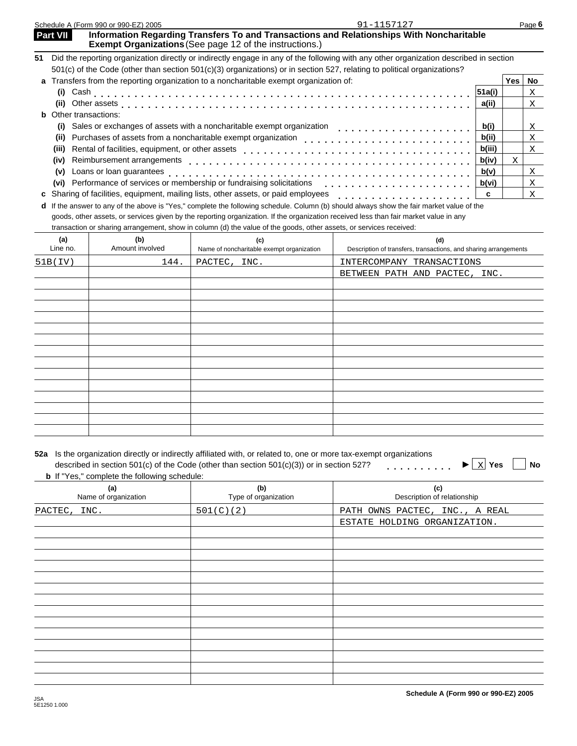Schedule A (Form 990 or 990-EZ) 2005 Page **6 Part VII** Information Regarding Transfers To and Transactions and Relationships With Noncharitable **Exempt Organizations** (See page 12 of the instructions.) **51** Did the reporting organization directly or indirectly engage in any of the following with any other organization described in section 501(c) of the Code (other than section 501(c)(3) organizations) or in section 527, relating to political organizations? **a** Transfers from the reporting organization to a noncharitable exempt organization of: **Yes No (i)** Cash **mmmmmmmmmmmmmmmmmmmmmmmmmmmmmmmmm**<br>**(ii)** Other assets **and a** conserved a conserved a conserved a conserved a conserved a conserved a conserved a conserved a conserved a conserved a conserved a conserved a con **(ii)** Other assets with matching matching matching matching momentum matching momentum  $\mathbf{r}$ **b** Other transactions: **(i)** Sales or exchanges of assets with a noncharitable exempt organization exerces manumman manummmmmmmmmmmmmmmmmm<br>(ii) Purchases of assets from a noncharitable exempt organization (ii) Purchases of assets from a noncharitable exempt organization endical manummmmmmmmmmmmmmmmmmmmmmmmmmmmmmmm<br>(iii) Rental of facilities, equipment, or other assets **(iii)** Rental of facilities, equipment, or other assets measure may be a set of the set of the control of the position of the control of the control of the control of the control of the control of the control of the contr (iv) Reimbursement arrangements **matures** mature mature mature mature mature mature mature mature mature mature model in  $\frac{b(iv)}{b(v)}$ **(v)** Reimbursement arrangements measure materials are considered as a considerable via the construction of the construction of the construction of the construction of the construction of the construction of the constructi **(v)** Loans or loan guarantees membership or fundraising solicitations metalliers of performance of services or membership or fundraising solicitations metalliers of performance of services or membership or fundraising sol **c** Sharing of facilities, equipment, mailing lists, other assets, or paid employees **c** match in the state of facilities, equipment, mailing lists, other assets, or paid employees **c** metals of the state of the state of t **d** If the answer to any of the above is "Yes," complete the following schedule. Column (b) should always show the fair market value of the goods, other assets, or services given by the reporting organization. If the organization received less than fair market value in any transaction or sharing arrangement, show in column (d) the value of the goods, other assets, or services received: **(a) (b) (c) (d)** Line no. Amount involved Name of noncharitable exempt organization Description of transfers, transactions, and sharing arrangements 91-1157127 X X X X X X X X X 51B(IV) 144. PACTEC, INC. INTERCOMPANY TRANSACTIONS BETWEEN PATH AND PACTEC, INC.

| 52a Is the organization directly or indirectly affiliated with, or related to, one or more tax-exempt organizations |                                                                           |
|---------------------------------------------------------------------------------------------------------------------|---------------------------------------------------------------------------|
| described in section 501(c) of the Code (other than section 501(c)(3)) or in section 527?                           | $\blacktriangleright$ $\boxed{\phantom{1}X}$ Yes $\boxed{\phantom{1}}$ No |

| <b>b</b> If "Yes," complete the following schedule: |                             |                                    |  |  |  |  |  |
|-----------------------------------------------------|-----------------------------|------------------------------------|--|--|--|--|--|
| (a)<br>Name of organization                         | (b)<br>Type of organization | (c)<br>Description of relationship |  |  |  |  |  |
| INC.<br>PACTEC,                                     | 501(C)(2)                   | PATH OWNS PACTEC, INC., A REAL     |  |  |  |  |  |
|                                                     |                             | ESTATE HOLDING ORGANIZATION.       |  |  |  |  |  |
|                                                     |                             |                                    |  |  |  |  |  |
|                                                     |                             |                                    |  |  |  |  |  |
|                                                     |                             |                                    |  |  |  |  |  |
|                                                     |                             |                                    |  |  |  |  |  |
|                                                     |                             |                                    |  |  |  |  |  |
|                                                     |                             |                                    |  |  |  |  |  |
|                                                     |                             |                                    |  |  |  |  |  |
|                                                     |                             |                                    |  |  |  |  |  |
|                                                     |                             |                                    |  |  |  |  |  |
|                                                     |                             |                                    |  |  |  |  |  |
|                                                     |                             |                                    |  |  |  |  |  |
|                                                     |                             |                                    |  |  |  |  |  |
|                                                     |                             |                                    |  |  |  |  |  |
|                                                     |                             |                                    |  |  |  |  |  |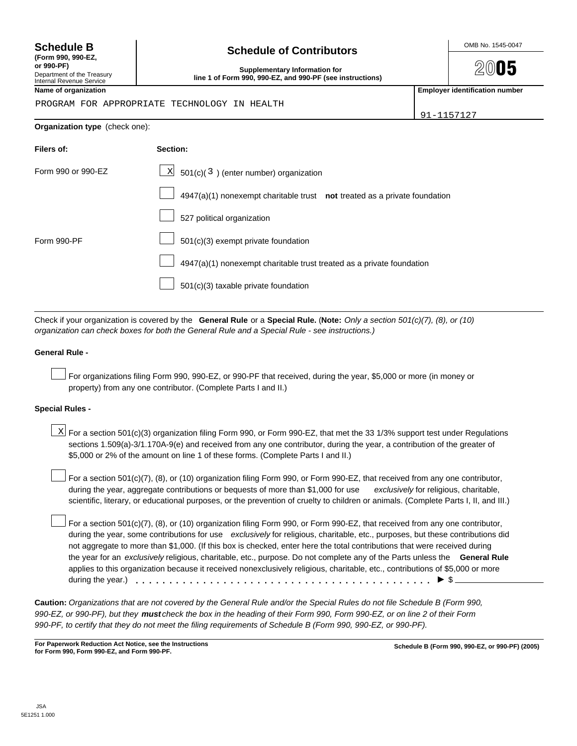| $33,000$ or $2$ % or the amount on line T                                                                                             |
|---------------------------------------------------------------------------------------------------------------------------------------|
| For a section $501(c)(7)$ , (8), or (10) org<br>during the year, aggregate contributior<br>scientific, literary, or educational purpo |
| $\Box$ For a section 501(c)(7), (8), or (10) org<br>during the year, some contributions for                                           |

# **(Form 990, 990-EZ,**

Internal Revenue Service

# **Schedule B**  $\overline{B}$  **Schedule of Contributors**  $\overline{S}$   $\overline{S}$   $\overline{S}$   $\overline{S}$   $\overline{S}$   $\overline{S}$   $\overline{S}$   $\overline{S}$   $\overline{S}$   $\overline{S}$   $\overline{S}$   $\overline{S}$   $\overline{S}$   $\overline{S}$   $\overline{S}$   $\overline{S}$   $\overline{S}$   $\overline{S}$   $\overline{S}$   $\$

 $20$ 05

**or 990-PF)**<br>Department of the Treasury **Configuration for the Supplementary Information for**<br>Line 1 of Farm 000, 000 F7, and 000 PF (see i line 1 of Form 990, 990-EZ, and 990-PF (see instructions)

**Name of organization Employer identification number**

91-1157127

#### PROGRAM FOR APPROPRIATE TECHNOLOGY IN HEALTH

**Organization type** (check one): **Filers of:** Form 990 or 990-EZ **Section:**  $\mathbb{X}$  501(c)(3) (enter number) organization 4947(a)(1) nonexempt charitable trust **not** treated as a private foundation 527 political organization 501(c)(3) exempt private foundation 4947(a)(1) nonexempt charitable trust treated as a private foundation 501(c)(3) taxable private foundation Form 990-PF

Check if your organization is covered by the **General Rule** or a **Special Rule.** (**Note:** *Only a section 501(c)(7), (8), or (10) organization can check boxes for both the General Rule and a Special Rule - see instructions.)*

#### **General Rule -**

For organizations filing Form 990, 990-EZ, or 990-PF that received, during the year, \$5,000 or more (in money or property) from any one contributor. (Complete Parts I and II.)

#### **Special Rules -**

| $\Sigma$ For a section 501(c)(3) organization filing Form 990, or Form 990-EZ, that met the 33 1/3% support test under Regulations |
|------------------------------------------------------------------------------------------------------------------------------------|
| sections 1.509(a)-3/1.170A-9(e) and received from any one contributor, during the year, a contribution of the greater of           |
| \$5,000 or 2% of the amount on line 1 of these forms. (Complete Parts I and II.)                                                   |

ganization filing Form 990, or Form 990-EZ, that received from any one contributor, ns or bequests of more than \$1,000 for use *exclusively* for religious, charitable, oses, or the prevention of cruelty to children or animals. (Complete Parts I, II, and III.)

ganization filing Form 990, or Form 990-EZ, that received from any one contributor, r use *exclusively* for religious, charitable, etc., purposes, but these contributions did not aggregate to more than \$1,000. (If this box is checked, enter here the total contributions that were received during the year for an *exclusively* religious, charitable, etc., purpose. Do not complete any of the Parts unless the **General Rule** applies to this organization because it received nonexclusively religious, charitable, etc., contributions of \$5,000 or more during the year.) mmmmmmmmmmmmmmmmmmmmmmmmmmmmmmmmmmmmmmmmmmmmI\$

**Caution:** *Organizations that are not covered by the General Rule and/or the Special Rules do not file Schedule B (Form 990, 990-EZ, or 990-PF), but they must check the box in the heading of their Form 990, Form 990-EZ, or on line 2 of their Form 990-PF, to certify that they do not meet the filing requirements of Schedule B (Form 990, 990-EZ, or 990-PF).*

**Schedule B (Form 990, 990-EZ, or 990-PF) (2005) For Paperwork Reduction Act Notice, see the Instructions for Form 990, Form 990-EZ, and Form 990-PF.**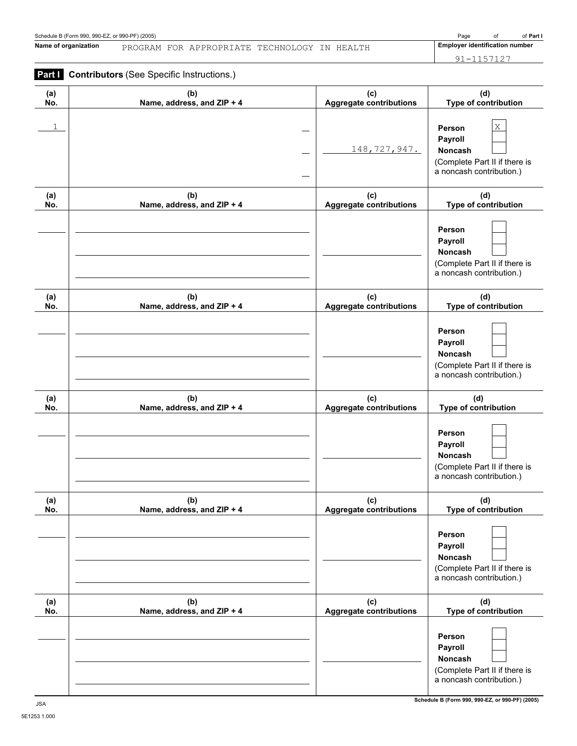**Name of organization Employer identification number** PROGRAM FOR APPROPRIATE TECHNOLOGY IN HEALTH

91-1157127

## **Part I** Contributors (See Specific Instructions.)

| (a) | (b)                        | (c)                            | (d)                                                                                                      |
|-----|----------------------------|--------------------------------|----------------------------------------------------------------------------------------------------------|
| No. | Name, address, and ZIP + 4 | <b>Aggregate contributions</b> | Type of contribution                                                                                     |
| 1   |                            | 148, 727, 947.                 | $\mathbf X$<br>Person<br>Payroll<br>Noncash<br>(Complete Part II if there is<br>a noncash contribution.) |
| (a) | (b)                        | (c)                            | (d)                                                                                                      |
| No. | Name, address, and ZIP + 4 | <b>Aggregate contributions</b> | Type of contribution                                                                                     |
|     |                            |                                | Person<br>Payroll<br>Noncash<br>(Complete Part II if there is<br>a noncash contribution.)                |
| (a) | (b)                        | (c)                            | (d)                                                                                                      |
| No. | Name, address, and ZIP + 4 | <b>Aggregate contributions</b> | Type of contribution                                                                                     |
|     |                            |                                | Person<br>Payroll<br>Noncash<br>(Complete Part II if there is<br>a noncash contribution.)                |
| (a) | (b)                        | (c)                            | (d)                                                                                                      |
| No. | Name, address, and ZIP + 4 | <b>Aggregate contributions</b> | Type of contribution                                                                                     |
|     |                            |                                | Person<br>Payroll<br>Noncash<br>(Complete Part II if there is<br>a noncash contribution.)                |
| (a) | (b)                        | (c)                            | (d)                                                                                                      |
| NO. | Name, address, and ZIP + 4 | <b>Aggregate contributions</b> | Type of contribution                                                                                     |
|     |                            |                                | Person<br>Payroll<br>Noncash<br>(Complete Part II if there is<br>a noncash contribution.)                |
| (a) | (b)                        | (c)                            | (d)                                                                                                      |
| No. | Name, address, and ZIP + 4 | <b>Aggregate contributions</b> | Type of contribution                                                                                     |
|     |                            |                                | Person<br>Payroll<br>Noncash<br>(Complete Part II if there is<br>a noncash contribution.)                |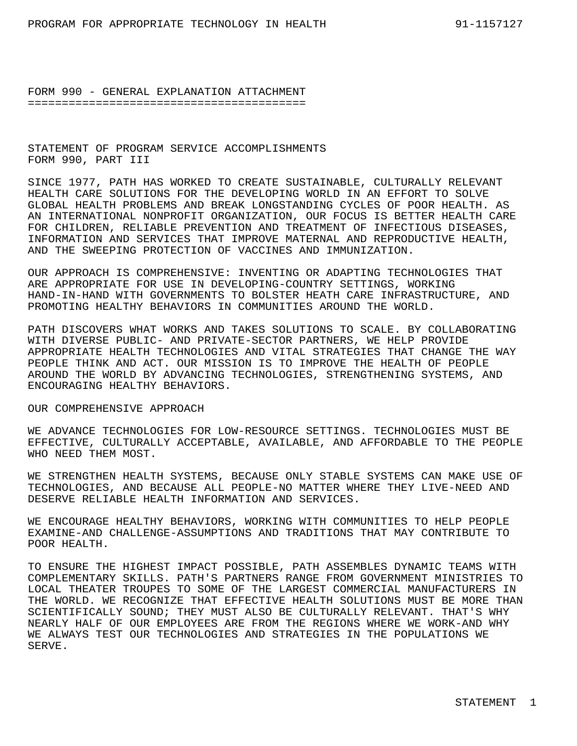STATEMENT OF PROGRAM SERVICE ACCOMPLISHMENTS FORM 990, PART III

SINCE 1977, PATH HAS WORKED TO CREATE SUSTAINABLE, CULTURALLY RELEVANT HEALTH CARE SOLUTIONS FOR THE DEVELOPING WORLD IN AN EFFORT TO SOLVE GLOBAL HEALTH PROBLEMS AND BREAK LONGSTANDING CYCLES OF POOR HEALTH. AS AN INTERNATIONAL NONPROFIT ORGANIZATION, OUR FOCUS IS BETTER HEALTH CARE FOR CHILDREN, RELIABLE PREVENTION AND TREATMENT OF INFECTIOUS DISEASES, INFORMATION AND SERVICES THAT IMPROVE MATERNAL AND REPRODUCTIVE HEALTH, AND THE SWEEPING PROTECTION OF VACCINES AND IMMUNIZATION.

OUR APPROACH IS COMPREHENSIVE: INVENTING OR ADAPTING TECHNOLOGIES THAT ARE APPROPRIATE FOR USE IN DEVELOPING-COUNTRY SETTINGS, WORKING HAND-IN-HAND WITH GOVERNMENTS TO BOLSTER HEATH CARE INFRASTRUCTURE, AND PROMOTING HEALTHY BEHAVIORS IN COMMUNITIES AROUND THE WORLD.

PATH DISCOVERS WHAT WORKS AND TAKES SOLUTIONS TO SCALE. BY COLLABORATING WITH DIVERSE PUBLIC- AND PRIVATE-SECTOR PARTNERS, WE HELP PROVIDE APPROPRIATE HEALTH TECHNOLOGIES AND VITAL STRATEGIES THAT CHANGE THE WAY PEOPLE THINK AND ACT. OUR MISSION IS TO IMPROVE THE HEALTH OF PEOPLE AROUND THE WORLD BY ADVANCING TECHNOLOGIES, STRENGTHENING SYSTEMS, AND ENCOURAGING HEALTHY BEHAVIORS.

#### OUR COMPREHENSIVE APPROACH

WE ADVANCE TECHNOLOGIES FOR LOW-RESOURCE SETTINGS. TECHNOLOGIES MUST BE EFFECTIVE, CULTURALLY ACCEPTABLE, AVAILABLE, AND AFFORDABLE TO THE PEOPLE WHO NEED THEM MOST.

WE STRENGTHEN HEALTH SYSTEMS, BECAUSE ONLY STABLE SYSTEMS CAN MAKE USE OF TECHNOLOGIES, AND BECAUSE ALL PEOPLE-NO MATTER WHERE THEY LIVE-NEED AND DESERVE RELIABLE HEALTH INFORMATION AND SERVICES.

WE ENCOURAGE HEALTHY BEHAVIORS, WORKING WITH COMMUNITIES TO HELP PEOPLE EXAMINE-AND CHALLENGE-ASSUMPTIONS AND TRADITIONS THAT MAY CONTRIBUTE TO POOR HEALTH.

TO ENSURE THE HIGHEST IMPACT POSSIBLE, PATH ASSEMBLES DYNAMIC TEAMS WITH COMPLEMENTARY SKILLS. PATH'S PARTNERS RANGE FROM GOVERNMENT MINISTRIES TO LOCAL THEATER TROUPES TO SOME OF THE LARGEST COMMERCIAL MANUFACTURERS IN THE WORLD. WE RECOGNIZE THAT EFFECTIVE HEALTH SOLUTIONS MUST BE MORE THAN SCIENTIFICALLY SOUND; THEY MUST ALSO BE CULTURALLY RELEVANT. THAT'S WHY NEARLY HALF OF OUR EMPLOYEES ARE FROM THE REGIONS WHERE WE WORK-AND WHY WE ALWAYS TEST OUR TECHNOLOGIES AND STRATEGIES IN THE POPULATIONS WE SERVE.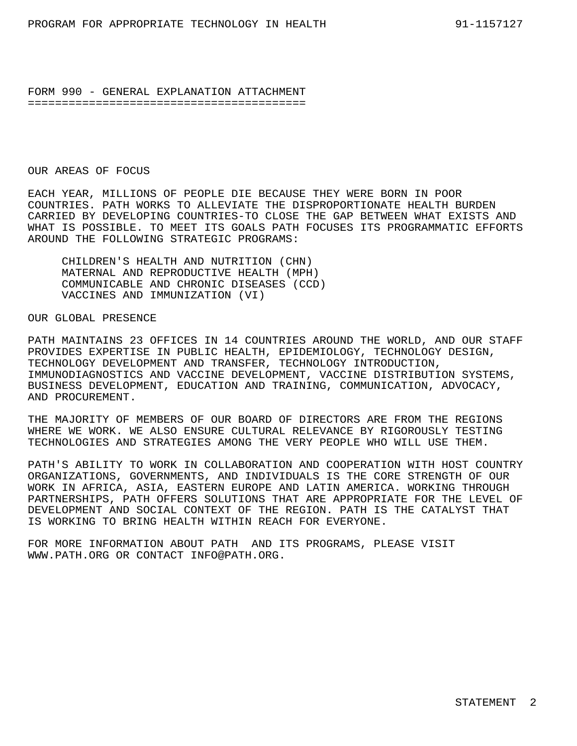#### OUR AREAS OF FOCUS

EACH YEAR, MILLIONS OF PEOPLE DIE BECAUSE THEY WERE BORN IN POOR COUNTRIES. PATH WORKS TO ALLEVIATE THE DISPROPORTIONATE HEALTH BURDEN CARRIED BY DEVELOPING COUNTRIES-TO CLOSE THE GAP BETWEEN WHAT EXISTS AND WHAT IS POSSIBLE. TO MEET ITS GOALS PATH FOCUSES ITS PROGRAMMATIC EFFORTS AROUND THE FOLLOWING STRATEGIC PROGRAMS:

CHILDREN'S HEALTH AND NUTRITION (CHN) MATERNAL AND REPRODUCTIVE HEALTH (MPH) COMMUNICABLE AND CHRONIC DISEASES (CCD) VACCINES AND IMMUNIZATION (VI)

#### OUR GLOBAL PRESENCE

PATH MAINTAINS 23 OFFICES IN 14 COUNTRIES AROUND THE WORLD, AND OUR STAFF PROVIDES EXPERTISE IN PUBLIC HEALTH, EPIDEMIOLOGY, TECHNOLOGY DESIGN, TECHNOLOGY DEVELOPMENT AND TRANSFER, TECHNOLOGY INTRODUCTION, IMMUNODIAGNOSTICS AND VACCINE DEVELOPMENT, VACCINE DISTRIBUTION SYSTEMS, BUSINESS DEVELOPMENT, EDUCATION AND TRAINING, COMMUNICATION, ADVOCACY, AND PROCUREMENT.

THE MAJORITY OF MEMBERS OF OUR BOARD OF DIRECTORS ARE FROM THE REGIONS WHERE WE WORK. WE ALSO ENSURE CULTURAL RELEVANCE BY RIGOROUSLY TESTING TECHNOLOGIES AND STRATEGIES AMONG THE VERY PEOPLE WHO WILL USE THEM.

PATH'S ABILITY TO WORK IN COLLABORATION AND COOPERATION WITH HOST COUNTRY ORGANIZATIONS, GOVERNMENTS, AND INDIVIDUALS IS THE CORE STRENGTH OF OUR WORK IN AFRICA, ASIA, EASTERN EUROPE AND LATIN AMERICA. WORKING THROUGH PARTNERSHIPS, PATH OFFERS SOLUTIONS THAT ARE APPROPRIATE FOR THE LEVEL OF DEVELOPMENT AND SOCIAL CONTEXT OF THE REGION. PATH IS THE CATALYST THAT IS WORKING TO BRING HEALTH WITHIN REACH FOR EVERYONE.

FOR MORE INFORMATION ABOUT PATH AND ITS PROGRAMS, PLEASE VISIT WWW.PATH.ORG OR CONTACT INFO@PATH.ORG.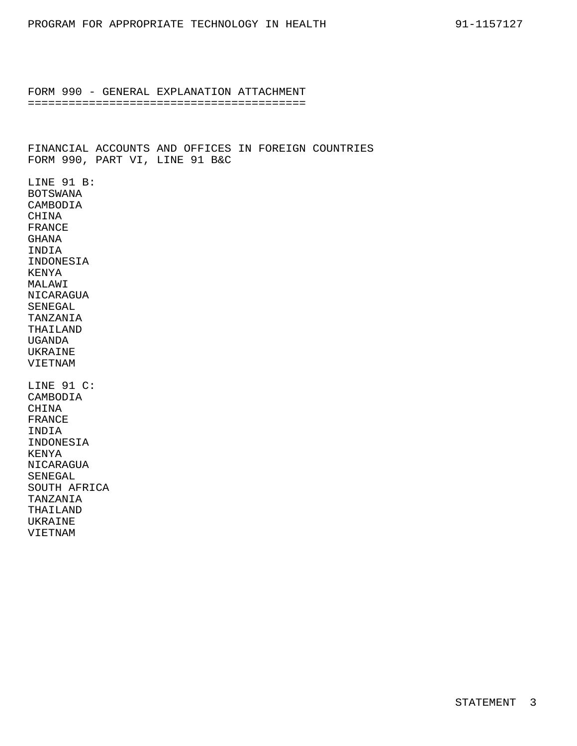FINANCIAL ACCOUNTS AND OFFICES IN FOREIGN COUNTRIES FORM 990, PART VI, LINE 91 B&C LINE 91 B: BOTSWANA CAMBODIA CHINA FRANCE GHANA INDIA INDONESIA KENYA MALAWI NICARAGUA SENEGAL TANZANIA THAILAND UGANDA UKRAINE VIETNAM LINE 91 C: CAMBODIA CHINA FRANCE INDIA INDONESIA KENYA NICARAGUA SENEGAL SOUTH AFRICA TANZANIA THAILAND UKRAINE VIETNAM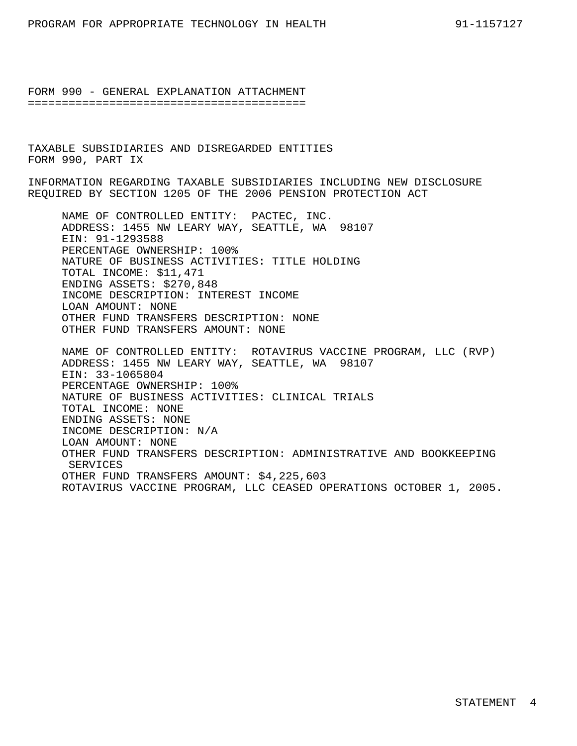TAXABLE SUBSIDIARIES AND DISREGARDED ENTITIES FORM 990, PART IX

INFORMATION REGARDING TAXABLE SUBSIDIARIES INCLUDING NEW DISCLOSURE REQUIRED BY SECTION 1205 OF THE 2006 PENSION PROTECTION ACT

NAME OF CONTROLLED ENTITY: PACTEC, INC. ADDRESS: 1455 NW LEARY WAY, SEATTLE, WA 98107 EIN: 91-1293588 PERCENTAGE OWNERSHIP: 100% NATURE OF BUSINESS ACTIVITIES: TITLE HOLDING TOTAL INCOME: \$11,471 ENDING ASSETS: \$270,848 INCOME DESCRIPTION: INTEREST INCOME LOAN AMOUNT: NONE OTHER FUND TRANSFERS DESCRIPTION: NONE OTHER FUND TRANSFERS AMOUNT: NONE

NAME OF CONTROLLED ENTITY: ROTAVIRUS VACCINE PROGRAM, LLC (RVP) ADDRESS: 1455 NW LEARY WAY, SEATTLE, WA 98107 EIN: 33-1065804 PERCENTAGE OWNERSHIP: 100% NATURE OF BUSINESS ACTIVITIES: CLINICAL TRIALS TOTAL INCOME: NONE ENDING ASSETS: NONE INCOME DESCRIPTION: N/A LOAN AMOUNT: NONE OTHER FUND TRANSFERS DESCRIPTION: ADMINISTRATIVE AND BOOKKEEPING SERVICES OTHER FUND TRANSFERS AMOUNT: \$4,225,603 ROTAVIRUS VACCINE PROGRAM, LLC CEASED OPERATIONS OCTOBER 1, 2005.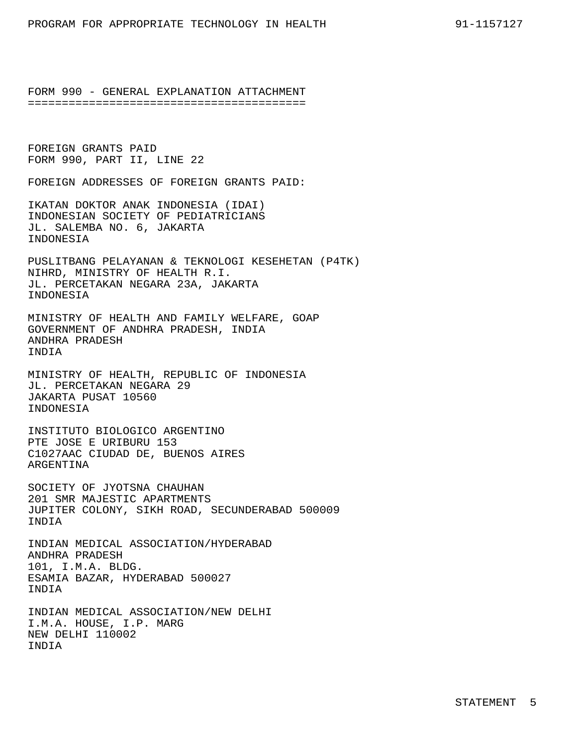FOREIGN GRANTS PAID FORM 990, PART II, LINE 22

FOREIGN ADDRESSES OF FOREIGN GRANTS PAID:

IKATAN DOKTOR ANAK INDONESIA (IDAI) INDONESIAN SOCIETY OF PEDIATRICIANS JL. SALEMBA NO. 6, JAKARTA INDONESIA

PUSLITBANG PELAYANAN & TEKNOLOGI KESEHETAN (P4TK) NIHRD, MINISTRY OF HEALTH R.I. JL. PERCETAKAN NEGARA 23A, JAKARTA INDONESIA

MINISTRY OF HEALTH AND FAMILY WELFARE, GOAP GOVERNMENT OF ANDHRA PRADESH, INDIA ANDHRA PRADESH INDIA

MINISTRY OF HEALTH, REPUBLIC OF INDONESIA JL. PERCETAKAN NEGARA 29 JAKARTA PUSAT 10560 INDONESIA

INSTITUTO BIOLOGICO ARGENTINO PTE JOSE E URIBURU 153 C1027AAC CIUDAD DE, BUENOS AIRES ARGENTINA

SOCIETY OF JYOTSNA CHAUHAN 201 SMR MAJESTIC APARTMENTS JUPITER COLONY, SIKH ROAD, SECUNDERABAD 500009 INDIA

INDIAN MEDICAL ASSOCIATION/HYDERABAD ANDHRA PRADESH 101, I.M.A. BLDG. ESAMIA BAZAR, HYDERABAD 500027 INDIA

INDIAN MEDICAL ASSOCIATION/NEW DELHI I.M.A. HOUSE, I.P. MARG NEW DELHI 110002 INDIA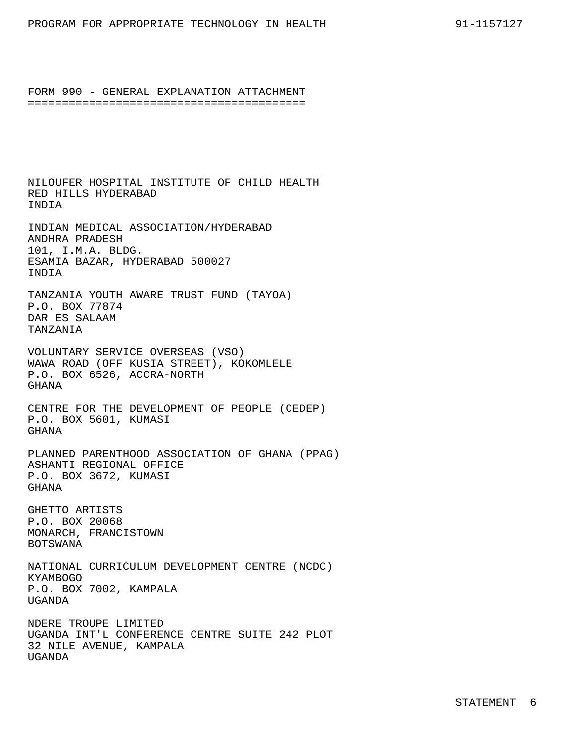NILOUFER HOSPITAL INSTITUTE OF CHILD HEALTH RED HILLS HYDERABAD INDIA INDIAN MEDICAL ASSOCIATION/HYDERABAD ANDHRA PRADESH 101, I.M.A. BLDG. ESAMIA BAZAR, HYDERABAD 500027 INDIA TANZANIA YOUTH AWARE TRUST FUND (TAYOA) P.O. BOX 77874 DAR ES SALAAM TANZANIA VOLUNTARY SERVICE OVERSEAS (VSO) WAWA ROAD (OFF KUSIA STREET), KOKOMLELE P.O. BOX 6526, ACCRA-NORTH GHANA CENTRE FOR THE DEVELOPMENT OF PEOPLE (CEDEP) P.O. BOX 5601, KUMASI GHANA PLANNED PARENTHOOD ASSOCIATION OF GHANA (PPAG) ASHANTI REGIONAL OFFICE P.O. BOX 3672, KUMASI GHANA GHETTO ARTISTS P.O. BOX 20068 MONARCH, FRANCISTOWN BOTSWANA NATIONAL CURRICULUM DEVELOPMENT CENTRE (NCDC) KYAMBOGO P.O. BOX 7002, KAMPALA UGANDA NDERE TROUPE LIMITED UGANDA INT'L CONFERENCE CENTRE SUITE 242 PLOT 32 NILE AVENUE, KAMPALA UGANDA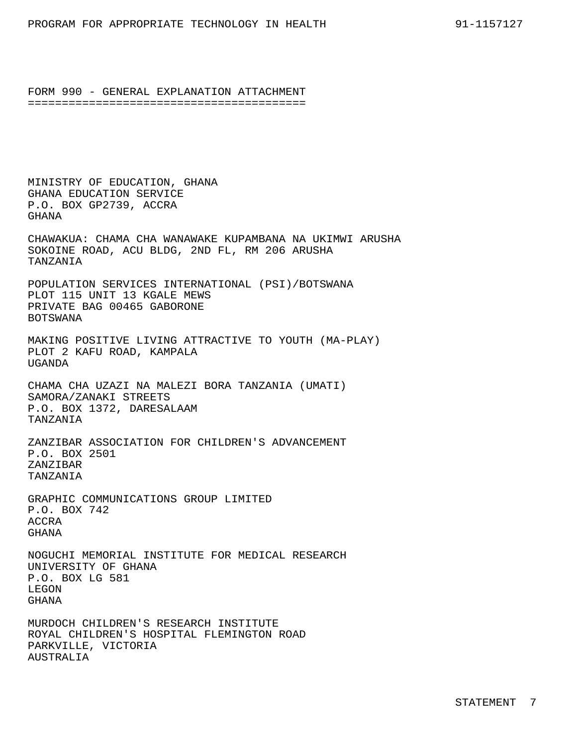MINISTRY OF EDUCATION, GHANA GHANA EDUCATION SERVICE P.O. BOX GP2739, ACCRA GHANA

CHAWAKUA: CHAMA CHA WANAWAKE KUPAMBANA NA UKIMWI ARUSHA SOKOINE ROAD, ACU BLDG, 2ND FL, RM 206 ARUSHA TANZANIA

POPULATION SERVICES INTERNATIONAL (PSI)/BOTSWANA PLOT 115 UNIT 13 KGALE MEWS PRIVATE BAG 00465 GABORONE BOTSWANA

MAKING POSITIVE LIVING ATTRACTIVE TO YOUTH (MA-PLAY) PLOT 2 KAFU ROAD, KAMPALA UGANDA

CHAMA CHA UZAZI NA MALEZI BORA TANZANIA (UMATI) SAMORA/ZANAKI STREETS P.O. BOX 1372, DARESALAAM TANZANIA

ZANZIBAR ASSOCIATION FOR CHILDREN'S ADVANCEMENT P.O. BOX 2501 ZANZIBAR TANZANIA

GRAPHIC COMMUNICATIONS GROUP LIMITED P.O. BOX 742 ACCRA GHANA

NOGUCHI MEMORIAL INSTITUTE FOR MEDICAL RESEARCH UNIVERSITY OF GHANA P.O. BOX LG 581 LEGON GHANA

MURDOCH CHILDREN'S RESEARCH INSTITUTE ROYAL CHILDREN'S HOSPITAL FLEMINGTON ROAD PARKVILLE, VICTORIA AUSTRALIA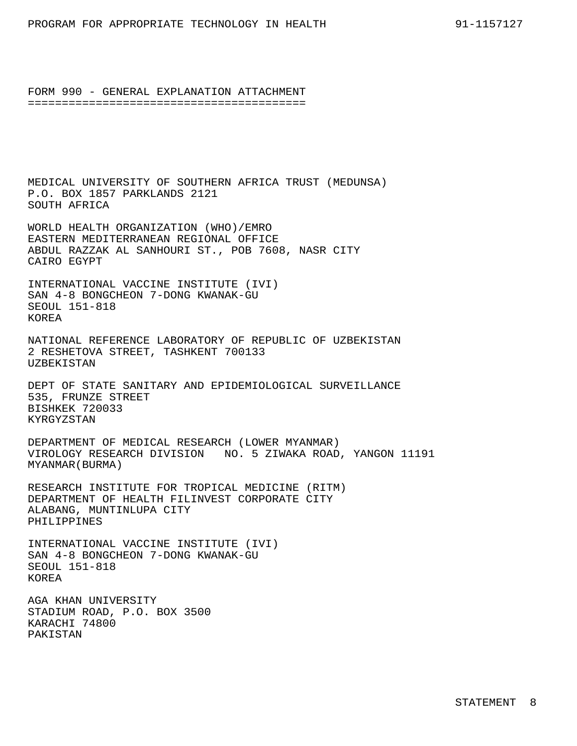MEDICAL UNIVERSITY OF SOUTHERN AFRICA TRUST (MEDUNSA) P.O. BOX 1857 PARKLANDS 2121 SOUTH AFRICA

WORLD HEALTH ORGANIZATION (WHO)/EMRO EASTERN MEDITERRANEAN REGIONAL OFFICE ABDUL RAZZAK AL SANHOURI ST., POB 7608, NASR CITY CAIRO EGYPT

INTERNATIONAL VACCINE INSTITUTE (IVI) SAN 4-8 BONGCHEON 7-DONG KWANAK-GU SEOUL 151-818 KOREA

NATIONAL REFERENCE LABORATORY OF REPUBLIC OF UZBEKISTAN 2 RESHETOVA STREET, TASHKENT 700133 UZBEKISTAN

DEPT OF STATE SANITARY AND EPIDEMIOLOGICAL SURVEILLANCE 535, FRUNZE STREET BISHKEK 720033 KYRGYZSTAN

DEPARTMENT OF MEDICAL RESEARCH (LOWER MYANMAR) VIROLOGY RESEARCH DIVISION NO. 5 ZIWAKA ROAD, YANGON 11191 MYANMAR(BURMA)

RESEARCH INSTITUTE FOR TROPICAL MEDICINE (RITM) DEPARTMENT OF HEALTH FILINVEST CORPORATE CITY ALABANG, MUNTINLUPA CITY PHILIPPINES

INTERNATIONAL VACCINE INSTITUTE (IVI) SAN 4-8 BONGCHEON 7-DONG KWANAK-GU SEOUL 151-818 KOREA

AGA KHAN UNIVERSITY STADIUM ROAD, P.O. BOX 3500 KARACHI 74800 PAKISTAN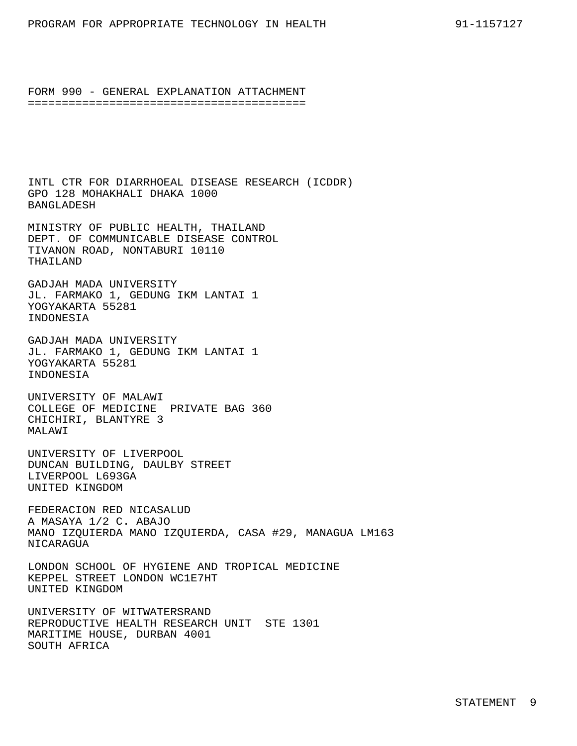INTL CTR FOR DIARRHOEAL DISEASE RESEARCH (ICDDR) GPO 128 MOHAKHALI DHAKA 1000 BANGLADESH

MINISTRY OF PUBLIC HEALTH, THAILAND DEPT. OF COMMUNICABLE DISEASE CONTROL TIVANON ROAD, NONTABURI 10110 THATLAND

GADJAH MADA UNIVERSITY JL. FARMAKO 1, GEDUNG IKM LANTAI 1 YOGYAKARTA 55281 INDONESIA

GADJAH MADA UNIVERSITY JL. FARMAKO 1, GEDUNG IKM LANTAI 1 YOGYAKARTA 55281 INDONESIA

UNIVERSITY OF MALAWI COLLEGE OF MEDICINE PRIVATE BAG 360 CHICHIRI, BLANTYRE 3 MALAWI

UNIVERSITY OF LIVERPOOL DUNCAN BUILDING, DAULBY STREET LIVERPOOL L693GA UNITED KINGDOM

FEDERACION RED NICASALUD A MASAYA 1/2 C. ABAJO MANO IZQUIERDA MANO IZQUIERDA, CASA #29, MANAGUA LM163 NICARAGUA

LONDON SCHOOL OF HYGIENE AND TROPICAL MEDICINE KEPPEL STREET LONDON WC1E7HT UNITED KINGDOM

UNIVERSITY OF WITWATERSRAND REPRODUCTIVE HEALTH RESEARCH UNIT STE 1301 MARITIME HOUSE, DURBAN 4001 SOUTH AFRICA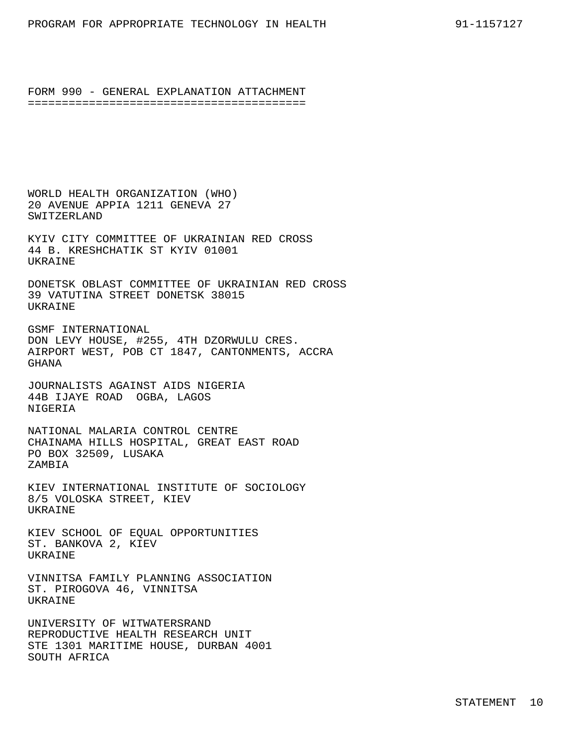WORLD HEALTH ORGANIZATION (WHO) 20 AVENUE APPIA 1211 GENEVA 27 SWITZERLAND

KYIV CITY COMMITTEE OF UKRAINIAN RED CROSS 44 B. KRESHCHATIK ST KYIV 01001 **UKRAINE** 

DONETSK OBLAST COMMITTEE OF UKRAINIAN RED CROSS 39 VATUTINA STREET DONETSK 38015 UKRAINE

GSMF INTERNATIONAL DON LEVY HOUSE, #255, 4TH DZORWULU CRES. AIRPORT WEST, POB CT 1847, CANTONMENTS, ACCRA GHANA

JOURNALISTS AGAINST AIDS NIGERIA 44B IJAYE ROAD OGBA, LAGOS NIGERIA

NATIONAL MALARIA CONTROL CENTRE CHAINAMA HILLS HOSPITAL, GREAT EAST ROAD PO BOX 32509, LUSAKA ZAMBIA

KIEV INTERNATIONAL INSTITUTE OF SOCIOLOGY 8/5 VOLOSKA STREET, KIEV **UKRAINE** 

KIEV SCHOOL OF EQUAL OPPORTUNITIES ST. BANKOVA 2, KIEV UKRAINE

VINNITSA FAMILY PLANNING ASSOCIATION ST. PIROGOVA 46, VINNITSA UKRAINE

UNIVERSITY OF WITWATERSRAND REPRODUCTIVE HEALTH RESEARCH UNIT STE 1301 MARITIME HOUSE, DURBAN 4001 SOUTH AFRICA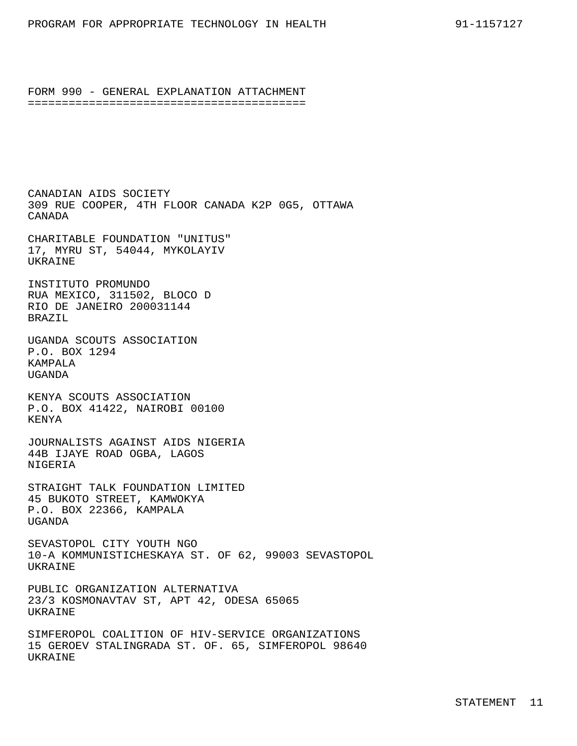CANADIAN AIDS SOCIETY 309 RUE COOPER, 4TH FLOOR CANADA K2P 0G5, OTTAWA CANADA

CHARITABLE FOUNDATION "UNITUS" 17, MYRU ST, 54044, MYKOLAYIV **UKRAINE** 

INSTITUTO PROMUNDO RUA MEXICO, 311502, BLOCO D RIO DE JANEIRO 200031144 BRAZIL

UGANDA SCOUTS ASSOCIATION P.O. BOX 1294 KAMPALA UGANDA

KENYA SCOUTS ASSOCIATION P.O. BOX 41422, NAIROBI 00100 KENYA

JOURNALISTS AGAINST AIDS NIGERIA 44B IJAYE ROAD OGBA, LAGOS NIGERIA

STRAIGHT TALK FOUNDATION LIMITED 45 BUKOTO STREET, KAMWOKYA P.O. BOX 22366, KAMPALA UGANDA

SEVASTOPOL CITY YOUTH NGO 10-A KOMMUNISTICHESKAYA ST. OF 62, 99003 SEVASTOPOL UKRAINE

PUBLIC ORGANIZATION ALTERNATIVA 23/3 KOSMONAVTAV ST, APT 42, ODESA 65065 UKRAINE

SIMFEROPOL COALITION OF HIV-SERVICE ORGANIZATIONS 15 GEROEV STALINGRADA ST. OF. 65, SIMFEROPOL 98640 UKRAINE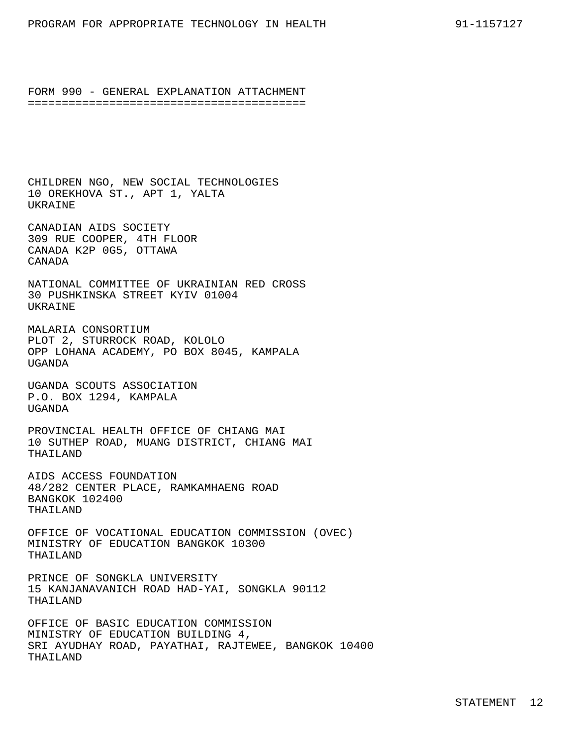CHILDREN NGO, NEW SOCIAL TECHNOLOGIES 10 OREKHOVA ST., APT 1, YALTA UKRAINE

CANADIAN AIDS SOCIETY 309 RUE COOPER, 4TH FLOOR CANADA K2P 0G5, OTTAWA CANADA

NATIONAL COMMITTEE OF UKRAINIAN RED CROSS 30 PUSHKINSKA STREET KYIV 01004 UKRAINE

MALARIA CONSORTIUM PLOT 2, STURROCK ROAD, KOLOLO OPP LOHANA ACADEMY, PO BOX 8045, KAMPALA UGANDA

UGANDA SCOUTS ASSOCIATION P.O. BOX 1294, KAMPALA UGANDA

PROVINCIAL HEALTH OFFICE OF CHIANG MAI 10 SUTHEP ROAD, MUANG DISTRICT, CHIANG MAI THAILAND

AIDS ACCESS FOUNDATION 48/282 CENTER PLACE, RAMKAMHAENG ROAD BANGKOK 102400 THAILAND

OFFICE OF VOCATIONAL EDUCATION COMMISSION (OVEC) MINISTRY OF EDUCATION BANGKOK 10300 THAILAND

PRINCE OF SONGKLA UNIVERSITY 15 KANJANAVANICH ROAD HAD-YAI, SONGKLA 90112 THAILAND

OFFICE OF BASIC EDUCATION COMMISSION MINISTRY OF EDUCATION BUILDING 4, SRI AYUDHAY ROAD, PAYATHAI, RAJTEWEE, BANGKOK 10400 THAILAND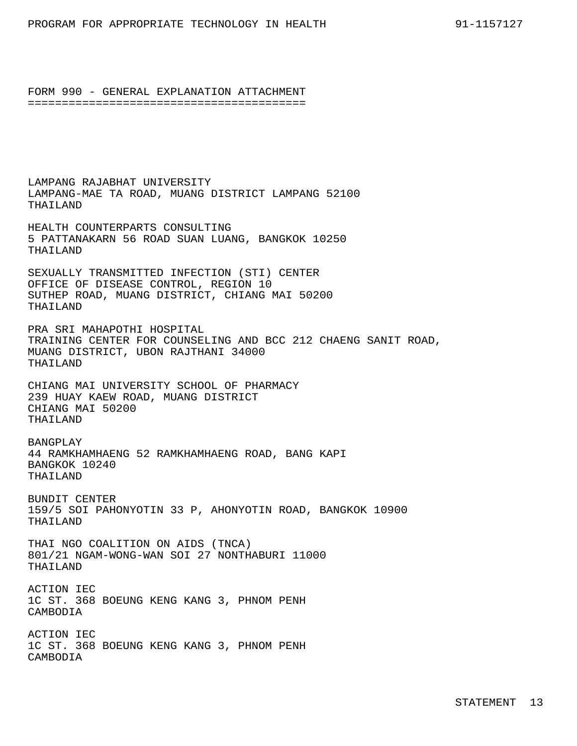LAMPANG RAJABHAT UNIVERSITY LAMPANG-MAE TA ROAD, MUANG DISTRICT LAMPANG 52100 THAILAND

HEALTH COUNTERPARTS CONSULTING 5 PATTANAKARN 56 ROAD SUAN LUANG, BANGKOK 10250 THAILAND

SEXUALLY TRANSMITTED INFECTION (STI) CENTER OFFICE OF DISEASE CONTROL, REGION 10 SUTHEP ROAD, MUANG DISTRICT, CHIANG MAI 50200 THAILAND

PRA SRI MAHAPOTHI HOSPITAL TRAINING CENTER FOR COUNSELING AND BCC 212 CHAENG SANIT ROAD, MUANG DISTRICT, UBON RAJTHANI 34000 THAILAND

CHIANG MAI UNIVERSITY SCHOOL OF PHARMACY 239 HUAY KAEW ROAD, MUANG DISTRICT CHIANG MAI 50200 THAILAND

BANGPLAY 44 RAMKHAMHAENG 52 RAMKHAMHAENG ROAD, BANG KAPI BANGKOK 10240 THAILAND

BUNDIT CENTER 159/5 SOI PAHONYOTIN 33 P, AHONYOTIN ROAD, BANGKOK 10900 THAILAND

THAI NGO COALITION ON AIDS (TNCA) 801/21 NGAM-WONG-WAN SOI 27 NONTHABURI 11000 THAILAND

ACTION IEC 1C ST. 368 BOEUNG KENG KANG 3, PHNOM PENH CAMBODIA

ACTION IEC 1C ST. 368 BOEUNG KENG KANG 3, PHNOM PENH CAMBODIA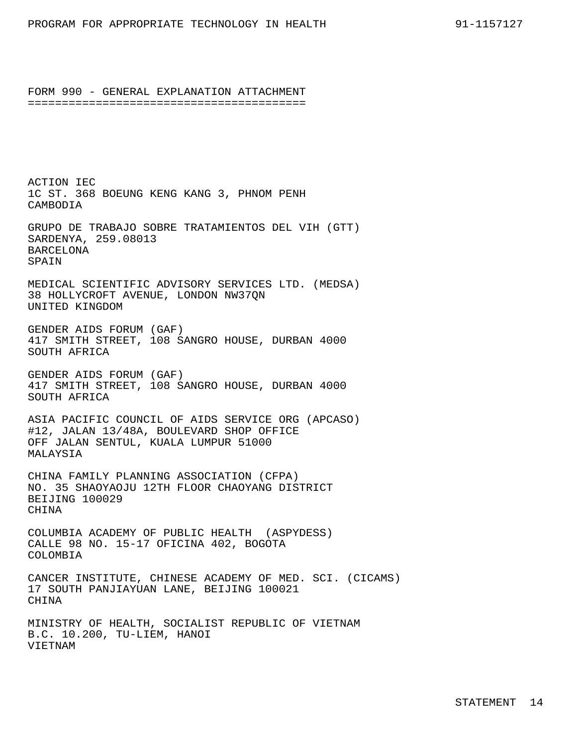ACTION IEC 1C ST. 368 BOEUNG KENG KANG 3, PHNOM PENH CAMBODIA GRUPO DE TRABAJO SOBRE TRATAMIENTOS DEL VIH (GTT) SARDENYA, 259.08013 BARCELONA **SPAIN** MEDICAL SCIENTIFIC ADVISORY SERVICES LTD. (MEDSA) 38 HOLLYCROFT AVENUE, LONDON NW37QN UNITED KINGDOM GENDER AIDS FORUM (GAF) 417 SMITH STREET, 108 SANGRO HOUSE, DURBAN 4000 SOUTH AFRICA GENDER AIDS FORUM (GAF) 417 SMITH STREET, 108 SANGRO HOUSE, DURBAN 4000 SOUTH AFRICA ASIA PACIFIC COUNCIL OF AIDS SERVICE ORG (APCASO) #12, JALAN 13/48A, BOULEVARD SHOP OFFICE OFF JALAN SENTUL, KUALA LUMPUR 51000 MALAYSIA CHINA FAMILY PLANNING ASSOCIATION (CFPA) NO. 35 SHAOYAOJU 12TH FLOOR CHAOYANG DISTRICT BEIJING 100029 **CHINA** COLUMBIA ACADEMY OF PUBLIC HEALTH (ASPYDESS) CALLE 98 NO. 15-17 OFICINA 402, BOGOTA COLOMBIA CANCER INSTITUTE, CHINESE ACADEMY OF MED. SCI. (CICAMS) 17 SOUTH PANJIAYUAN LANE, BEIJING 100021 CHINA

MINISTRY OF HEALTH, SOCIALIST REPUBLIC OF VIETNAM B.C. 10.200, TU-LIEM, HANOI VIETNAM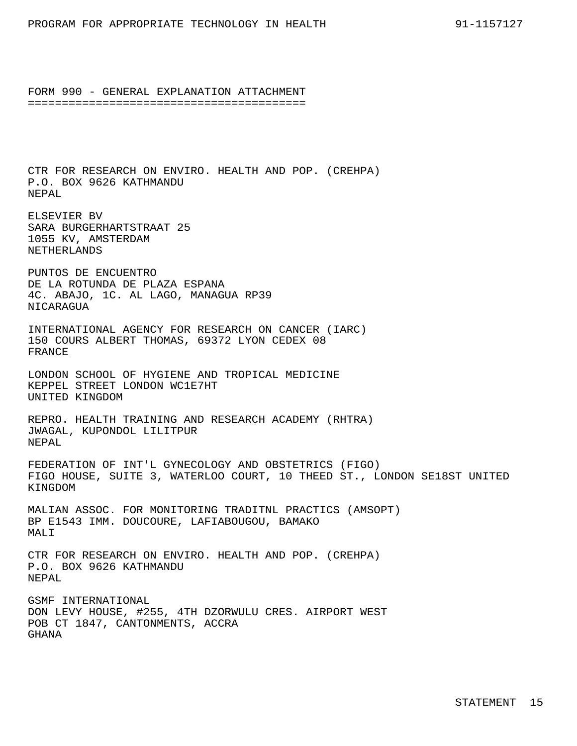CTR FOR RESEARCH ON ENVIRO. HEALTH AND POP. (CREHPA) P.O. BOX 9626 KATHMANDU NEPAL

ELSEVIER BV SARA BURGERHARTSTRAAT 25 1055 KV, AMSTERDAM NETHERLANDS

PUNTOS DE ENCUENTRO DE LA ROTUNDA DE PLAZA ESPANA 4C. ABAJO, 1C. AL LAGO, MANAGUA RP39 NICARAGUA

INTERNATIONAL AGENCY FOR RESEARCH ON CANCER (IARC) 150 COURS ALBERT THOMAS, 69372 LYON CEDEX 08 FRANCE

LONDON SCHOOL OF HYGIENE AND TROPICAL MEDICINE KEPPEL STREET LONDON WC1E7HT UNITED KINGDOM

REPRO. HEALTH TRAINING AND RESEARCH ACADEMY (RHTRA) JWAGAL, KUPONDOL LILITPUR NEPAL

FEDERATION OF INT'L GYNECOLOGY AND OBSTETRICS (FIGO) FIGO HOUSE, SUITE 3, WATERLOO COURT, 10 THEED ST., LONDON SE18ST UNITED KINGDOM

MALIAN ASSOC. FOR MONITORING TRADITNL PRACTICS (AMSOPT) BP E1543 IMM. DOUCOURE, LAFIABOUGOU, BAMAKO MALI

CTR FOR RESEARCH ON ENVIRO. HEALTH AND POP. (CREHPA) P.O. BOX 9626 KATHMANDU NEPAL

GSMF INTERNATIONAL DON LEVY HOUSE, #255, 4TH DZORWULU CRES. AIRPORT WEST POB CT 1847, CANTONMENTS, ACCRA GHANA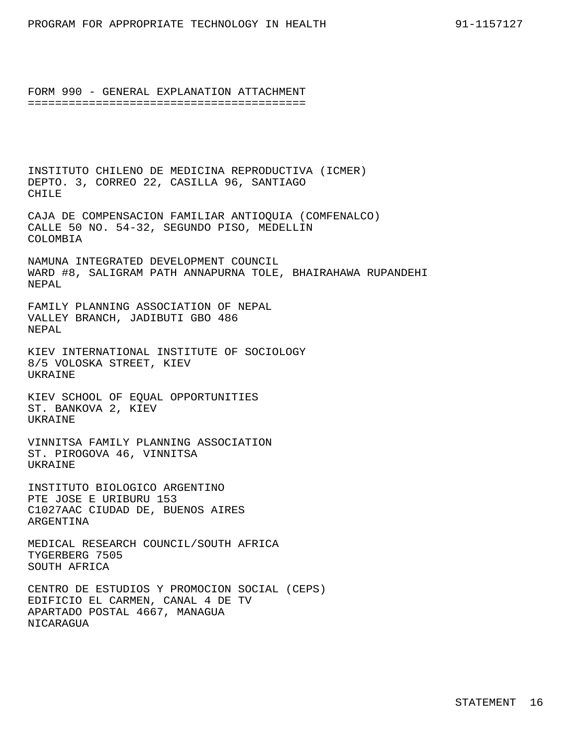INSTITUTO CHILENO DE MEDICINA REPRODUCTIVA (ICMER) DEPTO. 3, CORREO 22, CASILLA 96, SANTIAGO CHILE

CAJA DE COMPENSACION FAMILIAR ANTIOQUIA (COMFENALCO) CALLE 50 NO. 54-32, SEGUNDO PISO, MEDELLIN COLOMBIA

NAMUNA INTEGRATED DEVELOPMENT COUNCIL WARD #8, SALIGRAM PATH ANNAPURNA TOLE, BHAIRAHAWA RUPANDEHI NEPAL

FAMILY PLANNING ASSOCIATION OF NEPAL VALLEY BRANCH, JADIBUTI GBO 486 NEPAL

KIEV INTERNATIONAL INSTITUTE OF SOCIOLOGY 8/5 VOLOSKA STREET, KIEV UKRAINE

KIEV SCHOOL OF EQUAL OPPORTUNITIES ST. BANKOVA 2, KIEV UKRAINE

VINNITSA FAMILY PLANNING ASSOCIATION ST. PIROGOVA 46, VINNITSA UKRAINE

INSTITUTO BIOLOGICO ARGENTINO PTE JOSE E URIBURU 153 C1027AAC CIUDAD DE, BUENOS AIRES ARGENTINA

MEDICAL RESEARCH COUNCIL/SOUTH AFRICA TYGERBERG 7505 SOUTH AFRICA

CENTRO DE ESTUDIOS Y PROMOCION SOCIAL (CEPS) EDIFICIO EL CARMEN, CANAL 4 DE TV APARTADO POSTAL 4667, MANAGUA NICARAGUA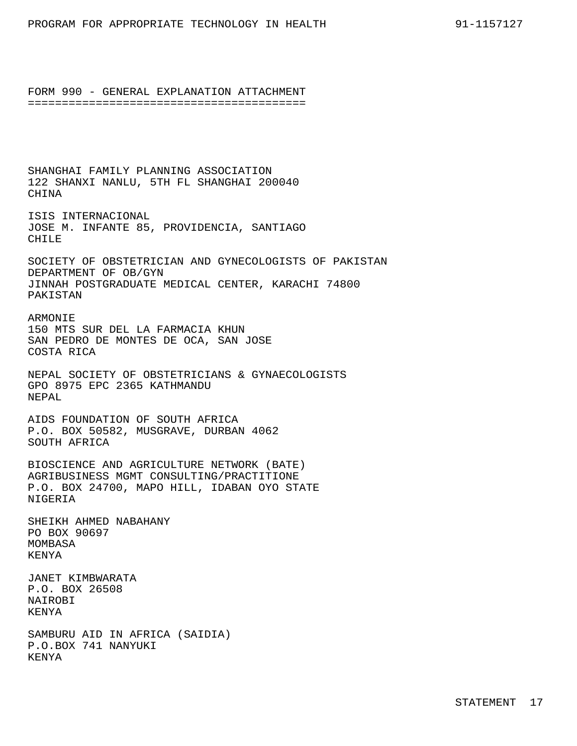SHANGHAI FAMILY PLANNING ASSOCIATION 122 SHANXI NANLU, 5TH FL SHANGHAI 200040 CHINA

ISIS INTERNACIONAL JOSE M. INFANTE 85, PROVIDENCIA, SANTIAGO CHILE

SOCIETY OF OBSTETRICIAN AND GYNECOLOGISTS OF PAKISTAN DEPARTMENT OF OB/GYN JINNAH POSTGRADUATE MEDICAL CENTER, KARACHI 74800 PAKISTAN

ARMONIE 150 MTS SUR DEL LA FARMACIA KHUN SAN PEDRO DE MONTES DE OCA, SAN JOSE COSTA RICA

NEPAL SOCIETY OF OBSTETRICIANS & GYNAECOLOGISTS GPO 8975 EPC 2365 KATHMANDU NEPAL

AIDS FOUNDATION OF SOUTH AFRICA P.O. BOX 50582, MUSGRAVE, DURBAN 4062 SOUTH AFRICA

BIOSCIENCE AND AGRICULTURE NETWORK (BATE) AGRIBUSINESS MGMT CONSULTING/PRACTITIONE P.O. BOX 24700, MAPO HILL, IDABAN OYO STATE NIGERIA

SHEIKH AHMED NABAHANY PO BOX 90697 MOMBASA KENYA

JANET KIMBWARATA P.O. BOX 26508 NAIROBI KENYA

SAMBURU AID IN AFRICA (SAIDIA) P.O.BOX 741 NANYUKI KENYA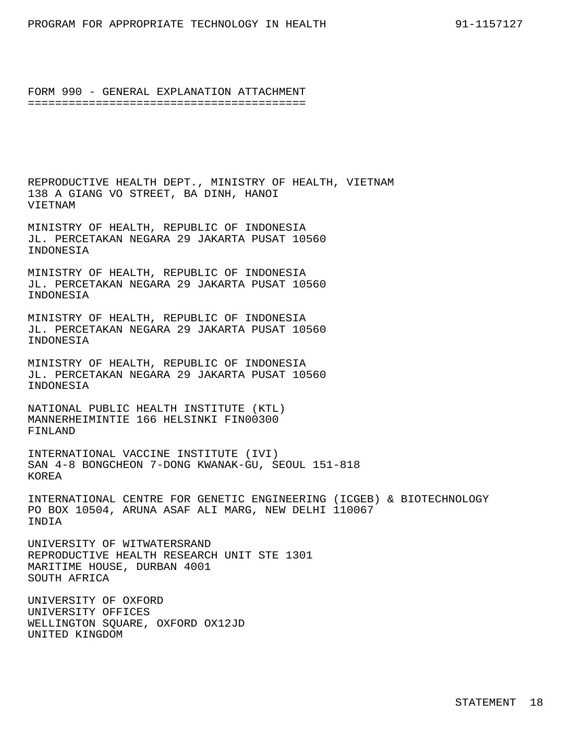REPRODUCTIVE HEALTH DEPT., MINISTRY OF HEALTH, VIETNAM 138 A GIANG VO STREET, BA DINH, HANOI VIETNAM

MINISTRY OF HEALTH, REPUBLIC OF INDONESIA JL. PERCETAKAN NEGARA 29 JAKARTA PUSAT 10560 INDONESIA

MINISTRY OF HEALTH, REPUBLIC OF INDONESIA JL. PERCETAKAN NEGARA 29 JAKARTA PUSAT 10560 INDONESIA

MINISTRY OF HEALTH, REPUBLIC OF INDONESIA JL. PERCETAKAN NEGARA 29 JAKARTA PUSAT 10560 INDONESIA

MINISTRY OF HEALTH, REPUBLIC OF INDONESIA JL. PERCETAKAN NEGARA 29 JAKARTA PUSAT 10560 INDONESIA

NATIONAL PUBLIC HEALTH INSTITUTE (KTL) MANNERHEIMINTIE 166 HELSINKI FIN00300 FINLAND

INTERNATIONAL VACCINE INSTITUTE (IVI) SAN 4-8 BONGCHEON 7-DONG KWANAK-GU, SEOUL 151-818 KOREA

INTERNATIONAL CENTRE FOR GENETIC ENGINEERING (ICGEB) & BIOTECHNOLOGY PO BOX 10504, ARUNA ASAF ALI MARG, NEW DELHI 110067 INDIA

UNIVERSITY OF WITWATERSRAND REPRODUCTIVE HEALTH RESEARCH UNIT STE 1301 MARITIME HOUSE, DURBAN 4001 SOUTH AFRICA

UNIVERSITY OF OXFORD UNIVERSITY OFFICES WELLINGTON SQUARE, OXFORD OX12JD UNITED KINGDOM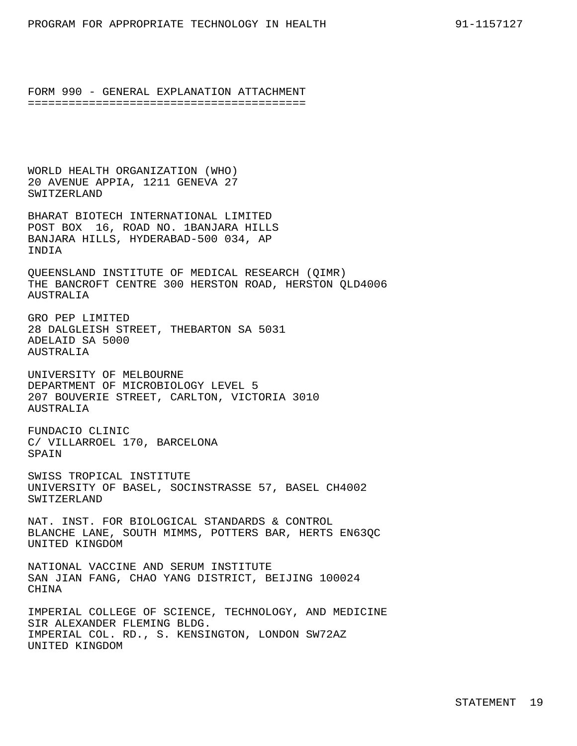WORLD HEALTH ORGANIZATION (WHO) 20 AVENUE APPIA, 1211 GENEVA 27 SWITZERLAND

BHARAT BIOTECH INTERNATIONAL LIMITED POST BOX 16, ROAD NO. 1BANJARA HILLS BANJARA HILLS, HYDERABAD-500 034, AP INDIA

QUEENSLAND INSTITUTE OF MEDICAL RESEARCH (QIMR) THE BANCROFT CENTRE 300 HERSTON ROAD, HERSTON QLD4006 AUSTRALIA

GRO PEP LIMITED 28 DALGLEISH STREET, THEBARTON SA 5031 ADELAID SA 5000 AUSTRALIA

UNIVERSITY OF MELBOURNE DEPARTMENT OF MICROBIOLOGY LEVEL 5 207 BOUVERIE STREET, CARLTON, VICTORIA 3010 AUSTRALIA

FUNDACIO CLINIC C/ VILLARROEL 170, BARCELONA SPAIN

SWISS TROPICAL INSTITUTE UNIVERSITY OF BASEL, SOCINSTRASSE 57, BASEL CH4002 SWITZERLAND

NAT. INST. FOR BIOLOGICAL STANDARDS & CONTROL BLANCHE LANE, SOUTH MIMMS, POTTERS BAR, HERTS EN63QC UNITED KINGDOM

NATIONAL VACCINE AND SERUM INSTITUTE SAN JIAN FANG, CHAO YANG DISTRICT, BEIJING 100024 CHINA

IMPERIAL COLLEGE OF SCIENCE, TECHNOLOGY, AND MEDICINE SIR ALEXANDER FLEMING BLDG. IMPERIAL COL. RD., S. KENSINGTON, LONDON SW72AZ UNITED KINGDOM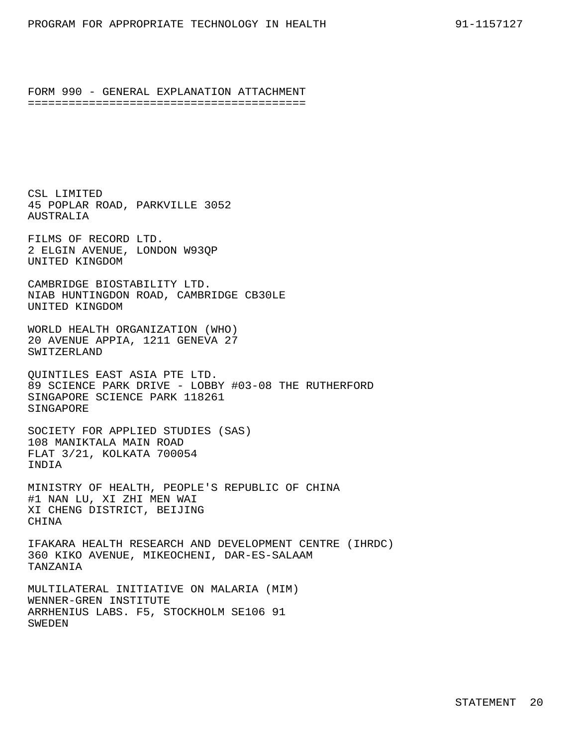CSL LIMITED 45 POPLAR ROAD, PARKVILLE 3052 AUSTRALIA

FILMS OF RECORD LTD. 2 ELGIN AVENUE, LONDON W93QP UNITED KINGDOM

CAMBRIDGE BIOSTABILITY LTD. NIAB HUNTINGDON ROAD, CAMBRIDGE CB30LE UNITED KINGDOM

WORLD HEALTH ORGANIZATION (WHO) 20 AVENUE APPIA, 1211 GENEVA 27 SWITZERLAND

QUINTILES EAST ASIA PTE LTD. 89 SCIENCE PARK DRIVE - LOBBY #03-08 THE RUTHERFORD SINGAPORE SCIENCE PARK 118261 SINGAPORE

SOCIETY FOR APPLIED STUDIES (SAS) 108 MANIKTALA MAIN ROAD FLAT 3/21, KOLKATA 700054 INDIA

MINISTRY OF HEALTH, PEOPLE'S REPUBLIC OF CHINA #1 NAN LU, XI ZHI MEN WAI XI CHENG DISTRICT, BEIJING CHINA

IFAKARA HEALTH RESEARCH AND DEVELOPMENT CENTRE (IHRDC) 360 KIKO AVENUE, MIKEOCHENI, DAR-ES-SALAAM TANZANIA

MULTILATERAL INITIATIVE ON MALARIA (MIM) WENNER-GREN INSTITUTE ARRHENIUS LABS. F5, STOCKHOLM SE106 91 SWEDEN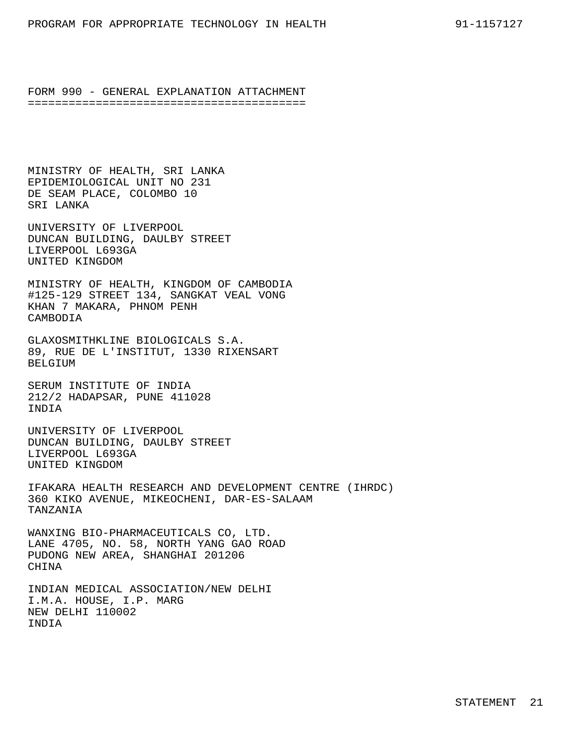MINISTRY OF HEALTH, SRI LANKA EPIDEMIOLOGICAL UNIT NO 231 DE SEAM PLACE, COLOMBO 10 SRI LANKA

UNIVERSITY OF LIVERPOOL DUNCAN BUILDING, DAULBY STREET LIVERPOOL L693GA UNITED KINGDOM

MINISTRY OF HEALTH, KINGDOM OF CAMBODIA #125-129 STREET 134, SANGKAT VEAL VONG KHAN 7 MAKARA, PHNOM PENH CAMBODIA

GLAXOSMITHKLINE BIOLOGICALS S.A. 89, RUE DE L'INSTITUT, 1330 RIXENSART BELGIUM

SERUM INSTITUTE OF INDIA 212/2 HADAPSAR, PUNE 411028 INDIA

UNIVERSITY OF LIVERPOOL DUNCAN BUILDING, DAULBY STREET LIVERPOOL L693GA UNITED KINGDOM

IFAKARA HEALTH RESEARCH AND DEVELOPMENT CENTRE (IHRDC) 360 KIKO AVENUE, MIKEOCHENI, DAR-ES-SALAAM TANZANIA

WANXING BIO-PHARMACEUTICALS CO, LTD. LANE 4705, NO. 58, NORTH YANG GAO ROAD PUDONG NEW AREA, SHANGHAI 201206 **CHINA** 

INDIAN MEDICAL ASSOCIATION/NEW DELHI I.M.A. HOUSE, I.P. MARG NEW DELHI 110002 INDIA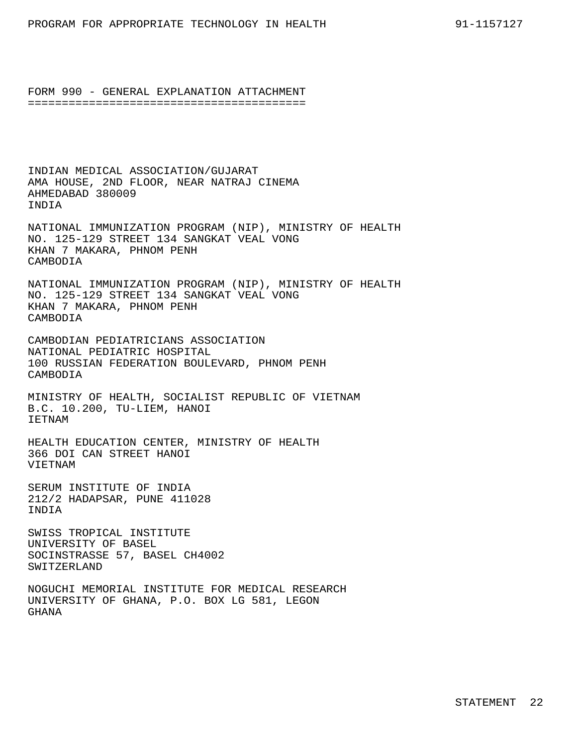INDIAN MEDICAL ASSOCIATION/GUJARAT AMA HOUSE, 2ND FLOOR, NEAR NATRAJ CINEMA AHMEDABAD 380009 INDIA

NATIONAL IMMUNIZATION PROGRAM (NIP), MINISTRY OF HEALTH NO. 125-129 STREET 134 SANGKAT VEAL VONG KHAN 7 MAKARA, PHNOM PENH **CAMBODIA** 

NATIONAL IMMUNIZATION PROGRAM (NIP), MINISTRY OF HEALTH NO. 125-129 STREET 134 SANGKAT VEAL VONG KHAN 7 MAKARA, PHNOM PENH CAMBODIA

CAMBODIAN PEDIATRICIANS ASSOCIATION NATIONAL PEDIATRIC HOSPITAL 100 RUSSIAN FEDERATION BOULEVARD, PHNOM PENH CAMBODIA

MINISTRY OF HEALTH, SOCIALIST REPUBLIC OF VIETNAM B.C. 10.200, TU-LIEM, HANOI IETNAM

HEALTH EDUCATION CENTER, MINISTRY OF HEALTH 366 DOI CAN STREET HANOI VIETNAM

SERUM INSTITUTE OF INDIA 212/2 HADAPSAR, PUNE 411028 INDIA

SWISS TROPICAL INSTITUTE UNIVERSITY OF BASEL SOCINSTRASSE 57, BASEL CH4002 SWITZERLAND

NOGUCHI MEMORIAL INSTITUTE FOR MEDICAL RESEARCH UNIVERSITY OF GHANA, P.O. BOX LG 581, LEGON GHANA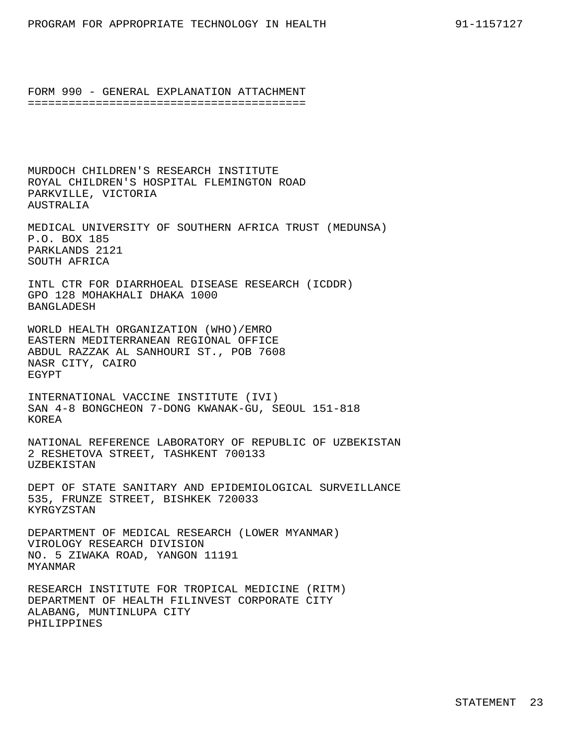MURDOCH CHILDREN'S RESEARCH INSTITUTE ROYAL CHILDREN'S HOSPITAL FLEMINGTON ROAD PARKVILLE, VICTORIA AUSTRALIA

MEDICAL UNIVERSITY OF SOUTHERN AFRICA TRUST (MEDUNSA) P.O. BOX 185 PARKLANDS 2121 SOUTH AFRICA

INTL CTR FOR DIARRHOEAL DISEASE RESEARCH (ICDDR) GPO 128 MOHAKHALI DHAKA 1000 BANGLADESH

WORLD HEALTH ORGANIZATION (WHO)/EMRO EASTERN MEDITERRANEAN REGIONAL OFFICE ABDUL RAZZAK AL SANHOURI ST., POB 7608 NASR CITY, CAIRO EGYPT

INTERNATIONAL VACCINE INSTITUTE (IVI) SAN 4-8 BONGCHEON 7-DONG KWANAK-GU, SEOUL 151-818 KOREA

NATIONAL REFERENCE LABORATORY OF REPUBLIC OF UZBEKISTAN 2 RESHETOVA STREET, TASHKENT 700133 UZBEKISTAN

DEPT OF STATE SANITARY AND EPIDEMIOLOGICAL SURVEILLANCE 535, FRUNZE STREET, BISHKEK 720033 KYRGYZSTAN

DEPARTMENT OF MEDICAL RESEARCH (LOWER MYANMAR) VIROLOGY RESEARCH DIVISION NO. 5 ZIWAKA ROAD, YANGON 11191 MYANMAR

RESEARCH INSTITUTE FOR TROPICAL MEDICINE (RITM) DEPARTMENT OF HEALTH FILINVEST CORPORATE CITY ALABANG, MUNTINLUPA CITY PHILIPPINES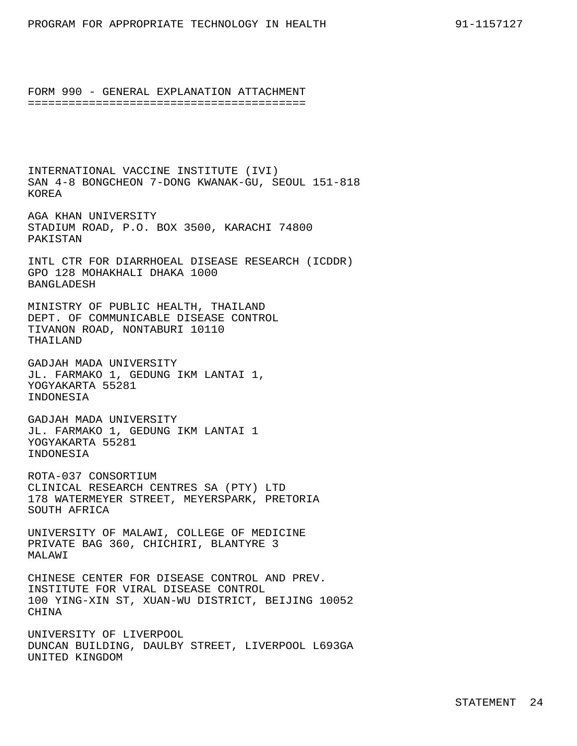INTERNATIONAL VACCINE INSTITUTE (IVI) SAN 4-8 BONGCHEON 7-DONG KWANAK-GU, SEOUL 151-818 KOREA

AGA KHAN UNIVERSITY STADIUM ROAD, P.O. BOX 3500, KARACHI 74800 PAKISTAN

INTL CTR FOR DIARRHOEAL DISEASE RESEARCH (ICDDR) GPO 128 MOHAKHALI DHAKA 1000 BANGLADESH

MINISTRY OF PUBLIC HEALTH, THAILAND DEPT. OF COMMUNICABLE DISEASE CONTROL TIVANON ROAD, NONTABURI 10110 THAILAND

GADJAH MADA UNIVERSITY JL. FARMAKO 1, GEDUNG IKM LANTAI 1, YOGYAKARTA 55281 INDONESIA

GADJAH MADA UNIVERSITY JL. FARMAKO 1, GEDUNG IKM LANTAI 1 YOGYAKARTA 55281 INDONESIA

ROTA-037 CONSORTIUM CLINICAL RESEARCH CENTRES SA (PTY) LTD 178 WATERMEYER STREET, MEYERSPARK, PRETORIA SOUTH AFRICA

UNIVERSITY OF MALAWI, COLLEGE OF MEDICINE PRIVATE BAG 360, CHICHIRI, BLANTYRE 3 MALAWI

CHINESE CENTER FOR DISEASE CONTROL AND PREV. INSTITUTE FOR VIRAL DISEASE CONTROL 100 YING-XIN ST, XUAN-WU DISTRICT, BEIJING 10052 CHINA

UNIVERSITY OF LIVERPOOL DUNCAN BUILDING, DAULBY STREET, LIVERPOOL L693GA UNITED KINGDOM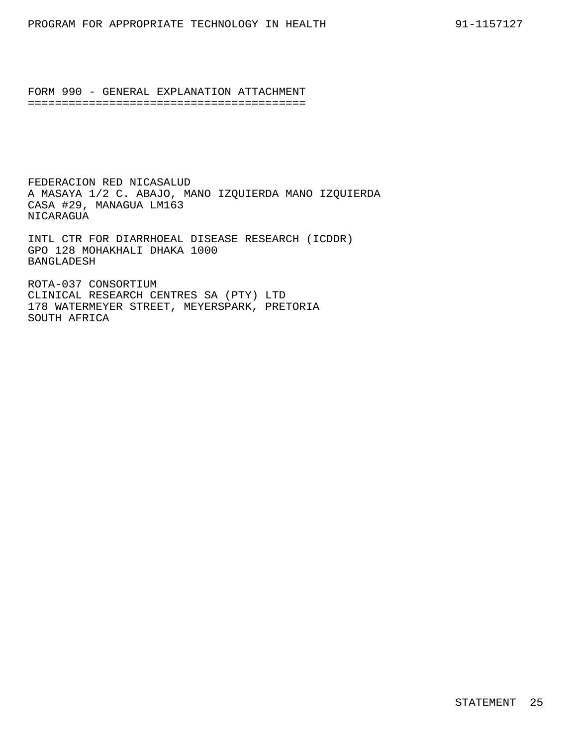FEDERACION RED NICASALUD A MASAYA 1/2 C. ABAJO, MANO IZQUIERDA MANO IZQUIERDA CASA #29, MANAGUA LM163 NICARAGUA

INTL CTR FOR DIARRHOEAL DISEASE RESEARCH (ICDDR) GPO 128 MOHAKHALI DHAKA 1000 BANGLADESH

ROTA-037 CONSORTIUM CLINICAL RESEARCH CENTRES SA (PTY) LTD 178 WATERMEYER STREET, MEYERSPARK, PRETORIA SOUTH AFRICA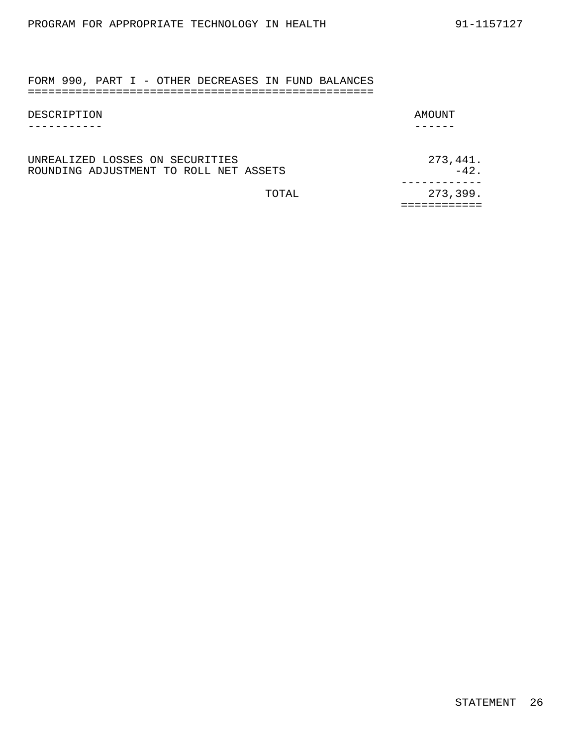FORM 990, PART I - OTHER DECREASES IN FUND BALANCES ===================================================

| DESCRIPTION                       | AMOUNT     |
|-----------------------------------|------------|
|                                   |            |
|                                   |            |
| INDEAI TEED I OCCEC ON CECIDITIEC | C 772 A 41 |

| UNREALIZED LOSSES ON SECURITIES        |        | 273,441. |
|----------------------------------------|--------|----------|
| ROUNDING ADJUSTMENT TO ROLL NET ASSETS |        | $-42$    |
|                                        |        |          |
|                                        | TOTAL. | 273,399. |
|                                        |        |          |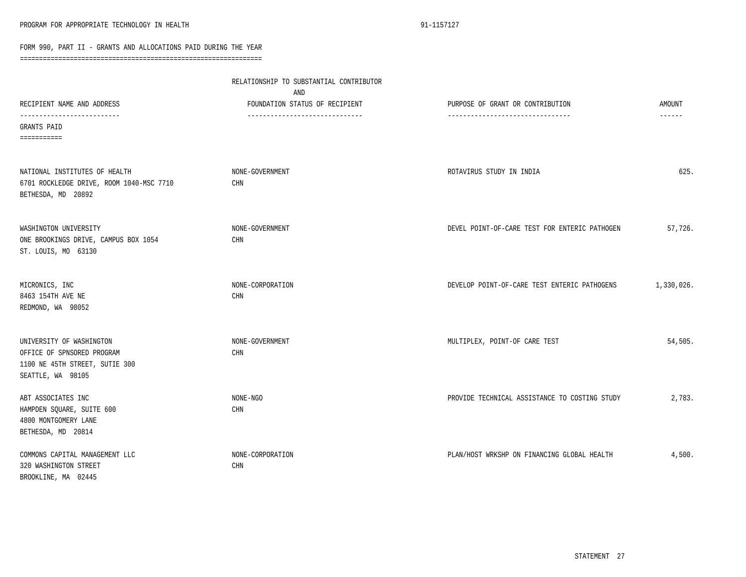|                                                                                                               | RELATIONSHIP TO SUBSTANTIAL CONTRIBUTOR<br>AND                    |                                                                      |                           |  |
|---------------------------------------------------------------------------------------------------------------|-------------------------------------------------------------------|----------------------------------------------------------------------|---------------------------|--|
| RECIPIENT NAME AND ADDRESS<br>-----------------------                                                         | FOUNDATION STATUS OF RECIPIENT<br>------------------------------- | PURPOSE OF GRANT OR CONTRIBUTION<br>-------------------------------- | AMOUNT<br>$- - - - - - -$ |  |
| GRANTS PAID<br>===========                                                                                    |                                                                   |                                                                      |                           |  |
| NATIONAL INSTITUTES OF HEALTH<br>6701 ROCKLEDGE DRIVE, ROOM 1040-MSC 7710<br>BETHESDA, MD 20892               | NONE-GOVERNMENT<br>CHN                                            | ROTAVIRUS STUDY IN INDIA                                             | 625.                      |  |
| WASHINGTON UNIVERSITY<br>ONE BROOKINGS DRIVE, CAMPUS BOX 1054<br>ST. LOUIS, MO 63130                          | NONE-GOVERNMENT<br>CHN                                            | DEVEL POINT-OF-CARE TEST FOR ENTERIC PATHOGEN                        | 57,726.                   |  |
| MICRONICS, INC<br>8463 154TH AVE NE<br>REDMOND, WA 98052                                                      | NONE-CORPORATION<br>CHN                                           | DEVELOP POINT-OF-CARE TEST ENTERIC PATHOGENS                         | 1,330,026.                |  |
| UNIVERSITY OF WASHINGTON<br>OFFICE OF SPNSORED PROGRAM<br>1100 NE 45TH STREET, SUTIE 300<br>SEATTLE, WA 98105 | NONE-GOVERNMENT<br>CHN                                            | MULTIPLEX, POINT-OF CARE TEST                                        | 54,505.                   |  |
| ABT ASSOCIATES INC<br>HAMPDEN SQUARE, SUITE 600<br>4800 MONTGOMERY LANE<br>BETHESDA, MD 20814                 | NONE-NGO<br>CHN                                                   | PROVIDE TECHNICAL ASSISTANCE TO COSTING STUDY                        | 2,783.                    |  |
| COMMONS CAPITAL MANAGEMENT LLC<br>320 WASHINGTON STREET<br>BROOKLINE, MA 02445                                | NONE-CORPORATION<br><b>CHN</b>                                    | PLAN/HOST WRKSHP ON FINANCING GLOBAL HEALTH                          | 4,500.                    |  |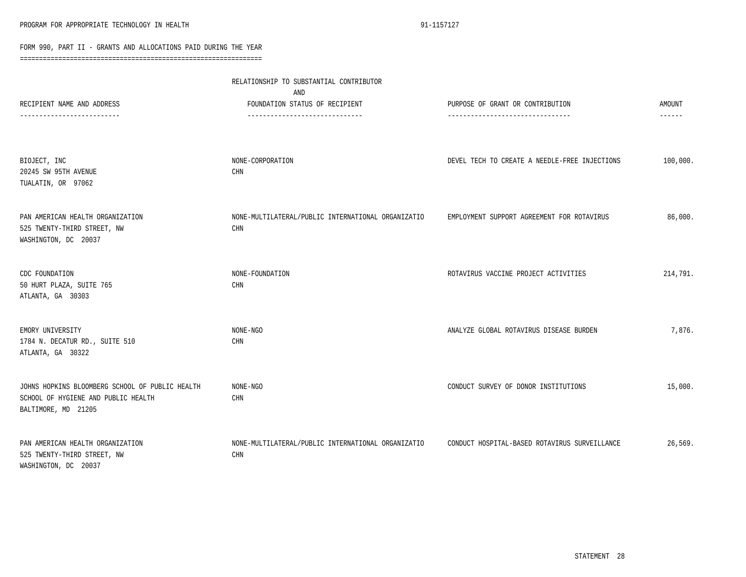| RECIPIENT NAME AND ADDRESS                                                                                    | RELATIONSHIP TO SUBSTANTIAL CONTRIBUTOR<br>AND<br>FOUNDATION STATUS OF RECIPIENT  | PURPOSE OF GRANT OR CONTRIBUTION              | AMOUNT   |
|---------------------------------------------------------------------------------------------------------------|-----------------------------------------------------------------------------------|-----------------------------------------------|----------|
| --------------------                                                                                          | ------------------------------                                                    |                                               | ------   |
| BIOJECT, INC<br>20245 SW 95TH AVENUE<br>TUALATIN, OR 97062                                                    | NONE-CORPORATION<br>CHN                                                           | DEVEL TECH TO CREATE A NEEDLE-FREE INJECTIONS | 100,000. |
| PAN AMERICAN HEALTH ORGANIZATION<br>525 TWENTY-THIRD STREET, NW<br>WASHINGTON, DC 20037                       | NONE-MULTILATERAL/PUBLIC INTERNATIONAL ORGANIZATIO<br>$\mathop{\rm CHN}\nolimits$ | EMPLOYMENT SUPPORT AGREEMENT FOR ROTAVIRUS    | 86,000.  |
| CDC FOUNDATION<br>50 HURT PLAZA, SUITE 765<br>ATLANTA, GA 30303                                               | NONE-FOUNDATION<br>CHN                                                            | ROTAVIRUS VACCINE PROJECT ACTIVITIES          | 214,791. |
| EMORY UNIVERSITY<br>1784 N. DECATUR RD., SUITE 510<br>ATLANTA, GA 30322                                       | NONE-NGO<br>CHN                                                                   | ANALYZE GLOBAL ROTAVIRUS DISEASE BURDEN       | 7,876.   |
| JOHNS HOPKINS BLOOMBERG SCHOOL OF PUBLIC HEALTH<br>SCHOOL OF HYGIENE AND PUBLIC HEALTH<br>BALTIMORE, MD 21205 | NONE-NGO<br>$\mathop{\rm CHN}\nolimits$                                           | CONDUCT SURVEY OF DONOR INSTITUTIONS          | 15,000.  |
| PAN AMERICAN HEALTH ORGANIZATION<br>525 TWENTY-THIRD STREET, NW<br>WASHINGTON, DC 20037                       | NONE-MULTILATERAL/PUBLIC INTERNATIONAL ORGANIZATIO<br>CHN                         | CONDUCT HOSPITAL-BASED ROTAVIRUS SURVEILLANCE | 26,569.  |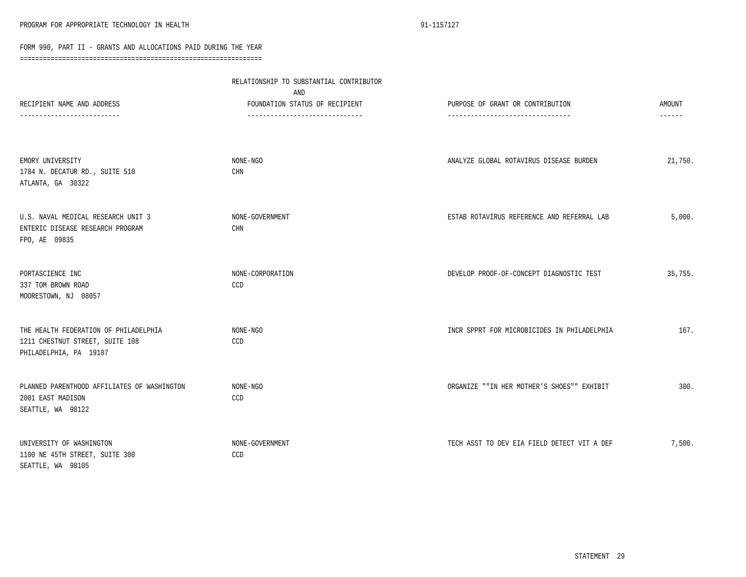|                                                                                                    | RELATIONSHIP TO SUBSTANTIAL CONTRIBUTOR<br>AND                    |                                                                       |                         |
|----------------------------------------------------------------------------------------------------|-------------------------------------------------------------------|-----------------------------------------------------------------------|-------------------------|
| RECIPIENT NAME AND ADDRESS                                                                         | FOUNDATION STATUS OF RECIPIENT<br>------------------------------- | PURPOSE OF GRANT OR CONTRIBUTION<br>--------------------------------- | AMOUNT<br>$- - - - - -$ |
| EMORY UNIVERSITY<br>1784 N. DECATUR RD., SUITE 510<br>ATLANTA, GA 30322                            | NONE-NGO<br>$\mathop{\rm CHN}\nolimits$                           | ANALYZE GLOBAL ROTAVIRUS DISEASE BURDEN                               | 21,750.                 |
| U.S. NAVAL MEDICAL RESEARCH UNIT 3<br>ENTERIC DISEASE RESEARCH PROGRAM<br>FPO, AE 09835            | NONE-GOVERNMENT<br>CHN                                            | ESTAB ROTAVIRUS REFERENCE AND REFERRAL LAB                            | 5,000.                  |
| PORTASCIENCE INC<br>337 TOM BROWN ROAD<br>MOORESTOWN, NJ 08057                                     | NONE-CORPORATION<br>CCD                                           | DEVELOP PROOF-OF-CONCEPT DIAGNOSTIC TEST                              | 35,755.                 |
| THE HEALTH FEDERATION OF PHILADELPHIA<br>1211 CHESTNUT STREET, SUITE 108<br>PHILADELPHIA, PA 19107 | NONE-NGO<br>CCD                                                   | INCR SPPRT FOR MICROBICIDES IN PHILADELPHIA                           | 167.                    |
| PLANNED PARENTHOOD AFFILIATES OF WASHINGTON<br>2001 EAST MADISON<br>SEATTLE, WA 98122              | NONE-NGO<br>CCD                                                   | ORGANIZE ""IN HER MOTHER'S SHOES"" EXHIBIT                            | 300.                    |
| UNIVERSITY OF WASHINGTON<br>1100 NE 45TH STREET, SUITE 300<br>SEATTLE, WA 98105                    | NONE-GOVERNMENT<br>CCD                                            | TECH ASST TO DEV EIA FIELD DETECT VIT A DEF                           | 7,500.                  |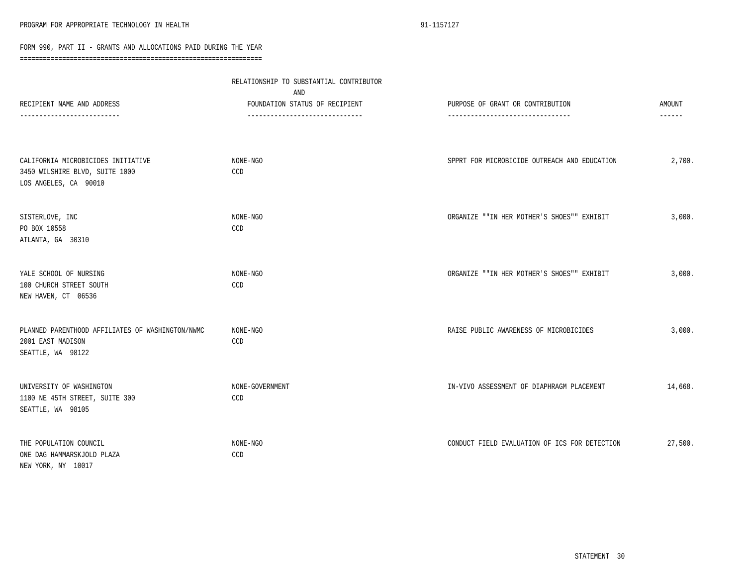|                                                                                               | RELATIONSHIP TO SUBSTANTIAL CONTRIBUTOR<br>AND                   |                                               |                           |  |
|-----------------------------------------------------------------------------------------------|------------------------------------------------------------------|-----------------------------------------------|---------------------------|--|
| RECIPIENT NAME AND ADDRESS<br>----------------------                                          | FOUNDATION STATUS OF RECIPIENT<br>------------------------------ | PURPOSE OF GRANT OR CONTRIBUTION              | AMOUNT<br>$- - - - - - -$ |  |
| CALIFORNIA MICROBICIDES INITIATIVE<br>3450 WILSHIRE BLVD, SUITE 1000<br>LOS ANGELES, CA 90010 | NONE-NGO<br>CCD                                                  | SPPRT FOR MICROBICIDE OUTREACH AND EDUCATION  | 2,700.                    |  |
| SISTERLOVE, INC<br>PO BOX 10558<br>ATLANTA, GA 30310                                          | NONE-NGO<br>CCD                                                  | ORGANIZE ""IN HER MOTHER'S SHOES"" EXHIBIT    | 3,000.                    |  |
| YALE SCHOOL OF NURSING<br>100 CHURCH STREET SOUTH<br>NEW HAVEN, CT 06536                      | NONE-NGO<br>CCD                                                  | ORGANIZE ""IN HER MOTHER'S SHOES"" EXHIBIT    | 3,000.                    |  |
| PLANNED PARENTHOOD AFFILIATES OF WASHINGTON/NWMC<br>2001 EAST MADISON<br>SEATTLE, WA 98122    | NONE-NGO<br>CCD                                                  | RAISE PUBLIC AWARENESS OF MICROBICIDES        | 3,000.                    |  |
| UNIVERSITY OF WASHINGTON<br>1100 NE 45TH STREET, SUITE 300<br>SEATTLE, WA 98105               | NONE-GOVERNMENT<br>CCD                                           | IN-VIVO ASSESSMENT OF DIAPHRAGM PLACEMENT     | 14,668.                   |  |
| THE POPULATION COUNCIL<br>ONE DAG HAMMARSKJOLD PLAZA<br>NEW YORK, NY 10017                    | $\texttt{NONE-NGO}$<br>CCD                                       | CONDUCT FIELD EVALUATION OF ICS FOR DETECTION | 27,500.                   |  |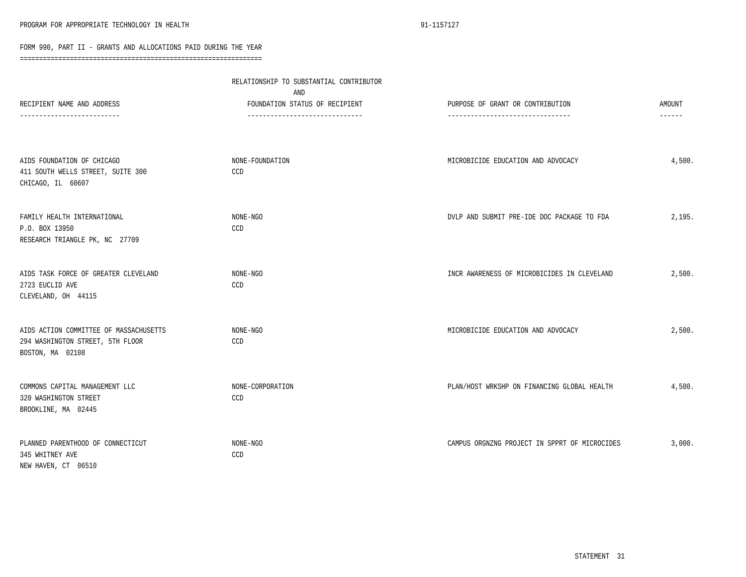|                                                                                                | RELATIONSHIP TO SUBSTANTIAL CONTRIBUTOR<br>AND                    |                                                                       |                                |  |
|------------------------------------------------------------------------------------------------|-------------------------------------------------------------------|-----------------------------------------------------------------------|--------------------------------|--|
| RECIPIENT NAME AND ADDRESS<br>-------------------------                                        | FOUNDATION STATUS OF RECIPIENT<br>------------------------------- | PURPOSE OF GRANT OR CONTRIBUTION<br>--------------------------------- | <b>AMOUNT</b><br>$- - - - - -$ |  |
| AIDS FOUNDATION OF CHICAGO<br>411 SOUTH WELLS STREET, SUITE 300<br>CHICAGO, IL 60607           | NONE-FOUNDATION<br>CCD                                            | MICROBICIDE EDUCATION AND ADVOCACY                                    | 4,500.                         |  |
| FAMILY HEALTH INTERNATIONAL<br>P.O. BOX 13950<br>RESEARCH TRIANGLE PK, NC 27709                | NONE-NGO<br>CCD                                                   | DVLP AND SUBMIT PRE-IDE DOC PACKAGE TO FDA                            | 2,195.                         |  |
| AIDS TASK FORCE OF GREATER CLEVELAND<br>2723 EUCLID AVE<br>CLEVELAND, OH 44115                 | NONE-NGO<br>CCD                                                   | INCR AWARENESS OF MICROBICIDES IN CLEVELAND                           | 2,500.                         |  |
| AIDS ACTION COMMITTEE OF MASSACHUSETTS<br>294 WASHINGTON STREET, 5TH FLOOR<br>BOSTON, MA 02108 | NONE-NGO<br>CCD                                                   | MICROBICIDE EDUCATION AND ADVOCACY                                    | 2,500.                         |  |
| COMMONS CAPITAL MANAGEMENT LLC<br>320 WASHINGTON STREET<br>BROOKLINE, MA 02445                 | NONE-CORPORATION<br>CCD                                           | PLAN/HOST WRKSHP ON FINANCING GLOBAL HEALTH                           | 4,500.                         |  |
| PLANNED PARENTHOOD OF CONNECTICUT<br>345 WHITNEY AVE<br>NEW HAVEN, CT 06510                    | NONE-NGO<br>CCD                                                   | CAMPUS ORGNZNG PROJECT IN SPPRT OF MICROCIDES                         | 3,000.                         |  |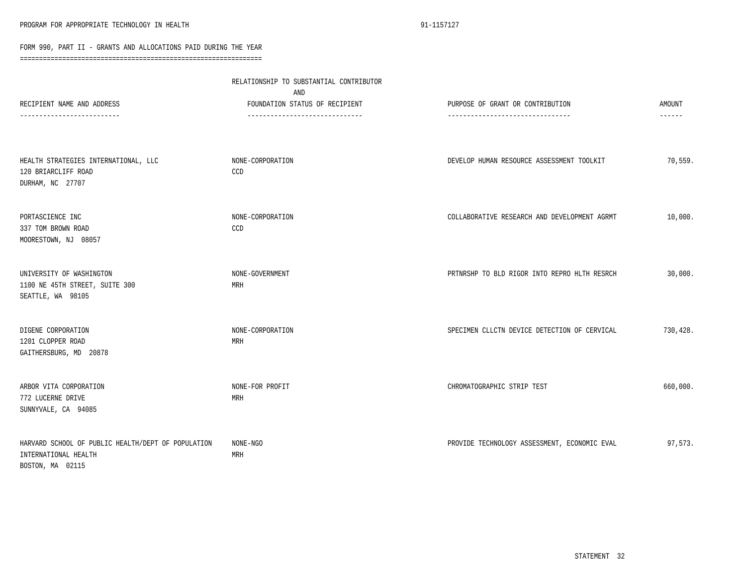|                                                                                                | RELATIONSHIP TO SUBSTANTIAL CONTRIBUTOR<br>AND                   |                                                                    |                         |  |
|------------------------------------------------------------------------------------------------|------------------------------------------------------------------|--------------------------------------------------------------------|-------------------------|--|
| RECIPIENT NAME AND ADDRESS<br>--------------------                                             | FOUNDATION STATUS OF RECIPIENT<br>------------------------------ | PURPOSE OF GRANT OR CONTRIBUTION<br>------------------------------ | AMOUNT<br>$- - - - - -$ |  |
| HEALTH STRATEGIES INTERNATIONAL, LLC<br>120 BRIARCLIFF ROAD<br>DURHAM, NC 27707                | NONE-CORPORATION<br>CCD                                          | DEVELOP HUMAN RESOURCE ASSESSMENT TOOLKIT                          | 70,559.                 |  |
| PORTASCIENCE INC<br>337 TOM BROWN ROAD<br>MOORESTOWN, NJ 08057                                 | NONE-CORPORATION<br>CCD                                          | COLLABORATIVE RESEARCH AND DEVELOPMENT AGRMT                       | 10,000.                 |  |
| UNIVERSITY OF WASHINGTON<br>1100 NE 45TH STREET, SUITE 300<br>SEATTLE, WA 98105                | NONE-GOVERNMENT<br>MRH                                           | PRTNRSHP TO BLD RIGOR INTO REPRO HLTH RESRCH                       | 30,000.                 |  |
| DIGENE CORPORATION<br>1201 CLOPPER ROAD<br>GAITHERSBURG, MD 20878                              | NONE-CORPORATION<br>MRH                                          | SPECIMEN CLLCTN DEVICE DETECTION OF CERVICAL                       | 730,428.                |  |
| ARBOR VITA CORPORATION<br>772 LUCERNE DRIVE<br>SUNNYVALE, CA 94085                             | NONE-FOR PROFIT<br>MRH                                           | CHROMATOGRAPHIC STRIP TEST                                         | 660,000.                |  |
| HARVARD SCHOOL OF PUBLIC HEALTH/DEPT OF POPULATION<br>INTERNATIONAL HEALTH<br>BOSTON, MA 02115 | NONE-NGO<br>MRH                                                  | PROVIDE TECHNOLOGY ASSESSMENT, ECONOMIC EVAL                       | 97,573.                 |  |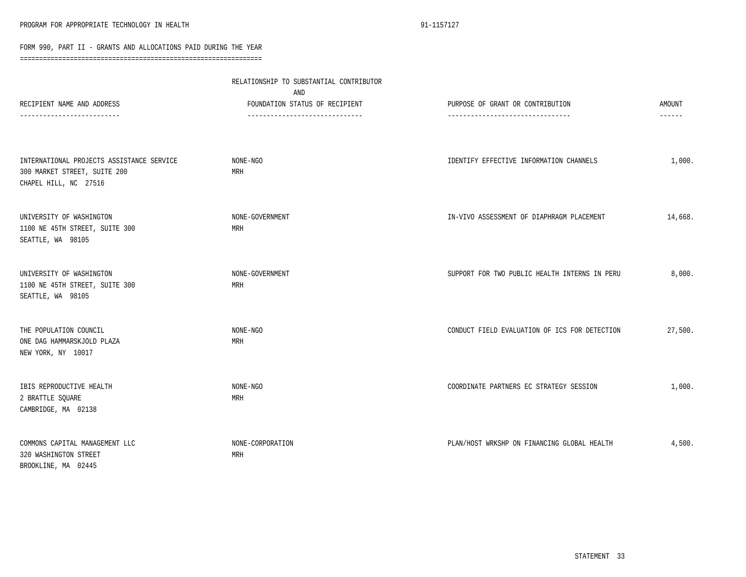|                                                                                                    | RELATIONSHIP TO SUBSTANTIAL CONTRIBUTOR<br>AND                    |                                                                      |                  |  |
|----------------------------------------------------------------------------------------------------|-------------------------------------------------------------------|----------------------------------------------------------------------|------------------|--|
| RECIPIENT NAME AND ADDRESS<br>--------------------                                                 | FOUNDATION STATUS OF RECIPIENT<br>------------------------------- | PURPOSE OF GRANT OR CONTRIBUTION<br>-------------------------------- | AMOUNT<br>------ |  |
| INTERNATIONAL PROJECTS ASSISTANCE SERVICE<br>300 MARKET STREET, SUITE 200<br>CHAPEL HILL, NC 27516 | NONE-NGO<br>MRH                                                   | IDENTIFY EFFECTIVE INFORMATION CHANNELS                              | 1,000.           |  |
| UNIVERSITY OF WASHINGTON<br>1100 NE 45TH STREET, SUITE 300<br>SEATTLE, WA 98105                    | NONE-GOVERNMENT<br>MRH                                            | IN-VIVO ASSESSMENT OF DIAPHRAGM PLACEMENT                            | 14,668.          |  |
| UNIVERSITY OF WASHINGTON<br>1100 NE 45TH STREET, SUITE 300<br>SEATTLE, WA 98105                    | NONE-GOVERNMENT<br>MRH                                            | SUPPORT FOR TWO PUBLIC HEALTH INTERNS IN PERU                        | 8,000.           |  |
| THE POPULATION COUNCIL<br>ONE DAG HAMMARSKJOLD PLAZA<br>NEW YORK, NY 10017                         | NONE-NGO<br>MRH                                                   | CONDUCT FIELD EVALUATION OF ICS FOR DETECTION                        | 27,500.          |  |
| IBIS REPRODUCTIVE HEALTH<br>2 BRATTLE SQUARE<br>CAMBRIDGE, MA 02138                                | NONE-NGO<br>MRH                                                   | COORDINATE PARTNERS EC STRATEGY SESSION                              | 1,000.           |  |
| COMMONS CAPITAL MANAGEMENT LLC<br>320 WASHINGTON STREET<br>BROOKLINE, MA 02445                     | NONE-CORPORATION<br>MRH                                           | PLAN/HOST WRKSHP ON FINANCING GLOBAL HEALTH                          | 4,500.           |  |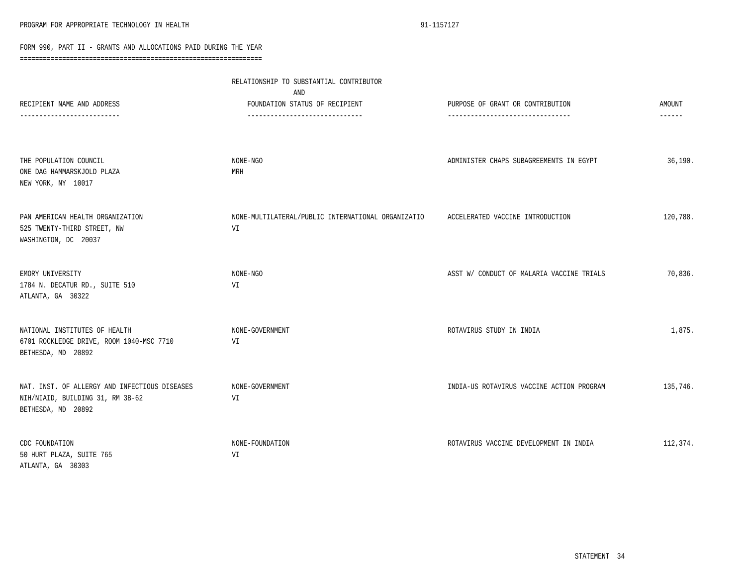|                                                                                                         | RELATIONSHIP TO SUBSTANTIAL CONTRIBUTOR<br>AND                   |                                           |                         |
|---------------------------------------------------------------------------------------------------------|------------------------------------------------------------------|-------------------------------------------|-------------------------|
| RECIPIENT NAME AND ADDRESS<br>-------------------                                                       | FOUNDATION STATUS OF RECIPIENT<br>------------------------------ | PURPOSE OF GRANT OR CONTRIBUTION          | <b>AMOUNT</b><br>------ |
| THE POPULATION COUNCIL<br>ONE DAG HAMMARSKJOLD PLAZA<br>NEW YORK, NY 10017                              | NONE-NGO<br>MRH                                                  | ADMINISTER CHAPS SUBAGREEMENTS IN EGYPT   | 36,190.                 |
| PAN AMERICAN HEALTH ORGANIZATION<br>525 TWENTY-THIRD STREET, NW<br>WASHINGTON, DC 20037                 | NONE-MULTILATERAL/PUBLIC INTERNATIONAL ORGANIZATIO<br>VI         | ACCELERATED VACCINE INTRODUCTION          | 120,788.                |
| EMORY UNIVERSITY<br>1784 N. DECATUR RD., SUITE 510<br>ATLANTA, GA 30322                                 | NONE-NGO<br>VI                                                   | ASST W/ CONDUCT OF MALARIA VACCINE TRIALS | 70,836.                 |
| NATIONAL INSTITUTES OF HEALTH<br>6701 ROCKLEDGE DRIVE, ROOM 1040-MSC 7710<br>BETHESDA, MD 20892         | NONE-GOVERNMENT<br>VI                                            | ROTAVIRUS STUDY IN INDIA                  | 1,875.                  |
| NAT. INST. OF ALLERGY AND INFECTIOUS DISEASES<br>NIH/NIAID, BUILDING 31, RM 3B-62<br>BETHESDA, MD 20892 | NONE-GOVERNMENT<br>VI                                            | INDIA-US ROTAVIRUS VACCINE ACTION PROGRAM | 135,746.                |
| CDC FOUNDATION<br>50 HURT PLAZA, SUITE 765<br>ATLANTA, GA 30303                                         | NONE-FOUNDATION<br>VI                                            | ROTAVIRUS VACCINE DEVELOPMENT IN INDIA    | 112,374.                |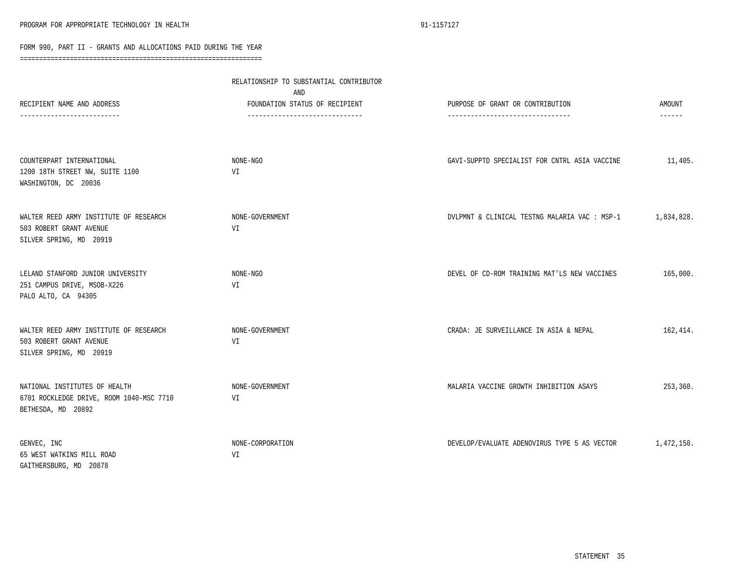| RECIPIENT NAME AND ADDRESS                                                                      | RELATIONSHIP TO SUBSTANTIAL CONTRIBUTOR<br>AND<br>FOUNDATION STATUS OF RECIPIENT | PURPOSE OF GRANT OR CONTRIBUTION              | <b>AMOUNT</b> |
|-------------------------------------------------------------------------------------------------|----------------------------------------------------------------------------------|-----------------------------------------------|---------------|
| --------------------                                                                            | -------------------------------                                                  | ---------------------------------             | ------        |
| COUNTERPART INTERNATIONAL<br>1200 18TH STREET NW, SUITE 1100<br>WASHINGTON, DC 20036            | NONE-NGO<br>VI                                                                   | GAVI-SUPPTD SPECIALIST FOR CNTRL ASIA VACCINE | 11,405.       |
| WALTER REED ARMY INSTITUTE OF RESEARCH<br>503 ROBERT GRANT AVENUE<br>SILVER SPRING, MD 20919    | NONE-GOVERNMENT<br>VI                                                            | DVLPMNT & CLINICAL TESTNG MALARIA VAC : MSP-1 | 1,834,828.    |
| LELAND STANFORD JUNIOR UNIVERSITY<br>251 CAMPUS DRIVE, MSOB-X226<br>PALO ALTO, CA 94305         | NONE-NGO<br>VI                                                                   | DEVEL OF CD-ROM TRAINING MAT'LS NEW VACCINES  | 165,000.      |
| WALTER REED ARMY INSTITUTE OF RESEARCH<br>503 ROBERT GRANT AVENUE<br>SILVER SPRING, MD 20919    | NONE-GOVERNMENT<br>VI                                                            | CRADA: JE SURVEILLANCE IN ASIA & NEPAL        | 162,414.      |
| NATIONAL INSTITUTES OF HEALTH<br>6701 ROCKLEDGE DRIVE, ROOM 1040-MSC 7710<br>BETHESDA, MD 20892 | NONE-GOVERNMENT<br>VI                                                            | MALARIA VACCINE GROWTH INHIBITION ASAYS       | 253,360.      |
| GENVEC, INC<br>65 WEST WATKINS MILL ROAD<br>GAITHERSBURG, MD 20878                              | NONE-CORPORATION<br>VI                                                           | DEVELOP/EVALUATE ADENOVIRUS TYPE 5 AS VECTOR  | 1,472,150.    |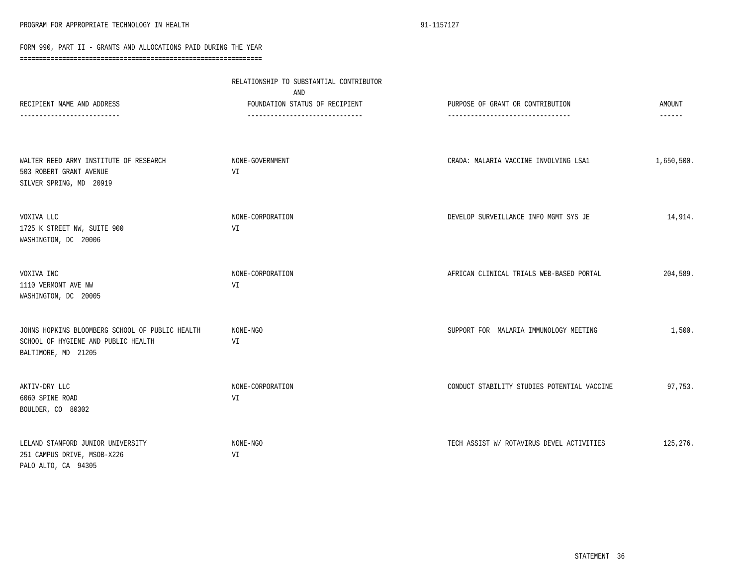|                                                                                                               | RELATIONSHIP TO SUBSTANTIAL CONTRIBUTOR<br>AND                   |                                                                      |                                  |  |
|---------------------------------------------------------------------------------------------------------------|------------------------------------------------------------------|----------------------------------------------------------------------|----------------------------------|--|
| RECIPIENT NAME AND ADDRESS                                                                                    | FOUNDATION STATUS OF RECIPIENT<br>------------------------------ | PURPOSE OF GRANT OR CONTRIBUTION<br>-------------------------------- | <b>AMOUNT</b><br>$- - - - - - -$ |  |
| WALTER REED ARMY INSTITUTE OF RESEARCH<br>503 ROBERT GRANT AVENUE<br>SILVER SPRING, MD 20919                  | NONE-GOVERNMENT<br>VI                                            | CRADA: MALARIA VACCINE INVOLVING LSA1                                | 1,650,500.                       |  |
| VOXIVA LLC<br>1725 K STREET NW, SUITE 900<br>WASHINGTON, DC 20006                                             | NONE-CORPORATION<br>VI                                           | DEVELOP SURVEILLANCE INFO MGMT SYS JE                                | 14,914.                          |  |
| VOXIVA INC<br>1110 VERMONT AVE NW<br>WASHINGTON, DC 20005                                                     | NONE-CORPORATION<br>VI                                           | AFRICAN CLINICAL TRIALS WEB-BASED PORTAL                             | 204,589.                         |  |
| JOHNS HOPKINS BLOOMBERG SCHOOL OF PUBLIC HEALTH<br>SCHOOL OF HYGIENE AND PUBLIC HEALTH<br>BALTIMORE, MD 21205 | NONE-NGO<br>VI                                                   | SUPPORT FOR MALARIA IMMUNOLOGY MEETING                               | 1,500.                           |  |
| AKTIV-DRY LLC<br>6060 SPINE ROAD<br>BOULDER, CO 80302                                                         | NONE-CORPORATION<br>VI                                           | CONDUCT STABILITY STUDIES POTENTIAL VACCINE                          | 97,753.                          |  |
| LELAND STANFORD JUNIOR UNIVERSITY<br>251 CAMPUS DRIVE, MSOB-X226<br>PALO ALTO, CA 94305                       | NONE-NGO<br>VI                                                   | TECH ASSIST W/ ROTAVIRUS DEVEL ACTIVITIES                            | 125,276.                         |  |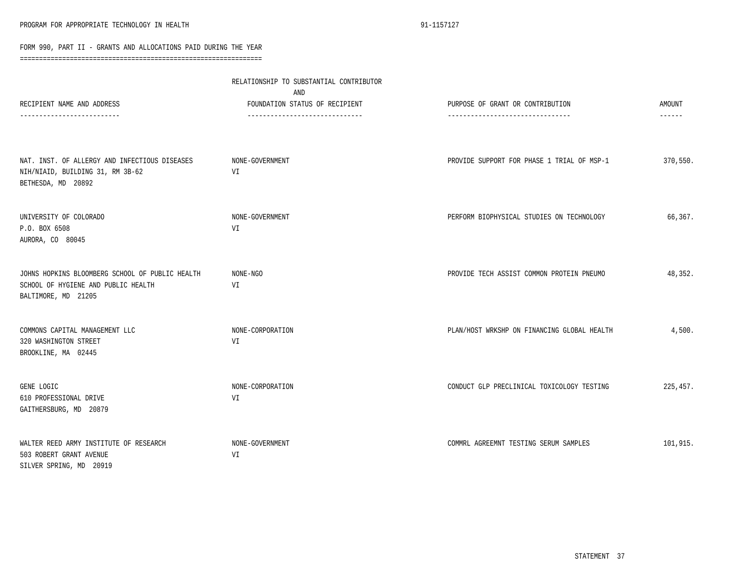| RECIPIENT NAME AND ADDRESS                                                                                    | RELATIONSHIP TO SUBSTANTIAL CONTRIBUTOR<br>AND<br>FOUNDATION STATUS OF RECIPIENT | PURPOSE OF GRANT OR CONTRIBUTION            | AMOUNT   |
|---------------------------------------------------------------------------------------------------------------|----------------------------------------------------------------------------------|---------------------------------------------|----------|
|                                                                                                               | ------------------------------                                                   | -----------------------------               | ------   |
| NAT. INST. OF ALLERGY AND INFECTIOUS DISEASES<br>NIH/NIAID, BUILDING 31, RM 3B-62<br>BETHESDA, MD 20892       | NONE-GOVERNMENT<br>VI                                                            | PROVIDE SUPPORT FOR PHASE 1 TRIAL OF MSP-1  | 370,550. |
| UNIVERSITY OF COLORADO<br>P.O. BOX 6508<br>AURORA, CO 80045                                                   | NONE-GOVERNMENT<br>VI                                                            | PERFORM BIOPHYSICAL STUDIES ON TECHNOLOGY   | 66,367.  |
| JOHNS HOPKINS BLOOMBERG SCHOOL OF PUBLIC HEALTH<br>SCHOOL OF HYGIENE AND PUBLIC HEALTH<br>BALTIMORE, MD 21205 | NONE-NGO<br>VI                                                                   | PROVIDE TECH ASSIST COMMON PROTEIN PNEUMO   | 48,352.  |
| COMMONS CAPITAL MANAGEMENT LLC<br>320 WASHINGTON STREET<br>BROOKLINE, MA 02445                                | NONE-CORPORATION<br>VI                                                           | PLAN/HOST WRKSHP ON FINANCING GLOBAL HEALTH | 4,500.   |
| GENE LOGIC<br>610 PROFESSIONAL DRIVE<br>GAITHERSBURG, MD 20879                                                | NONE-CORPORATION<br>VI                                                           | CONDUCT GLP PRECLINICAL TOXICOLOGY TESTING  | 225,457. |
| WALTER REED ARMY INSTITUTE OF RESEARCH<br>503 ROBERT GRANT AVENUE<br>SILVER SPRING, MD 20919                  | NONE-GOVERNMENT<br>VI                                                            | COMMRL AGREEMNT TESTING SERUM SAMPLES       | 101,915. |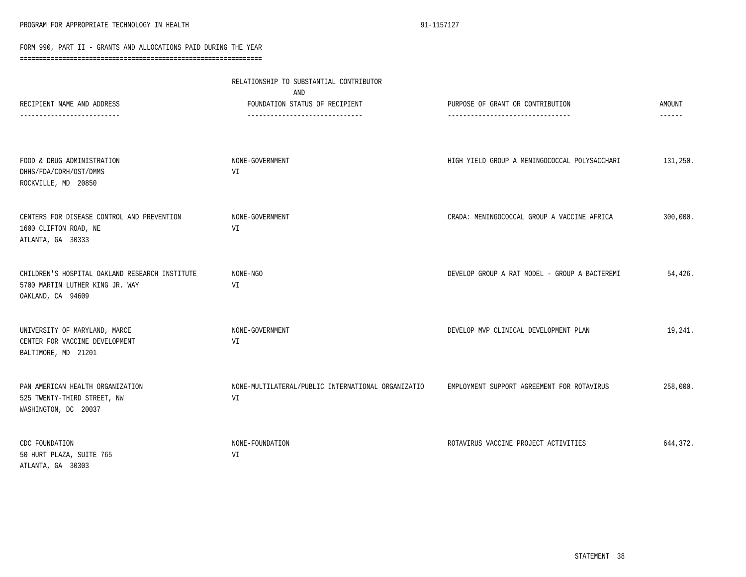|                                                                                                        | RELATIONSHIP TO SUBSTANTIAL CONTRIBUTOR<br>AND                   |                                                                       |                         |
|--------------------------------------------------------------------------------------------------------|------------------------------------------------------------------|-----------------------------------------------------------------------|-------------------------|
| RECIPIENT NAME AND ADDRESS                                                                             | FOUNDATION STATUS OF RECIPIENT<br>------------------------------ | PURPOSE OF GRANT OR CONTRIBUTION<br>--------------------------------- | AMOUNT<br>$- - - - - -$ |
| FOOD & DRUG ADMINISTRATION<br>DHHS/FDA/CDRH/OST/DMMS<br>ROCKVILLE, MD 20850                            | NONE-GOVERNMENT<br>VI                                            | HIGH YIELD GROUP A MENINGOCOCCAL POLYSACCHARI                         | 131,250.                |
| CENTERS FOR DISEASE CONTROL AND PREVENTION<br>1600 CLIFTON ROAD, NE<br>ATLANTA, GA 30333               | NONE-GOVERNMENT<br>VI                                            | CRADA: MENINGOCOCCAL GROUP A VACCINE AFRICA                           | 300,000.                |
| CHILDREN'S HOSPITAL OAKLAND RESEARCH INSTITUTE<br>5700 MARTIN LUTHER KING JR. WAY<br>OAKLAND, CA 94609 | NONE-NGO<br>VI                                                   | DEVELOP GROUP A RAT MODEL - GROUP A BACTEREMI                         | 54,426.                 |
| UNIVERSITY OF MARYLAND, MARCE<br>CENTER FOR VACCINE DEVELOPMENT<br>BALTIMORE, MD 21201                 | NONE-GOVERNMENT<br>VI                                            | DEVELOP MVP CLINICAL DEVELOPMENT PLAN                                 | 19,241.                 |
| PAN AMERICAN HEALTH ORGANIZATION<br>525 TWENTY-THIRD STREET, NW<br>WASHINGTON, DC 20037                | NONE-MULTILATERAL/PUBLIC INTERNATIONAL ORGANIZATIO<br>VI         | EMPLOYMENT SUPPORT AGREEMENT FOR ROTAVIRUS                            | 258,000.                |
| CDC FOUNDATION<br>50 HURT PLAZA, SUITE 765<br>ATLANTA, GA 30303                                        | NONE-FOUNDATION<br>VI                                            | ROTAVIRUS VACCINE PROJECT ACTIVITIES                                  | 644,372.                |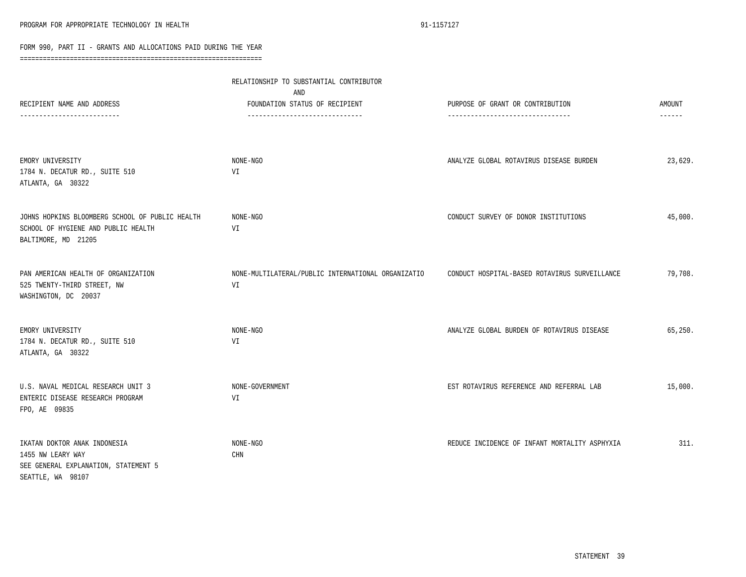|                                                                                                                | RELATIONSHIP TO SUBSTANTIAL CONTRIBUTOR<br>AND                    |                                                                       |                                |
|----------------------------------------------------------------------------------------------------------------|-------------------------------------------------------------------|-----------------------------------------------------------------------|--------------------------------|
| RECIPIENT NAME AND ADDRESS                                                                                     | FOUNDATION STATUS OF RECIPIENT<br>------------------------------- | PURPOSE OF GRANT OR CONTRIBUTION<br>--------------------------------- | <b>AMOUNT</b><br>$- - - - - -$ |
| EMORY UNIVERSITY<br>1784 N. DECATUR RD., SUITE 510<br>ATLANTA, GA 30322                                        | NONE-NGO<br>VI                                                    | ANALYZE GLOBAL ROTAVIRUS DISEASE BURDEN                               | 23,629.                        |
| JOHNS HOPKINS BLOOMBERG SCHOOL OF PUBLIC HEALTH<br>SCHOOL OF HYGIENE AND PUBLIC HEALTH<br>BALTIMORE, MD 21205  | NONE-NGO<br>VI                                                    | CONDUCT SURVEY OF DONOR INSTITUTIONS                                  | 45,000.                        |
| PAN AMERICAN HEALTH OF ORGANIZATION<br>525 TWENTY-THIRD STREET, NW<br>WASHINGTON, DC 20037                     | NONE-MULTILATERAL/PUBLIC INTERNATIONAL ORGANIZATIO<br>VI          | CONDUCT HOSPITAL-BASED ROTAVIRUS SURVEILLANCE                         | 79,708.                        |
| EMORY UNIVERSITY<br>1784 N. DECATUR RD., SUITE 510<br>ATLANTA, GA 30322                                        | NONE-NGO<br>VI                                                    | ANALYZE GLOBAL BURDEN OF ROTAVIRUS DISEASE                            | 65,250.                        |
| U.S. NAVAL MEDICAL RESEARCH UNIT 3<br>ENTERIC DISEASE RESEARCH PROGRAM<br>FPO, AE 09835                        | NONE-GOVERNMENT<br>VI                                             | EST ROTAVIRUS REFERENCE AND REFERRAL LAB                              | 15,000.                        |
| IKATAN DOKTOR ANAK INDONESIA<br>1455 NW LEARY WAY<br>SEE GENERAL EXPLANATION, STATEMENT 5<br>SEATTLE, WA 98107 | NONE-NGO<br>CHN                                                   | REDUCE INCIDENCE OF INFANT MORTALITY ASPHYXIA                         | 311.                           |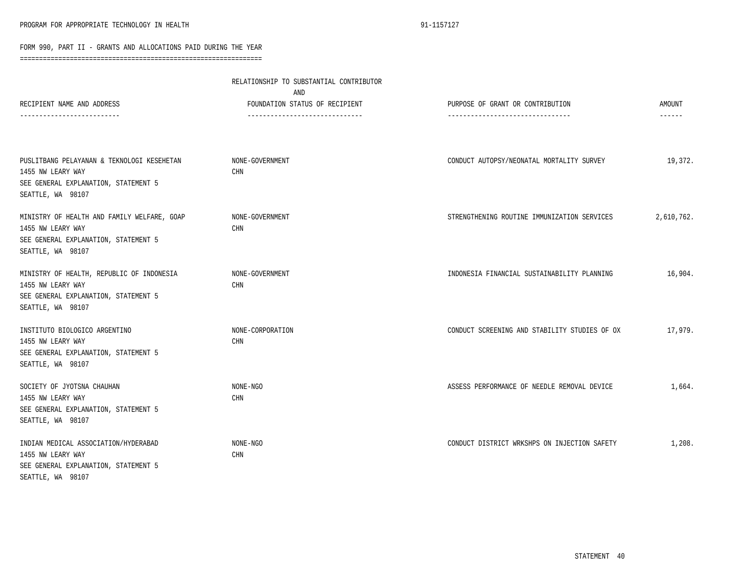|                                                                                                                               | RELATIONSHIP TO SUBSTANTIAL CONTRIBUTOR<br>AND                    |                                                                      |                         |  |
|-------------------------------------------------------------------------------------------------------------------------------|-------------------------------------------------------------------|----------------------------------------------------------------------|-------------------------|--|
| RECIPIENT NAME AND ADDRESS<br>-----------------------                                                                         | FOUNDATION STATUS OF RECIPIENT<br>------------------------------- | PURPOSE OF GRANT OR CONTRIBUTION<br>-------------------------------- | AMOUNT<br>$- - - - - -$ |  |
| PUSLITBANG PELAYANAN & TEKNOLOGI KESEHETAN<br>1455 NW LEARY WAY<br>SEE GENERAL EXPLANATION, STATEMENT 5<br>SEATTLE, WA 98107  | NONE-GOVERNMENT<br>CHN                                            | CONDUCT AUTOPSY/NEONATAL MORTALITY SURVEY                            | 19,372.                 |  |
| MINISTRY OF HEALTH AND FAMILY WELFARE, GOAP<br>1455 NW LEARY WAY<br>SEE GENERAL EXPLANATION, STATEMENT 5<br>SEATTLE, WA 98107 | NONE-GOVERNMENT<br><b>CHN</b>                                     | STRENGTHENING ROUTINE IMMUNIZATION SERVICES                          | 2,610,762.              |  |
| MINISTRY OF HEALTH, REPUBLIC OF INDONESIA<br>1455 NW LEARY WAY<br>SEE GENERAL EXPLANATION, STATEMENT 5<br>SEATTLE, WA 98107   | NONE-GOVERNMENT<br><b>CHN</b>                                     | INDONESIA FINANCIAL SUSTAINABILITY PLANNING                          | 16,904.                 |  |
| INSTITUTO BIOLOGICO ARGENTINO<br>1455 NW LEARY WAY<br>SEE GENERAL EXPLANATION, STATEMENT 5<br>SEATTLE, WA 98107               | NONE-CORPORATION<br>CHN                                           | CONDUCT SCREENING AND STABILITY STUDIES OF OX                        | 17,979.                 |  |
| SOCIETY OF JYOTSNA CHAUHAN<br>1455 NW LEARY WAY<br>SEE GENERAL EXPLANATION, STATEMENT 5<br>SEATTLE, WA 98107                  | NONE-NGO<br><b>CHN</b>                                            | ASSESS PERFORMANCE OF NEEDLE REMOVAL DEVICE                          | 1,664.                  |  |
| INDIAN MEDICAL ASSOCIATION/HYDERABAD<br>1455 NW LEARY WAY<br>SEE GENERAL EXPLANATION, STATEMENT 5<br>SEATTLE, WA 98107        | NONE-NGO<br>CHN                                                   | CONDUCT DISTRICT WRKSHPS ON INJECTION SAFETY                         | 1,208.                  |  |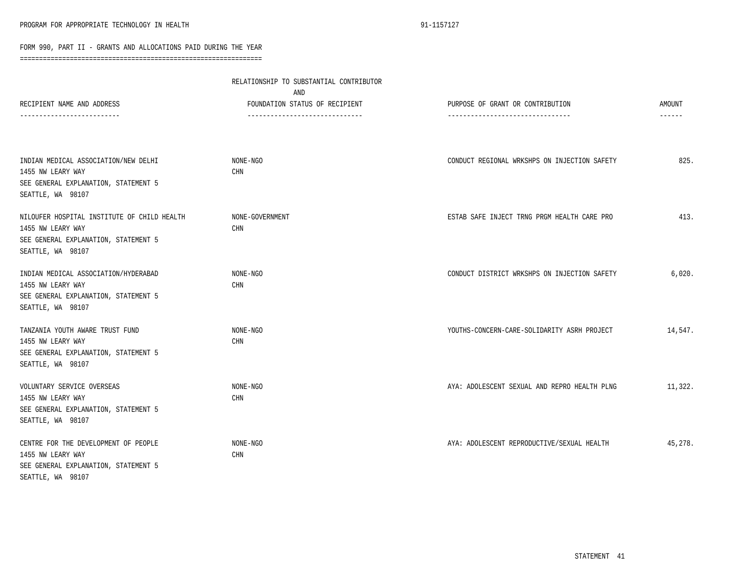| RECIPIENT NAME AND ADDRESS<br>-----------------------                                                                         | RELATIONSHIP TO SUBSTANTIAL CONTRIBUTOR<br>AND<br>FOUNDATION STATUS OF RECIPIENT<br>------------------------------- | PURPOSE OF GRANT OR CONTRIBUTION<br>--------------------------------- | <b>AMOUNT</b><br>$- - - - - -$ |
|-------------------------------------------------------------------------------------------------------------------------------|---------------------------------------------------------------------------------------------------------------------|-----------------------------------------------------------------------|--------------------------------|
| INDIAN MEDICAL ASSOCIATION/NEW DELHI<br>1455 NW LEARY WAY<br>SEE GENERAL EXPLANATION, STATEMENT 5<br>SEATTLE, WA 98107        | NONE-NGO<br><b>CHN</b>                                                                                              | CONDUCT REGIONAL WRKSHPS ON INJECTION SAFETY                          | 825.                           |
| NILOUFER HOSPITAL INSTITUTE OF CHILD HEALTH<br>1455 NW LEARY WAY<br>SEE GENERAL EXPLANATION, STATEMENT 5<br>SEATTLE, WA 98107 | NONE-GOVERNMENT<br><b>CHN</b>                                                                                       | ESTAB SAFE INJECT TRNG PRGM HEALTH CARE PRO                           | 413.                           |
| INDIAN MEDICAL ASSOCIATION/HYDERABAD<br>1455 NW LEARY WAY<br>SEE GENERAL EXPLANATION, STATEMENT 5<br>SEATTLE, WA 98107        | NONE-NGO<br><b>CHN</b>                                                                                              | CONDUCT DISTRICT WRKSHPS ON INJECTION SAFETY                          | 6,020.                         |
| TANZANIA YOUTH AWARE TRUST FUND<br>1455 NW LEARY WAY<br>SEE GENERAL EXPLANATION, STATEMENT 5<br>SEATTLE, WA 98107             | NONE-NGO<br>CHN                                                                                                     | YOUTHS-CONCERN-CARE-SOLIDARITY ASRH PROJECT                           | 14,547.                        |
| VOLUNTARY SERVICE OVERSEAS<br>1455 NW LEARY WAY<br>SEE GENERAL EXPLANATION, STATEMENT 5<br>SEATTLE, WA 98107                  | NONE-NGO<br>CHN                                                                                                     | AYA: ADOLESCENT SEXUAL AND REPRO HEALTH PLNG                          | 11,322.                        |
| CENTRE FOR THE DEVELOPMENT OF PEOPLE<br>1455 NW LEARY WAY<br>SEE GENERAL EXPLANATION, STATEMENT 5<br>SEATTLE, WA 98107        | NONE-NGO<br><b>CHN</b>                                                                                              | AYA: ADOLESCENT REPRODUCTIVE/SEXUAL HEALTH                            | 45,278.                        |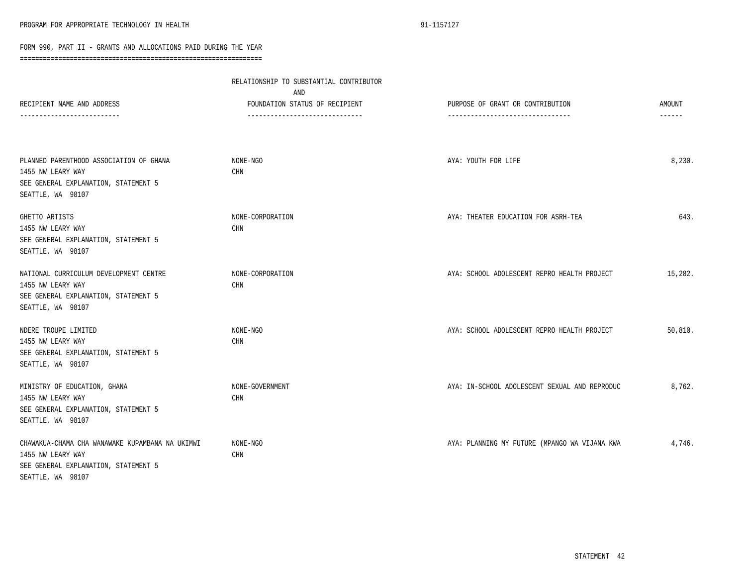|                                                                                                                                   | RELATIONSHIP TO SUBSTANTIAL CONTRIBUTOR<br>AND |                                               |               |
|-----------------------------------------------------------------------------------------------------------------------------------|------------------------------------------------|-----------------------------------------------|---------------|
| RECIPIENT NAME AND ADDRESS                                                                                                        | FOUNDATION STATUS OF RECIPIENT                 | PURPOSE OF GRANT OR CONTRIBUTION              | <b>AMOUNT</b> |
|                                                                                                                                   | -------------------------------                | ---------------------------------             | ------        |
| PLANNED PARENTHOOD ASSOCIATION OF GHANA<br>1455 NW LEARY WAY<br>SEE GENERAL EXPLANATION, STATEMENT 5<br>SEATTLE, WA 98107         | NONE-NGO<br>CHN                                | AYA: YOUTH FOR LIFE                           | 8,230.        |
| GHETTO ARTISTS<br>1455 NW LEARY WAY<br>SEE GENERAL EXPLANATION, STATEMENT 5<br>SEATTLE, WA 98107                                  | NONE-CORPORATION<br>CHN                        | AYA: THEATER EDUCATION FOR ASRH-TEA           | 643.          |
| NATIONAL CURRICULUM DEVELOPMENT CENTRE<br>1455 NW LEARY WAY<br>SEE GENERAL EXPLANATION, STATEMENT 5<br>SEATTLE, WA 98107          | NONE-CORPORATION<br>CHN                        | AYA: SCHOOL ADOLESCENT REPRO HEALTH PROJECT   | 15,282.       |
| NDERE TROUPE LIMITED<br>1455 NW LEARY WAY<br>SEE GENERAL EXPLANATION, STATEMENT 5<br>SEATTLE, WA 98107                            | NONE-NGO<br>CHN                                | AYA: SCHOOL ADOLESCENT REPRO HEALTH PROJECT   | 50,810.       |
| MINISTRY OF EDUCATION, GHANA<br>1455 NW LEARY WAY<br>SEE GENERAL EXPLANATION, STATEMENT 5<br>SEATTLE, WA 98107                    | NONE-GOVERNMENT<br>CHN                         | AYA: IN-SCHOOL ADOLESCENT SEXUAL AND REPRODUC | 8,762.        |
| CHAWAKUA-CHAMA CHA WANAWAKE KUPAMBANA NA UKIMWI<br>1455 NW LEARY WAY<br>SEE GENERAL EXPLANATION, STATEMENT 5<br>SEATTLE, WA 98107 | NONE-NGO<br>CHN                                | AYA: PLANNING MY FUTURE (MPANGO WA VIJANA KWA | 4,746.        |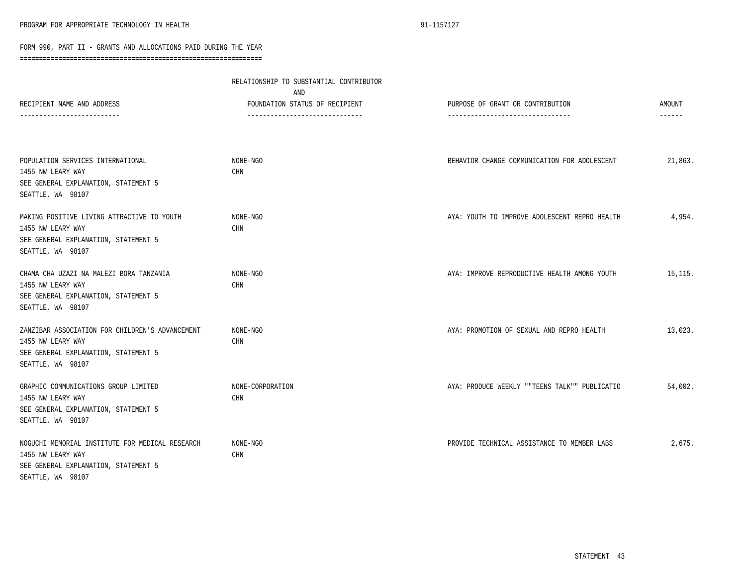|                                                                                                                                   | RELATIONSHIP TO SUBSTANTIAL CONTRIBUTOR<br>AND                    |                                                                       |                                |
|-----------------------------------------------------------------------------------------------------------------------------------|-------------------------------------------------------------------|-----------------------------------------------------------------------|--------------------------------|
| RECIPIENT NAME AND ADDRESS<br>------------------------                                                                            | FOUNDATION STATUS OF RECIPIENT<br>------------------------------- | PURPOSE OF GRANT OR CONTRIBUTION<br>--------------------------------- | <b>AMOUNT</b><br>$- - - - - -$ |
| POPULATION SERVICES INTERNATIONAL<br>1455 NW LEARY WAY<br>SEE GENERAL EXPLANATION, STATEMENT 5<br>SEATTLE, WA 98107               | NONE-NGO<br>CHN                                                   | BEHAVIOR CHANGE COMMUNICATION FOR ADOLESCENT                          | 21,863.                        |
| MAKING POSITIVE LIVING ATTRACTIVE TO YOUTH<br>1455 NW LEARY WAY<br>SEE GENERAL EXPLANATION, STATEMENT 5<br>SEATTLE, WA 98107      | NONE-NGO<br>CHN                                                   | AYA: YOUTH TO IMPROVE ADOLESCENT REPRO HEALTH                         | 4,954.                         |
| CHAMA CHA UZAZI NA MALEZI BORA TANZANIA<br>1455 NW LEARY WAY<br>SEE GENERAL EXPLANATION, STATEMENT 5<br>SEATTLE, WA 98107         | NONE-NGO<br><b>CHN</b>                                            | AYA: IMPROVE REPRODUCTIVE HEALTH AMONG YOUTH                          | 15,115.                        |
| ZANZIBAR ASSOCIATION FOR CHILDREN'S ADVANCEMENT<br>1455 NW LEARY WAY<br>SEE GENERAL EXPLANATION, STATEMENT 5<br>SEATTLE, WA 98107 | NONE-NGO<br><b>CHN</b>                                            | AYA: PROMOTION OF SEXUAL AND REPRO HEALTH                             | 13,023.                        |
| GRAPHIC COMMUNICATIONS GROUP LIMITED<br>1455 NW LEARY WAY<br>SEE GENERAL EXPLANATION, STATEMENT 5<br>SEATTLE, WA 98107            | NONE-CORPORATION<br><b>CHN</b>                                    | AYA: PRODUCE WEEKLY ""TEENS TALK"" PUBLICATIO                         | 54,002.                        |
| NOGUCHI MEMORIAL INSTITUTE FOR MEDICAL RESEARCH<br>1455 NW LEARY WAY<br>SEE GENERAL EXPLANATION, STATEMENT 5<br>SEATTLE, WA 98107 | NONE-NGO<br>CHN                                                   | PROVIDE TECHNICAL ASSISTANCE TO MEMBER LABS                           | 2,675.                         |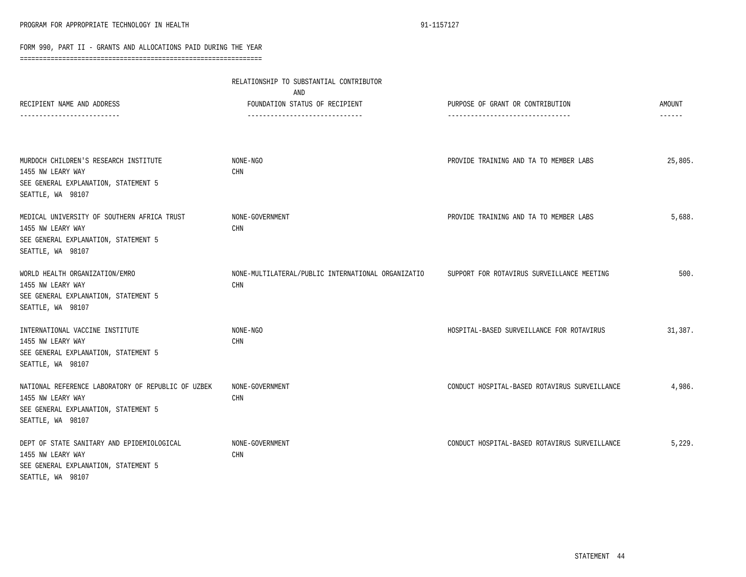| RECIPIENT NAME AND ADDRESS<br>-------------------------                                                                              | RELATIONSHIP TO SUBSTANTIAL CONTRIBUTOR<br>AND<br>FOUNDATION STATUS OF RECIPIENT<br>------------------------------ | PURPOSE OF GRANT OR CONTRIBUTION<br>-------------------------------- | AMOUNT<br>$- - - - - -$ |
|--------------------------------------------------------------------------------------------------------------------------------------|--------------------------------------------------------------------------------------------------------------------|----------------------------------------------------------------------|-------------------------|
| MURDOCH CHILDREN'S RESEARCH INSTITUTE                                                                                                | NONE-NGO                                                                                                           | PROVIDE TRAINING AND TA TO MEMBER LABS                               | 25,805.                 |
| 1455 NW LEARY WAY<br>SEE GENERAL EXPLANATION, STATEMENT 5<br>SEATTLE, WA 98107                                                       | CHN                                                                                                                |                                                                      |                         |
| MEDICAL UNIVERSITY OF SOUTHERN AFRICA TRUST<br>1455 NW LEARY WAY<br>SEE GENERAL EXPLANATION, STATEMENT 5<br>SEATTLE, WA 98107        | NONE-GOVERNMENT<br><b>CHN</b>                                                                                      | PROVIDE TRAINING AND TA TO MEMBER LABS                               | 5,688.                  |
| WORLD HEALTH ORGANIZATION/EMRO<br>1455 NW LEARY WAY<br>SEE GENERAL EXPLANATION, STATEMENT 5<br>SEATTLE, WA 98107                     | NONE-MULTILATERAL/PUBLIC INTERNATIONAL ORGANIZATIO<br><b>CHN</b>                                                   | SUPPORT FOR ROTAVIRUS SURVEILLANCE MEETING                           | 500.                    |
| INTERNATIONAL VACCINE INSTITUTE<br>1455 NW LEARY WAY<br>SEE GENERAL EXPLANATION, STATEMENT 5<br>SEATTLE, WA 98107                    | NONE-NGO<br>CHN                                                                                                    | HOSPITAL-BASED SURVEILLANCE FOR ROTAVIRUS                            | 31,387.                 |
| NATIONAL REFERENCE LABORATORY OF REPUBLIC OF UZBEK<br>1455 NW LEARY WAY<br>SEE GENERAL EXPLANATION, STATEMENT 5<br>SEATTLE, WA 98107 | NONE-GOVERNMENT<br>CHN                                                                                             | CONDUCT HOSPITAL-BASED ROTAVIRUS SURVEILLANCE                        | 4,986.                  |
| DEPT OF STATE SANITARY AND EPIDEMIOLOGICAL<br>1455 NW LEARY WAY<br>SEE GENERAL EXPLANATION, STATEMENT 5<br>SEATTLE, WA 98107         | NONE-GOVERNMENT<br>CHN                                                                                             | CONDUCT HOSPITAL-BASED ROTAVIRUS SURVEILLANCE                        | 5,229.                  |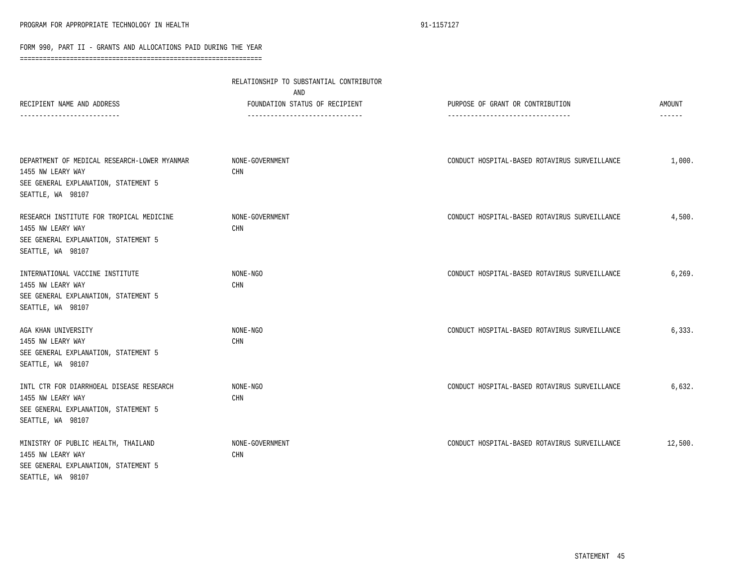|                                                                                                                                | RELATIONSHIP TO SUBSTANTIAL CONTRIBUTOR<br>AND                   |                                                                      |                         |  |
|--------------------------------------------------------------------------------------------------------------------------------|------------------------------------------------------------------|----------------------------------------------------------------------|-------------------------|--|
| RECIPIENT NAME AND ADDRESS                                                                                                     | FOUNDATION STATUS OF RECIPIENT<br>------------------------------ | PURPOSE OF GRANT OR CONTRIBUTION<br>-------------------------------- | AMOUNT<br>$- - - - - -$ |  |
|                                                                                                                                |                                                                  |                                                                      |                         |  |
| DEPARTMENT OF MEDICAL RESEARCH-LOWER MYANMAR<br>1455 NW LEARY WAY<br>SEE GENERAL EXPLANATION, STATEMENT 5<br>SEATTLE, WA 98107 | NONE-GOVERNMENT<br><b>CHN</b>                                    | CONDUCT HOSPITAL-BASED ROTAVIRUS SURVEILLANCE                        | 1,000.                  |  |
| RESEARCH INSTITUTE FOR TROPICAL MEDICINE<br>1455 NW LEARY WAY<br>SEE GENERAL EXPLANATION, STATEMENT 5<br>SEATTLE, WA 98107     | NONE-GOVERNMENT<br><b>CHN</b>                                    | CONDUCT HOSPITAL-BASED ROTAVIRUS SURVEILLANCE                        | 4,500.                  |  |
| INTERNATIONAL VACCINE INSTITUTE<br>1455 NW LEARY WAY<br>SEE GENERAL EXPLANATION, STATEMENT 5<br>SEATTLE, WA 98107              | NONE-NGO<br><b>CHN</b>                                           | CONDUCT HOSPITAL-BASED ROTAVIRUS SURVEILLANCE                        | 6, 269.                 |  |
| AGA KHAN UNIVERSITY<br>1455 NW LEARY WAY<br>SEE GENERAL EXPLANATION, STATEMENT 5<br>SEATTLE, WA 98107                          | NONE-NGO<br>CHN                                                  | CONDUCT HOSPITAL-BASED ROTAVIRUS SURVEILLANCE                        | 6,333.                  |  |
| INTL CTR FOR DIARRHOEAL DISEASE RESEARCH<br>1455 NW LEARY WAY<br>SEE GENERAL EXPLANATION, STATEMENT 5<br>SEATTLE, WA 98107     | NONE-NGO<br>CHN                                                  | CONDUCT HOSPITAL-BASED ROTAVIRUS SURVEILLANCE                        | 6,632.                  |  |
| MINISTRY OF PUBLIC HEALTH, THAILAND<br>1455 NW LEARY WAY<br>SEE GENERAL EXPLANATION, STATEMENT 5<br>SEATTLE, WA 98107          | NONE-GOVERNMENT<br>CHN                                           | CONDUCT HOSPITAL-BASED ROTAVIRUS SURVEILLANCE                        | 12,500.                 |  |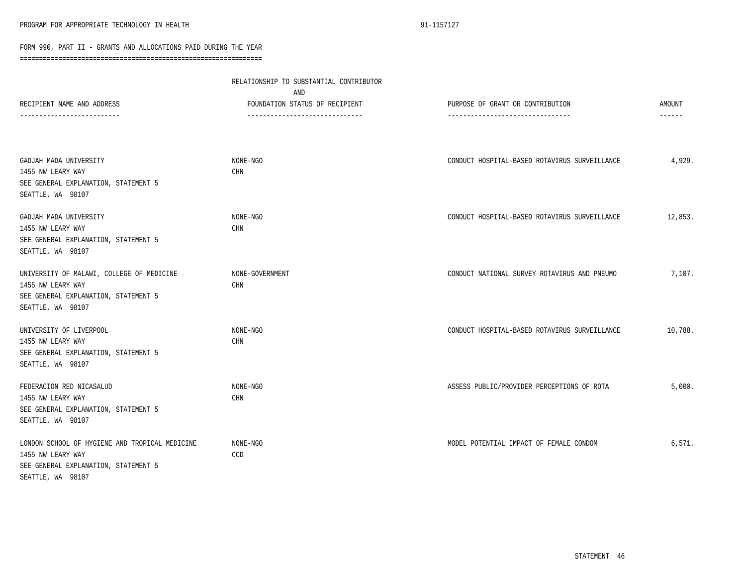|                                                                                                                                  | RELATIONSHIP TO SUBSTANTIAL CONTRIBUTOR<br>AND                    |                                                                       |         |
|----------------------------------------------------------------------------------------------------------------------------------|-------------------------------------------------------------------|-----------------------------------------------------------------------|---------|
| RECIPIENT NAME AND ADDRESS                                                                                                       | FOUNDATION STATUS OF RECIPIENT<br>------------------------------- | PURPOSE OF GRANT OR CONTRIBUTION<br>--------------------------------- | AMOUNT  |
|                                                                                                                                  |                                                                   |                                                                       |         |
| GADJAH MADA UNIVERSITY<br>1455 NW LEARY WAY<br>SEE GENERAL EXPLANATION, STATEMENT 5<br>SEATTLE, WA 98107                         | NONE-NGO<br>CHN                                                   | CONDUCT HOSPITAL-BASED ROTAVIRUS SURVEILLANCE                         | 4,929.  |
| GADJAH MADA UNIVERSITY<br>1455 NW LEARY WAY<br>SEE GENERAL EXPLANATION, STATEMENT 5<br>SEATTLE, WA 98107                         | NONE-NGO<br>$\mathop{\rm CHN}\nolimits$                           | CONDUCT HOSPITAL-BASED ROTAVIRUS SURVEILLANCE                         | 12,853. |
| UNIVERSITY OF MALAWI, COLLEGE OF MEDICINE<br>1455 NW LEARY WAY<br>SEE GENERAL EXPLANATION, STATEMENT 5<br>SEATTLE, WA 98107      | NONE-GOVERNMENT<br><b>CHN</b>                                     | CONDUCT NATIONAL SURVEY ROTAVIRUS AND PNEUMO                          | 7,107.  |
| UNIVERSITY OF LIVERPOOL<br>1455 NW LEARY WAY<br>SEE GENERAL EXPLANATION, STATEMENT 5<br>SEATTLE, WA 98107                        | NONE-NGO<br>CHN                                                   | CONDUCT HOSPITAL-BASED ROTAVIRUS SURVEILLANCE                         | 10,788. |
| FEDERACION RED NICASALUD<br>1455 NW LEARY WAY<br>SEE GENERAL EXPLANATION, STATEMENT 5<br>SEATTLE, WA 98107                       | NONE-NGO<br><b>CHN</b>                                            | ASSESS PUBLIC/PROVIDER PERCEPTIONS OF ROTA                            | 5,000.  |
| LONDON SCHOOL OF HYGIENE AND TROPICAL MEDICINE<br>1455 NW LEARY WAY<br>SEE GENERAL EXPLANATION, STATEMENT 5<br>SEATTLE, WA 98107 | NONE-NGO<br>CCD                                                   | MODEL POTENTIAL IMPACT OF FEMALE CONDOM                               | 6,571.  |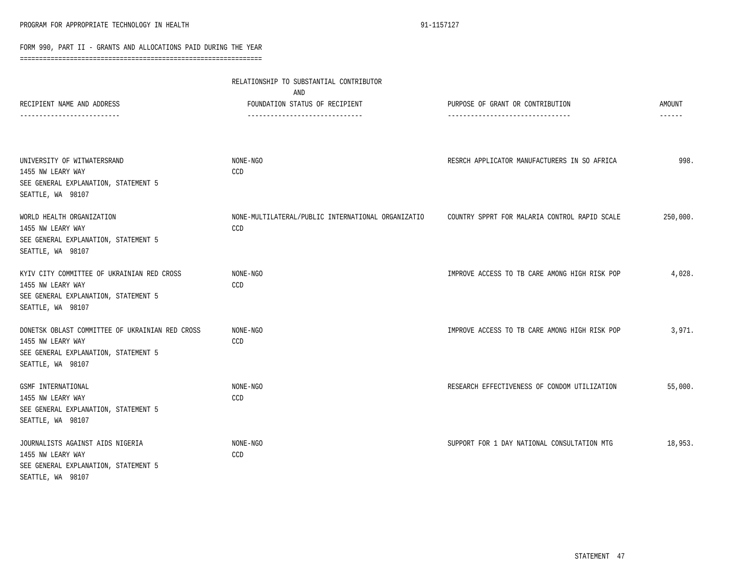|                                                                                                                                   | RELATIONSHIP TO SUBSTANTIAL CONTRIBUTOR<br>AND                    |                                                                       |                                |
|-----------------------------------------------------------------------------------------------------------------------------------|-------------------------------------------------------------------|-----------------------------------------------------------------------|--------------------------------|
| RECIPIENT NAME AND ADDRESS                                                                                                        | FOUNDATION STATUS OF RECIPIENT<br>------------------------------- | PURPOSE OF GRANT OR CONTRIBUTION<br>--------------------------------- | <b>AMOUNT</b><br>$- - - - - -$ |
|                                                                                                                                   |                                                                   |                                                                       |                                |
| UNIVERSITY OF WITWATERSRAND<br>1455 NW LEARY WAY<br>SEE GENERAL EXPLANATION, STATEMENT 5<br>SEATTLE, WA 98107                     | NONE-NGO<br>CCD                                                   | RESRCH APPLICATOR MANUFACTURERS IN SO AFRICA                          | 998.                           |
| WORLD HEALTH ORGANIZATION<br>1455 NW LEARY WAY<br>SEE GENERAL EXPLANATION, STATEMENT 5<br>SEATTLE, WA 98107                       | NONE-MULTILATERAL/PUBLIC INTERNATIONAL ORGANIZATIO<br>CCD         | COUNTRY SPPRT FOR MALARIA CONTROL RAPID SCALE                         | 250,000.                       |
| KYIV CITY COMMITTEE OF UKRAINIAN RED CROSS<br>1455 NW LEARY WAY<br>SEE GENERAL EXPLANATION, STATEMENT 5<br>SEATTLE, WA 98107      | NONE-NGO<br>CCD                                                   | IMPROVE ACCESS TO TB CARE AMONG HIGH RISK POP                         | 4,028.                         |
| DONETSK OBLAST COMMITTEE OF UKRAINIAN RED CROSS<br>1455 NW LEARY WAY<br>SEE GENERAL EXPLANATION, STATEMENT 5<br>SEATTLE, WA 98107 | NONE-NGO<br>CCD                                                   | IMPROVE ACCESS TO TB CARE AMONG HIGH RISK POP                         | 3,971.                         |
| GSMF INTERNATIONAL<br>1455 NW LEARY WAY<br>SEE GENERAL EXPLANATION, STATEMENT 5<br>SEATTLE, WA 98107                              | NONE-NGO<br>CCD                                                   | RESEARCH EFFECTIVENESS OF CONDOM UTILIZATION                          | 55,000.                        |
| JOURNALISTS AGAINST AIDS NIGERIA<br>1455 NW LEARY WAY<br>SEE GENERAL EXPLANATION, STATEMENT 5<br>SEATTLE, WA 98107                | NONE-NGO<br>CCD                                                   | SUPPORT FOR 1 DAY NATIONAL CONSULTATION MTG                           | 18,953.                        |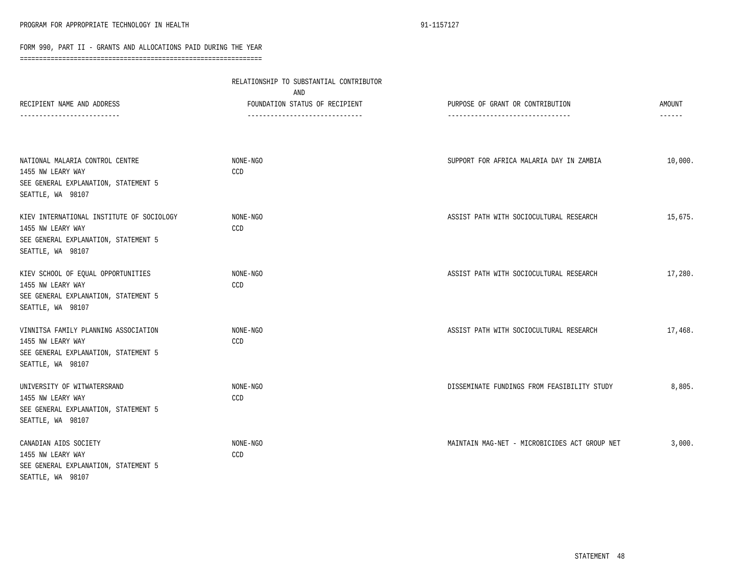|                                                                                                                             | RELATIONSHIP TO SUBSTANTIAL CONTRIBUTOR |                                               |               |
|-----------------------------------------------------------------------------------------------------------------------------|-----------------------------------------|-----------------------------------------------|---------------|
| RECIPIENT NAME AND ADDRESS                                                                                                  | AND<br>FOUNDATION STATUS OF RECIPIENT   | PURPOSE OF GRANT OR CONTRIBUTION              | AMOUNT        |
|                                                                                                                             | -------------------------------         | ---------------------------------             | $- - - - - -$ |
| NATIONAL MALARIA CONTROL CENTRE<br>1455 NW LEARY WAY                                                                        | NONE-NGO<br>CCD                         | SUPPORT FOR AFRICA MALARIA DAY IN ZAMBIA      | 10,000.       |
| SEE GENERAL EXPLANATION, STATEMENT 5<br>SEATTLE, WA 98107                                                                   |                                         |                                               |               |
| KIEV INTERNATIONAL INSTITUTE OF SOCIOLOGY<br>1455 NW LEARY WAY<br>SEE GENERAL EXPLANATION, STATEMENT 5<br>SEATTLE, WA 98107 | NONE-NGO<br>CCD                         | ASSIST PATH WITH SOCIOCULTURAL RESEARCH       | 15,675.       |
| KIEV SCHOOL OF EQUAL OPPORTUNITIES<br>1455 NW LEARY WAY<br>SEE GENERAL EXPLANATION, STATEMENT 5<br>SEATTLE, WA 98107        | NONE-NGO<br>CCD                         | ASSIST PATH WITH SOCIOCULTURAL RESEARCH       | 17,280.       |
| VINNITSA FAMILY PLANNING ASSOCIATION<br>1455 NW LEARY WAY<br>SEE GENERAL EXPLANATION, STATEMENT 5<br>SEATTLE, WA 98107      | NONE-NGO<br>CCD                         | ASSIST PATH WITH SOCIOCULTURAL RESEARCH       | 17,468.       |
| UNIVERSITY OF WITWATERSRAND<br>1455 NW LEARY WAY<br>SEE GENERAL EXPLANATION, STATEMENT 5<br>SEATTLE, WA 98107               | NONE-NGO<br>CCD                         | DISSEMINATE FUNDINGS FROM FEASIBILITY STUDY   | 8,805.        |
| CANADIAN AIDS SOCIETY<br>1455 NW LEARY WAY<br>SEE GENERAL EXPLANATION, STATEMENT 5<br>SEATTLE, WA 98107                     | NONE-NGO<br>CCD                         | MAINTAIN MAG-NET - MICROBICIDES ACT GROUP NET | 3,000.        |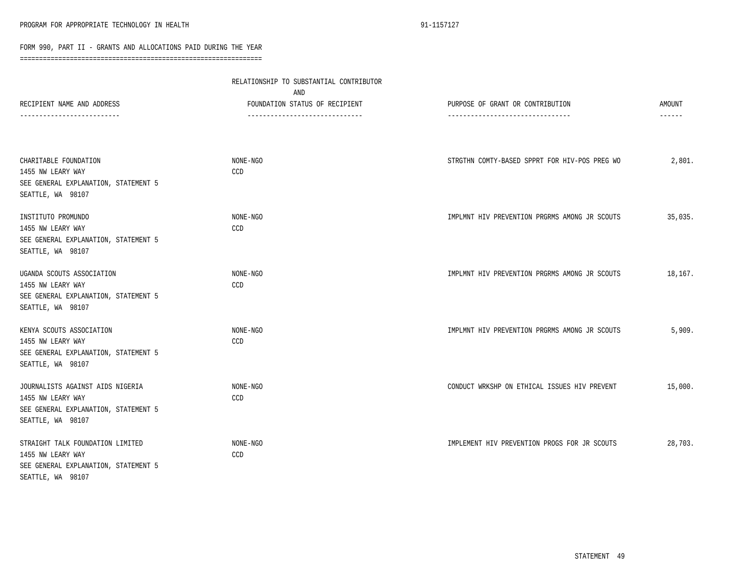|                                                                                                                    | RELATIONSHIP TO SUBSTANTIAL CONTRIBUTOR<br>AND                    |                                                                       |                         |
|--------------------------------------------------------------------------------------------------------------------|-------------------------------------------------------------------|-----------------------------------------------------------------------|-------------------------|
| RECIPIENT NAME AND ADDRESS                                                                                         | FOUNDATION STATUS OF RECIPIENT<br>------------------------------- | PURPOSE OF GRANT OR CONTRIBUTION<br>--------------------------------- | AMOUNT<br>$- - - - - -$ |
| CHARITABLE FOUNDATION<br>1455 NW LEARY WAY<br>SEE GENERAL EXPLANATION, STATEMENT 5<br>SEATTLE, WA 98107            | NONE-NGO<br>CCD                                                   | STRGTHN COMTY-BASED SPPRT FOR HIV-POS PREG WO                         | 2,801.                  |
| INSTITUTO PROMUNDO<br>1455 NW LEARY WAY<br>SEE GENERAL EXPLANATION, STATEMENT 5<br>SEATTLE, WA 98107               | NONE-NGO<br>CCD                                                   | IMPLMNT HIV PREVENTION PRGRMS AMONG JR SCOUTS                         | 35,035.                 |
| UGANDA SCOUTS ASSOCIATION<br>1455 NW LEARY WAY<br>SEE GENERAL EXPLANATION, STATEMENT 5<br>SEATTLE, WA 98107        | NONE-NGO<br>CCD                                                   | IMPLMNT HIV PREVENTION PRGRMS AMONG JR SCOUTS                         | 18,167.                 |
| KENYA SCOUTS ASSOCIATION<br>1455 NW LEARY WAY<br>SEE GENERAL EXPLANATION, STATEMENT 5<br>SEATTLE, WA 98107         | NONE-NGO<br>CCD                                                   | IMPLMNT HIV PREVENTION PRGRMS AMONG JR SCOUTS                         | 5,909.                  |
| JOURNALISTS AGAINST AIDS NIGERIA<br>1455 NW LEARY WAY<br>SEE GENERAL EXPLANATION, STATEMENT 5<br>SEATTLE, WA 98107 | NONE-NGO<br>CCD                                                   | CONDUCT WRKSHP ON ETHICAL ISSUES HIV PREVENT                          | 15,000.                 |
| STRAIGHT TALK FOUNDATION LIMITED<br>1455 NW LEARY WAY<br>SEE GENERAL EXPLANATION, STATEMENT 5<br>SEATTLE, WA 98107 | NONE-NGO<br>CCD                                                   | IMPLEMENT HIV PREVENTION PROGS FOR JR SCOUTS                          | 28,703.                 |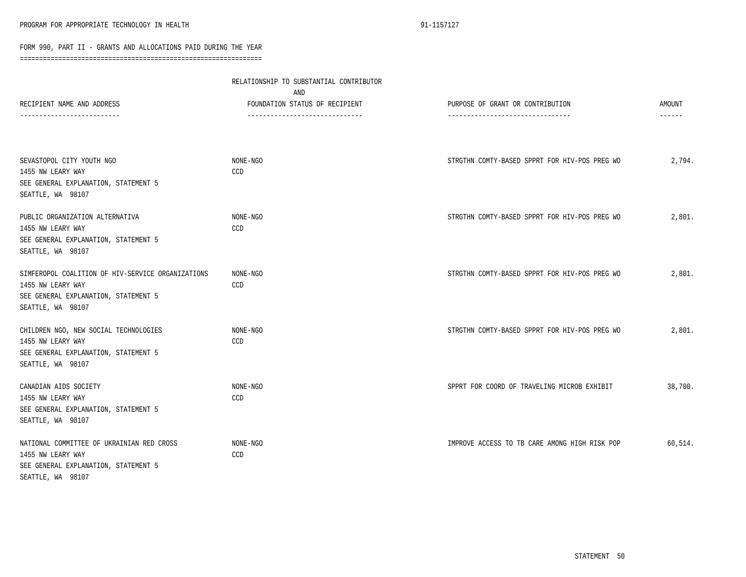|                                                                                                                                     | RELATIONSHIP TO SUBSTANTIAL CONTRIBUTOR<br>AND |                                               |               |
|-------------------------------------------------------------------------------------------------------------------------------------|------------------------------------------------|-----------------------------------------------|---------------|
| RECIPIENT NAME AND ADDRESS                                                                                                          | FOUNDATION STATUS OF RECIPIENT                 | PURPOSE OF GRANT OR CONTRIBUTION              | <b>AMOUNT</b> |
|                                                                                                                                     | -------------------------------                | ---------------------------------             | $- - - - - -$ |
| SEVASTOPOL CITY YOUTH NGO<br>1455 NW LEARY WAY<br>SEE GENERAL EXPLANATION, STATEMENT 5<br>SEATTLE, WA 98107                         | NONE-NGO<br>CCD                                | STRGTHN COMTY-BASED SPPRT FOR HIV-POS PREG WO | 2,794.        |
| PUBLIC ORGANIZATION ALTERNATIVA<br>1455 NW LEARY WAY<br>SEE GENERAL EXPLANATION, STATEMENT 5<br>SEATTLE, WA 98107                   | NONE-NGO<br>CCD                                | STRGTHN COMTY-BASED SPPRT FOR HIV-POS PREG WO | 2,801.        |
| SIMFEROPOL COALITION OF HIV-SERVICE ORGANIZATIONS<br>1455 NW LEARY WAY<br>SEE GENERAL EXPLANATION, STATEMENT 5<br>SEATTLE, WA 98107 | NONE-NGO<br>CCD                                | STRGTHN COMTY-BASED SPPRT FOR HIV-POS PREG WO | 2,801.        |
| CHILDREN NGO, NEW SOCIAL TECHNOLOGIES<br>1455 NW LEARY WAY<br>SEE GENERAL EXPLANATION, STATEMENT 5<br>SEATTLE, WA 98107             | NONE-NGO<br>CCD                                | STRGTHN COMTY-BASED SPPRT FOR HIV-POS PREG WO | 2,801.        |
| CANADIAN AIDS SOCIETY<br>1455 NW LEARY WAY<br>SEE GENERAL EXPLANATION, STATEMENT 5<br>SEATTLE, WA 98107                             | NONE-NGO<br>CCD                                | SPPRT FOR COORD OF TRAVELING MICROB EXHIBIT   | 38,700.       |
| NATIONAL COMMITTEE OF UKRAINIAN RED CROSS<br>1455 NW LEARY WAY<br>SEE GENERAL EXPLANATION, STATEMENT 5<br>SEATTLE, WA 98107         | NONE-NGO<br>CCD                                | IMPROVE ACCESS TO TB CARE AMONG HIGH RISK POP | 60,514.       |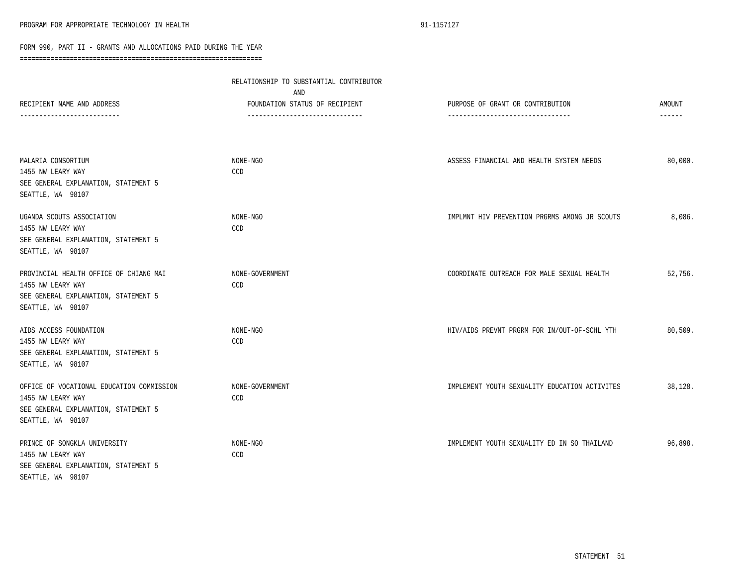|                                                                                                                             | RELATIONSHIP TO SUBSTANTIAL CONTRIBUTOR<br>AND                    |                                                                       |                         |
|-----------------------------------------------------------------------------------------------------------------------------|-------------------------------------------------------------------|-----------------------------------------------------------------------|-------------------------|
| RECIPIENT NAME AND ADDRESS                                                                                                  | FOUNDATION STATUS OF RECIPIENT<br>------------------------------- | PURPOSE OF GRANT OR CONTRIBUTION<br>--------------------------------- | <b>AMOUNT</b><br>------ |
| MALARIA CONSORTIUM<br>1455 NW LEARY WAY<br>SEE GENERAL EXPLANATION, STATEMENT 5<br>SEATTLE, WA 98107                        | NONE-NGO<br>CCD                                                   | ASSESS FINANCIAL AND HEALTH SYSTEM NEEDS                              | 80,000.                 |
| UGANDA SCOUTS ASSOCIATION<br>1455 NW LEARY WAY<br>SEE GENERAL EXPLANATION, STATEMENT 5<br>SEATTLE, WA 98107                 | NONE-NGO<br>CCD                                                   | IMPLMNT HIV PREVENTION PRGRMS AMONG JR SCOUTS                         | 8,086.                  |
| PROVINCIAL HEALTH OFFICE OF CHIANG MAI<br>1455 NW LEARY WAY<br>SEE GENERAL EXPLANATION, STATEMENT 5<br>SEATTLE, WA 98107    | NONE-GOVERNMENT<br><b>CCD</b>                                     | COORDINATE OUTREACH FOR MALE SEXUAL HEALTH                            | 52,756.                 |
| AIDS ACCESS FOUNDATION<br>1455 NW LEARY WAY<br>SEE GENERAL EXPLANATION, STATEMENT 5<br>SEATTLE, WA 98107                    | NONE-NGO<br>CCD                                                   | HIV/AIDS PREVNT PRGRM FOR IN/OUT-OF-SCHL YTH                          | 80,509.                 |
| OFFICE OF VOCATIONAL EDUCATION COMMISSION<br>1455 NW LEARY WAY<br>SEE GENERAL EXPLANATION, STATEMENT 5<br>SEATTLE, WA 98107 | NONE-GOVERNMENT<br>CCD                                            | IMPLEMENT YOUTH SEXUALITY EDUCATION ACTIVITES                         | 38,128.                 |
| PRINCE OF SONGKLA UNIVERSITY<br>1455 NW LEARY WAY<br>SEE GENERAL EXPLANATION, STATEMENT 5<br>SEATTLE, WA 98107              | NONE-NGO<br>CCD                                                   | IMPLEMENT YOUTH SEXUALITY ED IN SO THAILAND                           | 96,898.                 |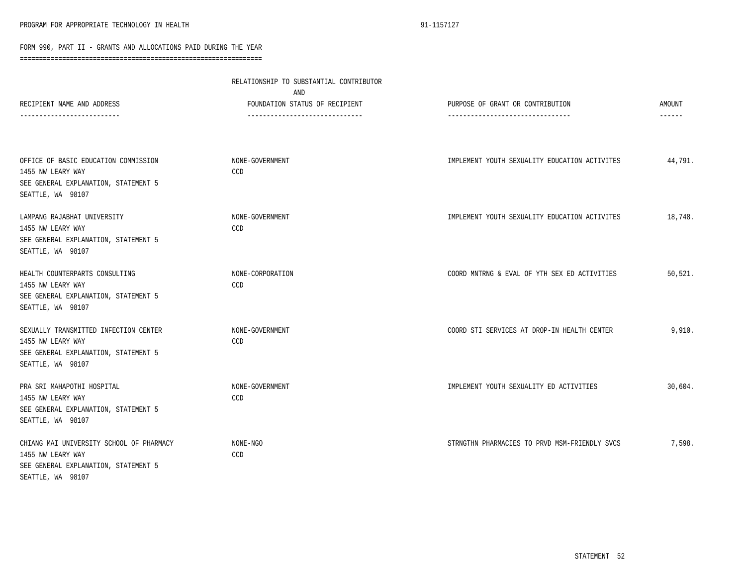| RECIPIENT NAME AND ADDRESS                                                                                                 | RELATIONSHIP TO SUBSTANTIAL CONTRIBUTOR<br>AND<br>FOUNDATION STATUS OF RECIPIENT<br>------------------------------- | PURPOSE OF GRANT OR CONTRIBUTION<br>--------------------------------- | AMOUNT<br>$- - - - - -$ |
|----------------------------------------------------------------------------------------------------------------------------|---------------------------------------------------------------------------------------------------------------------|-----------------------------------------------------------------------|-------------------------|
| OFFICE OF BASIC EDUCATION COMMISSION<br>1455 NW LEARY WAY<br>SEE GENERAL EXPLANATION, STATEMENT 5<br>SEATTLE, WA 98107     | NONE-GOVERNMENT<br>CCD                                                                                              | IMPLEMENT YOUTH SEXUALITY EDUCATION ACTIVITES                         | 44,791.                 |
| LAMPANG RAJABHAT UNIVERSITY<br>1455 NW LEARY WAY<br>SEE GENERAL EXPLANATION, STATEMENT 5<br>SEATTLE, WA 98107              | NONE-GOVERNMENT<br>CCD                                                                                              | IMPLEMENT YOUTH SEXUALITY EDUCATION ACTIVITES                         | 18,748.                 |
| HEALTH COUNTERPARTS CONSULTING<br>1455 NW LEARY WAY<br>SEE GENERAL EXPLANATION, STATEMENT 5<br>SEATTLE, WA 98107           | NONE-CORPORATION<br>CCD                                                                                             | COORD MNTRNG & EVAL OF YTH SEX ED ACTIVITIES                          | 50,521.                 |
| SEXUALLY TRANSMITTED INFECTION CENTER<br>1455 NW LEARY WAY<br>SEE GENERAL EXPLANATION, STATEMENT 5<br>SEATTLE, WA 98107    | NONE-GOVERNMENT<br>CCD                                                                                              | COORD STI SERVICES AT DROP-IN HEALTH CENTER                           | 9.910.                  |
| PRA SRI MAHAPOTHI HOSPITAL<br>1455 NW LEARY WAY<br>SEE GENERAL EXPLANATION, STATEMENT 5<br>SEATTLE, WA 98107               | NONE-GOVERNMENT<br>CCD                                                                                              | IMPLEMENT YOUTH SEXUALITY ED ACTIVITIES                               | 30,604.                 |
| CHIANG MAI UNIVERSITY SCHOOL OF PHARMACY<br>1455 NW LEARY WAY<br>SEE GENERAL EXPLANATION, STATEMENT 5<br>SEATTLE, WA 98107 | NONE-NGO<br>CCD                                                                                                     | STRNGTHN PHARMACIES TO PRVD MSM-FRIENDLY SVCS                         | 7,598.                  |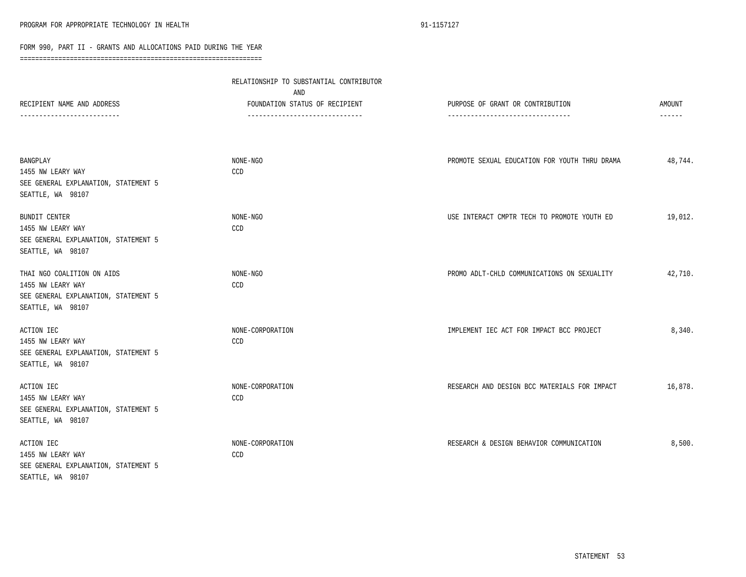|                                                       | RELATIONSHIP TO SUBSTANTIAL CONTRIBUTOR<br>AND                    |                                                                       |                         |
|-------------------------------------------------------|-------------------------------------------------------------------|-----------------------------------------------------------------------|-------------------------|
| RECIPIENT NAME AND ADDRESS<br>----------------------- | FOUNDATION STATUS OF RECIPIENT<br>------------------------------- | PURPOSE OF GRANT OR CONTRIBUTION<br>--------------------------------- | AMOUNT<br>$- - - - - -$ |
|                                                       |                                                                   |                                                                       |                         |
| BANGPLAY                                              | NONE-NGO                                                          | PROMOTE SEXUAL EDUCATION FOR YOUTH THRU DRAMA                         | 48,744.                 |
| 1455 NW LEARY WAY                                     | CCD                                                               |                                                                       |                         |
| SEE GENERAL EXPLANATION, STATEMENT 5                  |                                                                   |                                                                       |                         |
| SEATTLE, WA 98107                                     |                                                                   |                                                                       |                         |
| BUNDIT CENTER                                         | NONE-NGO                                                          | USE INTERACT CMPTR TECH TO PROMOTE YOUTH ED                           | 19,012.                 |
| 1455 NW LEARY WAY                                     | CCD                                                               |                                                                       |                         |
| SEE GENERAL EXPLANATION, STATEMENT 5                  |                                                                   |                                                                       |                         |
| SEATTLE, WA 98107                                     |                                                                   |                                                                       |                         |
| THAI NGO COALITION ON AIDS                            | NONE-NGO                                                          | PROMO ADLT-CHLD COMMUNICATIONS ON SEXUALITY                           | 42,710.                 |
| 1455 NW LEARY WAY                                     | CCD                                                               |                                                                       |                         |
| SEE GENERAL EXPLANATION, STATEMENT 5                  |                                                                   |                                                                       |                         |
| SEATTLE, WA 98107                                     |                                                                   |                                                                       |                         |
| ACTION IEC                                            | NONE-CORPORATION                                                  | IMPLEMENT IEC ACT FOR IMPACT BCC PROJECT                              | 8,340.                  |
| 1455 NW LEARY WAY                                     | CCD                                                               |                                                                       |                         |
| SEE GENERAL EXPLANATION, STATEMENT 5                  |                                                                   |                                                                       |                         |
| SEATTLE, WA 98107                                     |                                                                   |                                                                       |                         |
| ACTION IEC                                            | NONE-CORPORATION                                                  | RESEARCH AND DESIGN BCC MATERIALS FOR IMPACT                          | 16,878.                 |
| 1455 NW LEARY WAY                                     | CCD                                                               |                                                                       |                         |
| SEE GENERAL EXPLANATION, STATEMENT 5                  |                                                                   |                                                                       |                         |
| SEATTLE, WA 98107                                     |                                                                   |                                                                       |                         |
| ACTION IEC                                            | NONE-CORPORATION                                                  | RESEARCH & DESIGN BEHAVIOR COMMUNICATION                              | 8,500.                  |
| 1455 NW LEARY WAY                                     | CCD                                                               |                                                                       |                         |
| SEE GENERAL EXPLANATION, STATEMENT 5                  |                                                                   |                                                                       |                         |
| SEATTLE, WA 98107                                     |                                                                   |                                                                       |                         |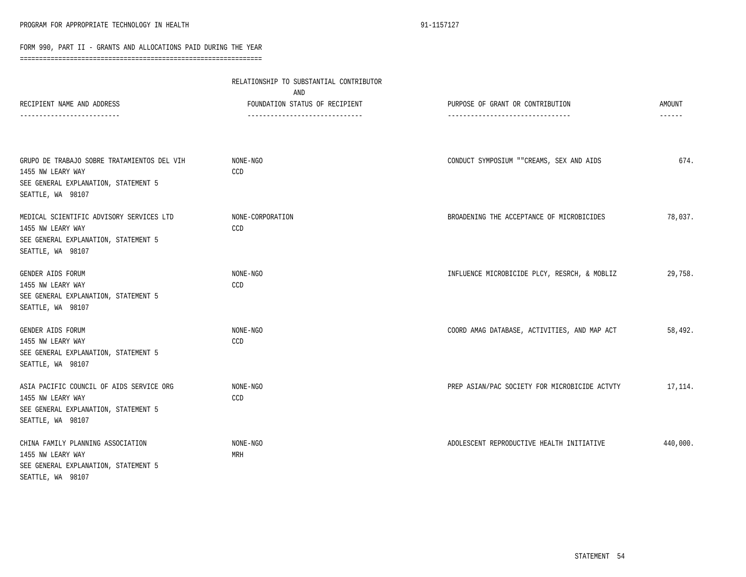|                                                                                                                               | RELATIONSHIP TO SUBSTANTIAL CONTRIBUTOR<br>AND                    |                                                                       |                         |
|-------------------------------------------------------------------------------------------------------------------------------|-------------------------------------------------------------------|-----------------------------------------------------------------------|-------------------------|
| RECIPIENT NAME AND ADDRESS                                                                                                    | FOUNDATION STATUS OF RECIPIENT<br>------------------------------- | PURPOSE OF GRANT OR CONTRIBUTION<br>--------------------------------- | AMOUNT<br>$- - - - - -$ |
|                                                                                                                               |                                                                   |                                                                       |                         |
| GRUPO DE TRABAJO SOBRE TRATAMIENTOS DEL VIH<br>1455 NW LEARY WAY<br>SEE GENERAL EXPLANATION, STATEMENT 5<br>SEATTLE, WA 98107 | NONE-NGO<br>CCD                                                   | CONDUCT SYMPOSIUM ""CREAMS, SEX AND AIDS                              | 674.                    |
| MEDICAL SCIENTIFIC ADVISORY SERVICES LTD<br>1455 NW LEARY WAY<br>SEE GENERAL EXPLANATION, STATEMENT 5<br>SEATTLE, WA 98107    | NONE-CORPORATION<br>CCD                                           | BROADENING THE ACCEPTANCE OF MICROBICIDES                             | 78,037.                 |
| GENDER AIDS FORUM<br>1455 NW LEARY WAY<br>SEE GENERAL EXPLANATION, STATEMENT 5<br>SEATTLE, WA 98107                           | NONE-NGO<br>CCD                                                   | INFLUENCE MICROBICIDE PLCY, RESRCH, & MOBLIZ                          | 29,758.                 |
| GENDER AIDS FORUM<br>1455 NW LEARY WAY<br>SEE GENERAL EXPLANATION, STATEMENT 5<br>SEATTLE, WA 98107                           | NONE-NGO<br>CCD                                                   | COORD AMAG DATABASE, ACTIVITIES, AND MAP ACT                          | 58,492.                 |
| ASIA PACIFIC COUNCIL OF AIDS SERVICE ORG<br>1455 NW LEARY WAY<br>SEE GENERAL EXPLANATION, STATEMENT 5<br>SEATTLE, WA 98107    | NONE-NGO<br>CCD                                                   | PREP ASIAN/PAC SOCIETY FOR MICROBICIDE ACTVTY                         | 17,114.                 |
| CHINA FAMILY PLANNING ASSOCIATION<br>1455 NW LEARY WAY<br>SEE GENERAL EXPLANATION, STATEMENT 5<br>SEATTLE, WA 98107           | NONE-NGO<br>MRH                                                   | ADOLESCENT REPRODUCTIVE HEALTH INITIATIVE                             | 440,000.                |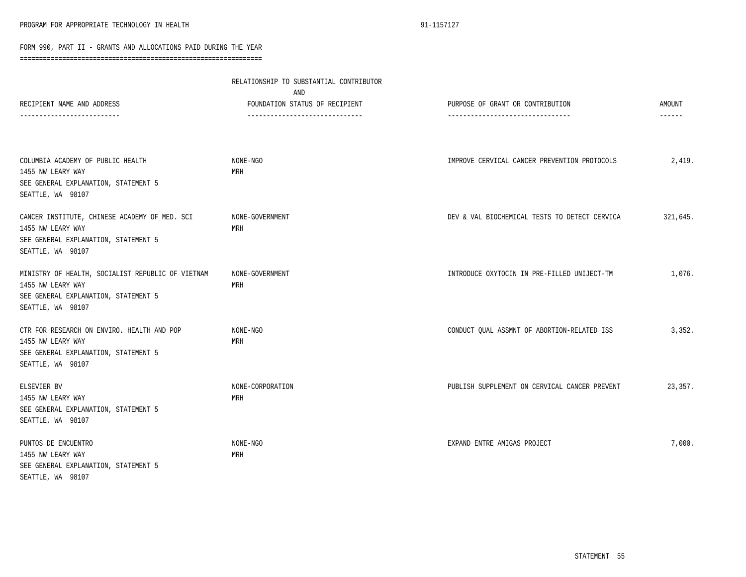| RECIPIENT NAME AND ADDRESS<br>-----------------------                                                                               | RELATIONSHIP TO SUBSTANTIAL CONTRIBUTOR<br>AND<br>FOUNDATION STATUS OF RECIPIENT<br>------------------------------- | PURPOSE OF GRANT OR CONTRIBUTION<br>--------------------------------- | <b>AMOUNT</b><br>------ |
|-------------------------------------------------------------------------------------------------------------------------------------|---------------------------------------------------------------------------------------------------------------------|-----------------------------------------------------------------------|-------------------------|
| COLUMBIA ACADEMY OF PUBLIC HEALTH<br>1455 NW LEARY WAY<br>SEE GENERAL EXPLANATION, STATEMENT 5<br>SEATTLE, WA 98107                 | NONE-NGO<br>MRH                                                                                                     | IMPROVE CERVICAL CANCER PREVENTION PROTOCOLS                          | 2,419.                  |
| CANCER INSTITUTE, CHINESE ACADEMY OF MED. SCI<br>1455 NW LEARY WAY<br>SEE GENERAL EXPLANATION, STATEMENT 5<br>SEATTLE, WA 98107     | NONE-GOVERNMENT<br>MRH                                                                                              | DEV & VAL BIOCHEMICAL TESTS TO DETECT CERVICA                         | 321,645.                |
| MINISTRY OF HEALTH, SOCIALIST REPUBLIC OF VIETNAM<br>1455 NW LEARY WAY<br>SEE GENERAL EXPLANATION, STATEMENT 5<br>SEATTLE, WA 98107 | NONE-GOVERNMENT<br>MRH                                                                                              | INTRODUCE OXYTOCIN IN PRE-FILLED UNIJECT-TM                           | 1,076.                  |
| CTR FOR RESEARCH ON ENVIRO. HEALTH AND POP<br>1455 NW LEARY WAY<br>SEE GENERAL EXPLANATION, STATEMENT 5<br>SEATTLE, WA 98107        | NONE-NGO<br>MRH                                                                                                     | CONDUCT QUAL ASSMNT OF ABORTION-RELATED ISS                           | 3,352.                  |
| ELSEVIER BV<br>1455 NW LEARY WAY<br>SEE GENERAL EXPLANATION, STATEMENT 5<br>SEATTLE, WA 98107                                       | NONE-CORPORATION<br>MRH                                                                                             | PUBLISH SUPPLEMENT ON CERVICAL CANCER PREVENT                         | 23,357.                 |
| PUNTOS DE ENCUENTRO<br>1455 NW LEARY WAY<br>SEE GENERAL EXPLANATION, STATEMENT 5<br>SEATTLE, WA 98107                               | NONE-NGO<br>MRH                                                                                                     | EXPAND ENTRE AMIGAS PROJECT                                           | 7,000.                  |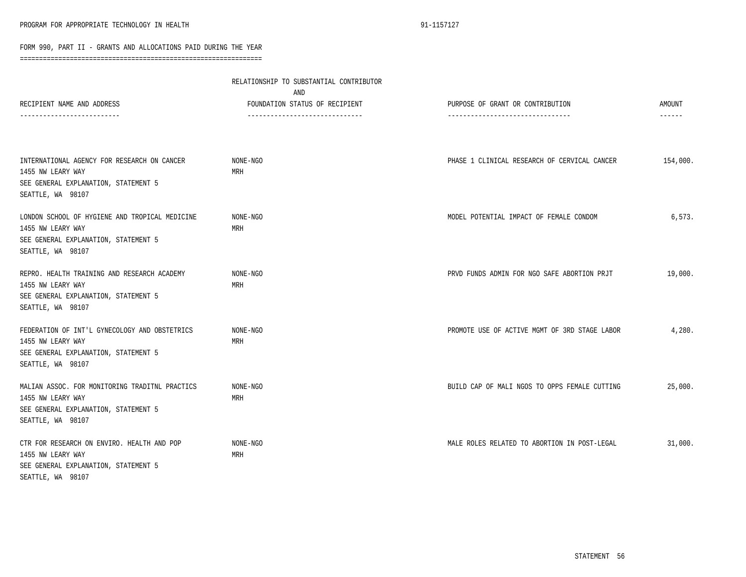|                                                                                                                                  | RELATIONSHIP TO SUBSTANTIAL CONTRIBUTOR<br>AND                   |                                                                       |                                |
|----------------------------------------------------------------------------------------------------------------------------------|------------------------------------------------------------------|-----------------------------------------------------------------------|--------------------------------|
| RECIPIENT NAME AND ADDRESS<br>-----------------------                                                                            | FOUNDATION STATUS OF RECIPIENT<br>------------------------------ | PURPOSE OF GRANT OR CONTRIBUTION<br>--------------------------------- | <b>AMOUNT</b><br>$- - - - - -$ |
| INTERNATIONAL AGENCY FOR RESEARCH ON CANCER<br>1455 NW LEARY WAY<br>SEE GENERAL EXPLANATION, STATEMENT 5<br>SEATTLE, WA 98107    | NONE-NGO<br>MRH                                                  | PHASE 1 CLINICAL RESEARCH OF CERVICAL CANCER                          | 154,000.                       |
| LONDON SCHOOL OF HYGIENE AND TROPICAL MEDICINE<br>1455 NW LEARY WAY<br>SEE GENERAL EXPLANATION, STATEMENT 5<br>SEATTLE, WA 98107 | NONE-NGO<br>MRH                                                  | MODEL POTENTIAL IMPACT OF FEMALE CONDOM                               | 6,573.                         |
| REPRO. HEALTH TRAINING AND RESEARCH ACADEMY<br>1455 NW LEARY WAY<br>SEE GENERAL EXPLANATION, STATEMENT 5<br>SEATTLE, WA 98107    | NONE-NGO<br>MRH                                                  | PRVD FUNDS ADMIN FOR NGO SAFE ABORTION PRJT                           | 19,000.                        |
| FEDERATION OF INT'L GYNECOLOGY AND OBSTETRICS<br>1455 NW LEARY WAY<br>SEE GENERAL EXPLANATION, STATEMENT 5<br>SEATTLE, WA 98107  | NONE-NGO<br>MRH                                                  | PROMOTE USE OF ACTIVE MGMT OF 3RD STAGE LABOR                         | 4,280.                         |
| MALIAN ASSOC. FOR MONITORING TRADITNL PRACTICS<br>1455 NW LEARY WAY<br>SEE GENERAL EXPLANATION, STATEMENT 5<br>SEATTLE, WA 98107 | NONE-NGO<br>MRH                                                  | BUILD CAP OF MALI NGOS TO OPPS FEMALE CUTTING                         | 25,000.                        |
| CTR FOR RESEARCH ON ENVIRO. HEALTH AND POP<br>1455 NW LEARY WAY<br>SEE GENERAL EXPLANATION, STATEMENT 5<br>SEATTLE, WA 98107     | NONE-NGO<br>MRH                                                  | MALE ROLES RELATED TO ABORTION IN POST-LEGAL                          | 31,000.                        |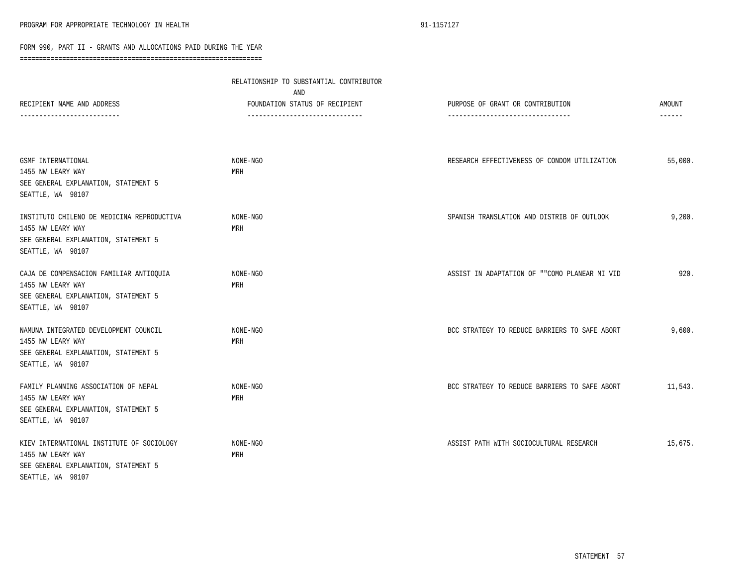|                                                                                                                              | RELATIONSHIP TO SUBSTANTIAL CONTRIBUTOR<br>AND |                                               |                         |
|------------------------------------------------------------------------------------------------------------------------------|------------------------------------------------|-----------------------------------------------|-------------------------|
| RECIPIENT NAME AND ADDRESS<br>---------------------                                                                          | FOUNDATION STATUS OF RECIPIENT                 | PURPOSE OF GRANT OR CONTRIBUTION              | <b>AMOUNT</b><br>------ |
|                                                                                                                              |                                                |                                               |                         |
| GSMF INTERNATIONAL<br>1455 NW LEARY WAY<br>SEE GENERAL EXPLANATION, STATEMENT 5                                              | NONE-NGO<br>MRH                                | RESEARCH EFFECTIVENESS OF CONDOM UTILIZATION  | 55,000.                 |
| SEATTLE, WA 98107                                                                                                            |                                                |                                               |                         |
| INSTITUTO CHILENO DE MEDICINA REPRODUCTIVA<br>1455 NW LEARY WAY<br>SEE GENERAL EXPLANATION, STATEMENT 5<br>SEATTLE, WA 98107 | NONE-NGO<br>MRH                                | SPANISH TRANSLATION AND DISTRIB OF OUTLOOK    | 9,200.                  |
| CAJA DE COMPENSACION FAMILIAR ANTIOQUIA<br>1455 NW LEARY WAY<br>SEE GENERAL EXPLANATION, STATEMENT 5<br>SEATTLE, WA 98107    | NONE-NGO<br>MRH                                | ASSIST IN ADAPTATION OF ""COMO PLANEAR MI VID | 920.                    |
| NAMUNA INTEGRATED DEVELOPMENT COUNCIL<br>1455 NW LEARY WAY<br>SEE GENERAL EXPLANATION, STATEMENT 5<br>SEATTLE, WA 98107      | NONE-NGO<br>MRH                                | BCC STRATEGY TO REDUCE BARRIERS TO SAFE ABORT | 9,600.                  |
| FAMILY PLANNING ASSOCIATION OF NEPAL<br>1455 NW LEARY WAY<br>SEE GENERAL EXPLANATION, STATEMENT 5<br>SEATTLE, WA 98107       | NONE-NGO<br>MRH                                | BCC STRATEGY TO REDUCE BARRIERS TO SAFE ABORT | 11,543.                 |
| KIEV INTERNATIONAL INSTITUTE OF SOCIOLOGY<br>1455 NW LEARY WAY<br>SEE GENERAL EXPLANATION, STATEMENT 5<br>SEATTLE, WA 98107  | NONE-NGO<br>MRH                                | ASSIST PATH WITH SOCIOCULTURAL RESEARCH       | 15,675.                 |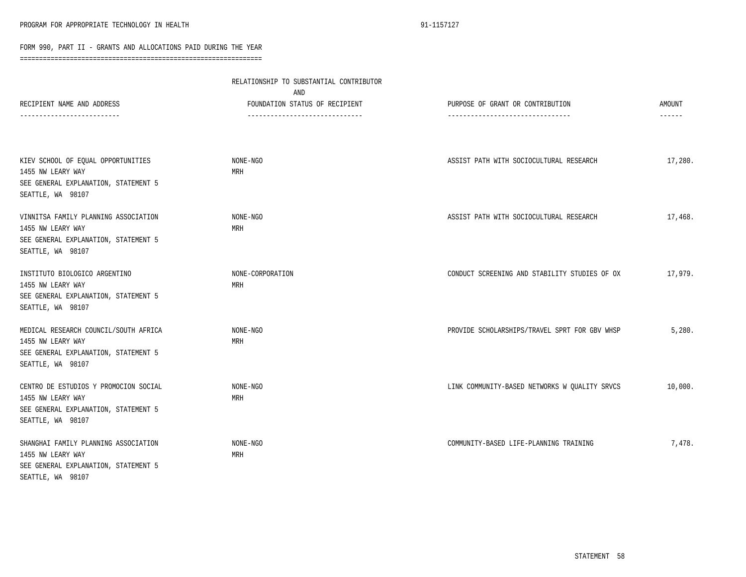|                                                                                                                         | RELATIONSHIP TO SUBSTANTIAL CONTRIBUTOR<br>AND                    |                                                                       |                         |
|-------------------------------------------------------------------------------------------------------------------------|-------------------------------------------------------------------|-----------------------------------------------------------------------|-------------------------|
| RECIPIENT NAME AND ADDRESS<br>------------------------                                                                  | FOUNDATION STATUS OF RECIPIENT<br>------------------------------- | PURPOSE OF GRANT OR CONTRIBUTION<br>--------------------------------- | <b>AMOUNT</b><br>------ |
|                                                                                                                         |                                                                   |                                                                       |                         |
| KIEV SCHOOL OF EQUAL OPPORTUNITIES<br>1455 NW LEARY WAY<br>SEE GENERAL EXPLANATION, STATEMENT 5<br>SEATTLE, WA 98107    | NONE-NGO<br>MRH                                                   | ASSIST PATH WITH SOCIOCULTURAL RESEARCH                               | 17,280.                 |
| VINNITSA FAMILY PLANNING ASSOCIATION<br>1455 NW LEARY WAY<br>SEE GENERAL EXPLANATION, STATEMENT 5<br>SEATTLE, WA 98107  | NONE-NGO<br>MRH                                                   | ASSIST PATH WITH SOCIOCULTURAL RESEARCH                               | 17,468.                 |
| INSTITUTO BIOLOGICO ARGENTINO<br>1455 NW LEARY WAY<br>SEE GENERAL EXPLANATION, STATEMENT 5<br>SEATTLE, WA 98107         | NONE-CORPORATION<br>MRH                                           | CONDUCT SCREENING AND STABILITY STUDIES OF OX                         | 17,979.                 |
| MEDICAL RESEARCH COUNCIL/SOUTH AFRICA<br>1455 NW LEARY WAY<br>SEE GENERAL EXPLANATION, STATEMENT 5<br>SEATTLE, WA 98107 | NONE-NGO<br>MRH                                                   | PROVIDE SCHOLARSHIPS/TRAVEL SPRT FOR GBV WHSP                         | 5,280.                  |
| CENTRO DE ESTUDIOS Y PROMOCION SOCIAL<br>1455 NW LEARY WAY<br>SEE GENERAL EXPLANATION, STATEMENT 5<br>SEATTLE, WA 98107 | NONE-NGO<br>MRH                                                   | LINK COMMUNITY-BASED NETWORKS W QUALITY SRVCS                         | 10,000.                 |
| SHANGHAI FAMILY PLANNING ASSOCIATION<br>1455 NW LEARY WAY<br>SEE GENERAL EXPLANATION, STATEMENT 5<br>SEATTLE, WA 98107  | NONE-NGO<br>MRH                                                   | COMMUNITY-BASED LIFE-PLANNING TRAINING                                | 7,478.                  |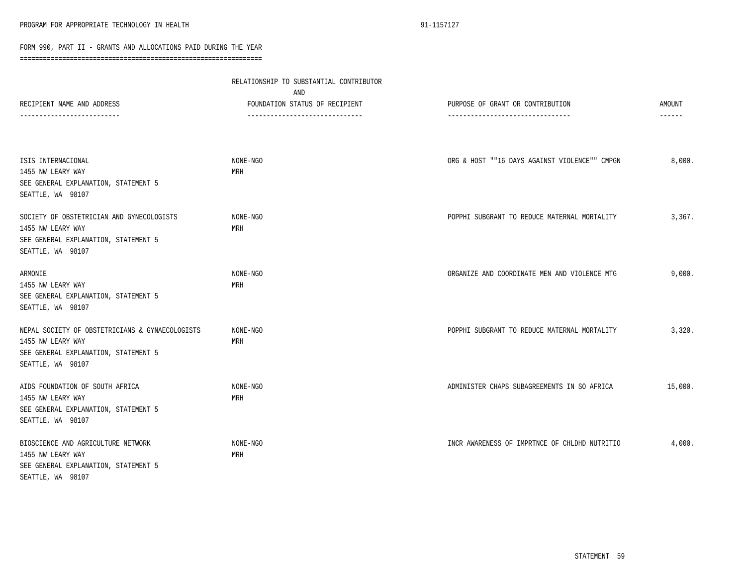|                                                                                                                                   | RELATIONSHIP TO SUBSTANTIAL CONTRIBUTOR<br>AND                   |                                                                       |                                |
|-----------------------------------------------------------------------------------------------------------------------------------|------------------------------------------------------------------|-----------------------------------------------------------------------|--------------------------------|
| RECIPIENT NAME AND ADDRESS<br>-------------------------                                                                           | FOUNDATION STATUS OF RECIPIENT<br>------------------------------ | PURPOSE OF GRANT OR CONTRIBUTION<br>--------------------------------- | <b>AMOUNT</b><br>$- - - - - -$ |
|                                                                                                                                   |                                                                  |                                                                       |                                |
| ISIS INTERNACIONAL                                                                                                                | NONE-NGO<br>MRH                                                  | ORG & HOST ""16 DAYS AGAINST VIOLENCE"" CMPGN                         | 8,000.                         |
| 1455 NW LEARY WAY<br>SEE GENERAL EXPLANATION, STATEMENT 5<br>SEATTLE, WA 98107                                                    |                                                                  |                                                                       |                                |
| SOCIETY OF OBSTETRICIAN AND GYNECOLOGISTS<br>1455 NW LEARY WAY<br>SEE GENERAL EXPLANATION, STATEMENT 5<br>SEATTLE, WA 98107       | NONE-NGO<br>MRH                                                  | POPPHI SUBGRANT TO REDUCE MATERNAL MORTALITY                          | 3,367.                         |
| ARMONIE<br>1455 NW LEARY WAY<br>SEE GENERAL EXPLANATION, STATEMENT 5<br>SEATTLE, WA 98107                                         | NONE-NGO<br>MRH                                                  | ORGANIZE AND COORDINATE MEN AND VIOLENCE MTG                          | 9,000.                         |
| NEPAL SOCIETY OF OBSTETRICIANS & GYNAECOLOGISTS<br>1455 NW LEARY WAY<br>SEE GENERAL EXPLANATION, STATEMENT 5<br>SEATTLE, WA 98107 | NONE-NGO<br>MRH                                                  | POPPHI SUBGRANT TO REDUCE MATERNAL MORTALITY                          | 3,320.                         |
| AIDS FOUNDATION OF SOUTH AFRICA<br>1455 NW LEARY WAY<br>SEE GENERAL EXPLANATION, STATEMENT 5<br>SEATTLE, WA 98107                 | NONE-NGO<br>MRH                                                  | ADMINISTER CHAPS SUBAGREEMENTS IN SO AFRICA                           | 15,000.                        |
| BIOSCIENCE AND AGRICULTURE NETWORK<br>1455 NW LEARY WAY<br>SEE GENERAL EXPLANATION, STATEMENT 5<br>SEATTLE, WA 98107              | NONE-NGO<br>MRH                                                  | INCR AWARENESS OF IMPRTNCE OF CHLDHD NUTRITIO                         | 4,000.                         |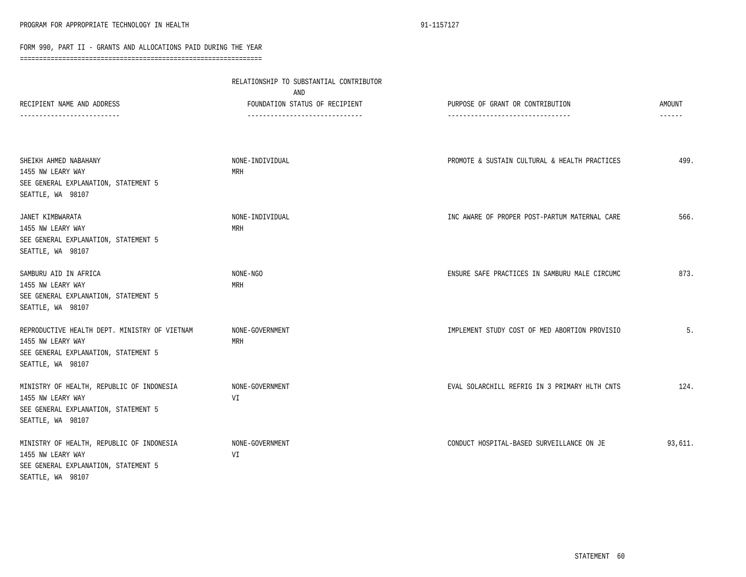| RECIPIENT NAME AND ADDRESS                                                                                                      | RELATIONSHIP TO SUBSTANTIAL CONTRIBUTOR<br>AND<br>FOUNDATION STATUS OF RECIPIENT<br>------------------------------- | PURPOSE OF GRANT OR CONTRIBUTION<br>--------------------------------- | <b>AMOUNT</b><br>$- - - - - -$ |
|---------------------------------------------------------------------------------------------------------------------------------|---------------------------------------------------------------------------------------------------------------------|-----------------------------------------------------------------------|--------------------------------|
|                                                                                                                                 |                                                                                                                     |                                                                       |                                |
| SHEIKH AHMED NABAHANY<br>1455 NW LEARY WAY<br>SEE GENERAL EXPLANATION, STATEMENT 5<br>SEATTLE, WA 98107                         | NONE-INDIVIDUAL<br>MRH                                                                                              | PROMOTE & SUSTAIN CULTURAL & HEALTH PRACTICES                         | 499.                           |
| JANET KIMBWARATA<br>1455 NW LEARY WAY<br>SEE GENERAL EXPLANATION, STATEMENT 5<br>SEATTLE, WA 98107                              | NONE-INDIVIDUAL<br>MRH                                                                                              | INC AWARE OF PROPER POST-PARTUM MATERNAL CARE                         | 566.                           |
| SAMBURU AID IN AFRICA<br>1455 NW LEARY WAY<br>SEE GENERAL EXPLANATION, STATEMENT 5<br>SEATTLE, WA 98107                         | NONE-NGO<br>MRH                                                                                                     | ENSURE SAFE PRACTICES IN SAMBURU MALE CIRCUMC                         | 873.                           |
| REPRODUCTIVE HEALTH DEPT. MINISTRY OF VIETNAM<br>1455 NW LEARY WAY<br>SEE GENERAL EXPLANATION, STATEMENT 5<br>SEATTLE, WA 98107 | NONE-GOVERNMENT<br>MRH                                                                                              | IMPLEMENT STUDY COST OF MED ABORTION PROVISIO                         | 5.                             |
| MINISTRY OF HEALTH, REPUBLIC OF INDONESIA<br>1455 NW LEARY WAY<br>SEE GENERAL EXPLANATION, STATEMENT 5<br>SEATTLE, WA 98107     | NONE-GOVERNMENT<br>VI                                                                                               | EVAL SOLARCHILL REFRIG IN 3 PRIMARY HLTH CNTS                         | 124.                           |
| MINISTRY OF HEALTH, REPUBLIC OF INDONESIA<br>1455 NW LEARY WAY<br>SEE GENERAL EXPLANATION, STATEMENT 5<br>SEATTLE, WA 98107     | NONE-GOVERNMENT<br>VI                                                                                               | CONDUCT HOSPITAL-BASED SURVEILLANCE ON JE                             | 93,611.                        |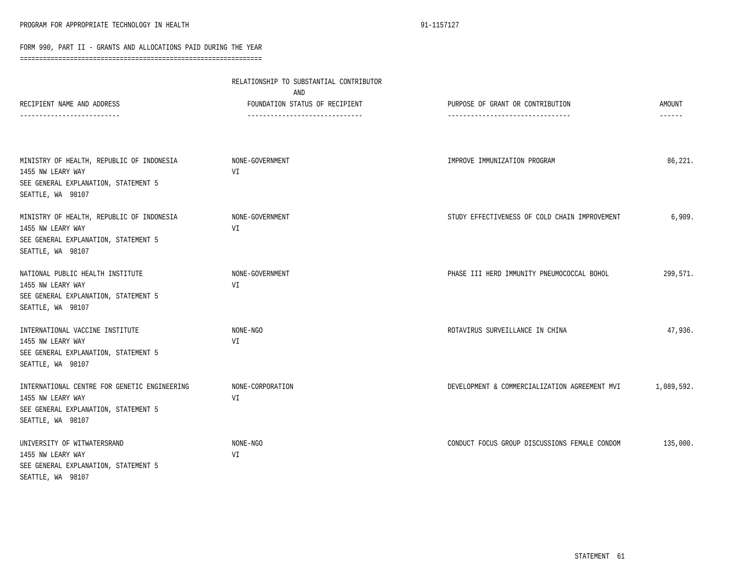| RECIPIENT NAME AND ADDRESS<br>------------------------                                                                         | RELATIONSHIP TO SUBSTANTIAL CONTRIBUTOR<br>AND<br>FOUNDATION STATUS OF RECIPIENT<br>------------------------------- | PURPOSE OF GRANT OR CONTRIBUTION<br>--------------------------------- | AMOUNT<br>$- - - - - -$ |
|--------------------------------------------------------------------------------------------------------------------------------|---------------------------------------------------------------------------------------------------------------------|-----------------------------------------------------------------------|-------------------------|
| MINISTRY OF HEALTH, REPUBLIC OF INDONESIA<br>1455 NW LEARY WAY<br>SEE GENERAL EXPLANATION, STATEMENT 5<br>SEATTLE, WA 98107    | NONE-GOVERNMENT<br>VI                                                                                               | IMPROVE IMMUNIZATION PROGRAM                                          | 86,221.                 |
| MINISTRY OF HEALTH, REPUBLIC OF INDONESIA<br>1455 NW LEARY WAY<br>SEE GENERAL EXPLANATION, STATEMENT 5<br>SEATTLE, WA 98107    | NONE-GOVERNMENT<br>VI                                                                                               | STUDY EFFECTIVENESS OF COLD CHAIN IMPROVEMENT                         | 6,909.                  |
| NATIONAL PUBLIC HEALTH INSTITUTE<br>1455 NW LEARY WAY<br>SEE GENERAL EXPLANATION, STATEMENT 5<br>SEATTLE, WA 98107             | NONE-GOVERNMENT<br>VI                                                                                               | PHASE III HERD IMMUNITY PNEUMOCOCCAL BOHOL                            | 299,571.                |
| INTERNATIONAL VACCINE INSTITUTE<br>1455 NW LEARY WAY<br>SEE GENERAL EXPLANATION, STATEMENT 5<br>SEATTLE, WA 98107              | NONE-NGO<br>VI                                                                                                      | ROTAVIRUS SURVEILLANCE IN CHINA                                       | 47,936.                 |
| INTERNATIONAL CENTRE FOR GENETIC ENGINEERING<br>1455 NW LEARY WAY<br>SEE GENERAL EXPLANATION, STATEMENT 5<br>SEATTLE, WA 98107 | NONE-CORPORATION<br>VI                                                                                              | DEVELOPMENT & COMMERCIALIZATION AGREEMENT MVI                         | 1,089,592.              |
| UNIVERSITY OF WITWATERSRAND<br>1455 NW LEARY WAY<br>SEE GENERAL EXPLANATION, STATEMENT 5<br>SEATTLE, WA 98107                  | NONE-NGO<br>VI                                                                                                      | CONDUCT FOCUS GROUP DISCUSSIONS FEMALE CONDOM                         | 135,000.                |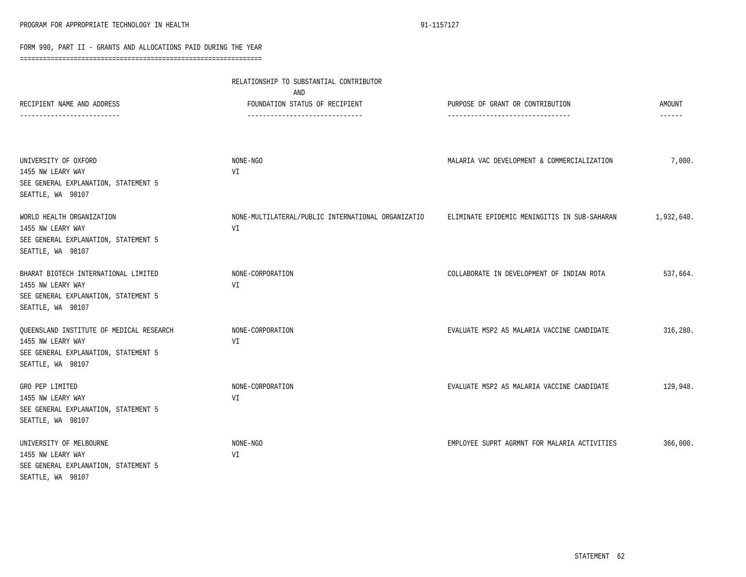|                                                                                                                            | RELATIONSHIP TO SUBSTANTIAL CONTRIBUTOR<br>AND                   |                                                                      |                         |
|----------------------------------------------------------------------------------------------------------------------------|------------------------------------------------------------------|----------------------------------------------------------------------|-------------------------|
| RECIPIENT NAME AND ADDRESS<br>------------------------                                                                     | FOUNDATION STATUS OF RECIPIENT<br>------------------------------ | PURPOSE OF GRANT OR CONTRIBUTION<br>-------------------------------- | AMOUNT<br>$- - - - - -$ |
|                                                                                                                            |                                                                  |                                                                      |                         |
| UNIVERSITY OF OXFORD<br>1455 NW LEARY WAY<br>SEE GENERAL EXPLANATION, STATEMENT 5<br>SEATTLE, WA 98107                     | NONE-NGO<br>VI                                                   | MALARIA VAC DEVELOPMENT & COMMERCIALIZATION                          | 7,000.                  |
| WORLD HEALTH ORGANIZATION<br>1455 NW LEARY WAY<br>SEE GENERAL EXPLANATION, STATEMENT 5<br>SEATTLE, WA 98107                | NONE-MULTILATERAL/PUBLIC INTERNATIONAL ORGANIZATIO<br>VI         | ELIMINATE EPIDEMIC MENINGITIS IN SUB-SAHARAN                         | 1,932,640.              |
| BHARAT BIOTECH INTERNATIONAL LIMITED<br>1455 NW LEARY WAY<br>SEE GENERAL EXPLANATION, STATEMENT 5<br>SEATTLE, WA 98107     | NONE-CORPORATION<br>VI                                           | COLLABORATE IN DEVELOPMENT OF INDIAN ROTA                            | 537,664.                |
| QUEENSLAND INSTITUTE OF MEDICAL RESEARCH<br>1455 NW LEARY WAY<br>SEE GENERAL EXPLANATION, STATEMENT 5<br>SEATTLE, WA 98107 | NONE-CORPORATION<br>VI                                           | EVALUATE MSP2 AS MALARIA VACCINE CANDIDATE                           | 316,280.                |
| GRO PEP LIMITED<br>1455 NW LEARY WAY<br>SEE GENERAL EXPLANATION, STATEMENT 5<br>SEATTLE, WA 98107                          | NONE-CORPORATION<br>VI                                           | EVALUATE MSP2 AS MALARIA VACCINE CANDIDATE                           | 129,948.                |
| UNIVERSITY OF MELBOURNE<br>1455 NW LEARY WAY<br>SEE GENERAL EXPLANATION, STATEMENT 5<br>SEATTLE, WA 98107                  | NONE-NGO<br>VI                                                   | EMPLOYEE SUPRT AGRMNT FOR MALARIA ACTIVITIES                         | 366,000.                |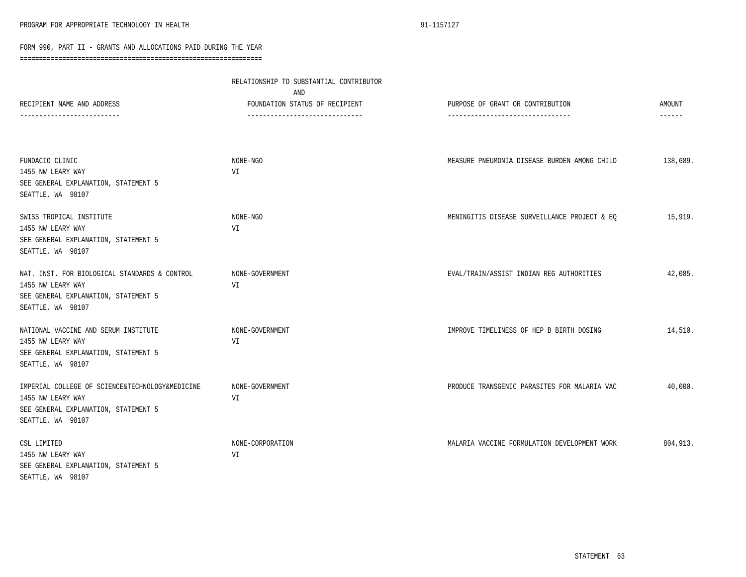|                                                                                                                                   | RELATIONSHIP TO SUBSTANTIAL CONTRIBUTOR<br>AND                    |                                                                       |                         |
|-----------------------------------------------------------------------------------------------------------------------------------|-------------------------------------------------------------------|-----------------------------------------------------------------------|-------------------------|
| RECIPIENT NAME AND ADDRESS<br>------------------------                                                                            | FOUNDATION STATUS OF RECIPIENT<br>------------------------------- | PURPOSE OF GRANT OR CONTRIBUTION<br>--------------------------------- | AMOUNT<br>$- - - - - -$ |
| FUNDACIO CLINIC<br>1455 NW LEARY WAY<br>SEE GENERAL EXPLANATION, STATEMENT 5<br>SEATTLE, WA 98107                                 | NONE-NGO<br>VI                                                    | MEASURE PNEUMONIA DISEASE BURDEN AMONG CHILD                          | 138,689.                |
| SWISS TROPICAL INSTITUTE<br>1455 NW LEARY WAY<br>SEE GENERAL EXPLANATION, STATEMENT 5<br>SEATTLE, WA 98107                        | NONE-NGO<br>VI                                                    | MENINGITIS DISEASE SURVEILLANCE PROJECT & EQ                          | 15,919.                 |
| NAT. INST. FOR BIOLOGICAL STANDARDS & CONTROL<br>1455 NW LEARY WAY<br>SEE GENERAL EXPLANATION, STATEMENT 5<br>SEATTLE, WA 98107   | NONE-GOVERNMENT<br>VI                                             | EVAL/TRAIN/ASSIST INDIAN REG AUTHORITIES                              | 42,085.                 |
| NATIONAL VACCINE AND SERUM INSTITUTE<br>1455 NW LEARY WAY<br>SEE GENERAL EXPLANATION, STATEMENT 5<br>SEATTLE, WA 98107            | NONE-GOVERNMENT<br>VI                                             | IMPROVE TIMELINESS OF HEP B BIRTH DOSING                              | 14,510.                 |
| IMPERIAL COLLEGE OF SCIENCE&TECHNOLOGY&MEDICINE<br>1455 NW LEARY WAY<br>SEE GENERAL EXPLANATION, STATEMENT 5<br>SEATTLE, WA 98107 | NONE-GOVERNMENT<br>VI                                             | PRODUCE TRANSGENIC PARASITES FOR MALARIA VAC                          | 40,000.                 |
| CSL LIMITED<br>1455 NW LEARY WAY<br>SEE GENERAL EXPLANATION, STATEMENT 5<br>SEATTLE, WA 98107                                     | NONE-CORPORATION<br>VI                                            | MALARIA VACCINE FORMULATION DEVELOPMENT WORK                          | 804,913.                |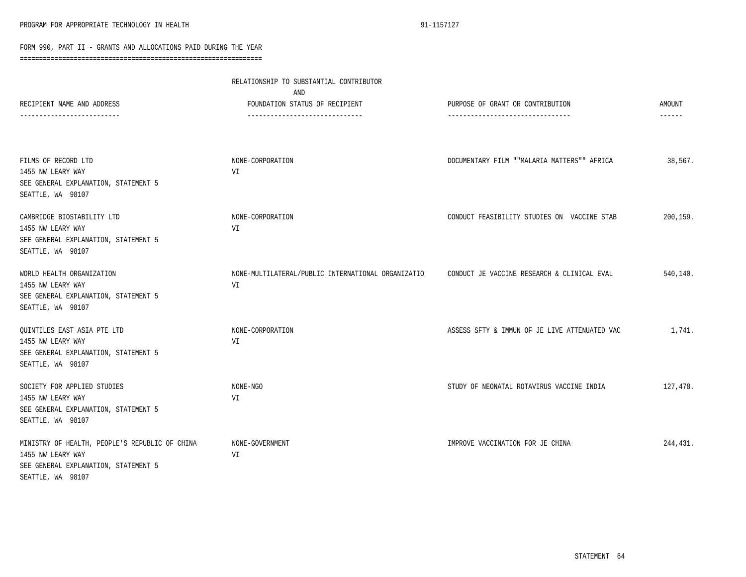|                                                                                                                                  | RELATIONSHIP TO SUBSTANTIAL CONTRIBUTOR<br>AND                    |                                                                       |                         |
|----------------------------------------------------------------------------------------------------------------------------------|-------------------------------------------------------------------|-----------------------------------------------------------------------|-------------------------|
| RECIPIENT NAME AND ADDRESS<br>------------------------                                                                           | FOUNDATION STATUS OF RECIPIENT<br>------------------------------- | PURPOSE OF GRANT OR CONTRIBUTION<br>--------------------------------- | AMOUNT<br>$- - - - - -$ |
| FILMS OF RECORD LTD                                                                                                              | NONE-CORPORATION                                                  | DOCUMENTARY FILM ""MALARIA MATTERS"" AFRICA                           | 38,567.                 |
| 1455 NW LEARY WAY<br>SEE GENERAL EXPLANATION, STATEMENT 5<br>SEATTLE, WA 98107                                                   | VI                                                                |                                                                       |                         |
| CAMBRIDGE BIOSTABILITY LTD<br>1455 NW LEARY WAY<br>SEE GENERAL EXPLANATION, STATEMENT 5<br>SEATTLE, WA 98107                     | NONE-CORPORATION<br>VI                                            | CONDUCT FEASIBILITY STUDIES ON VACCINE STAB                           | 200, 159.               |
| WORLD HEALTH ORGANIZATION<br>1455 NW LEARY WAY<br>SEE GENERAL EXPLANATION, STATEMENT 5<br>SEATTLE, WA 98107                      | NONE-MULTILATERAL/PUBLIC INTERNATIONAL ORGANIZATIO<br>VI          | CONDUCT JE VACCINE RESEARCH & CLINICAL EVAL                           | 540,140.                |
| QUINTILES EAST ASIA PTE LTD<br>1455 NW LEARY WAY<br>SEE GENERAL EXPLANATION, STATEMENT 5<br>SEATTLE, WA 98107                    | NONE-CORPORATION<br>VI                                            | ASSESS SFTY & IMMUN OF JE LIVE ATTENUATED VAC                         | 1,741.                  |
| SOCIETY FOR APPLIED STUDIES<br>1455 NW LEARY WAY<br>SEE GENERAL EXPLANATION, STATEMENT 5<br>SEATTLE, WA 98107                    | NONE-NGO<br>VI                                                    | STUDY OF NEONATAL ROTAVIRUS VACCINE INDIA                             | 127,478.                |
| MINISTRY OF HEALTH, PEOPLE'S REPUBLIC OF CHINA<br>1455 NW LEARY WAY<br>SEE GENERAL EXPLANATION, STATEMENT 5<br>SEATTLE, WA 98107 | NONE-GOVERNMENT<br>VI                                             | IMPROVE VACCINATION FOR JE CHINA                                      | 244,431.                |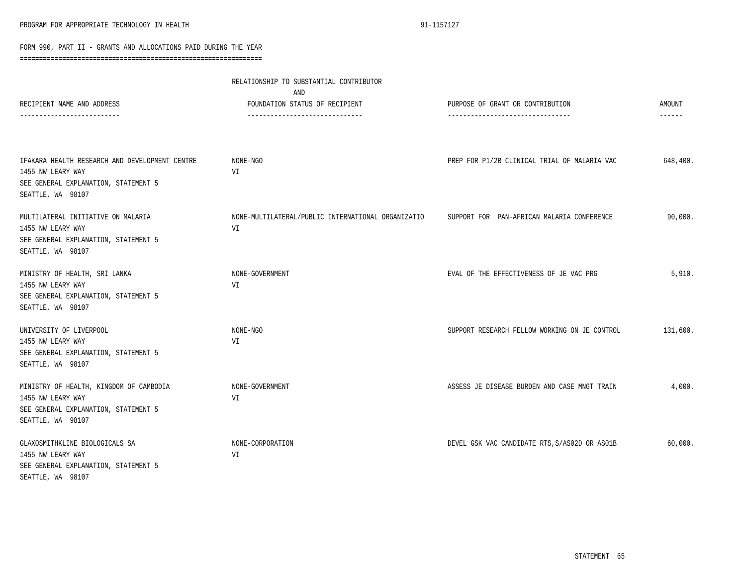|                                                                                                                                  | RELATIONSHIP TO SUBSTANTIAL CONTRIBUTOR<br>AND                   |                                                                      |                           |
|----------------------------------------------------------------------------------------------------------------------------------|------------------------------------------------------------------|----------------------------------------------------------------------|---------------------------|
| RECIPIENT NAME AND ADDRESS                                                                                                       | FOUNDATION STATUS OF RECIPIENT<br>------------------------------ | PURPOSE OF GRANT OR CONTRIBUTION<br>-------------------------------- | AMOUNT<br>$- - - - - - -$ |
| IFAKARA HEALTH RESEARCH AND DEVELOPMENT CENTRE<br>1455 NW LEARY WAY<br>SEE GENERAL EXPLANATION, STATEMENT 5<br>SEATTLE, WA 98107 | NONE-NGO<br>VI                                                   | PREP FOR P1/2B CLINICAL TRIAL OF MALARIA VAC                         | 648,400.                  |
| MULTILATERAL INITIATIVE ON MALARIA<br>1455 NW LEARY WAY<br>SEE GENERAL EXPLANATION, STATEMENT 5<br>SEATTLE, WA 98107             | NONE-MULTILATERAL/PUBLIC INTERNATIONAL ORGANIZATIO<br>VI         | SUPPORT FOR PAN-AFRICAN MALARIA CONFERENCE                           | 90,000.                   |
| MINISTRY OF HEALTH, SRI LANKA<br>1455 NW LEARY WAY<br>SEE GENERAL EXPLANATION, STATEMENT 5<br>SEATTLE, WA 98107                  | NONE-GOVERNMENT<br>VI                                            | EVAL OF THE EFFECTIVENESS OF JE VAC PRG                              | 5,910.                    |
| UNIVERSITY OF LIVERPOOL<br>1455 NW LEARY WAY<br>SEE GENERAL EXPLANATION, STATEMENT 5<br>SEATTLE, WA 98107                        | NONE-NGO<br>VI                                                   | SUPPORT RESEARCH FELLOW WORKING ON JE CONTROL                        | 131,600.                  |
| MINISTRY OF HEALTH, KINGDOM OF CAMBODIA<br>1455 NW LEARY WAY<br>SEE GENERAL EXPLANATION, STATEMENT 5<br>SEATTLE, WA 98107        | NONE-GOVERNMENT<br>VI                                            | ASSESS JE DISEASE BURDEN AND CASE MNGT TRAIN                         | 4,000.                    |
| GLAXOSMITHKLINE BIOLOGICALS SA<br>1455 NW LEARY WAY<br>SEE GENERAL EXPLANATION, STATEMENT 5<br>SEATTLE, WA 98107                 | NONE-CORPORATION<br>VI                                           | DEVEL GSK VAC CANDIDATE RTS, S/AS02D OR AS01B                        | 60,000.                   |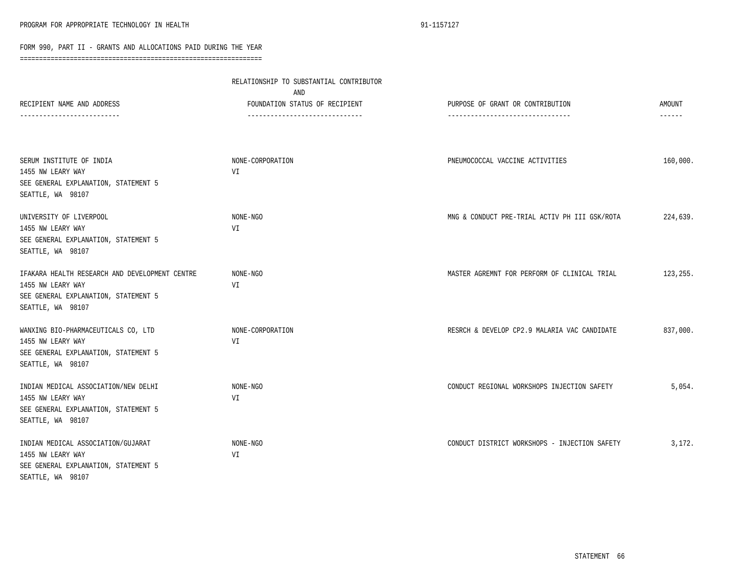|                                                                                                                                  | RELATIONSHIP TO SUBSTANTIAL CONTRIBUTOR                                  |                                                                       |                         |
|----------------------------------------------------------------------------------------------------------------------------------|--------------------------------------------------------------------------|-----------------------------------------------------------------------|-------------------------|
| RECIPIENT NAME AND ADDRESS<br>------------------------                                                                           | AND<br>FOUNDATION STATUS OF RECIPIENT<br>------------------------------- | PURPOSE OF GRANT OR CONTRIBUTION<br>--------------------------------- | AMOUNT<br>$- - - - - -$ |
|                                                                                                                                  |                                                                          |                                                                       |                         |
| SERUM INSTITUTE OF INDIA<br>1455 NW LEARY WAY<br>SEE GENERAL EXPLANATION, STATEMENT 5<br>SEATTLE, WA 98107                       | NONE-CORPORATION<br>VI                                                   | PNEUMOCOCCAL VACCINE ACTIVITIES                                       | 160,000.                |
| UNIVERSITY OF LIVERPOOL<br>1455 NW LEARY WAY<br>SEE GENERAL EXPLANATION, STATEMENT 5<br>SEATTLE, WA 98107                        | NONE-NGO<br>VI                                                           | MNG & CONDUCT PRE-TRIAL ACTIV PH III GSK/ROTA                         | 224,639.                |
| IFAKARA HEALTH RESEARCH AND DEVELOPMENT CENTRE<br>1455 NW LEARY WAY<br>SEE GENERAL EXPLANATION, STATEMENT 5<br>SEATTLE, WA 98107 | NONE-NGO<br>VI                                                           | MASTER AGREMNT FOR PERFORM OF CLINICAL TRIAL                          | 123,255.                |
| WANXING BIO-PHARMACEUTICALS CO, LTD<br>1455 NW LEARY WAY<br>SEE GENERAL EXPLANATION, STATEMENT 5<br>SEATTLE, WA 98107            | NONE-CORPORATION<br>VI                                                   | RESRCH & DEVELOP CP2.9 MALARIA VAC CANDIDATE                          | 837,000.                |
| INDIAN MEDICAL ASSOCIATION/NEW DELHI<br>1455 NW LEARY WAY<br>SEE GENERAL EXPLANATION, STATEMENT 5<br>SEATTLE, WA 98107           | NONE-NGO<br>VI                                                           | CONDUCT REGIONAL WORKSHOPS INJECTION SAFETY                           | 5,054.                  |
| INDIAN MEDICAL ASSOCIATION/GUJARAT<br>1455 NW LEARY WAY<br>SEE GENERAL EXPLANATION, STATEMENT 5<br>SEATTLE, WA 98107             | NONE-NGO<br>VI                                                           | CONDUCT DISTRICT WORKSHOPS - INJECTION SAFETY                         | 3,172.                  |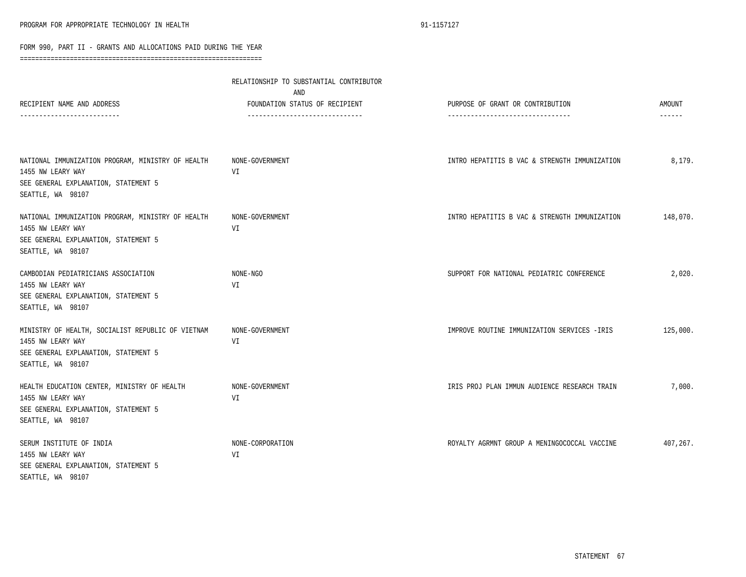| RECIPIENT NAME AND ADDRESS<br>----------------------                                                                                | RELATIONSHIP TO SUBSTANTIAL CONTRIBUTOR<br>AND<br>FOUNDATION STATUS OF RECIPIENT<br>------------------------------ | PURPOSE OF GRANT OR CONTRIBUTION<br>-------------------------------- | AMOUNT<br>------ |
|-------------------------------------------------------------------------------------------------------------------------------------|--------------------------------------------------------------------------------------------------------------------|----------------------------------------------------------------------|------------------|
| NATIONAL IMMUNIZATION PROGRAM, MINISTRY OF HEALTH<br>1455 NW LEARY WAY<br>SEE GENERAL EXPLANATION, STATEMENT 5<br>SEATTLE, WA 98107 | NONE-GOVERNMENT<br>VI                                                                                              | INTRO HEPATITIS B VAC & STRENGTH IMMUNIZATION                        | 8,179.           |
| NATIONAL IMMUNIZATION PROGRAM, MINISTRY OF HEALTH<br>1455 NW LEARY WAY<br>SEE GENERAL EXPLANATION, STATEMENT 5<br>SEATTLE, WA 98107 | NONE-GOVERNMENT<br>VI                                                                                              | INTRO HEPATITIS B VAC & STRENGTH IMMUNIZATION                        | 148,070.         |
| CAMBODIAN PEDIATRICIANS ASSOCIATION<br>1455 NW LEARY WAY<br>SEE GENERAL EXPLANATION, STATEMENT 5<br>SEATTLE, WA 98107               | NONE-NGO<br>VI                                                                                                     | SUPPORT FOR NATIONAL PEDIATRIC CONFERENCE                            | 2,020.           |
| MINISTRY OF HEALTH, SOCIALIST REPUBLIC OF VIETNAM<br>1455 NW LEARY WAY<br>SEE GENERAL EXPLANATION, STATEMENT 5<br>SEATTLE, WA 98107 | NONE-GOVERNMENT<br>VI                                                                                              | IMPROVE ROUTINE IMMUNIZATION SERVICES - IRIS                         | 125,000.         |
| HEALTH EDUCATION CENTER, MINISTRY OF HEALTH<br>1455 NW LEARY WAY<br>SEE GENERAL EXPLANATION, STATEMENT 5<br>SEATTLE, WA 98107       | NONE-GOVERNMENT<br>VI                                                                                              | IRIS PROJ PLAN IMMUN AUDIENCE RESEARCH TRAIN                         | 7,000.           |
| SERUM INSTITUTE OF INDIA<br>1455 NW LEARY WAY<br>SEE GENERAL EXPLANATION, STATEMENT 5<br>SEATTLE, WA 98107                          | NONE-CORPORATION<br>VI                                                                                             | ROYALTY AGRMNT GROUP A MENINGOCOCCAL VACCINE                         | 407,267.         |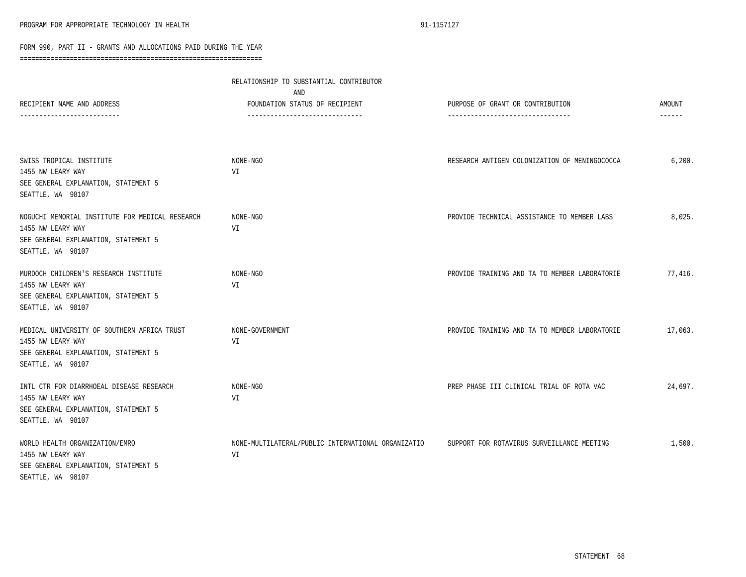|                                                                                                                                                        | RELATIONSHIP TO SUBSTANTIAL CONTRIBUTOR<br>AND                    |                                                                       |                         |
|--------------------------------------------------------------------------------------------------------------------------------------------------------|-------------------------------------------------------------------|-----------------------------------------------------------------------|-------------------------|
| RECIPIENT NAME AND ADDRESS<br>-------------------------                                                                                                | FOUNDATION STATUS OF RECIPIENT<br>------------------------------- | PURPOSE OF GRANT OR CONTRIBUTION<br>--------------------------------- | <b>AMOUNT</b><br>------ |
| SWISS TROPICAL INSTITUTE<br>1455 NW LEARY WAY<br>SEE GENERAL EXPLANATION, STATEMENT 5                                                                  | NONE-NGO<br>VI                                                    | RESEARCH ANTIGEN COLONIZATION OF MENINGOCOCCA                         | 6,200.                  |
| SEATTLE, WA 98107<br>NOGUCHI MEMORIAL INSTITUTE FOR MEDICAL RESEARCH<br>1455 NW LEARY WAY<br>SEE GENERAL EXPLANATION, STATEMENT 5<br>SEATTLE, WA 98107 | NONE-NGO<br>VI                                                    | PROVIDE TECHNICAL ASSISTANCE TO MEMBER LABS                           | 8,025.                  |
| MURDOCH CHILDREN'S RESEARCH INSTITUTE<br>1455 NW LEARY WAY<br>SEE GENERAL EXPLANATION, STATEMENT 5<br>SEATTLE, WA 98107                                | NONE-NGO<br>VI                                                    | PROVIDE TRAINING AND TA TO MEMBER LABORATORIE                         | 77,416.                 |
| MEDICAL UNIVERSITY OF SOUTHERN AFRICA TRUST<br>1455 NW LEARY WAY<br>SEE GENERAL EXPLANATION, STATEMENT 5<br>SEATTLE, WA 98107                          | NONE-GOVERNMENT<br>VI                                             | PROVIDE TRAINING AND TA TO MEMBER LABORATORIE                         | 17,063.                 |
| INTL CTR FOR DIARRHOEAL DISEASE RESEARCH<br>1455 NW LEARY WAY<br>SEE GENERAL EXPLANATION, STATEMENT 5<br>SEATTLE, WA 98107                             | NONE-NGO<br>VI                                                    | PREP PHASE III CLINICAL TRIAL OF ROTA VAC                             | 24,697.                 |
| WORLD HEALTH ORGANIZATION/EMRO<br>1455 NW LEARY WAY<br>SEE GENERAL EXPLANATION, STATEMENT 5<br>SEATTLE, WA 98107                                       | NONE-MULTILATERAL/PUBLIC INTERNATIONAL ORGANIZATIO<br>VI          | SUPPORT FOR ROTAVIRUS SURVEILLANCE MEETING                            | 1,500.                  |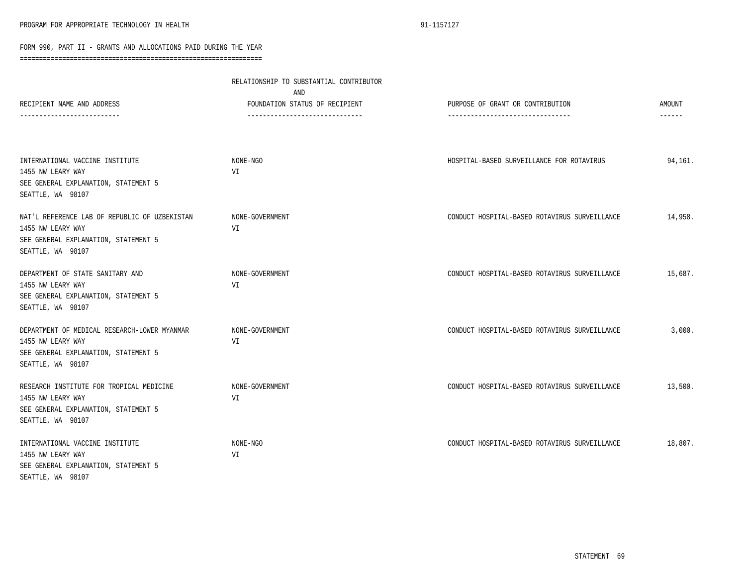|                                                                                                                                 | RELATIONSHIP TO SUBSTANTIAL CONTRIBUTOR<br>AND                    |                                                                       |                                |
|---------------------------------------------------------------------------------------------------------------------------------|-------------------------------------------------------------------|-----------------------------------------------------------------------|--------------------------------|
| RECIPIENT NAME AND ADDRESS<br>-------------------------                                                                         | FOUNDATION STATUS OF RECIPIENT<br>------------------------------- | PURPOSE OF GRANT OR CONTRIBUTION<br>--------------------------------- | <b>AMOUNT</b><br>$- - - - - -$ |
| INTERNATIONAL VACCINE INSTITUTE<br>1455 NW LEARY WAY<br>SEE GENERAL EXPLANATION, STATEMENT 5<br>SEATTLE, WA 98107               | NONE-NGO<br>VI                                                    | HOSPITAL-BASED SURVEILLANCE FOR ROTAVIRUS                             | 94,161.                        |
| NAT'L REFERENCE LAB OF REPUBLIC OF UZBEKISTAN<br>1455 NW LEARY WAY<br>SEE GENERAL EXPLANATION, STATEMENT 5<br>SEATTLE, WA 98107 | NONE-GOVERNMENT<br>VI                                             | CONDUCT HOSPITAL-BASED ROTAVIRUS SURVEILLANCE                         | 14,958.                        |
| DEPARTMENT OF STATE SANITARY AND<br>1455 NW LEARY WAY<br>SEE GENERAL EXPLANATION, STATEMENT 5<br>SEATTLE, WA 98107              | NONE-GOVERNMENT<br>VI                                             | CONDUCT HOSPITAL-BASED ROTAVIRUS SURVEILLANCE                         | 15,687.                        |
| DEPARTMENT OF MEDICAL RESEARCH-LOWER MYANMAR<br>1455 NW LEARY WAY<br>SEE GENERAL EXPLANATION, STATEMENT 5<br>SEATTLE, WA 98107  | NONE-GOVERNMENT<br>VI                                             | CONDUCT HOSPITAL-BASED ROTAVIRUS SURVEILLANCE                         | 3,000.                         |
| RESEARCH INSTITUTE FOR TROPICAL MEDICINE<br>1455 NW LEARY WAY<br>SEE GENERAL EXPLANATION, STATEMENT 5<br>SEATTLE, WA 98107      | NONE-GOVERNMENT<br>VI                                             | CONDUCT HOSPITAL-BASED ROTAVIRUS SURVEILLANCE                         | 13,500.                        |
| INTERNATIONAL VACCINE INSTITUTE<br>1455 NW LEARY WAY<br>SEE GENERAL EXPLANATION, STATEMENT 5<br>SEATTLE, WA 98107               | NONE-NGO<br>VI                                                    | CONDUCT HOSPITAL-BASED ROTAVIRUS SURVEILLANCE                         | 18,807.                        |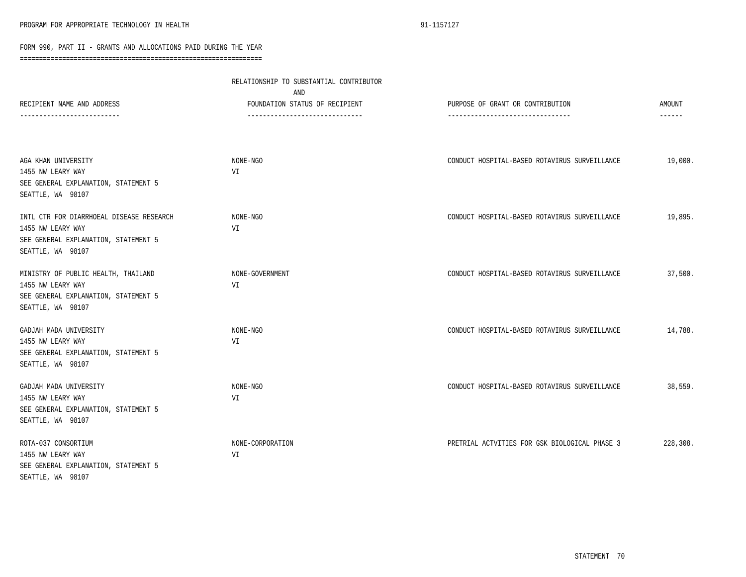|                                                                                                                            | RELATIONSHIP TO SUBSTANTIAL CONTRIBUTOR<br>AND                    |                                                                       |                         |  |
|----------------------------------------------------------------------------------------------------------------------------|-------------------------------------------------------------------|-----------------------------------------------------------------------|-------------------------|--|
| RECIPIENT NAME AND ADDRESS                                                                                                 | FOUNDATION STATUS OF RECIPIENT<br>------------------------------- | PURPOSE OF GRANT OR CONTRIBUTION<br>--------------------------------- | AMOUNT<br>$- - - - - -$ |  |
|                                                                                                                            |                                                                   |                                                                       |                         |  |
| AGA KHAN UNIVERSITY<br>1455 NW LEARY WAY                                                                                   | NONE-NGO<br>VI                                                    | CONDUCT HOSPITAL-BASED ROTAVIRUS SURVEILLANCE                         | 19,000.                 |  |
| SEE GENERAL EXPLANATION, STATEMENT 5<br>SEATTLE, WA 98107                                                                  |                                                                   |                                                                       |                         |  |
| INTL CTR FOR DIARRHOEAL DISEASE RESEARCH<br>1455 NW LEARY WAY<br>SEE GENERAL EXPLANATION, STATEMENT 5<br>SEATTLE, WA 98107 | NONE-NGO<br>VI                                                    | CONDUCT HOSPITAL-BASED ROTAVIRUS SURVEILLANCE                         | 19,895.                 |  |
| MINISTRY OF PUBLIC HEALTH, THAILAND<br>1455 NW LEARY WAY<br>SEE GENERAL EXPLANATION, STATEMENT 5<br>SEATTLE, WA 98107      | NONE-GOVERNMENT<br>VI                                             | CONDUCT HOSPITAL-BASED ROTAVIRUS SURVEILLANCE                         | 37,500.                 |  |
| GADJAH MADA UNIVERSITY<br>1455 NW LEARY WAY<br>SEE GENERAL EXPLANATION, STATEMENT 5<br>SEATTLE, WA 98107                   | NONE-NGO<br>VI                                                    | CONDUCT HOSPITAL-BASED ROTAVIRUS SURVEILLANCE                         | 14,788.                 |  |
| GADJAH MADA UNIVERSITY<br>1455 NW LEARY WAY<br>SEE GENERAL EXPLANATION, STATEMENT 5<br>SEATTLE, WA 98107                   | NONE-NGO<br>VI                                                    | CONDUCT HOSPITAL-BASED ROTAVIRUS SURVEILLANCE                         | 38,559.                 |  |
| ROTA-037 CONSORTIUM<br>1455 NW LEARY WAY<br>SEE GENERAL EXPLANATION, STATEMENT 5<br>SEATTLE, WA 98107                      | NONE-CORPORATION<br>VI                                            | PRETRIAL ACTVITIES FOR GSK BIOLOGICAL PHASE 3                         | 228,308.                |  |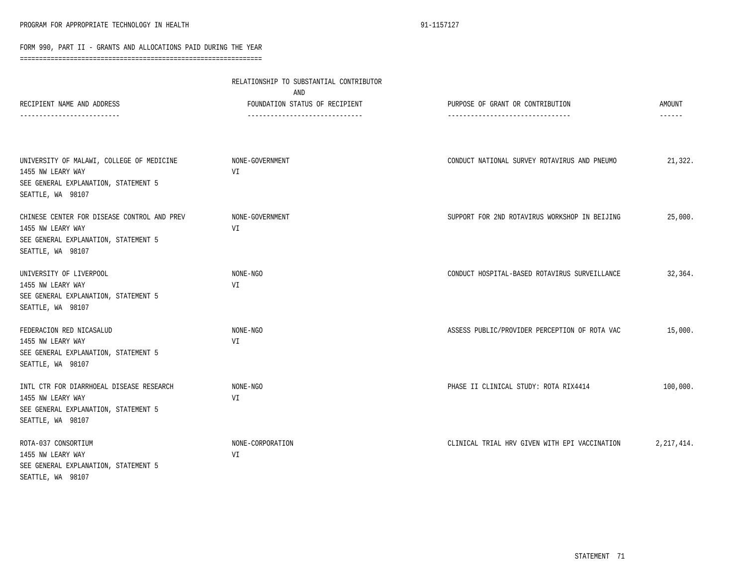|                                                                                                                               | RELATIONSHIP TO SUBSTANTIAL CONTRIBUTOR<br>AND                   |                                                                      |                         |  |
|-------------------------------------------------------------------------------------------------------------------------------|------------------------------------------------------------------|----------------------------------------------------------------------|-------------------------|--|
| RECIPIENT NAME AND ADDRESS                                                                                                    | FOUNDATION STATUS OF RECIPIENT<br>------------------------------ | PURPOSE OF GRANT OR CONTRIBUTION<br>-------------------------------- | AMOUNT<br>$- - - - - -$ |  |
|                                                                                                                               |                                                                  |                                                                      |                         |  |
| UNIVERSITY OF MALAWI, COLLEGE OF MEDICINE<br>1455 NW LEARY WAY<br>SEE GENERAL EXPLANATION, STATEMENT 5<br>SEATTLE, WA 98107   | NONE-GOVERNMENT<br>VI                                            | CONDUCT NATIONAL SURVEY ROTAVIRUS AND PNEUMO                         | 21,322.                 |  |
| CHINESE CENTER FOR DISEASE CONTROL AND PREV<br>1455 NW LEARY WAY<br>SEE GENERAL EXPLANATION, STATEMENT 5<br>SEATTLE, WA 98107 | NONE-GOVERNMENT<br>VI                                            | SUPPORT FOR 2ND ROTAVIRUS WORKSHOP IN BEIJING                        | 25,000.                 |  |
| UNIVERSITY OF LIVERPOOL<br>1455 NW LEARY WAY<br>SEE GENERAL EXPLANATION, STATEMENT 5<br>SEATTLE, WA 98107                     | NONE-NGO<br>VI                                                   | CONDUCT HOSPITAL-BASED ROTAVIRUS SURVEILLANCE                        | 32,364.                 |  |
| FEDERACION RED NICASALUD<br>1455 NW LEARY WAY<br>SEE GENERAL EXPLANATION, STATEMENT 5<br>SEATTLE, WA 98107                    | NONE-NGO<br>VI                                                   | ASSESS PUBLIC/PROVIDER PERCEPTION OF ROTA VAC                        | 15,000.                 |  |
| INTL CTR FOR DIARRHOEAL DISEASE RESEARCH<br>1455 NW LEARY WAY<br>SEE GENERAL EXPLANATION, STATEMENT 5<br>SEATTLE, WA 98107    | NONE-NGO<br>VI                                                   | PHASE II CLINICAL STUDY: ROTA RIX4414                                | 100,000.                |  |
| ROTA-037 CONSORTIUM<br>1455 NW LEARY WAY<br>SEE GENERAL EXPLANATION, STATEMENT 5<br>SEATTLE, WA 98107                         | NONE-CORPORATION<br>VI                                           | CLINICAL TRIAL HRV GIVEN WITH EPI VACCINATION                        | 2, 217, 414.            |  |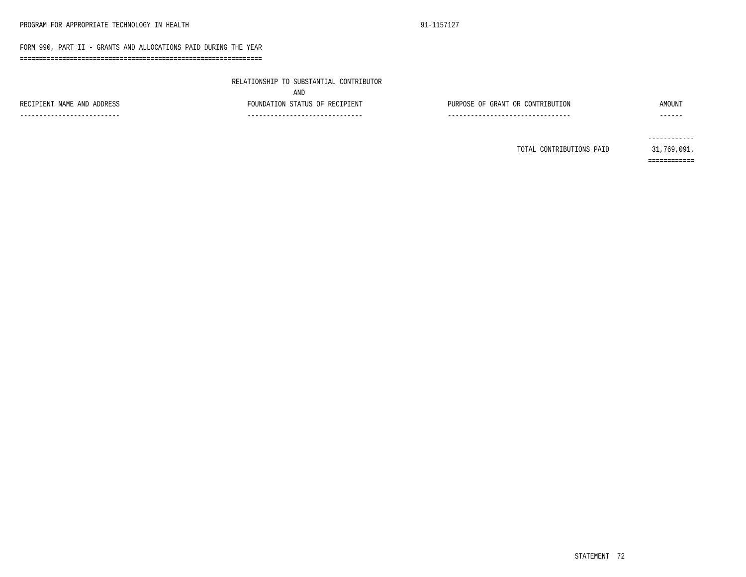===============================================================

|  | RELATIONSHIP TO SUBSTANTIAL CONTRIBUTOR |  |  |  |  |
|--|-----------------------------------------|--|--|--|--|
|--|-----------------------------------------|--|--|--|--|

AND FOUNDATION STATUS OF RECIPIENT ------------------------------

| RECIPIENT NAME AND ADDRESS |  |  |
|----------------------------|--|--|

### PURPOSE OF GRANT OR CONTRIBUTION AMOUNT

--------------------------------

--------------------------

------

TOTAL CONTRIBUTIONS PAID 31,769,091.

------------ ============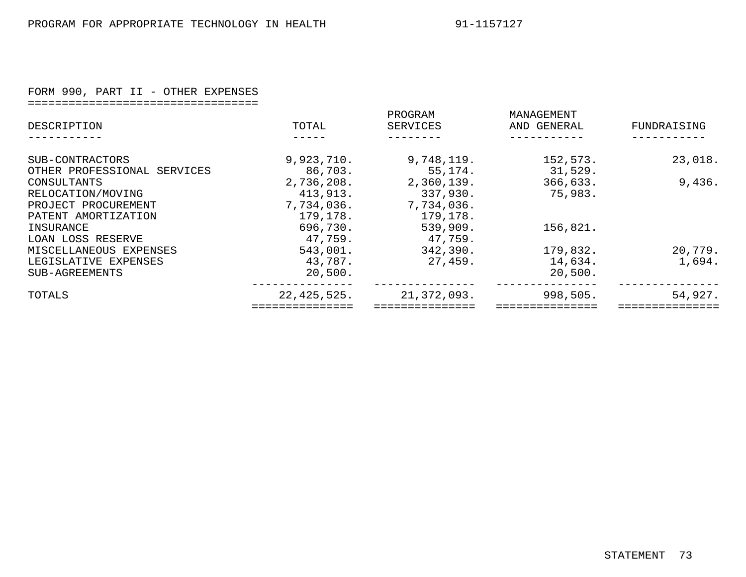# FORM 990, PART II - OTHER EXPENSES

| ---------------------------------- |  |  |  |  |  |  |  |  |  |  |  |  |  |  |  |  |
|------------------------------------|--|--|--|--|--|--|--|--|--|--|--|--|--|--|--|--|
| ---------------------------------- |  |  |  |  |  |  |  |  |  |  |  |  |  |  |  |  |
|                                    |  |  |  |  |  |  |  |  |  |  |  |  |  |  |  |  |
|                                    |  |  |  |  |  |  |  |  |  |  |  |  |  |  |  |  |

| DESCRIPTION                 | TOTAL       | PROGRAM<br>SERVICES | MANAGEMENT<br>AND GENERAL | FUNDRAISING |
|-----------------------------|-------------|---------------------|---------------------------|-------------|
|                             |             |                     |                           |             |
| SUB-CONTRACTORS             | 9,923,710.  | 9,748,119.          | 152,573.                  | 23,018.     |
| OTHER PROFESSIONAL SERVICES | 86,703.     | 55, 174.            | 31,529.                   |             |
| CONSULTANTS                 | 2,736,208.  | 2,360,139.          | 366,633.                  | 9,436.      |
| RELOCATION/MOVING           | 413,913.    | 337,930.            | 75,983.                   |             |
| PROJECT PROCUREMENT         | 7,734,036.  | 7,734,036.          |                           |             |
| PATENT AMORTIZATION         | 179,178.    | 179,178.            |                           |             |
| INSURANCE                   | 696,730.    | 539,909.            | 156,821.                  |             |
| LOAN LOSS RESERVE           | 47,759.     | 47,759.             |                           |             |
| MISCELLANEOUS EXPENSES      | 543,001.    | 342,390.            | 179,832.                  | 20,779.     |
| LEGISLATIVE EXPENSES        | 43,787.     | 27,459.             | 14,634.                   | 1,694.      |
| SUB-AGREEMENTS              | 20,500.     |                     | 20,500.                   |             |
| TOTALS                      | 22,425,525. | 21,372,093.         | 998,505.                  | 54,927.     |
|                             |             |                     |                           |             |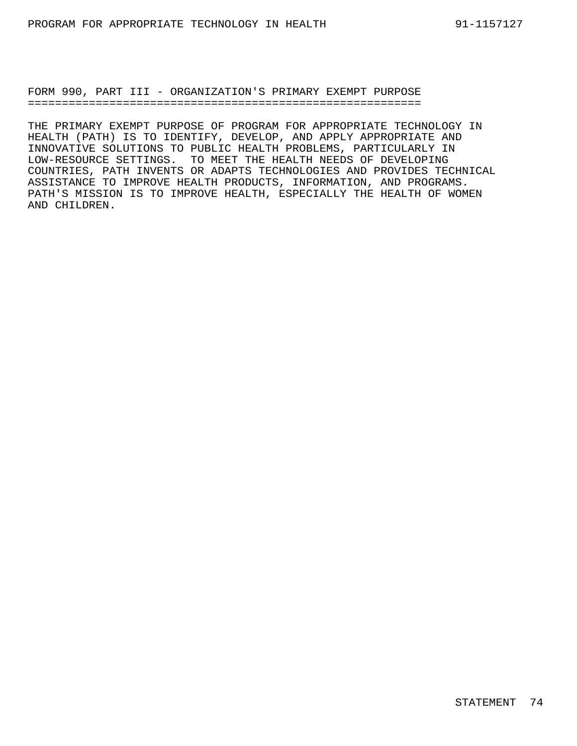FORM 990, PART III - ORGANIZATION'S PRIMARY EXEMPT PURPOSE ==========================================================

THE PRIMARY EXEMPT PURPOSE OF PROGRAM FOR APPROPRIATE TECHNOLOGY IN HEALTH (PATH) IS TO IDENTIFY, DEVELOP, AND APPLY APPROPRIATE AND INNOVATIVE SOLUTIONS TO PUBLIC HEALTH PROBLEMS, PARTICULARLY IN LOW-RESOURCE SETTINGS. TO MEET THE HEALTH NEEDS OF DEVELOPING COUNTRIES, PATH INVENTS OR ADAPTS TECHNOLOGIES AND PROVIDES TECHNICAL ASSISTANCE TO IMPROVE HEALTH PRODUCTS, INFORMATION, AND PROGRAMS. PATH'S MISSION IS TO IMPROVE HEALTH, ESPECIALLY THE HEALTH OF WOMEN AND CHILDREN.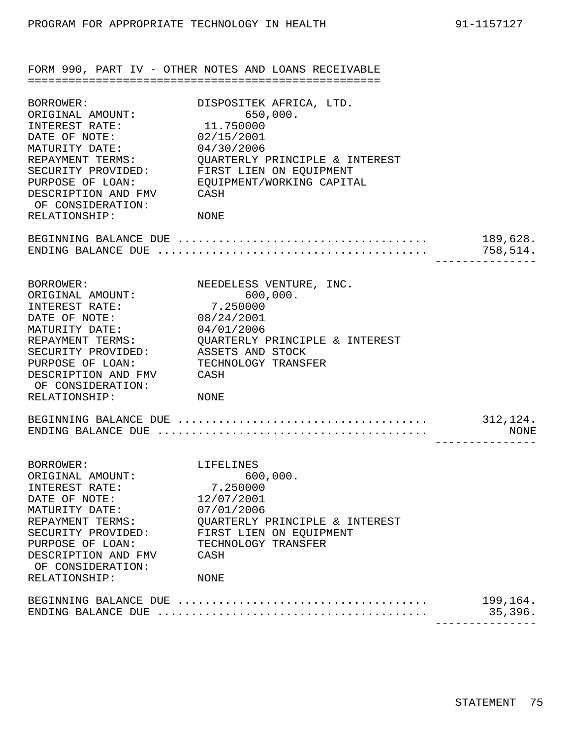FORM 990, PART IV - OTHER NOTES AND LOANS RECEIVABLE ==================================================== BORROWER: DISPOSITEK AFRICA, LTD. ORIGINAL AMOUNT: 650,000. INTEREST RATE: 11.750000 DATE OF NOTE: 02/15/2001 MATURITY DATE: 04/30/2006 REPAYMENT TERMS: QUARTERLY PRINCIPLE & INTEREST SECURITY PROVIDED: FIRST LIEN ON EQUIPMENT PURPOSE OF LOAN: EQUIPMENT/WORKING CAPITAL DESCRIPTION AND FMV OF CONSIDERATION: CASH RELATIONSHIP: NONE BEGINNING BALANCE DUE ..................................... 189,628. ENDING BALANCE DUE  $\dots\dots\dots\dots\dots\dots\dots\dots\dots\dots\dots\dots\dots\dots$  758,514. --------------- BORROWER: NEEDELESS VENTURE, INC. ORIGINAL AMOUNT: 600,000.<br>
INTEREST RATE: 7.250000 INTEREST RATE: 7.250000<br>DATE OF NOTE: 08/24/2001 DATE OF NOTE: 08/24/2001 MATURITY DATE: 04/01/2006 REPAYMENT TERMS: QUARTERLY PRINCIPLE & INTEREST SECURITY PROVIDED: ASSETS AND STOCK PURPOSE OF LOAN: TECHNOLOGY TRANSFER DESCRIPTION AND FMV CASH OF CONSIDERATION: RELATIONSHIP: NONE BEGINNING BALANCE DUE  $\dots\dots\dots\dots\dots\dots\dots\dots\dots\dots\dots\dots\dots$  312,124. ENDING BALANCE DUE ........................................ NONE --------------- BORROWER: LIFELINES ORIGINAL AMOUNT: 600,000. INTEREST RATE: 7.250000<br>
DATE OF NOTE: 12/07/2001<br>
MATURITY DATE: 07/01/2006 DATE OF NOTE: 12/07/2001 MATURITY DATE: 07/01/2006 REPAYMENT TERMS: QUARTERLY PRINCIPLE & INTEREST SECURITY PROVIDED: FIRST LIEN ON EQUIPMENT PURPOSE OF LOAN: TECHNOLOGY TRANSFER DESCRIPTION AND FMV OF CONSIDERATION: CASH RELATIONSHIP: NONE BEGINNING BALANCE DUE  $\ldots \ldots \ldots \ldots \ldots \ldots \ldots \ldots \ldots \ldots$ . 199,164. ENDING BALANCE DUE ........................................ 35,396.

---------------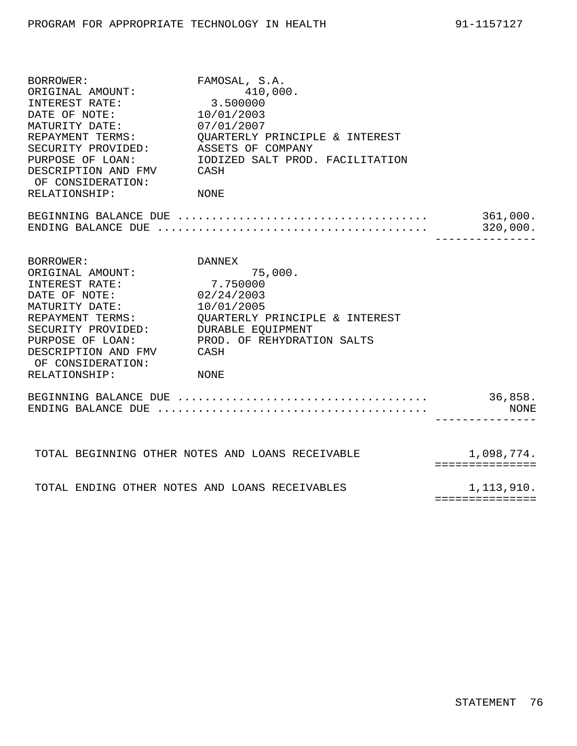| BORROWER:<br>BORROWER:<br>ORIGINAL AMOUNT:     | FAMOSAL, S.A.                                                                                                |                  |
|------------------------------------------------|--------------------------------------------------------------------------------------------------------------|------------------|
|                                                | 410,000.                                                                                                     |                  |
| INTEREST RATE:                                 | 3.500000                                                                                                     |                  |
| DATE OF NOTE:                                  | 10/01/2003                                                                                                   |                  |
| MATURITY DATE:                                 | 07/01/2007                                                                                                   |                  |
| REPAYMENT TERMS:                               | QUARTERLY PRINCIPLE & INTEREST                                                                               |                  |
| SECURITY PROVIDED:                             | ASSETS OF COMPANY                                                                                            |                  |
| PURPOSE OF LOAN:                               | IODIZED SALT PROD. FACILITATION                                                                              |                  |
| DESCRIPTION AND FMV CASH<br>OF CONSIDERATION:  |                                                                                                              |                  |
| RELATIONSHIP:                                  | NONE                                                                                                         |                  |
|                                                |                                                                                                              |                  |
|                                                | ENDING BALANCE DUE $\ldots \ldots \ldots \ldots \ldots \ldots \ldots \ldots \ldots \ldots \ldots$ . 320,000. |                  |
|                                                |                                                                                                              | ---------------- |
| BORROWER:                                      | <b>DANNEX</b>                                                                                                |                  |
| ORIGINAL AMOUNT: 75<br>INTEREST RATE: 7.750000 | 75,000.                                                                                                      |                  |
|                                                |                                                                                                              |                  |
| DATE OF NOTE: 02/24/2003                       |                                                                                                              |                  |
| MATURITY DATE:                                 | 10/01/2005                                                                                                   |                  |
| REPAYMENT TERMS:                               | <b>QUARTERLY PRINCIPLE &amp; INTEREST</b>                                                                    |                  |
| SECURITY PROVIDED:                             | DURABLE EQUIPMENT                                                                                            |                  |
| PURPOSE OF LOAN:                               | PROD. OF REHYDRATION SALTS                                                                                   |                  |
| DESCRIPTION AND FMV                            | CASH                                                                                                         |                  |
| OF CONSIDERATION:                              |                                                                                                              |                  |
| RELATIONSHIP:                                  | NONE                                                                                                         |                  |
|                                                |                                                                                                              | 36,858.          |
|                                                |                                                                                                              | NONE             |
|                                                |                                                                                                              |                  |
|                                                | TOTAL BEGINNING OTHER NOTES AND LOANS RECEIVABLE                                                             | 1,098,774.       |
|                                                |                                                                                                              | ===============  |
|                                                | TOTAL ENDING OTHER NOTES AND LOANS RECEIVABLES                                                               | 1,113,910.       |

===============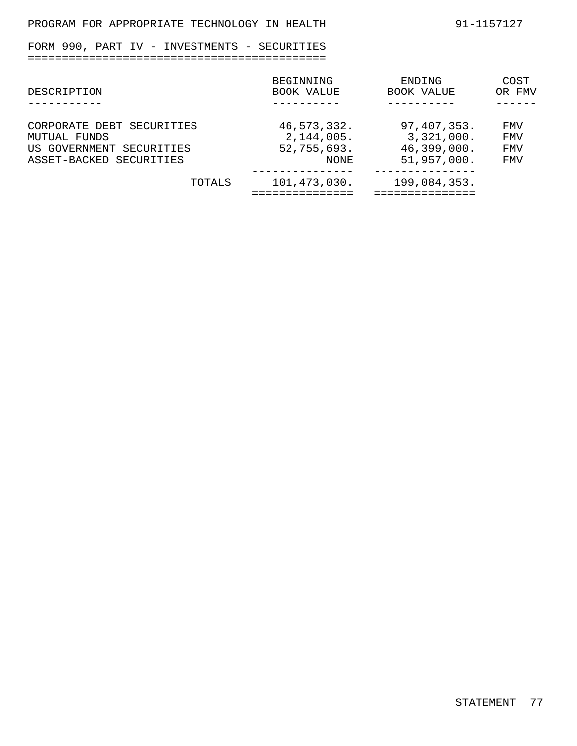FORM 990, PART IV - INVESTMENTS - SECURITIES ============================================

| DESCRIPTION                              |        | BEGINNING<br>BOOK VALUE   | ENDING<br>BOOK VALUE      | COST<br>OR FMV           |
|------------------------------------------|--------|---------------------------|---------------------------|--------------------------|
| CORPORATE DEBT SECURITIES                |        | 46,573,332.               | 97,407,353.               | FMV                      |
| MUTUAL FUNDS<br>US GOVERNMENT SECURITIES |        | 2,144,005.<br>52,755,693. | 3,321,000.<br>46,399,000. | <b>FMV</b><br><b>FMV</b> |
| ASSET-BACKED SECURITIES                  |        | NONE                      | 51,957,000.               | FMV                      |
|                                          | TOTALS | 101,473,030.              | 199,084,353.              |                          |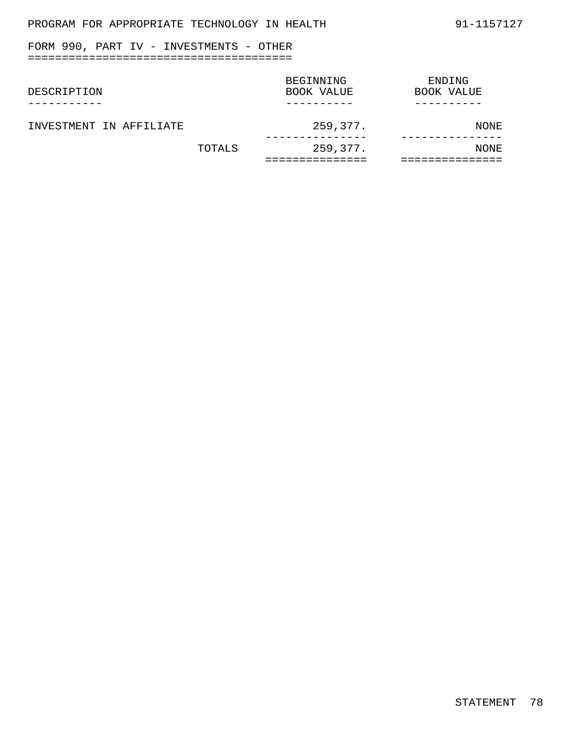## PROGRAM FOR APPROPRIATE TECHNOLOGY IN HEALTH 91-1157127

## FORM 990, PART IV - INVESTMENTS - OTHER =======================================

| DESCRIPTION             |        | BEGINNING<br>BOOK VALUE | ENDING<br>BOOK VALUE |
|-------------------------|--------|-------------------------|----------------------|
| INVESTMENT IN AFFILIATE |        | 259,377.                | NONE                 |
|                         | TOTALS | 259,377.                | NONE                 |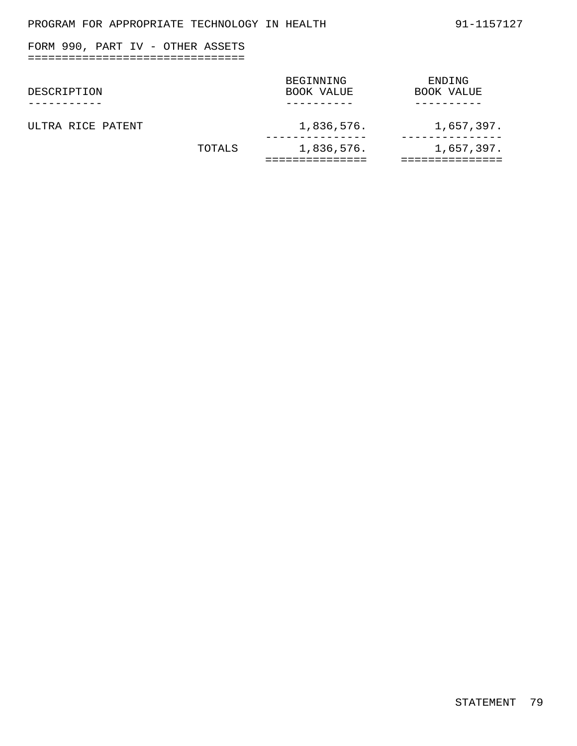## FORM 990, PART IV - OTHER ASSETS ================================

| DESCRIPTION       |        | BEGINNING<br>BOOK VALUE | ENDING<br>BOOK VALUE |
|-------------------|--------|-------------------------|----------------------|
| ULTRA RICE PATENT |        | 1,836,576.              | 1,657,397.           |
|                   | TOTALS | 1,836,576.              | 1,657,397.           |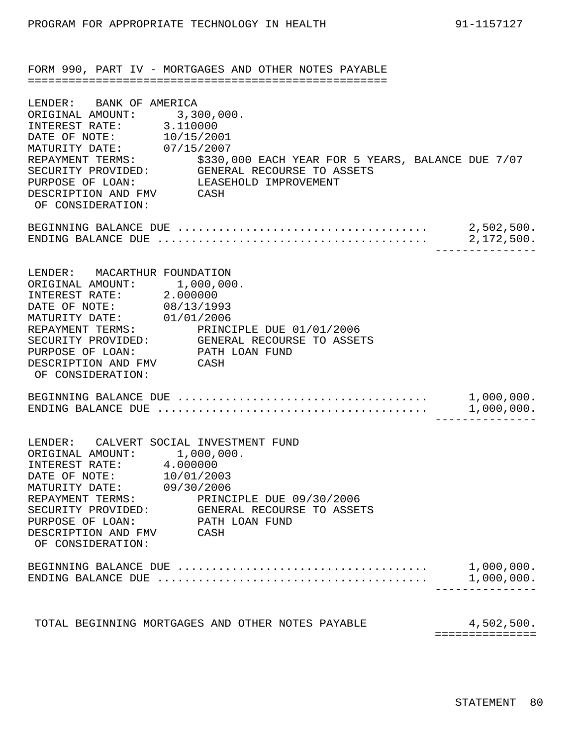FORM 990, PART IV - MORTGAGES AND OTHER NOTES PAYABLE =====================================================

| LENDER: BANK OF AMERICA<br>ORIGINAL AMOUNT: 3,300,000.<br>INTEREST RATE: 3.110000                                                                                                                                                                                                                                                 |                                                                                                                                                  |                               |
|-----------------------------------------------------------------------------------------------------------------------------------------------------------------------------------------------------------------------------------------------------------------------------------------------------------------------------------|--------------------------------------------------------------------------------------------------------------------------------------------------|-------------------------------|
| DATE OF NOTE: 10/15/2001<br>PURPOSE OF LOAN: LEASEHOLD IMPROVEMENT<br>DESCRIPTION AND FMV CASH<br>OF CONSIDERATION:                                                                                                                                                                                                               | MATURITY DATE: 07/15/2007<br>REPAYMENT TERMS: \$330,000 EACH YEAR FOR 5 YEARS, BALANCE DUE 7/07<br>SECURITY PROVIDED: GENERAL RECOURSE TO ASSETS |                               |
|                                                                                                                                                                                                                                                                                                                                   | ENDING BALANCE DUE $\ldots \ldots \ldots \ldots \ldots \ldots \ldots \ldots \ldots \ldots \ldots \ldots$ 2,172,500.                              |                               |
| LENDER: MACARTHUR FOUNDATION<br>ORIGINAL AMOUNT: 1,000,000.<br>INTEREST RATE: 2.000000<br>DATE OF NOTE: 08/13/1993<br>MATURITY DATE: 01/01/2006<br>REPAYMENT TERMS: PRINCIPLE DUE 01/01/2006<br>SECURITY PROVIDED: GENERAL RECOURSE TO ASSETS<br>PURPOSE OF LOAN: PATH LOAN FUND<br>DESCRIPTION AND FMV CASH<br>OF CONSIDERATION: |                                                                                                                                                  |                               |
|                                                                                                                                                                                                                                                                                                                                   | ENDING BALANCE DUE $\ldots \ldots \ldots \ldots \ldots \ldots \ldots \ldots \ldots \ldots \ldots \ldots \ldots \qquad 1,000,000$ .               |                               |
| LENDER: CALVERT SOCIAL INVESTMENT FUND<br>ORIGINAL AMOUNT: 1,000,000.<br>INTEREST RATE: 4.000000<br>DATE OF NOTE: 10/01/2003<br>MATURITY DATE: 09/30/2006<br>REPAYMENT TERMS: PRINCIPLE DUE 09/30/2006<br>SECURITY PROVIDED: GENERAL RECOURSE TO ASSETS<br>PURPOSE OF LOAN:<br>DESCRIPTION AND FMV<br>OF CONSIDERATION:           | PATH LOAN FUND<br>CASH                                                                                                                           |                               |
|                                                                                                                                                                                                                                                                                                                                   | $ENDING$ BALANCE DUE $\ldots \ldots \ldots \ldots \ldots \ldots \ldots \ldots \ldots \ldots \ldots \ldots \ldots$                                | 1,000,000.<br>1,000,000.      |
| TOTAL BEGINNING MORTGAGES AND OTHER NOTES PAYABLE                                                                                                                                                                                                                                                                                 |                                                                                                                                                  | 4,502,500.<br>=============== |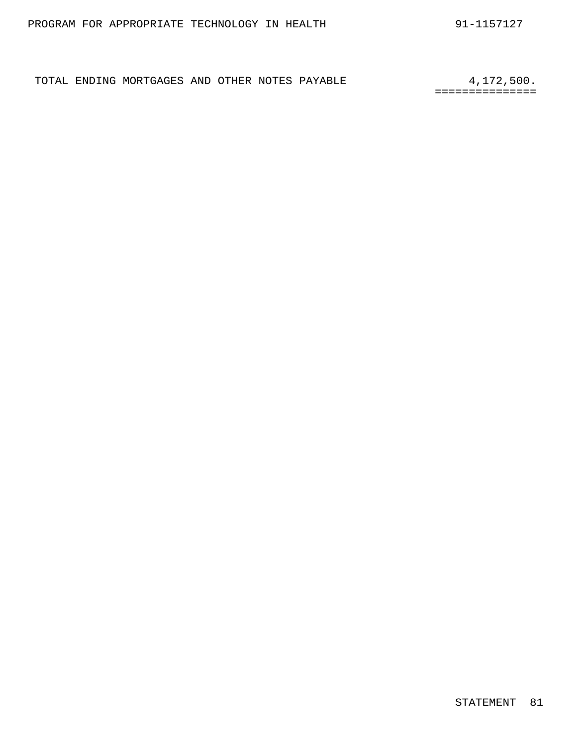TOTAL ENDING MORTGAGES AND OTHER NOTES PAYABLE 4,172,500.

===============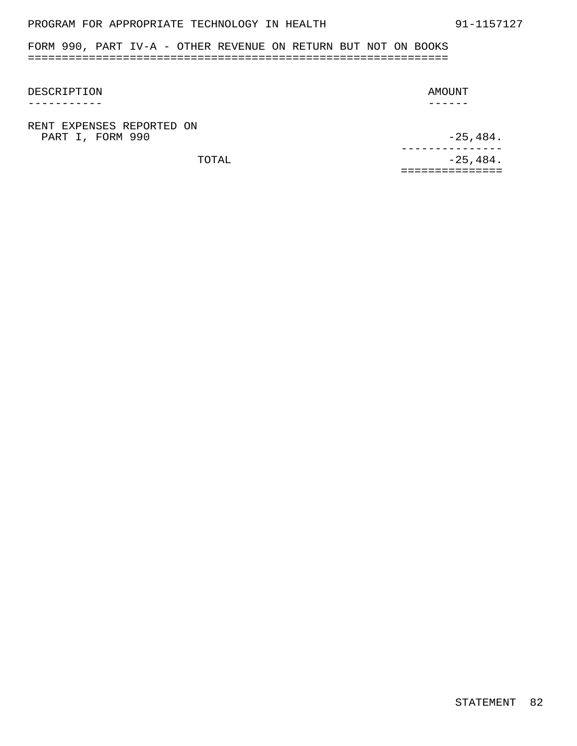## PROGRAM FOR APPROPRIATE TECHNOLOGY IN HEALTH 91-1157127

FORM 990, PART IV-A - OTHER REVENUE ON RETURN BUT NOT ON BOOKS ==============================================================

### DESCRIPTION

-----------

### AMOUNT

------

RENT EXPENSES REPORTED ON PART I, FORM 990 -25,484.

TOTAL  $-25,484.$ --------------- ===============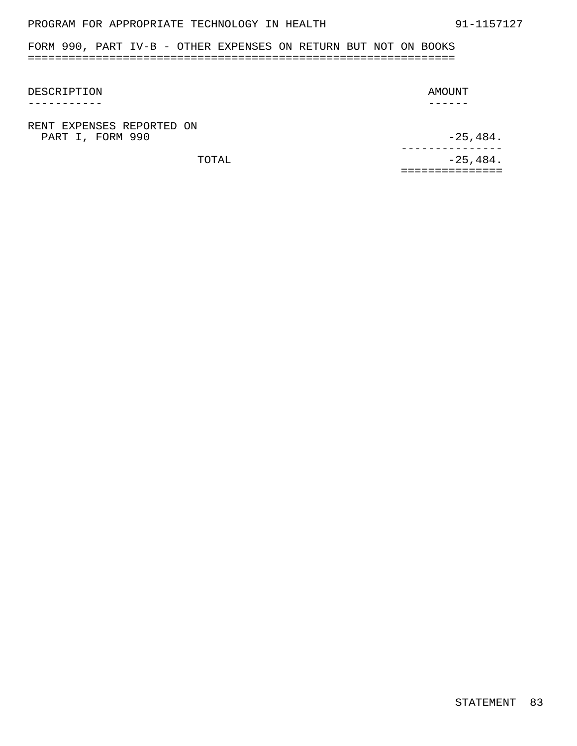## PROGRAM FOR APPROPRIATE TECHNOLOGY IN HEALTH 91-1157127

FORM 990, PART IV-B - OTHER EXPENSES ON RETURN BUT NOT ON BOOKS ===============================================================

### DESCRIPTION

-----------

### AMOUNT

------

RENT EXPENSES REPORTED ON PART I, FORM 990 -25,484.

TOTAL  $-25,484.$ --------------- ===============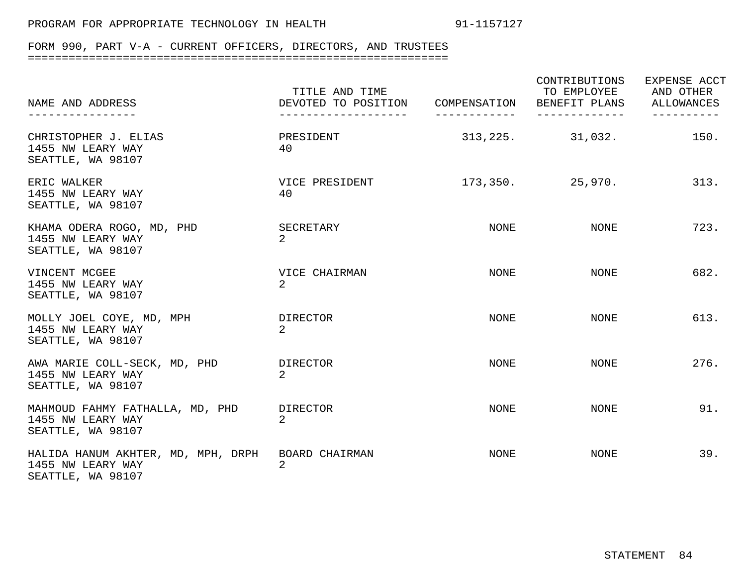# FORM 990, PART V-A - CURRENT OFFICERS, DIRECTORS, AND TRUSTEES

| NAME AND ADDRESS<br>--------------                                           | TITLE AND TIME<br>DEVOTED TO POSITION COMPENSATION<br>------------------- |      | CONTRIBUTIONS<br>TO EMPLOYEE<br>BENEFIT PLANS ALLOWANCES<br>------------- | EXPENSE ACCT<br>AND OTHER |
|------------------------------------------------------------------------------|---------------------------------------------------------------------------|------|---------------------------------------------------------------------------|---------------------------|
| CHRISTOPHER J. ELIAS<br>1455 NW LEARY WAY<br>SEATTLE, WA 98107               | PRESIDENT<br>40                                                           |      | $313,225.$ $31,032.$                                                      | 150.                      |
| ERIC WALKER<br>1455 NW LEARY WAY<br>SEATTLE, WA 98107                        | VICE PRESIDENT<br>40                                                      |      | $173,350.$ 25,970.                                                        | 313.                      |
| KHAMA ODERA ROGO, MD, PHD<br>1455 NW LEARY WAY<br>SEATTLE, WA 98107          | SECRETARY<br>$\overline{2}$                                               | NONE | NONE                                                                      | 723.                      |
| VINCENT MCGEE<br>1455 NW LEARY WAY<br>SEATTLE, WA 98107                      | VICE CHAIRMAN<br>$\overline{2}$                                           | NONE | NONE                                                                      | 682.                      |
| MOLLY JOEL COYE, MD, MPH<br>1455 NW LEARY WAY<br>SEATTLE, WA 98107           | DIRECTOR<br>$\mathcal{L}$                                                 | NONE | NONE                                                                      | 613.                      |
| AWA MARIE COLL-SECK, MD, PHD<br>1455 NW LEARY WAY<br>SEATTLE, WA 98107       | DIRECTOR<br>2.                                                            | NONE | NONE                                                                      | 276.                      |
| MAHMOUD FAHMY FATHALLA, MD, PHD<br>1455 NW LEARY WAY<br>SEATTLE, WA 98107    | DIRECTOR<br>$\mathcal{L}$                                                 | NONE | NONE                                                                      | 91.                       |
| HALIDA HANUM AKHTER, MD, MPH, DRPH<br>1455 NW LEARY WAY<br>SEATTLE, WA 98107 | BOARD CHAIRMAN<br>$\overline{2}$                                          | NONE | NONE                                                                      | 39.                       |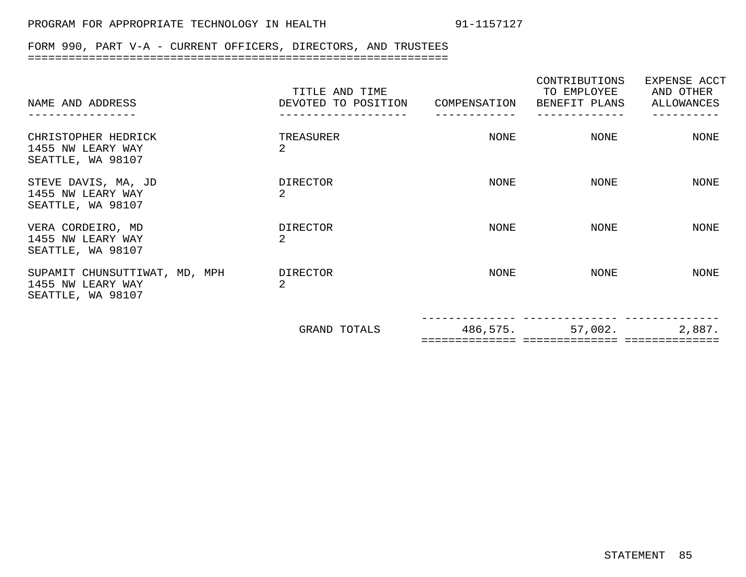# FORM 990, PART V-A - CURRENT OFFICERS, DIRECTORS, AND TRUSTEES

| NAME AND ADDRESS                                                        | TITLE AND TIME<br>DEVOTED TO POSITION | COMPENSATION | CONTRIBUTIONS<br>TO EMPLOYEE<br>BENEFIT PLANS | EXPENSE ACCT<br>AND OTHER<br>ALLOWANCES |
|-------------------------------------------------------------------------|---------------------------------------|--------------|-----------------------------------------------|-----------------------------------------|
|                                                                         |                                       |              |                                               |                                         |
| CHRISTOPHER HEDRICK<br>1455 NW LEARY WAY<br>SEATTLE, WA 98107           | TREASURER<br>2                        | NONE         | NONE                                          | NONE                                    |
| STEVE DAVIS, MA, JD<br>1455 NW LEARY WAY<br>SEATTLE, WA 98107           | <b>DIRECTOR</b><br>2.                 | NONE         | NONE                                          | NONE                                    |
| VERA CORDEIRO, MD<br>1455 NW LEARY WAY<br>SEATTLE, WA 98107             | <b>DIRECTOR</b><br>2                  | NONE         | NONE                                          | NONE                                    |
| SUPAMIT CHUNSUTTIWAT, MD, MPH<br>1455 NW LEARY WAY<br>SEATTLE, WA 98107 | <b>DIRECTOR</b><br>2                  | NONE         | NONE                                          | NONE                                    |
|                                                                         | GRAND TOTALS                          | 486,575.     | 57,002.                                       | 2,887.                                  |
|                                                                         |                                       |              |                                               |                                         |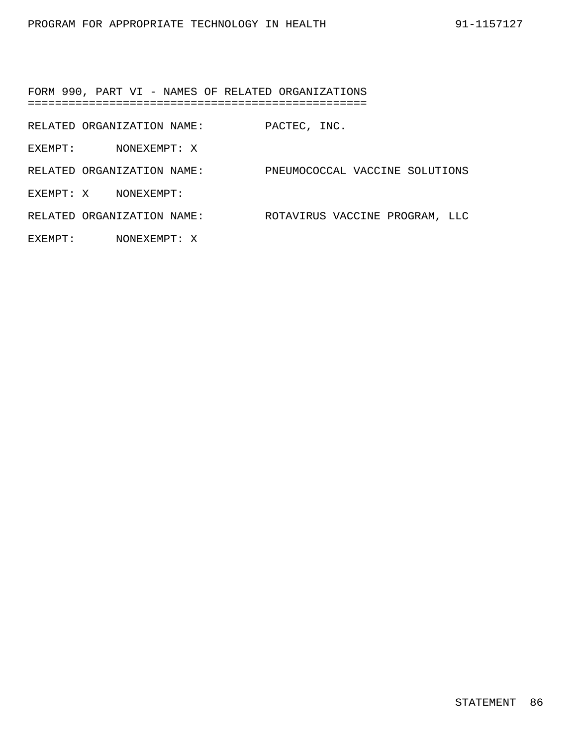FORM 990, PART VI - NAMES OF RELATED ORGANIZATIONS ==================================================

RELATED ORGANIZATION NAME: PACTEC, INC.

EXEMPT: NONEXEMPT: X

RELATED ORGANIZATION NAME: PNEUMOCOCCAL VACCINE SOLUTIONS EXEMPT: X NONEXEMPT:

RELATED ORGANIZATION NAME: ROTAVIRUS VACCINE PROGRAM, LLC

EXEMPT: NONEXEMPT: X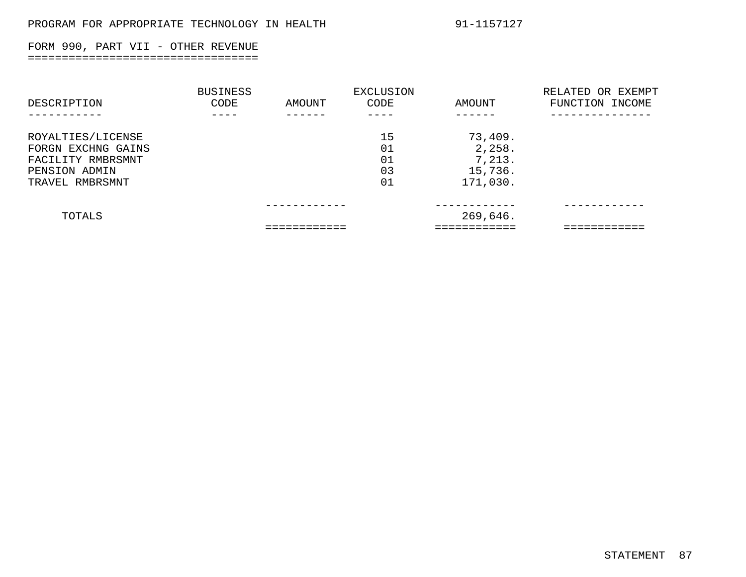### FORM 990, PART VII - OTHER REVENUE ==================================

| DESCRIPTION                                                                                      | <b>BUSINESS</b><br>CODE | AMOUNT | EXCLUSION<br>CODE          | AMOUNT                                             | RELATED OR EXEMPT<br>FUNCTION INCOME |
|--------------------------------------------------------------------------------------------------|-------------------------|--------|----------------------------|----------------------------------------------------|--------------------------------------|
| ROYALTIES/LICENSE<br>FORGN EXCHNG GAINS<br>FACILITY RMBRSMNT<br>PENSION ADMIN<br>TRAVEL RMBRSMNT |                         |        | 15<br>01<br>01<br>03<br>01 | 73,409.<br>2,258.<br>7,213.<br>15,736.<br>171,030. |                                      |
| TOTALS                                                                                           |                         |        |                            | 269,646.                                           |                                      |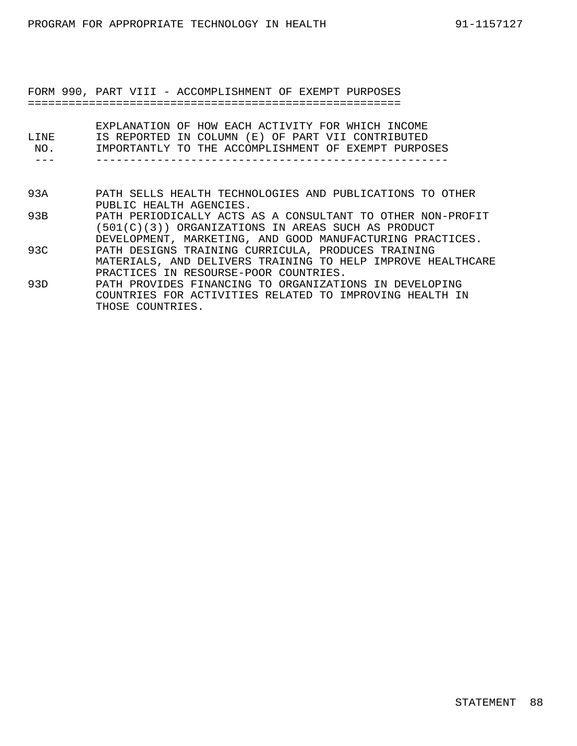FORM 990, PART VIII - ACCOMPLISHMENT OF EXEMPT PURPOSES =======================================================

| T.TNF.<br>NO. | EXPLANATION OF HOW EACH ACTIVITY FOR WHICH INCOME<br>IS REPORTED IN COLUMN (E) OF PART VII CONTRIBUTED<br>IMPORTANTLY TO THE ACCOMPLISHMENT OF EXEMPT PURPOSES                |
|---------------|-------------------------------------------------------------------------------------------------------------------------------------------------------------------------------|
| 93A           | PATH SELLS HEALTH TECHNOLOGIES AND PUBLICATIONS TO OTHER<br>PUBLIC HEALTH AGENCIES.                                                                                           |
| 93B           | PATH PERIODICALLY ACTS AS A CONSULTANT TO OTHER NON-PROFIT<br>(501(C)(3)) ORGANIZATIONS IN AREAS SUCH AS PRODUCT<br>DEVELOPMENT, MARKETING, AND GOOD MANUFACTURING PRACTICES. |
| 93C           | PATH DESIGNS TRAINING CURRICULA, PRODUCES TRAINING<br>MATERIALS, AND DELIVERS TRAINING TO HELP IMPROVE HEALTHCARE<br>PRACTICES IN RESOURSE-POOR COUNTRIES.                    |
| 93D           | PATH PROVIDES FINANCING TO ORGANIZATIONS IN DEVELOPING<br>COUNTRIES FOR ACTIVITIES RELATED TO IMPROVING HEALTH IN<br>THOSE COUNTRIES.                                         |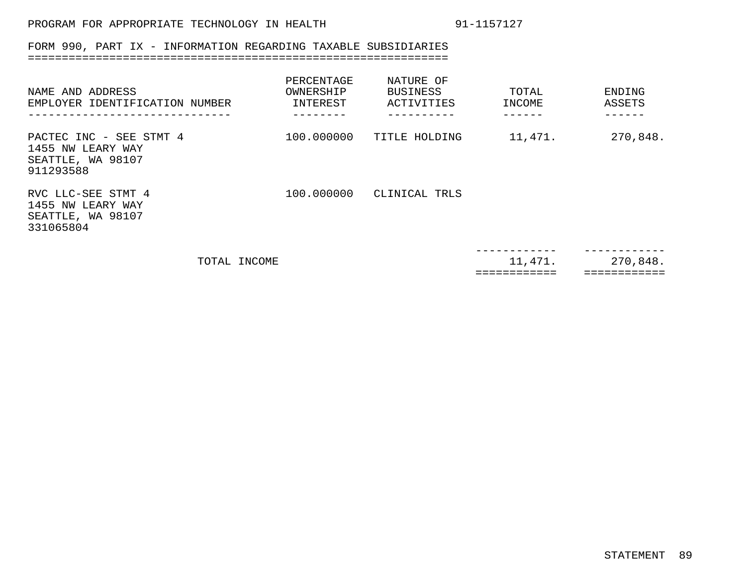### FORM 990, PART IX - INFORMATION REGARDING TAXABLE SUBSIDIARIES ==============================================================

| NAME AND ADDRESS<br>EMPLOYER IDENTIFICATION NUMBER                             |              | PERCENTAGE<br>OWNERSHIP<br>INTEREST | NATURE OF<br><b>BUSINESS</b><br>ACTIVITIES | TOTAL<br>INCOME | ENDING<br>ASSETS |
|--------------------------------------------------------------------------------|--------------|-------------------------------------|--------------------------------------------|-----------------|------------------|
| PACTEC INC - SEE STMT 4<br>1455 NW LEARY WAY<br>SEATTLE, WA 98107<br>911293588 |              |                                     | 100.000000 TITLE HOLDING                   | 11,471.         | 270,848.         |
| RVC LLC-SEE STMT 4<br>1455 NW LEARY WAY<br>SEATTLE, WA 98107<br>331065804      |              |                                     | 100.000000 CLINICAL TRLS                   |                 |                  |
|                                                                                | TOTAL INCOME |                                     |                                            | 11,471.         | 270,848.         |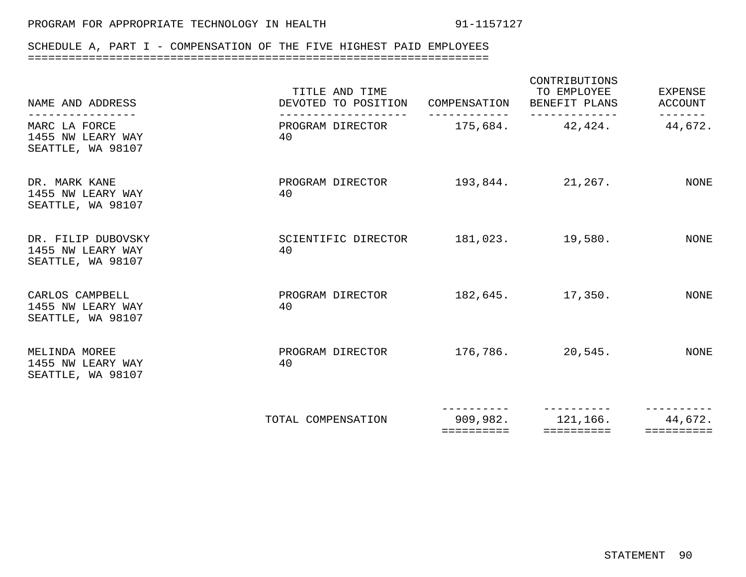==========

### SCHEDULE A, PART I - COMPENSATION OF THE FIVE HIGHEST PAID EMPLOYEES ====================================================================

| NAME AND ADDRESS                                             | TITLE AND TIME<br>DEVOTED TO POSITION COMPENSATION BENEFIT PLANS | CONTRIBUTIONS<br>TO EMPLOYEE | EXPENSE<br>ACCOUNT |
|--------------------------------------------------------------|------------------------------------------------------------------|------------------------------|--------------------|
| MARC LA FORCE<br>1455 NW LEARY WAY<br>SEATTLE, WA 98107      | PROGRAM DIRECTOR 175,684. 42,424.<br>40                          |                              | 44,672.            |
| DR. MARK KANE<br>1455 NW LEARY WAY<br>SEATTLE, WA 98107      | PROGRAM DIRECTOR<br>40                                           | $193,844.$ 21,267.           | NONE               |
| DR. FILIP DUBOVSKY<br>1455 NW LEARY WAY<br>SEATTLE, WA 98107 | SCIENTIFIC DIRECTOR<br>40                                        | $181,023.$ $19,580.$         | NONE               |
| CARLOS CAMPBELL<br>1455 NW LEARY WAY<br>SEATTLE, WA 98107    | PROGRAM DIRECTOR<br>40                                           | $182,645.$ 17,350.           | <b>NONE</b>        |
| MELINDA MOREE<br>1455 NW LEARY WAY<br>SEATTLE, WA 98107      | PROGRAM DIRECTOR<br>40                                           | $176,786.$ 20,545.           | NONE               |
|                                                              |                                                                  | ----------                   |                    |

TOTAL COMPENSATION 909,982.

44,672.

==========

121,166.

==========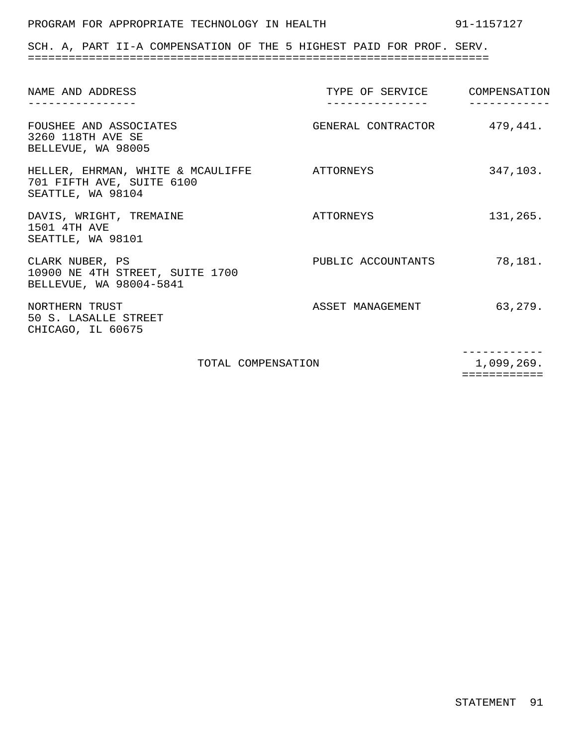### PROGRAM FOR APPROPRIATE TECHNOLOGY IN HEALTH 91-1157127

SCH. A, PART II-A COMPENSATION OF THE 5 HIGHEST PAID FOR PROF. SERV. ====================================================================

| NAME AND ADDRESS                                                                              | TYPE OF SERVICE COMPENSATION<br>-------------- |          |
|-----------------------------------------------------------------------------------------------|------------------------------------------------|----------|
| FOUSHEE AND ASSOCIATES<br>3260 118TH AVE SE<br>BELLEVUE, WA 98005                             | GENERAL CONTRACTOR 479,441.                    |          |
| HELLER, EHRMAN, WHITE & MCAULIFFE ATTORNEYS<br>701 FIFTH AVE, SUITE 6100<br>SEATTLE, WA 98104 |                                                | 347,103. |
| DAVIS, WRIGHT, TREMAINE<br>1501 4TH AVE<br>SEATTLE, WA 98101                                  | ATTORNEYS                                      | 131,265. |
| CLARK NUBER, PS<br>10900 NE 4TH STREET, SUITE 1700<br>BELLEVUE, WA 98004-5841                 | PUBLIC ACCOUNTANTS                             | 78,181.  |
| NORTHERN TRUST<br>50 S. LASALLE STREET<br>CHICAGO, IL 60675                                   | ASSET MANAGEMENT                               | 63,279.  |
| TOTAL COMPENSATION                                                                            | 1,099,269.                                     |          |

============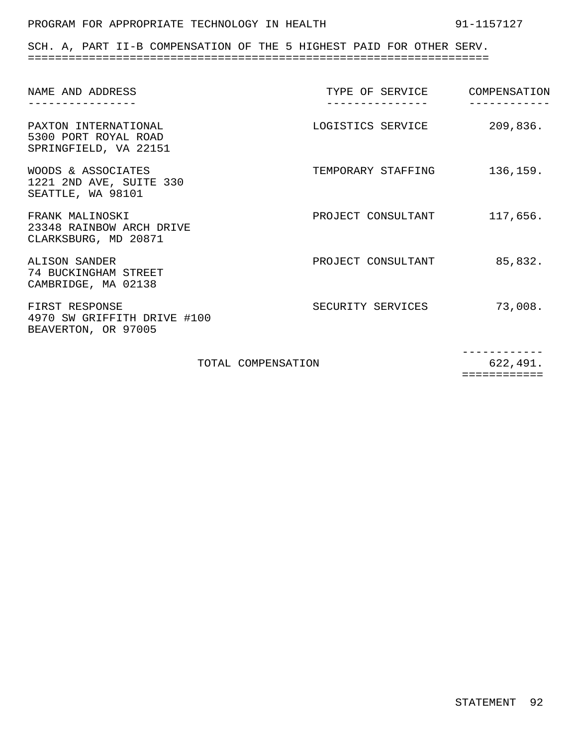### PROGRAM FOR APPROPRIATE TECHNOLOGY IN HEALTH 91-1157127

SCH. A, PART II-B COMPENSATION OF THE 5 HIGHEST PAID FOR OTHER SERV. ====================================================================

| NAME AND ADDRESS                                                      | TYPE OF SERVICE    | COMPENSATION |
|-----------------------------------------------------------------------|--------------------|--------------|
| PAXTON INTERNATIONAL<br>5300 PORT ROYAL ROAD<br>SPRINGFIELD, VA 22151 | LOGISTICS SERVICE  | 209,836.     |
| WOODS & ASSOCIATES<br>1221 2ND AVE, SUITE 330<br>SEATTLE, WA 98101    | TEMPORARY STAFFING | 136,159.     |
| FRANK MALINOSKI<br>23348 RAINBOW ARCH DRIVE<br>CLARKSBURG, MD 20871   | PROJECT CONSULTANT | 117,656.     |
| ALISON SANDER<br>74 BUCKINGHAM STREET<br>CAMBRIDGE, MA 02138          | PROJECT CONSULTANT | 85,832.      |
| FIRST RESPONSE<br>4970 SW GRIFFITH DRIVE #100<br>BEAVERTON, OR 97005  | SECURITY SERVICES  | 73,008.      |
| TOTAL COMPENSATION                                                    |                    | 622,491.     |

============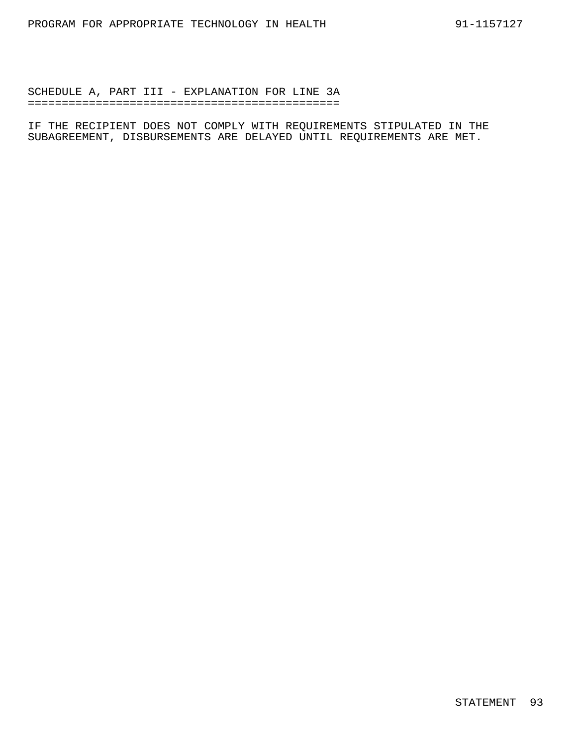SCHEDULE A, PART III - EXPLANATION FOR LINE 3A ==============================================

IF THE RECIPIENT DOES NOT COMPLY WITH REQUIREMENTS STIPULATED IN THE SUBAGREEMENT, DISBURSEMENTS ARE DELAYED UNTIL REQUIREMENTS ARE MET.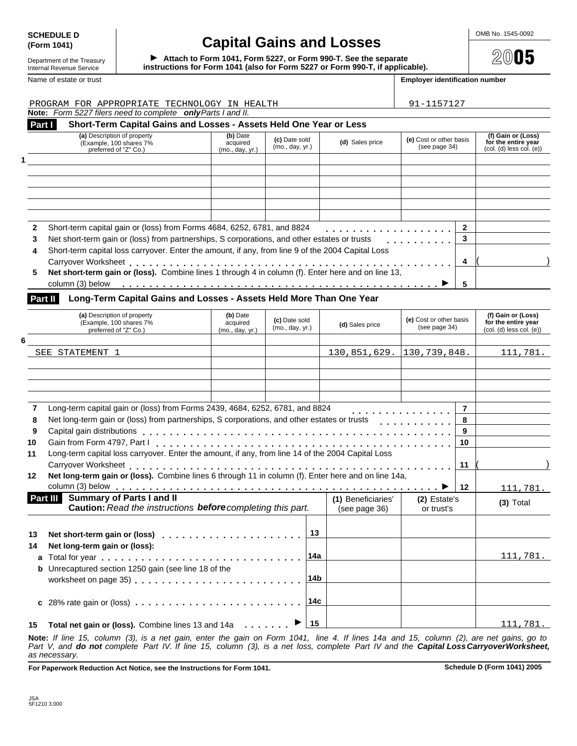# **SCHEDULE D Capital Gains and Losses Capital Gains Come notice that the CAP of the CAP**

instructions for Form 1041 (also for Form 5227 or Form 990-T, if applicable). Attach to Form 1041, Form 5227, or Form 990-T. See the separate

Department of the Treasury<br>Internal Revenue Service

#### Name of estate or trust **Employer identification number Employer identification number**

| PROGRAM FOR APPROPRIATE TECHNOLOGY IN HEALTH                                                                                           |                             |                                  |                 |                                 | 91-1157127                               |                   |                                                    |
|----------------------------------------------------------------------------------------------------------------------------------------|-----------------------------|----------------------------------|-----------------|---------------------------------|------------------------------------------|-------------------|----------------------------------------------------|
| Note: Form 5227 filers need to complete only Parts I and II.                                                                           |                             |                                  |                 |                                 |                                          |                   |                                                    |
| Short-Term Capital Gains and Losses - Assets Held One Year or Less<br>Part I<br>(a) Description of property<br>(Example, 100 shares 7% | (b) Date<br>acquired        | (c) Date sold                    |                 | (d) Sales price                 | (e) Cost or other basis                  |                   | (f) Gain or (Loss)<br>for the entire year          |
| preferred of "Z" Co.)                                                                                                                  | (mo., day, yr.)             | (mo., day, yr.)                  |                 |                                 | (see page 34)                            |                   | $(col. (d)$ less $col. (e)$                        |
|                                                                                                                                        |                             |                                  |                 |                                 |                                          |                   |                                                    |
|                                                                                                                                        |                             |                                  |                 |                                 |                                          |                   |                                                    |
|                                                                                                                                        |                             |                                  |                 |                                 |                                          |                   |                                                    |
|                                                                                                                                        |                             |                                  |                 |                                 |                                          |                   |                                                    |
|                                                                                                                                        |                             |                                  |                 |                                 |                                          |                   |                                                    |
|                                                                                                                                        |                             |                                  |                 |                                 |                                          |                   |                                                    |
| Short-term capital gain or (loss) from Forms 4684, 6252, 6781, and 8824                                                                |                             |                                  |                 |                                 |                                          | $\mathbf{2}$<br>3 |                                                    |
| Net short-term gain or (loss) from partnerships, S corporations, and other estates or trusts                                           |                             |                                  |                 |                                 |                                          |                   |                                                    |
| Short-term capital loss carryover. Enter the amount, if any, from line 9 of the 2004 Capital Loss                                      |                             |                                  |                 |                                 |                                          | 4                 |                                                    |
| Net short-term gain or (loss). Combine lines 1 through 4 in column (f). Enter here and on line 13,                                     |                             |                                  |                 |                                 |                                          |                   |                                                    |
|                                                                                                                                        |                             |                                  |                 |                                 |                                          |                   |                                                    |
|                                                                                                                                        |                             |                                  |                 |                                 |                                          | 5                 |                                                    |
| Part II<br>Long-Term Capital Gains and Losses - Assets Held More Than One Year                                                         |                             |                                  |                 |                                 |                                          |                   |                                                    |
| (a) Description of property                                                                                                            | (b) Date                    |                                  |                 |                                 |                                          |                   | (f) Gain or (Loss)                                 |
| (Example, 100 shares 7%<br>preferred of "Z" Co.)                                                                                       | acquired<br>(mo., day, yr.) | (c) Date sold<br>(mo., day, yr.) |                 | (d) Sales price                 | (e) Cost or other basis<br>(see page 34) |                   | for the entire year<br>$(col. (d)$ less $col. (e)$ |
|                                                                                                                                        |                             |                                  |                 |                                 |                                          |                   |                                                    |
| SEE STATEMENT 1                                                                                                                        |                             |                                  |                 | $130, 851, 629.$ 130, 739, 848. |                                          |                   | 111,781.                                           |
|                                                                                                                                        |                             |                                  |                 |                                 |                                          |                   |                                                    |
|                                                                                                                                        |                             |                                  |                 |                                 |                                          |                   |                                                    |
|                                                                                                                                        |                             |                                  |                 |                                 |                                          |                   |                                                    |
|                                                                                                                                        |                             |                                  |                 |                                 |                                          |                   |                                                    |
| Long-term capital gain or (loss) from Forms 2439, 4684, 6252, 6781, and 8824                                                           |                             |                                  |                 |                                 |                                          | $\overline{7}$    |                                                    |
| Net long-term gain or (loss) from partnerships, S corporations, and other estates or trusts                                            |                             |                                  |                 |                                 |                                          | 8                 |                                                    |
|                                                                                                                                        |                             |                                  |                 |                                 |                                          | 9                 |                                                    |
|                                                                                                                                        |                             |                                  |                 |                                 |                                          | 10                |                                                    |
| Long-term capital loss carryover. Enter the amount, if any, from line 14 of the 2004 Capital Loss                                      |                             |                                  |                 |                                 |                                          |                   |                                                    |
|                                                                                                                                        |                             |                                  |                 |                                 |                                          | 11                |                                                    |
| Net long-term gain or (loss). Combine lines 6 through 11 in column (f). Enter here and on line 14a,                                    |                             |                                  |                 |                                 |                                          |                   |                                                    |
|                                                                                                                                        |                             |                                  |                 |                                 |                                          | 12                | 111,781.                                           |
| Part III Summary of Parts I and II                                                                                                     |                             |                                  |                 | (1) Beneficiaries'              | (2) Estate's                             |                   | $(3)$ Total                                        |
| Caution: Read the instructions before completing this part.                                                                            |                             |                                  |                 | (see page 36)                   | or trust's                               |                   |                                                    |
|                                                                                                                                        |                             |                                  |                 |                                 |                                          |                   |                                                    |
|                                                                                                                                        |                             |                                  |                 |                                 |                                          |                   |                                                    |
|                                                                                                                                        |                             |                                  | 13              |                                 |                                          |                   |                                                    |
|                                                                                                                                        |                             |                                  |                 |                                 |                                          |                   |                                                    |
| Net long-term gain or (loss):                                                                                                          |                             |                                  | 14a             |                                 |                                          |                   |                                                    |
|                                                                                                                                        |                             |                                  |                 |                                 |                                          |                   |                                                    |
| <b>b</b> Unrecaptured section 1250 gain (see line 18 of the                                                                            |                             |                                  | 14b             |                                 |                                          |                   |                                                    |
| worksheet on page 35)                                                                                                                  |                             |                                  |                 |                                 |                                          |                   |                                                    |
|                                                                                                                                        |                             |                                  | 14 <sub>c</sub> |                                 |                                          |                   |                                                    |
|                                                                                                                                        |                             |                                  |                 |                                 |                                          |                   | 111,781.                                           |

**Note:** *If line 15, column (3), is a net gain, enter the gain on Form 1041, line 4. If lines 14a and 15, column (2), are net gains, go to* Part V, and **do not** complete Part IV. If line 15, column (3), is a net loss, complete Part IV and the **Capital Loss Carryover Worksheet,** *as necessary.*

For Paperwork Reduction Act Notice, see the Instructions for Form 1041. Schedule D (Form 1041) 2005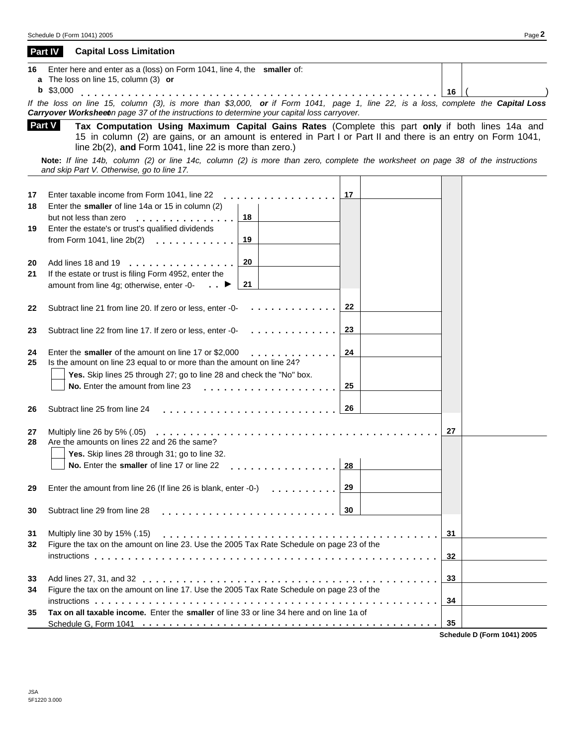**a** The loss on line 15, column (3) **or** *Carryover Worksheet on page 37 of the instructions to determine your capital loss carryover.* **Tax Computation Using Maximum Capital Gains Rates** (Complete this part **only** if both lines 14a and 15 in column (2) are gains, or an amount is entered in Part I or Part II and there is an entry on Form 1041, line 2b(2), **and** Form 1041, line 22 is more than zero.)  **Part V Note:** *If line 14b, column (2) or line 14c, column (2) is more than zero, complete the worksheet on page 38 of the instructions and skip Part V. Otherwise, go to line 17.* **17** Enter taxable income from Form 1041, line 22 **1.1 .** . . . . . . . . . . . . . . . . <u>| 17 | |</u> **18 19 20 21 22 23** Enter the **smaller** of line 14a or 15 in column (2) but not less than zero mmmmmmmmmmmmmmm**<sup>18</sup>** Enter the estate's or trust's qualified dividends Enter the estate's or trust's qualified dividends<br>from Form 1041, line 2b(2)<br>**married by the content of the 19** Add lines 18 and 19 If the estate or trust is filing Form 4952, enter the amount from line 4g; otherwise, enter -0 mmmmmmmmmmmmmmmmm  $m = \frac{20}{21}$ <br>illing Form 4952, enter the<br>therwise, enter -0-Subtract line 21 from line 20. If zero or less, enter -0- mmmmmmmmmmmmm**<sup>22</sup>** Subtract line 22 from line 17. If zero or less, enter -0- mmmmmmmmmmmmm**<sup>23</sup> <sup>24</sup>** Enter the **smaller** of the amount on line 17 or \$2,000 mmmmmmmmmmmmm**<sup>24</sup> 25** Is the amount on line 23 equal to or more than the amount on line 24? **Yes.** Skip lines 25 through 27; go to line 28 and check the "No" box. **No.** Enter the amount from line 23 **25 25** ne 28 and check the "No" box.<br> **25** married the second of the second of the second of the second of the second of the second of the second of the second of the second of the second of the second of the second of the second **26 27** Subtract line 25 from line 24 Subtract line 25 from line 24<br>Multiply line 26 by 5% (.05)<br>Multiply line 26 by 5% (.05) **28** Are the amounts on lines 22 and 26 the same? **Yes.** Skip lines 28 through 31; go to line 32. **No.** Enter the **smaller** of line 17 or line 22 mmmmmmmmmmmmmmmm**<sup>28</sup> 29** Enter the amount from line 26 (If line 26 is blank, enter -0-) mmmmmmmmmmmmmmmmm **30 31** Multiply line 30 by 15% (.15) **32 33 34 35** Subtract line 29 from line 28 **30** Subtract line 29 from line 28 measure of the series of the series of  $\begin{array}{|c|c|} \hline \text{30} & \text{30} & \text{31} \ \hline \end{array}$ mmmmmmmmmmmmmmmmmmmmmmmmmmmmmmmmmmmmmmmmm**<sup>31</sup>** Figure the tax on the amount on line 23. Use the 2005 Tax Rate Schedule on page 23 of the Figure the tax on the amount on line 23. Use the 2005 Tax Rate Schedule on page 23 of the<br>instructions **Page 19. Intervention on the control of the set of the control of the set of the set of the set o** Add lines 27, 31, and 32 Figure the tax on the amount on line 17. Use the 2005 Tax Rate Schedule on page 23 of the instructions **Tax on all taxable income.** Enter the **smaller** of line 33 or line 34 here and on line 1a of mmmmmmmmmmmmmmmmmmmmmmmmmmmmmmmmmmmmmmmmmmmm**<sup>35</sup>** Schedule G. Form 1041  $\dots\dots\dots\dots\dots\dots\dots\dots\dots\dots\dots\dots\dots\dots$ mmmmmmmmmmmmmmmmmmmmmmmmmmmmmmmmmmmmmmmmmmmm**<sup>33</sup>** mmmmmmmmmmmmmmmmmmmmmmmmmmmmmmmmmmmmmmmmmmmmmmmmmmm**<sup>34</sup>**

**Schedule D (Form 1041) 2005**

#### **Part IV Capital Loss Limitation**

| 16 | Enter here and enter as a (loss) on Form 1041, line 4, the smaller of:                                                           |  |
|----|----------------------------------------------------------------------------------------------------------------------------------|--|
|    | <b>a</b> The loss on line 15, column (3) <b>or</b>                                                                               |  |
|    | 16                                                                                                                               |  |
|    | If the loss on line 15, column (3), is more than \$3,000, or if Form 1041, page 1, line 22, is a loss, complete the Capital Loss |  |
|    | Carryover Worksheete page 37 of the instructions to determine your capital loss carryover                                        |  |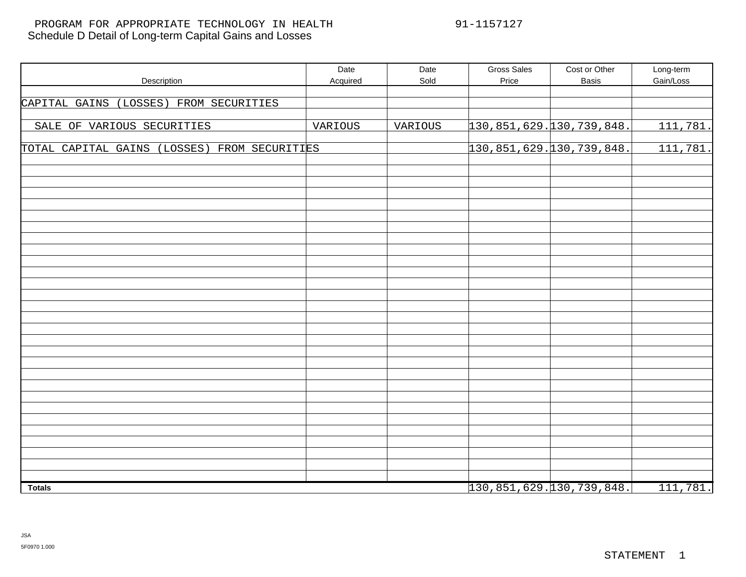### Schedule D Detail of Long-term Capital Gains and Losses PROGRAM FOR APPROPRIATE TECHNOLOGY IN HEALTH 91-1157127

| Description                                  | Date<br>Acquired | Date<br>Sold | <b>Gross Sales</b><br>Price     | Cost or Other<br><b>Basis</b> | Long-term<br>Gain/Loss |
|----------------------------------------------|------------------|--------------|---------------------------------|-------------------------------|------------------------|
|                                              |                  |              |                                 |                               |                        |
| CAPITAL GAINS (LOSSES) FROM SECURITIES       |                  |              |                                 |                               |                        |
| SALE OF VARIOUS SECURITIES                   | VARIOUS          | VARIOUS      | 130, 851, 629. 130, 739, 848.   |                               | 111,781.               |
| TOTAL CAPITAL GAINS (LOSSES) FROM SECURITIES |                  |              | $130, 851, 629.$ 130, 739, 848. |                               | 111,781.               |
|                                              |                  |              |                                 |                               |                        |
|                                              |                  |              |                                 |                               |                        |
|                                              |                  |              |                                 |                               |                        |
|                                              |                  |              |                                 |                               |                        |
|                                              |                  |              |                                 |                               |                        |
|                                              |                  |              |                                 |                               |                        |
|                                              |                  |              |                                 |                               |                        |
|                                              |                  |              |                                 |                               |                        |
|                                              |                  |              |                                 |                               |                        |
|                                              |                  |              |                                 |                               |                        |
|                                              |                  |              |                                 |                               |                        |
|                                              |                  |              |                                 |                               |                        |
|                                              |                  |              |                                 |                               |                        |
|                                              |                  |              |                                 |                               |                        |
|                                              |                  |              |                                 |                               |                        |
| <b>Totals</b>                                |                  |              | $130, 851, 629.$ 130, 739, 848. |                               | 111,781.               |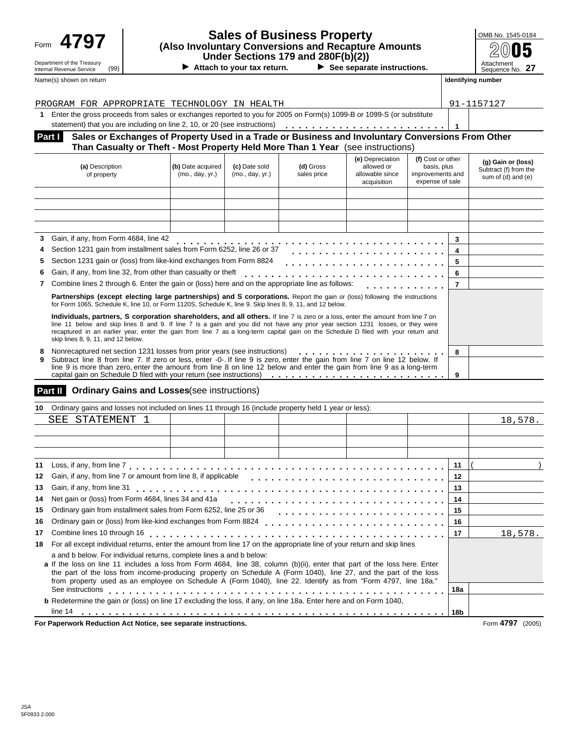## Department of the Treasury<br>Internal Revenue Service (99) Name(s) shown on return **Identifying number Identifying number Identifying number**

## **Sales of Business Property (Also Involuntary Conversions and Recapture Amounts Under Sections 179 and 280F(b)(2))**<br>
Internal Revenue Service (99) **Attach to your tax return.** ▶ See separate instructions.<br>
Internal Revenue Service (99) Attachment

▶ Attach to your tax return. ▶ See separate instructions.

| OMB No. 1545-0184             |
|-------------------------------|
| 05                            |
| Attachment<br>Sequence No. 27 |

|     | PROGRAM FOR APPROPRIATE TECHNOLOGY IN HEALTH                                                                                                                                                                                                                                                                                                                                                                                                   |                                      |                                  | 91-1157127               |                                                                  |                                                                         |              |                                                                   |  |
|-----|------------------------------------------------------------------------------------------------------------------------------------------------------------------------------------------------------------------------------------------------------------------------------------------------------------------------------------------------------------------------------------------------------------------------------------------------|--------------------------------------|----------------------------------|--------------------------|------------------------------------------------------------------|-------------------------------------------------------------------------|--------------|-------------------------------------------------------------------|--|
| 1   | Enter the gross proceeds from sales or exchanges reported to you for 2005 on Form(s) 1099-B or 1099-S (or substitute                                                                                                                                                                                                                                                                                                                           |                                      |                                  |                          |                                                                  |                                                                         |              |                                                                   |  |
|     | statement) that you are including on line 2, 10, or 20 (see instructions)                                                                                                                                                                                                                                                                                                                                                                      |                                      |                                  |                          |                                                                  |                                                                         | $\mathbf{1}$ |                                                                   |  |
|     | Sales or Exchanges of Property Used in a Trade or Business and Involuntary Conversions From Other<br>Part I                                                                                                                                                                                                                                                                                                                                    |                                      |                                  |                          |                                                                  |                                                                         |              |                                                                   |  |
|     | Than Casualty or Theft - Most Property Held More Than 1 Year (see instructions)                                                                                                                                                                                                                                                                                                                                                                |                                      |                                  |                          |                                                                  |                                                                         |              |                                                                   |  |
|     | (a) Description<br>of property                                                                                                                                                                                                                                                                                                                                                                                                                 | (b) Date acquired<br>(mo., day, yr.) | (c) Date sold<br>(mo., day, yr.) | (d) Gross<br>sales price | (e) Depreciation<br>allowed or<br>allowable since<br>acquisition | (f) Cost or other<br>basis, plus<br>improvements and<br>expense of sale |              | (g) Gain or (loss)<br>Subtract (f) from the<br>sum of (d) and (e) |  |
|     |                                                                                                                                                                                                                                                                                                                                                                                                                                                |                                      |                                  |                          |                                                                  |                                                                         |              |                                                                   |  |
| 3   | Gain, if any, from Form 4684, line 42                                                                                                                                                                                                                                                                                                                                                                                                          |                                      |                                  |                          |                                                                  |                                                                         | 3            |                                                                   |  |
| 4   | Section 1231 gain from installment sales from Form 6252, line 26 or 37                                                                                                                                                                                                                                                                                                                                                                         |                                      |                                  |                          |                                                                  |                                                                         | 4            |                                                                   |  |
| 5   | Section 1231 gain or (loss) from like-kind exchanges from Form 8824                                                                                                                                                                                                                                                                                                                                                                            |                                      |                                  |                          |                                                                  |                                                                         | 5            |                                                                   |  |
|     | Gain, if any, from line 32, from other than casualty or theft                                                                                                                                                                                                                                                                                                                                                                                  |                                      |                                  |                          |                                                                  |                                                                         | 6            |                                                                   |  |
| 7   | Combine lines 2 through 6. Enter the gain or (loss) here and on the appropriate line as follows:                                                                                                                                                                                                                                                                                                                                               |                                      |                                  |                          |                                                                  |                                                                         | 7            |                                                                   |  |
|     | Partnerships (except electing large partnerships) and S corporations. Report the gain or (loss) following the instructions<br>for Form 1065, Schedule K, line 10, or Form 1120S, Schedule K, line 9. Skip lines 8, 9, 11, and 12 below.                                                                                                                                                                                                        |                                      |                                  |                          |                                                                  |                                                                         |              |                                                                   |  |
|     | Individuals, partners, S corporation shareholders, and all others. If line 7 is zero or a loss, enter the amount from line 7 on<br>line 11 below and skip lines 8 and 9. If line 7 is a gain and you did not have any prior year section 1231 losses, or they were<br>recaptured in an earlier year, enter the gain from line 7 as a long-term capital gain on the Schedule D filed with your return and<br>skip lines 8, 9, 11, and 12 below. |                                      |                                  |                          |                                                                  |                                                                         |              |                                                                   |  |
| 8   | Nonrecaptured net section 1231 losses from prior years (see instructions)                                                                                                                                                                                                                                                                                                                                                                      |                                      |                                  |                          |                                                                  |                                                                         | 8            |                                                                   |  |
| 9   | Subtract line 8 from line 7. If zero or less, enter -0-. If line 9 is zero, enter the gain from line 7 on line 12 below. If<br>line 9 is more than zero, enter the amount from line 8 on line 12 below and enter the gain from line 9 as a long-term<br>capital gain on Schedule D filed with your return (see instructions)<br>9                                                                                                              |                                      |                                  |                          |                                                                  |                                                                         |              |                                                                   |  |
|     | Part II<br><b>Ordinary Gains and Losses</b> (see instructions)                                                                                                                                                                                                                                                                                                                                                                                 |                                      |                                  |                          |                                                                  |                                                                         |              |                                                                   |  |
| 10. | Ordinary gains and losses not included on lines 11 through 16 (include property held 1 year or less):                                                                                                                                                                                                                                                                                                                                          |                                      |                                  |                          |                                                                  |                                                                         |              |                                                                   |  |
|     | SEE STATEMENT 1                                                                                                                                                                                                                                                                                                                                                                                                                                |                                      |                                  |                          |                                                                  |                                                                         |              | 18,578.                                                           |  |

| 11 |                                                                                                                                                                                                                                                                                                                                                                                                                                        | 11      |                     |
|----|----------------------------------------------------------------------------------------------------------------------------------------------------------------------------------------------------------------------------------------------------------------------------------------------------------------------------------------------------------------------------------------------------------------------------------------|---------|---------------------|
| 12 |                                                                                                                                                                                                                                                                                                                                                                                                                                        | $12 \,$ |                     |
| 13 |                                                                                                                                                                                                                                                                                                                                                                                                                                        | 13      |                     |
| 14 | Net gain or (loss) from Form 4684, lines 34 and 41a                                                                                                                                                                                                                                                                                                                                                                                    | 14      |                     |
| 15 |                                                                                                                                                                                                                                                                                                                                                                                                                                        | 15      |                     |
| 16 |                                                                                                                                                                                                                                                                                                                                                                                                                                        | 16      |                     |
| 17 | Combine lines 10 through 16                                                                                                                                                                                                                                                                                                                                                                                                            | 17      | 18,578.             |
| 18 | For all except individual returns, enter the amount from line 17 on the appropriate line of your return and skip lines                                                                                                                                                                                                                                                                                                                 |         |                     |
|    | a and b below. For individual returns, complete lines a and b below:<br>a If the loss on line 11 includes a loss from Form 4684, line 38, column (b)(ii), enter that part of the loss here. Enter<br>the part of the loss from income-producing property on Schedule A (Form 1040), line 27, and the part of the loss<br>from property used as an employee on Schedule A (Form 1040), line 22. Identify as from "Form 4797, line 18a." |         |                     |
|    | See instructions                                                                                                                                                                                                                                                                                                                                                                                                                       | 18a     |                     |
|    | b Redetermine the gain or (loss) on line 17 excluding the loss, if any, on line 18a. Enter here and on Form 1040,                                                                                                                                                                                                                                                                                                                      |         |                     |
|    | line 14                                                                                                                                                                                                                                                                                                                                                                                                                                | 18b     |                     |
|    | For Paperwork Reduction Act Notice, see separate instructions.                                                                                                                                                                                                                                                                                                                                                                         |         | Form 4797<br>(2005) |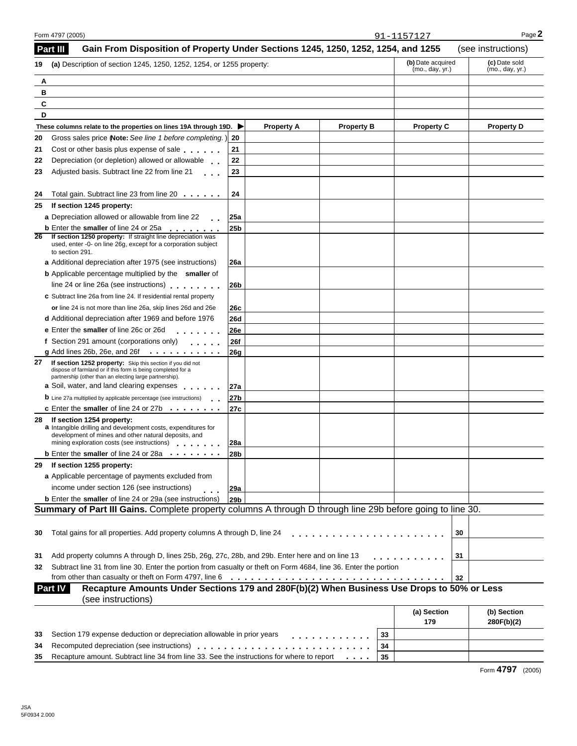| Gain From Disposition of Property Under Sections 1245, 1250, 1252, 1254, and 1255<br>Part III                                                                                                           |                 |                                      |                   |                                  |                    |    | (see instructions)        |
|---------------------------------------------------------------------------------------------------------------------------------------------------------------------------------------------------------|-----------------|--------------------------------------|-------------------|----------------------------------|--------------------|----|---------------------------|
| (a) Description of section 1245, 1250, 1252, 1254, or 1255 property:<br>19                                                                                                                              |                 | (b) Date acquired<br>(mo., day, yr.) |                   | (c) Date sold<br>(mo., day, yr.) |                    |    |                           |
| Α                                                                                                                                                                                                       |                 |                                      |                   |                                  |                    |    |                           |
| в                                                                                                                                                                                                       |                 |                                      |                   |                                  |                    |    |                           |
| C                                                                                                                                                                                                       |                 |                                      |                   |                                  |                    |    |                           |
| D                                                                                                                                                                                                       |                 |                                      |                   |                                  |                    |    |                           |
| These columns relate to the properties on lines 19A through 19D. ▶                                                                                                                                      |                 | <b>Property A</b>                    | <b>Property B</b> |                                  | <b>Property C</b>  |    | <b>Property D</b>         |
| Gross sales price (Note: See line 1 before completing.) 20<br>20                                                                                                                                        |                 |                                      |                   |                                  |                    |    |                           |
| Cost or other basis plus expense of sale<br>21                                                                                                                                                          | 21              |                                      |                   |                                  |                    |    |                           |
| Depreciation (or depletion) allowed or allowable ___<br>22                                                                                                                                              | 22              |                                      |                   |                                  |                    |    |                           |
| Adjusted basis. Subtract line 22 from line 21<br>23<br>$\sim 100$ km s $^{-1}$                                                                                                                          | 23              |                                      |                   |                                  |                    |    |                           |
| Total gain. Subtract line 23 from line 20<br>24                                                                                                                                                         | 24              |                                      |                   |                                  |                    |    |                           |
| If section 1245 property:<br>25                                                                                                                                                                         |                 |                                      |                   |                                  |                    |    |                           |
| a Depreciation allowed or allowable from line 22                                                                                                                                                        | <b>25a</b>      |                                      |                   |                                  |                    |    |                           |
| <b>b</b> Enter the smaller of line 24 or 25a<br>If section 1250 property: If straight line depreciation was<br>26                                                                                       | 25 <sub>b</sub> |                                      |                   |                                  |                    |    |                           |
| used, enter -0- on line 26g, except for a corporation subject<br>to section 291.                                                                                                                        |                 |                                      |                   |                                  |                    |    |                           |
| a Additional depreciation after 1975 (see instructions)                                                                                                                                                 | <b>26a</b>      |                                      |                   |                                  |                    |    |                           |
| <b>b</b> Applicable percentage multiplied by the smaller of                                                                                                                                             |                 |                                      |                   |                                  |                    |    |                           |
| line 24 or line 26a (see instructions)                                                                                                                                                                  | 26 <sub>b</sub> |                                      |                   |                                  |                    |    |                           |
| c Subtract line 26a from line 24. If residential rental property                                                                                                                                        |                 |                                      |                   |                                  |                    |    |                           |
| or line 24 is not more than line 26a, skip lines 26d and 26e                                                                                                                                            | 26c             |                                      |                   |                                  |                    |    |                           |
| d Additional depreciation after 1969 and before 1976                                                                                                                                                    | <b>26d</b>      |                                      |                   |                                  |                    |    |                           |
| e Enter the smaller of line 26c or 26d<br>and a share and                                                                                                                                               | <b>26e</b>      |                                      |                   |                                  |                    |    |                           |
| f Section 291 amount (corporations only)<br>$\sim$ 100 $\sim$ 100 $\sim$                                                                                                                                | <b>26f</b>      |                                      |                   |                                  |                    |    |                           |
| $g$ Add lines 26b, 26e, and 26f                                                                                                                                                                         | 26g             |                                      |                   |                                  |                    |    |                           |
| 27<br>If section 1252 property: Skip this section if you did not<br>dispose of farmland or if this form is being completed for a<br>partnership (other than an electing large partnership).             |                 |                                      |                   |                                  |                    |    |                           |
| a Soil, water, and land clearing expenses                                                                                                                                                               | 27a             |                                      |                   |                                  |                    |    |                           |
| <b>b</b> Line 27a multiplied by applicable percentage (see instructions)                                                                                                                                | 27b             |                                      |                   |                                  |                    |    |                           |
| c Enter the smaller of line 24 or 27b                                                                                                                                                                   | 27c             |                                      |                   |                                  |                    |    |                           |
| If section 1254 property:<br>28<br>a Intangible drilling and development costs, expenditures for<br>development of mines and other natural deposits, and<br>mining exploration costs (see instructions) | 28a             |                                      |                   |                                  |                    |    |                           |
| <b>b</b> Enter the smaller of line 24 or 28a                                                                                                                                                            | 28b             |                                      |                   |                                  |                    |    |                           |
| If section 1255 property:<br>29                                                                                                                                                                         |                 |                                      |                   |                                  |                    |    |                           |
| a Applicable percentage of payments excluded from                                                                                                                                                       |                 |                                      |                   |                                  |                    |    |                           |
| income under section 126 (see instructions)                                                                                                                                                             | 29a             |                                      |                   |                                  |                    |    |                           |
| <b>b</b> Enter the smaller of line 24 or 29a (see instructions)                                                                                                                                         | 29 <sub>b</sub> |                                      |                   |                                  |                    |    |                           |
| Summary of Part III Gains. Complete property columns A through D through line 29b before going to line 30.                                                                                              |                 |                                      |                   |                                  |                    |    |                           |
|                                                                                                                                                                                                         |                 |                                      |                   |                                  |                    |    |                           |
| Total gains for all properties. Add property columns A through D, line 24<br>30                                                                                                                         |                 |                                      |                   |                                  |                    | 30 |                           |
| Add property columns A through D, lines 25b, 26g, 27c, 28b, and 29b. Enter here and on line 13<br>31                                                                                                    |                 |                                      |                   |                                  |                    | 31 |                           |
| Subtract line 31 from line 30. Enter the portion from casualty or theft on Form 4684, line 36. Enter the portion<br>32                                                                                  |                 |                                      |                   |                                  |                    |    |                           |
| from other than casualty or theft on Form 4797, line 6                                                                                                                                                  |                 |                                      |                   |                                  |                    | 32 |                           |
| Recapture Amounts Under Sections 179 and 280F(b)(2) When Business Use Drops to 50% or Less<br><b>Part IV</b><br>(see instructions)                                                                      |                 |                                      |                   |                                  |                    |    |                           |
|                                                                                                                                                                                                         |                 |                                      |                   |                                  | (a) Section<br>179 |    | (b) Section<br>280F(b)(2) |
| Section 179 expense deduction or depreciation allowable in prior years<br>33                                                                                                                            |                 |                                      |                   | 33                               |                    |    |                           |
| Recomputed depreciation (see instructions)<br>34                                                                                                                                                        |                 | .                                    |                   | 34                               |                    |    |                           |
| Recapture amount. Subtract line 34 from line 33. See the instructions for where to report<br>35                                                                                                         |                 |                                      |                   | 35                               |                    |    |                           |

Form 4797 (2005) Page **2** 91-1157127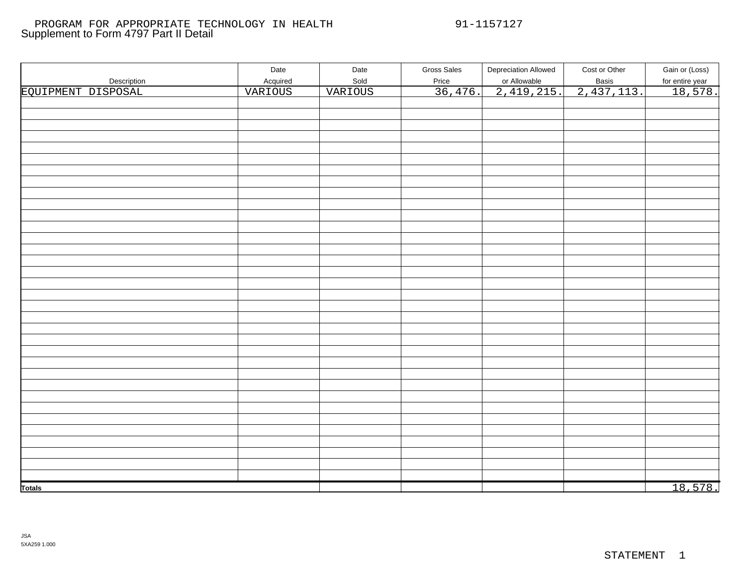#### Supplement to Form 4797 Part II Detail PROGRAM FOR APPROPRIATE TECHNOLOGY IN HEALTH 91-1157127

|                    | Date     | Date    | <b>Gross Sales</b> | <b>Depreciation Allowed</b> | Cost or Other       | Gain or (Loss)  |
|--------------------|----------|---------|--------------------|-----------------------------|---------------------|-----------------|
| Description        | Acquired | Sold    | Price              |                             |                     | for entire year |
| EQUIPMENT DISPOSAL | VARIOUS  | VARIOUS | 36,476.            | or Allowable<br>2,419,215.  | Basis<br>2,437,113. | 18,578.         |
|                    |          |         |                    |                             |                     |                 |
|                    |          |         |                    |                             |                     |                 |
|                    |          |         |                    |                             |                     |                 |
|                    |          |         |                    |                             |                     |                 |
|                    |          |         |                    |                             |                     |                 |
|                    |          |         |                    |                             |                     |                 |
|                    |          |         |                    |                             |                     |                 |
|                    |          |         |                    |                             |                     |                 |
|                    |          |         |                    |                             |                     |                 |
|                    |          |         |                    |                             |                     |                 |
|                    |          |         |                    |                             |                     |                 |
|                    |          |         |                    |                             |                     |                 |
|                    |          |         |                    |                             |                     |                 |
|                    |          |         |                    |                             |                     |                 |
|                    |          |         |                    |                             |                     |                 |
|                    |          |         |                    |                             |                     |                 |
|                    |          |         |                    |                             |                     |                 |
|                    |          |         |                    |                             |                     |                 |
|                    |          |         |                    |                             |                     |                 |
|                    |          |         |                    |                             |                     |                 |
|                    |          |         |                    |                             |                     |                 |
|                    |          |         |                    |                             |                     |                 |
|                    |          |         |                    |                             |                     |                 |
|                    |          |         |                    |                             |                     |                 |
|                    |          |         |                    |                             |                     |                 |
|                    |          |         |                    |                             |                     |                 |
|                    |          |         |                    |                             |                     |                 |
|                    |          |         |                    |                             |                     |                 |
|                    |          |         |                    |                             |                     |                 |
|                    |          |         |                    |                             |                     |                 |
|                    |          |         |                    |                             |                     |                 |
|                    |          |         |                    |                             |                     |                 |
|                    |          |         |                    |                             |                     |                 |
|                    |          |         |                    |                             |                     |                 |
|                    |          |         |                    |                             |                     |                 |
|                    |          |         |                    |                             |                     |                 |
| <b>Totals</b>      |          |         |                    |                             |                     | 18,578.         |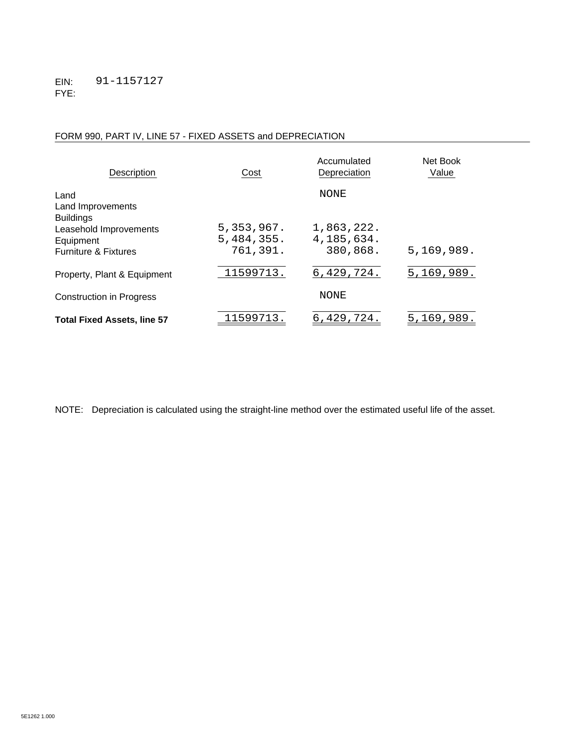## FORM 990, PART IV, LINE 57 - FIXED ASSETS and DEPRECIATION

| Description                                                                                | Cost                                 | Accumulated<br>Depreciation          | Net Book<br>Value |
|--------------------------------------------------------------------------------------------|--------------------------------------|--------------------------------------|-------------------|
| Land<br>Land Improvements                                                                  |                                      | <b>NONE</b>                          |                   |
| <b>Buildings</b><br>Leasehold Improvements<br>Equipment<br><b>Furniture &amp; Fixtures</b> | 5,353,967.<br>5,484,355.<br>761,391. | 1,863,222.<br>4,185,634.<br>380,868. | 5, 169, 989.      |
| Property, Plant & Equipment                                                                | 11599713.                            | 6,429,724.                           | 5, 169, 989.      |
| <b>Construction in Progress</b>                                                            |                                      | <b>NONE</b>                          |                   |
| <b>Total Fixed Assets, line 57</b>                                                         | 11599713.                            | 6,429,724.                           | 5,169,989.        |

NOTE: Depreciation is calculated using the straight-line method over the estimated useful life of the asset.